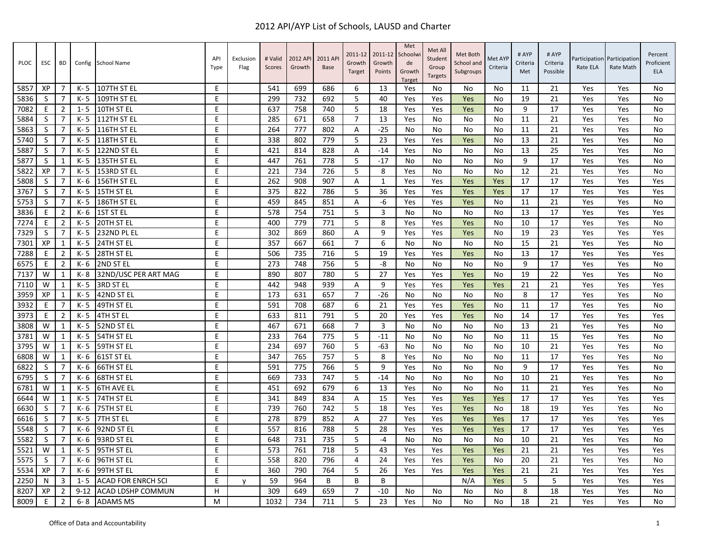| PLOC | <b>ESC</b> | BD             |          | Config School Name        | API<br>Type | Exclusion<br>Flag | # Valid<br>Scores | 2012 API<br>Growth | 2011 AP<br><b>Base</b> | 2011-12<br>Growth<br>Target | 2011-12<br>Growth<br>Points | Met<br>Schoolwi<br>de<br>Growth<br>Target | Met All<br>Student<br>Group<br><b>Targets</b> | Met Both<br>School and<br>Subgroups | Met AYP<br>Criteria | # AYP<br>Criteria<br>Met | # AYP<br>Criteria<br>Possible | Rate ELA | Participation Participation<br>Rate Math | Percent<br>Proficient<br><b>ELA</b> |
|------|------------|----------------|----------|---------------------------|-------------|-------------------|-------------------|--------------------|------------------------|-----------------------------|-----------------------------|-------------------------------------------|-----------------------------------------------|-------------------------------------|---------------------|--------------------------|-------------------------------|----------|------------------------------------------|-------------------------------------|
| 5857 | XP         | 7              | K- 5     | 107TH ST EL               | E           |                   | 541               | 699                | 686                    | 6                           | 13                          | Yes                                       | No                                            | No                                  | No                  | 11                       | 21                            | Yes      | Yes                                      | No                                  |
| 5836 | S          | 7              | K-5      | 109TH ST EL               | E           |                   | 299               | 732                | 692                    | 5                           | 40                          | Yes                                       | Yes                                           | Yes                                 | No                  | 19                       | 21                            | Yes      | Yes                                      | No                                  |
| 7082 | Ε          | $\overline{2}$ | $1 - 5$  | 10TH ST EL                | E           |                   | 637               | 758                | 740                    | 5                           | 18                          | Yes                                       | Yes                                           | Yes                                 | No                  | 9                        | 17                            | Yes      | Yes                                      | No                                  |
| 5884 | S          | 7              | K-5      | 112TH ST EL               | E           |                   | 285               | 671                | 658                    | $\overline{7}$              | 13                          | Yes                                       | No                                            | No                                  | No                  | 11                       | 21                            | Yes      | Yes                                      | No                                  |
| 5863 | S          | 7              | K-5      | 116TH ST EL               | E           |                   | 264               | 777                | 802                    | Α                           | $-25$                       | No                                        | No                                            | No                                  | No                  | 11                       | 21                            | Yes      | Yes                                      | No                                  |
| 5740 | S          | $\overline{7}$ | K- 5     | 118TH ST EL               | E           |                   | 338               | 802                | 779                    | 5                           | 23                          | Yes                                       | Yes                                           | Yes                                 | No                  | 13                       | 21                            | Yes      | Yes                                      | No                                  |
| 5887 | S          | $\overline{7}$ | K- 5     | 122ND ST EL               | E           |                   | 421               | 814                | 828                    | A                           | $-14$                       | Yes                                       | No                                            | No                                  | No                  | 13                       | 25                            | Yes      | Yes                                      | No                                  |
| 5877 | S          | 1              | K-5      | 135TH ST EL               | E           |                   | 447               | 761                | 778                    | 5                           | $-17$                       | No                                        | No                                            | No                                  | No                  | 9                        | 17                            | Yes      | Yes                                      | No                                  |
| 5822 | XP         | $\overline{7}$ | K-5      | 153RD ST EL               | E           |                   | 221               | 734                | 726                    | 5                           | 8                           | Yes                                       | No                                            | No                                  | No                  | 12                       | 21                            | Yes      | Yes                                      | No                                  |
| 5808 | S          | $\overline{7}$ | K- 6     | 156TH ST EL               | E           |                   | 262               | 908                | 907                    | Α                           | 1                           | Yes                                       | Yes                                           | Yes                                 | Yes                 | 17                       | 17                            | Yes      | Yes                                      | Yes                                 |
| 3767 | S          | 7              | K-5      | 15TH ST EL                | E           |                   | 375               | 822                | 786                    | 5                           | 36                          | Yes                                       | Yes                                           | Yes                                 | Yes                 | 17                       | 17                            | Yes      | Yes                                      | Yes                                 |
| 5753 | S          | 7              | K-5      | 186TH ST EL               | E           |                   | 459               | 845                | 851                    | A                           | -6                          | Yes                                       | Yes                                           | Yes                                 | No                  | 11                       | 21                            | Yes      | Yes                                      | No                                  |
| 3836 | E          | $\overline{2}$ | K- 6     | <b>1ST ST EL</b>          | E           |                   | 578               | 754                | 751                    | 5                           | 3                           | No.                                       | No                                            | No                                  | No                  | 13                       | 17                            | Yes      | Yes                                      | Yes                                 |
| 7274 | E          | $\overline{2}$ | K-5      | 20TH ST EL                | E           |                   | 400               | 779                | 771                    | 5                           | 8                           | Yes                                       | Yes                                           | Yes                                 | No                  | 10                       | 17                            | Yes      | Yes                                      | No                                  |
| 7329 | S          | 7              | K- 5     | 232ND PL EL               | E           |                   | 302               | 869                | 860                    | A                           | 9                           | Yes                                       | Yes                                           | Yes                                 | No                  | 19                       | 23                            | Yes      | Yes                                      | Yes                                 |
| 7301 | XP         | 1              | K- 5     | 24TH ST EL                | E           |                   | 357               | 667                | 661                    | $\overline{7}$              | 6                           | No.                                       | No                                            | No                                  | No                  | 15                       | 21                            | Yes      | Yes                                      | No                                  |
| 7288 | E          | $\overline{2}$ | $K - 5$  | 28TH ST EL                | E           |                   | 506               | 735                | 716                    | 5                           | 19                          | Yes                                       | Yes                                           | Yes                                 | No                  | 13                       | 17                            | Yes      | Yes                                      | Yes                                 |
| 6575 | E          | $\overline{2}$ | K- 6     | 2ND ST EL                 | E           |                   | 273               | 748                | 756                    | 5                           | -8                          | No                                        | No                                            | No                                  | No                  | 9                        | 17                            | Yes      | Yes                                      | No                                  |
| 7137 | W          | 1              | K- 8     | 32ND/USC PER ART MAG      | E           |                   | 890               | 807                | 780                    | 5                           | 27                          | Yes                                       | Yes                                           | Yes                                 | No                  | 19                       | 22                            | Yes      | Yes                                      | No                                  |
| 7110 | W          | 1              | K- 5     | 3RD ST EL                 | E           |                   | 442               | 948                | 939                    | Α                           | 9                           | Yes                                       | Yes                                           | Yes                                 | Yes                 | 21                       | 21                            | Yes      | Yes                                      | Yes                                 |
| 3959 | XP         | $\mathbf{1}$   | K-5      | 42ND ST EL                | E           |                   | 173               | 631                | 657                    | $\overline{7}$              | $-26$                       | No                                        | No                                            | No                                  | No                  | 8                        | 17                            | Yes      | Yes                                      | No                                  |
| 3932 | E          | $\overline{7}$ | K-5      | 49TH ST EL                | E           |                   | 591               | 708                | 687                    | 6                           | 21                          | Yes                                       | Yes                                           | Yes                                 | No                  | 11                       | 17                            | Yes      | Yes                                      | No                                  |
| 3973 | E          | $\overline{2}$ | K- 5     | 4TH ST EL                 | E           |                   | 633               | 811                | 791                    | 5                           | 20                          | Yes                                       | Yes                                           | Yes                                 | No                  | 14                       | 17                            | Yes      | Yes                                      | Yes                                 |
| 3808 | W          | $\mathbf{1}$   | K- 5     | 52ND ST EL                | E           |                   | 467               | 671                | 668                    | $\overline{7}$              | $\overline{3}$              | No                                        | No                                            | No                                  | No                  | 13                       | 21                            | Yes      | Yes                                      | <b>No</b>                           |
| 3781 | W          | 1              | K- 5     | 54TH ST EL                | E           |                   | 233               | 764                | 775                    | 5                           | $-11$                       | No                                        | No                                            | No                                  | No                  | 11                       | 15                            | Yes      | Yes                                      | No                                  |
| 3795 | W          | 1              | K-5      | 59TH ST EL                | E           |                   | 234               | 697                | 760                    | 5                           | $-63$                       | No                                        | No                                            | No                                  | No                  | 10                       | 21                            | Yes      | Yes                                      | No                                  |
| 6808 | W          | $\mathbf{1}$   | K-6      | 61ST ST EL                | E           |                   | 347               | 765                | 757                    | 5                           | 8                           | Yes                                       | No                                            | No                                  | No                  | 11                       | 17                            | Yes      | Yes                                      | No                                  |
| 6822 | S          | 7              | K-6      | 66TH ST EL                | E           |                   | 591               | 775                | 766                    | 5                           | 9                           | Yes                                       | No                                            | No                                  | No                  | 9                        | 17                            | Yes      | Yes                                      | No                                  |
| 6795 | S          | 7              | K- 6     | 68TH ST EL                | E           |                   | 669               | 733                | 747                    | 5                           | $-14$                       | No                                        | No                                            | No                                  | No                  | 10                       | 21                            | Yes      | Yes                                      | No                                  |
| 6781 | W          | 1              | K- 5     | <b>6TH AVE EL</b>         | E           |                   | 451               | 692                | 679                    | 6                           | 13                          | Yes                                       | No                                            | No                                  | No                  | 11                       | 21                            | Yes      | Yes                                      | No                                  |
| 6644 | W          | 1              | K-5      | 74TH ST EL                | E           |                   | 341               | 849                | 834                    | Α                           | 15                          | Yes                                       | Yes                                           | Yes                                 | Yes                 | 17                       | 17                            | Yes      | Yes                                      | Yes                                 |
| 6630 | S          | 7              | K- 6     | 75TH ST EL                | E           |                   | 739               | 760                | 742                    | 5                           | 18                          | Yes                                       | Yes                                           | Yes                                 | No                  | 18                       | 19                            | Yes      | Yes                                      | No                                  |
| 6616 | S          | 7              | K- 5     | 7TH ST EL                 | E           |                   | 278               | 879                | 852                    | Α                           | 27                          | Yes                                       | Yes                                           | Yes                                 | Yes                 | 17                       | 17                            | Yes      | Yes                                      | Yes                                 |
| 5548 | S          | 7              | $K - 6$  | 92ND ST EL                | E           |                   | 557               | 816                | 788                    | 5                           | 28                          | Yes                                       | Yes                                           | Yes                                 | Yes                 | 17                       | 17                            | Yes      | Yes                                      | Yes                                 |
| 5582 | S          | 7              | K- 6     | 93RD ST EL                | E           |                   | 648               | 731                | 735                    | 5                           | $-4$                        | No                                        | No                                            | No                                  | No                  | 10                       | 21                            | Yes      | Yes                                      | No                                  |
| 5521 | W          | 1              | K- 5     | 95TH ST EL                | E           |                   | 573               | 761                | 718                    | 5                           | 43                          | Yes                                       | Yes                                           | Yes                                 | Yes                 | 21                       | 21                            | Yes      | Yes                                      | Yes                                 |
| 5575 | S          | $\overline{7}$ | K-6      | 96TH ST EL                | E           |                   | 558               | 820                | 796                    | $\overline{4}$              | 24                          | Yes                                       | Yes                                           | Yes                                 | No                  | 20                       | 21                            | Yes      | Yes                                      | No                                  |
| 5534 | XP         | 7              | K- 6     | 99TH ST EL                | E           |                   | 360               | 790                | 764                    | 5                           | 26                          | Yes                                       | Yes                                           | Yes                                 | Yes                 | 21                       | 21                            | Yes      | Yes                                      | Yes                                 |
| 2250 | N          | 3              | $1 - 5$  | <b>ACAD FOR ENRCH SCI</b> | E           | V                 | 59                | 964                | B                      | B                           | B                           |                                           |                                               | N/A                                 | Yes                 | 5                        | 5                             | Yes      | Yes                                      | Yes                                 |
| 8207 | XP         | 2              | $9 - 12$ | <b>ACAD LDSHP COMMUN</b>  | н           |                   | 309               | 649                | 659                    | $\overline{7}$              | $-10$                       | No                                        | No                                            | No                                  | No                  | 8                        | 18                            | Yes      | Yes                                      | No                                  |
| 8009 | E          | $\overline{2}$ | $6 - 8$  | <b>ADAMS MS</b>           | м           |                   | 1032              | 734                | 711                    | 5                           | 23                          | Yes                                       | No                                            | No                                  | No                  | 18                       | 21                            | Yes      | Yes                                      | No                                  |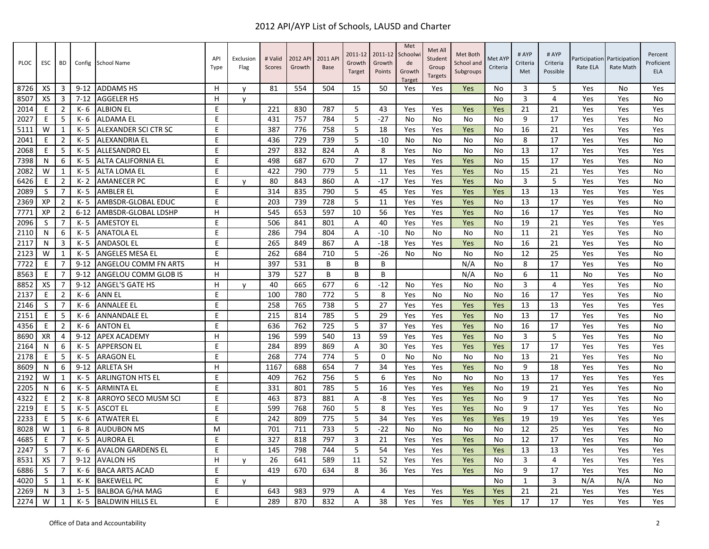| PLOC | ESC       | BD             |          | Config School Name        | API<br>Type | Exclusion<br>Flag | # Valid<br>Scores | 2012 API<br>Growth | 2011 AP<br>Base | 2011-12<br>Growth<br>Target | 2011-12<br>Growth<br>Points | Met<br>Schoolwi<br>de<br>Growth<br>Target | Met All<br>Student<br>Group<br><b>Targets</b> | Met Both<br>School and<br>Subgroups | Met AYP<br>Criteria | # AYP<br>Criteria<br>Met | # AYP<br>Criteria<br>Possible | Rate ELA | Participation Participation<br>Rate Math | Percent<br>Proficient<br><b>ELA</b> |
|------|-----------|----------------|----------|---------------------------|-------------|-------------------|-------------------|--------------------|-----------------|-----------------------------|-----------------------------|-------------------------------------------|-----------------------------------------------|-------------------------------------|---------------------|--------------------------|-------------------------------|----------|------------------------------------------|-------------------------------------|
| 8726 | XS        | 3              | $9 - 12$ | <b>ADDAMS HS</b>          | H           | v                 | 81                | 554                | 504             | 15                          | 50                          | Yes                                       | Yes                                           | Yes                                 | No                  | 3                        | 5                             | Yes      | No                                       | Yes                                 |
| 8507 | XS        | 3              | $7 - 12$ | <b>AGGELER HS</b>         | H           | v                 |                   |                    |                 |                             |                             |                                           |                                               |                                     | <b>No</b>           | 3                        | 4                             | Yes      | Yes                                      | No                                  |
| 2014 | E         | $\overline{2}$ | K- 6     | <b>ALBION EL</b>          | E           |                   | 221               | 830                | 787             | 5                           | 43                          | Yes                                       | Yes                                           | Yes                                 | Yes                 | 21                       | 21                            | Yes      | Yes                                      | Yes                                 |
| 2027 | E         | 5              | K-6      | <b>ALDAMA EL</b>          | E           |                   | 431               | 757                | 784             | 5                           | $-27$                       | No                                        | No                                            | No                                  | No                  | 9                        | 17                            | Yes      | Yes                                      | No                                  |
| 5111 | W         | 1              | K-5      | ALEXANDER SCI CTR SC      | E           |                   | 387               | 776                | 758             | 5                           | 18                          | Yes                                       | Yes                                           | Yes                                 | No                  | 16                       | 21                            | Yes      | Yes                                      | Yes                                 |
| 2041 | E         | $\overline{2}$ | K- 5     | <b>ALEXANDRIA EL</b>      | E           |                   | 436               | 729                | 739             | 5                           | $-10$                       | <b>No</b>                                 | No                                            | No                                  | No                  | 8                        | 17                            | Yes      | Yes                                      | No                                  |
| 2068 | E         | 5              | K- 5     | <b>ALLESANDRO EL</b>      | E           |                   | 297               | 832                | 824             | A                           | 8                           | Yes                                       | No                                            | No                                  | No                  | 13                       | 17                            | Yes      | Yes                                      | Yes                                 |
| 7398 | N         | 6              | K- 5     | <b>ALTA CALIFORNIA EL</b> | E           |                   | 498               | 687                | 670             | $\overline{7}$              | 17                          | Yes                                       | Yes                                           | Yes                                 | No                  | 15                       | 17                            | Yes      | Yes                                      | No                                  |
| 2082 | W         | $\mathbf{1}$   | K-5      | <b>ALTA LOMA EL</b>       | E           |                   | 422               | 790                | 779             | 5                           | 11                          | Yes                                       | Yes                                           | Yes                                 | No                  | 15                       | 21                            | Yes      | Yes                                      | No                                  |
| 6426 | E         | $\overline{2}$ | $K - 2$  | <b>AMANECER PC</b>        | E           | y                 | 80                | 843                | 860             | A                           | $-17$                       | Yes                                       | Yes                                           | Yes                                 | No                  | 3                        | 5                             | Yes      | Yes                                      | No                                  |
| 2089 | S         | 7              | $K - 5$  | <b>AMBLER EL</b>          | E           |                   | 314               | 835                | 790             | 5                           | 45                          | Yes                                       | Yes                                           | Yes                                 | Yes                 | 13                       | 13                            | Yes      | Yes                                      | Yes                                 |
| 2369 | XP        | $\overline{2}$ | K-5      | AMBSDR-GLOBAL EDUC        | E           |                   | 203               | 739                | 728             | 5                           | 11                          | Yes                                       | Yes                                           | Yes                                 | No                  | 13                       | 17                            | Yes      | Yes                                      | No                                  |
| 7771 | XP        | $\overline{2}$ | $6 - 12$ | AMBSDR-GLOBAL LDSHP       | H           |                   | 545               | 653                | 597             | 10                          | 56                          | Yes                                       | Yes                                           | Yes                                 | No                  | 16                       | 17                            | Yes      | Yes                                      | No                                  |
| 2096 | S         | $\overline{7}$ | K-5      | <b>AMESTOY EL</b>         | E           |                   | 506               | 841                | 801             | Α                           | 40                          | Yes                                       | Yes                                           | Yes                                 | <b>No</b>           | 19                       | 21                            | Yes      | Yes                                      | Yes                                 |
| 2110 | N         | 6              | K- 5     | <b>ANATOLA EL</b>         | E           |                   | 286               | 794                | 804             | Α                           | $-10$                       | No                                        | No                                            | No                                  | No                  | 11                       | 21                            | Yes      | Yes                                      | No                                  |
| 2117 | N         | 3              | K-5      | <b>ANDASOL EL</b>         | E           |                   | 265               | 849                | 867             | A                           | $-18$                       | Yes                                       | Yes                                           | Yes                                 | No                  | 16                       | 21                            | Yes      | Yes                                      | No                                  |
| 2123 | W         | $\mathbf{1}$   | K-5      | <b>ANGELES MESA EL</b>    | E           |                   | 262               | 684                | 710             | 5                           | $-26$                       | <b>No</b>                                 | No                                            | No                                  | No                  | 12                       | 25                            | Yes      | Yes                                      | No                                  |
| 7722 | E         |                | $9 - 12$ | ANGELOU COMM FN ARTS      | H           |                   | 397               | 531                | B               | B                           | B                           |                                           |                                               | N/A                                 | No                  | 8                        | 17                            | Yes      | Yes                                      | No                                  |
| 8563 | E         | 7              | $9 - 12$ | ANGELOU COMM GLOB IS      | H           |                   | 379               | 527                | B               | B                           | B                           |                                           |                                               | N/A                                 | No                  | 6                        | 11                            | No       | Yes                                      | No                                  |
| 8852 | XS        | $\overline{7}$ | $9 - 12$ | <b>ANGEL'S GATE HS</b>    | н           | y                 | 40                | 665                | 677             | 6                           | $-12$                       | No                                        | Yes                                           | No                                  | No                  | 3                        | 4                             | Yes      | Yes                                      | No                                  |
| 2137 | E         | $\overline{2}$ | $K - 6$  | <b>ANN EL</b>             | E           |                   | 100               | 780                | 772             | 5                           | 8                           | Yes                                       | No                                            | No                                  | No                  | 16                       | 17                            | Yes      | Yes                                      | No                                  |
| 2146 | S         | 7              | $K - 6$  | <b>ANNALEE EL</b>         | E           |                   | 258               | 765                | 738             | 5                           | 27                          | Yes                                       | Yes                                           | Yes                                 | Yes                 | 13                       | 13                            | Yes      | Yes                                      | Yes                                 |
| 2151 | E         | 5              | K- 6     | <b>ANNANDALE EL</b>       | E           |                   | 215               | 814                | 785             | 5                           | 29                          | Yes                                       | Yes                                           | Yes                                 | No                  | 13                       | 17                            | Yes      | Yes                                      | No                                  |
| 4356 | E         | $\overline{2}$ | K-6      | <b>ANTON EL</b>           | E           |                   | 636               | 762                | 725             | 5                           | 37                          | Yes                                       | Yes                                           | Yes                                 | No                  | 16                       | 17                            | Yes      | Yes                                      | No                                  |
| 8690 | <b>XR</b> | 4              | $9 - 12$ | <b>APEX ACADEMY</b>       | H           |                   | 196               | 599                | 540             | 13                          | 59                          | Yes                                       | Yes                                           | Yes                                 | No                  | 3                        | 5                             | Yes      | Yes                                      | No                                  |
| 2164 | N         | 6              | K-5      | <b>APPERSON EL</b>        | E           |                   | 284               | 899                | 869             | A                           | 30                          | Yes                                       | Yes                                           | Yes                                 | Yes                 | 17                       | 17                            | Yes      | Yes                                      | Yes                                 |
| 2178 | E         | 5              | K- 5     | <b>ARAGON EL</b>          | E           |                   | 268               | 774                | 774             | 5                           | 0                           | No                                        | No                                            | No                                  | No                  | 13                       | 21                            | Yes      | Yes                                      | No                                  |
| 8609 | N         | 6              | $9 - 12$ | <b>ARLETA SH</b>          | H           |                   | 1167              | 688                | 654             | $\overline{7}$              | 34                          | Yes                                       | Yes                                           | Yes                                 | No                  | 9                        | 18                            | Yes      | Yes                                      | No                                  |
| 2192 | W         | $\mathbf{1}$   | K-5      | <b>ARLINGTON HTS EL</b>   | E           |                   | 409               | 762                | 756             | 5                           | 6                           | Yes                                       | No                                            | No                                  | No                  | 13                       | 17                            | Yes      | Yes                                      | Yes                                 |
| 2205 | N         | 6              | K- 5     | <b>ARMINTA EL</b>         | E           |                   | 331               | 801                | 785             | 5                           | 16                          | Yes                                       | Yes                                           | Yes                                 | No                  | 19                       | 21                            | Yes      | Yes                                      | No                                  |
| 4322 | E         | $\overline{2}$ | K-8      | ARROYO SECO MUSM SCI      | E           |                   | 463               | 873                | 881             | A                           | -8                          | Yes                                       | Yes                                           | Yes                                 | <b>No</b>           | 9                        | 17                            | Yes      | Yes                                      | No                                  |
| 2219 | E         | 5              | K-5      | <b>ASCOT EL</b>           | E           |                   | 599               | 768                | 760             | 5                           | 8                           | Yes                                       | Yes                                           | Yes                                 | No                  | 9                        | 17                            | Yes      | Yes                                      | No                                  |
| 2233 | Ε         | 5              | K- 6     | <b>ATWATER EL</b>         | E           |                   | 242               | 809                | 775             | 5                           | 34                          | Yes                                       | Yes                                           | Yes                                 | Yes                 | 19                       | 19                            | Yes      | Yes                                      | Yes                                 |
| 8028 | W         | $\mathbf{1}$   | $6 - 8$  | <b>AUDUBON MS</b>         | M           |                   | 701               | 711                | 733             | 5                           | $-22$                       | No                                        | No                                            | <b>No</b>                           | No                  | 12                       | 25                            | Yes      | Yes                                      | No                                  |
| 4685 | E         | $\overline{7}$ | K-5      | <b>AURORA EL</b>          | E           |                   | 327               | 818                | 797             | $\overline{3}$              | 21                          | Yes                                       | Yes                                           | Yes                                 | No                  | 12                       | 17                            | Yes      | Yes                                      | No                                  |
| 2247 | S         | 7              | K- 6     | <b>AVALON GARDENS EL</b>  | E           |                   | 145               | 798                | 744             | 5                           | 54                          | Yes                                       | Yes                                           | Yes                                 | Yes                 | 13                       | 13                            | Yes      | Yes                                      | Yes                                 |
| 8531 | XS        | $\overline{7}$ | $9 - 12$ | <b>AVALON HS</b>          | н           | V                 | 26                | 641                | 589             | 11                          | 52                          | Yes                                       | Yes                                           | Yes                                 | No                  | 3                        | 4                             | Yes      | Yes                                      | Yes                                 |
| 6886 | S         |                | $K - 6$  | <b>BACA ARTS ACAD</b>     | E           |                   | 419               | 670                | 634             | 8                           | 36                          | Yes                                       | Yes                                           | Yes                                 | No                  | 9                        | 17                            | Yes      | Yes                                      | No                                  |
| 4020 | S         | 1              | K- K     | <b>BAKEWELL PC</b>        | E           | y                 |                   |                    |                 |                             |                             |                                           |                                               |                                     | No                  | 1                        | 3                             | N/A      | N/A                                      | No                                  |
| 2269 | N         | 3              | $1 - 5$  | <b>BALBOA G/HA MAG</b>    | E           |                   | 643               | 983                | 979             | Α                           | 4                           | Yes                                       | Yes                                           | Yes                                 | Yes                 | 21                       | 21                            | Yes      | Yes                                      | Yes                                 |
| 2274 | W         | $\mathbf{1}$   | $K - 5$  | <b>BALDWIN HILLS EL</b>   | E           |                   | 289               | 870                | 832             | A                           | 38                          | Yes                                       | Yes                                           | Yes                                 | Yes                 | 17                       | 17                            | Yes      | Yes                                      | Yes                                 |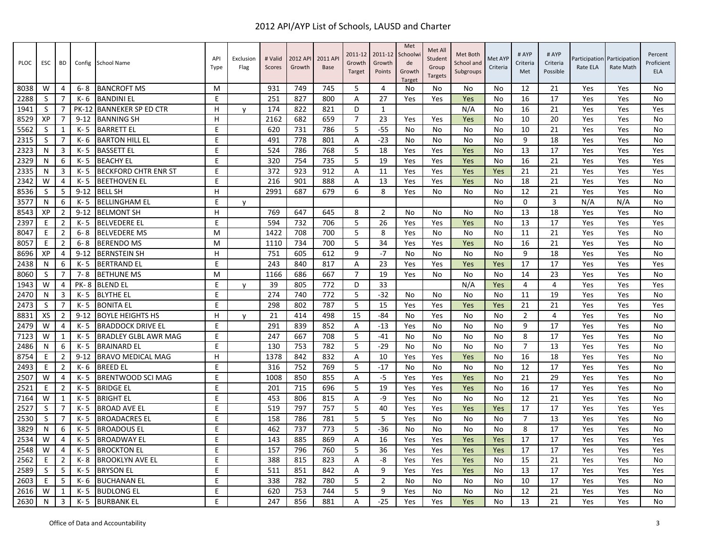| PLOC | ESC          | <b>BD</b>      | Config       | <b>School Name</b>          | API<br>Type | Exclusion<br>Flag | # Valid<br>Scores | 2012 AP<br>Growth | 2011 AP<br><b>Base</b> | 2011-12<br>Growth<br>Target | 2011-12<br>Growth<br>Points | Met<br>Schoolwi<br>de<br>Growth<br><b>Target</b> | Met All<br>Student<br>Group<br><b>Targets</b> | Met Both<br>School and<br>Subgroups | Met AYP<br>Criteria | # AYP<br>Criteria<br>Met | # AYP<br>Criteria<br>Possible | Participation<br>Rate ELA | Participation<br>Rate Math | Percent<br>Proficient<br><b>ELA</b> |
|------|--------------|----------------|--------------|-----------------------------|-------------|-------------------|-------------------|-------------------|------------------------|-----------------------------|-----------------------------|--------------------------------------------------|-----------------------------------------------|-------------------------------------|---------------------|--------------------------|-------------------------------|---------------------------|----------------------------|-------------------------------------|
| 8038 | W            | 4              | $6 - 8$      | <b>BANCROFT MS</b>          | м           |                   | 931               | 749               | 745                    | 5                           | $\overline{4}$              | No                                               | No                                            | No                                  | No                  | 12                       | 21                            | Yes                       | Yes                        | <b>No</b>                           |
| 2288 | S            | $\overline{7}$ | K-6          | <b>BANDINI EL</b>           | E           |                   | 251               | 827               | 800                    | Α                           | 27                          | Yes                                              | Yes                                           | Yes                                 | No                  | 16                       | 17                            | Yes                       | Yes                        | <b>No</b>                           |
| 1941 | S            | $\overline{7}$ | <b>PK-12</b> | <b>BANNEKER SP ED CTR</b>   | H           | $\mathsf{V}$      | 174               | 822               | 821                    | D                           | $\mathbf{1}$                |                                                  |                                               | N/A                                 | No                  | 16                       | 21                            | Yes                       | Yes                        | Yes                                 |
| 8529 | XP           | 7              | $9 - 12$     | <b>BANNING SH</b>           | н           |                   | 2162              | 682               | 659                    | $\overline{7}$              | 23                          | Yes                                              | Yes                                           | Yes                                 | No                  | 10                       | 20                            | Yes                       | Yes                        | No                                  |
| 5562 | S            | 1              | $K - 5$      | <b>BARRETT EL</b>           | E           |                   | 620               | 731               | 786                    | 5                           | $-55$                       | No                                               | No                                            | No                                  | No                  | 10                       | 21                            | Yes                       | Yes                        | <b>No</b>                           |
| 2315 | S            | $\overline{7}$ | K- 6         | <b>BARTON HILL EL</b>       | E           |                   | 491               | 778               | 801                    | A                           | $-23$                       | No                                               | No                                            | No                                  | No                  | 9                        | 18                            | Yes                       | Yes                        | <b>No</b>                           |
| 2323 | N            | $\overline{3}$ | $K - 5$      | <b>BASSETT EL</b>           | E           |                   | 524               | 786               | 768                    | 5                           | 18                          | Yes                                              | Yes                                           | Yes                                 | No                  | 13                       | 17                            | Yes                       | Yes                        | Yes                                 |
| 2329 | N            | 6              | K-5          | <b>BEACHY EL</b>            | E           |                   | 320               | 754               | 735                    | 5                           | 19                          | Yes                                              | Yes                                           | Yes                                 | No                  | 16                       | 21                            | Yes                       | Yes                        | Yes                                 |
| 2335 | N            | 3              | $K - 5$      | <b>BECKFORD CHTR ENR ST</b> | E           |                   | 372               | 923               | 912                    | Α                           | 11                          | Yes                                              | Yes                                           | Yes                                 | Yes                 | 21                       | 21                            | Yes                       | Yes                        | Yes                                 |
| 2342 | W            | $\overline{4}$ | K-5          | <b>BEETHOVEN EL</b>         | F           |                   | 216               | 901               | 888                    | A                           | 13                          | Yes                                              | Yes                                           | Yes                                 | No                  | 18                       | 21                            | Yes                       | Yes                        | <b>No</b>                           |
| 8536 | <sub>S</sub> | -5             | $9 - 12$     | <b>BELL SH</b>              | H           |                   | 2991              | 687               | 679                    | 6                           | 8                           | Yes                                              | No                                            | No                                  | No                  | 12                       | 21                            | Yes                       | Yes                        | <b>No</b>                           |
| 3577 | N            | 6              | $K - 5$      | <b>BELLINGHAM EL</b>        | E           | y                 |                   |                   |                        |                             |                             |                                                  |                                               |                                     | No                  | $\mathbf 0$              | 3                             | N/A                       | N/A                        | No                                  |
| 8543 | XP           | $\overline{2}$ | $9 - 12$     | <b>BELMONT SH</b>           | H           |                   | 769               | 647               | 645                    | 8                           | $\overline{2}$              | No                                               | No                                            | No                                  | No                  | 13                       | 18                            | Yes                       | Yes                        | <b>No</b>                           |
| 2397 | Ε            | $\overline{2}$ | $K - 5$      | <b>BELVEDERE EL</b>         | E           |                   | 594               | 732               | 706                    | 5                           | 26                          | Yes                                              | Yes                                           | Yes                                 | No                  | 13                       | 17                            | Yes                       | Yes                        | Yes                                 |
| 8047 | E            | $\overline{2}$ | $6 - 8$      | <b>BELVEDERE MS</b>         | M           |                   | 1422              | 708               | 700                    | 5                           | 8                           | Yes                                              | No                                            | No                                  | No                  | 11                       | 21                            | Yes                       | Yes                        | <b>No</b>                           |
| 8057 | E            | $\overline{2}$ | $6 - 8$      | <b>BERENDO MS</b>           | M           |                   | 1110              | 734               | 700                    | 5                           | 34                          | Yes                                              | Yes                                           | Yes                                 | No                  | 16                       | 21                            | Yes                       | Yes                        | No                                  |
| 8696 | XP           | $\overline{4}$ | $9 - 12$     | <b>BERNSTEIN SH</b>         | H           |                   | 751               | 605               | 612                    | 9                           | $-7$                        | No                                               | No                                            | No                                  | No                  | 9                        | 18                            | Yes                       | Yes                        | <b>No</b>                           |
| 2438 | N            | 6              | $K - 5$      | <b>BERTRAND EL</b>          | E           |                   | 243               | 840               | 817                    | A                           | 23                          | Yes                                              | Yes                                           | Yes                                 | Yes                 | 17                       | 17                            | Yes                       | Yes                        | Yes                                 |
| 8060 | <sub>S</sub> | $\overline{7}$ | 7-8          | <b>BETHUNE MS</b>           | M           |                   | 1166              | 686               | 667                    | $\overline{7}$              | 19                          | Yes                                              | No                                            | No                                  | No                  | 14                       | 23                            | Yes                       | Yes                        | <b>No</b>                           |
| 1943 | W            | $\overline{4}$ | <b>PK-8</b>  | <b>BLEND EL</b>             | E           | V                 | 39                | 805               | 772                    | D                           | 33                          |                                                  |                                               | N/A                                 | Yes                 | $\overline{4}$           | 4                             | Yes                       | Yes                        | Yes                                 |
| 2470 | N            | 3              | $K - 5$      | <b>BLYTHE EL</b>            | E           |                   | 274               | 740               | 772                    | 5                           | $-32$                       | No                                               | No                                            | No                                  | No                  | 11                       | 19                            | Yes                       | Yes                        | <b>No</b>                           |
| 2473 | S            | $\overline{7}$ | K- 5         | <b>BONITA EL</b>            | E           |                   | 298               | 802               | 787                    | 5                           | 15                          | Yes                                              | Yes                                           | Yes                                 | Yes                 | 21                       | 21                            | Yes                       | Yes                        | Yes                                 |
| 8831 | XS           | $\overline{2}$ | $9 - 12$     | <b>BOYLE HEIGHTS HS</b>     | H           | $\mathsf{v}$      | 21                | 414               | 498                    | 15                          | $-84$                       | <b>No</b>                                        | Yes                                           | No                                  | <b>No</b>           | $\overline{2}$           | 4                             | Yes                       | Yes                        | <b>No</b>                           |
| 2479 | W            | 4              | $K - 5$      | <b>BRADDOCK DRIVE EL</b>    | E           |                   | 291               | 839               | 852                    | A                           | $-13$                       | Yes                                              | No                                            | No                                  | No                  | 9                        | 17                            | Yes                       | Yes                        | No                                  |
| 7123 | W            | 1              | K- 5         | BRADLEY GLBL AWR MAG        | E           |                   | 247               | 667               | 708                    | 5                           | $-41$                       | No                                               | No                                            | No                                  | No                  | 8                        | 17                            | Yes                       | Yes                        | No                                  |
| 2486 | N            | 6              | $K - 5$      | <b>BRAINARD EL</b>          | E           |                   | 130               | 753               | 782                    | 5                           | $-29$                       | No                                               | <b>No</b>                                     | No                                  | <b>No</b>           | $\overline{7}$           | 13                            | Yes                       | Yes                        | <b>No</b>                           |
| 8754 | E            | $\overline{2}$ | $9 - 12$     | <b>BRAVO MEDICAL MAG</b>    | н           |                   | 1378              | 842               | 832                    | A                           | 10                          | Yes                                              | Yes                                           | Yes                                 | No                  | 16                       | 18                            | Yes                       | Yes                        | <b>No</b>                           |
| 2493 | E            | $\overline{2}$ | K-6          | <b>BREED EL</b>             | E           |                   | 316               | 752               | 769                    | 5                           | $-17$                       | No                                               | No                                            | No                                  | No                  | 12                       | 17                            | Yes                       | Yes                        | <b>No</b>                           |
| 2507 | W            | $\overline{4}$ | $K - 5$      | <b>BRENTWOOD SCI MAG</b>    | E           |                   | 1008              | 850               | 855                    | A                           | $-5$                        | Yes                                              | Yes                                           | Yes                                 | No                  | 21                       | 29                            | Yes                       | Yes                        | <b>No</b>                           |
| 2521 | Ε            | $\overline{2}$ | K- 5         | <b>BRIDGE EL</b>            | E           |                   | 201               | 715               | 696                    | 5                           | 19                          | Yes                                              | Yes                                           | Yes                                 | No                  | 16                       | 17                            | Yes                       | Yes                        | <b>No</b>                           |
| 7164 | W            | 1              | $K - 5$      | <b>BRIGHT EL</b>            | E           |                   | 453               | 806               | 815                    | Α                           | $-9$                        | Yes                                              | No                                            | No                                  | No                  | 12                       | 21                            | Yes                       | Yes                        | <b>No</b>                           |
| 2527 | S            | $\overline{7}$ | $K - 5$      | <b>BROAD AVE EL</b>         | E           |                   | 519               | 797               | 757                    | 5                           | 40                          | Yes                                              | Yes                                           | Yes                                 | Yes                 | 17                       | 17                            | Yes                       | Yes                        | Yes                                 |
| 2530 | S            | $\overline{7}$ | K- 5         | <b>BROADACRES EL</b>        | F           |                   | 158               | 786               | 781                    | 5                           | 5                           | Yes                                              | No                                            | No                                  | No                  | $\overline{7}$           | 13                            | Yes                       | Yes                        | No                                  |
| 3829 | N            | 6              | $K - 5$      | <b>BROADOUS EL</b>          | E           |                   | 462               | 737               | 773                    | 5                           | $-36$                       | No                                               | No                                            | No                                  | No                  | 8                        | 17                            | Yes                       | Yes                        | <b>No</b>                           |
| 2534 | W            | $\overline{4}$ | $K - 5$      | <b>BROADWAY EL</b>          | E           |                   | 143               | 885               | 869                    | Α                           | 16                          | Yes                                              | Yes                                           | Yes                                 | Yes                 | 17                       | 17                            | Yes                       | Yes                        | Yes                                 |
| 2548 | W            | $\overline{4}$ | K-5          | <b>BROCKTON EL</b>          | F           |                   | 157               | 796               | 760                    | 5                           | 36                          | Yes                                              | Yes                                           | Yes                                 | Yes                 | 17                       | 17                            | Yes                       | Yes                        | Yes                                 |
| 2562 | E            | $\overline{2}$ | K-8          | <b>BROOKLYN AVE EL</b>      | E           |                   | 388               | 815               | 823                    | A                           | -8                          | Yes                                              | Yes                                           | Yes                                 | No                  | 15                       | 21                            | Yes                       | Yes                        | No                                  |
| 2589 | S            | -5             | K- 5         | <b>BRYSON EL</b>            | E           |                   | 511               | 851               | 842                    | Α                           | 9                           | Yes                                              | Yes                                           | Yes                                 | No                  | 13                       | 17                            | Yes                       | Yes                        | Yes                                 |
| 2603 | E            | -5             | K-6          | <b>BUCHANAN EL</b>          | E           |                   | 338               | 782               | 780                    | 5                           | $\overline{2}$              | No                                               | No                                            | No                                  | No                  | 10                       | 17                            | Yes                       | Yes                        | <b>No</b>                           |
| 2616 | W            | 1              | $K - 5$      | <b>BUDLONG EL</b>           | E           |                   | 620               | 753               | 744                    | 5                           | 9                           | Yes                                              | No                                            | No                                  | No                  | 12                       | 21                            | Yes                       | Yes                        | <b>No</b>                           |
| 2630 | N            | 3              | K-5          | <b>BURBANK EL</b>           | E.          |                   | 247               | 856               | 881                    | A                           | $-25$                       | Yes                                              | Yes                                           | Yes                                 | No                  | 13                       | 21                            | Yes                       | Yes                        | No                                  |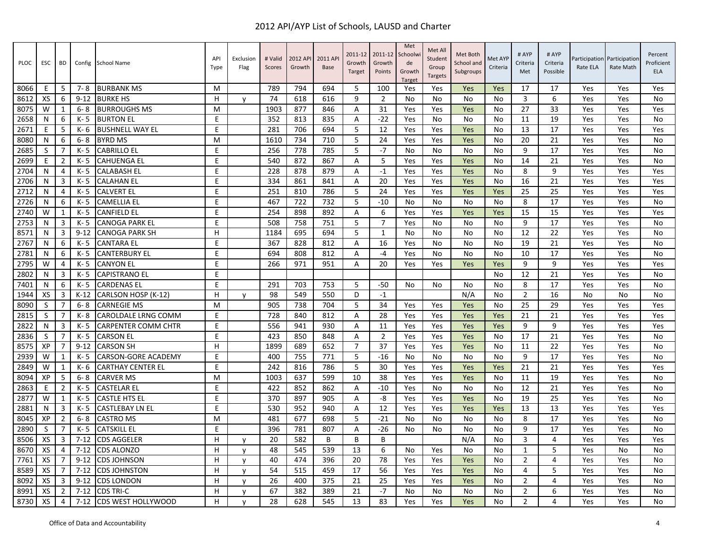| PLOC | ESC          | <b>BD</b>      | Config   | <b>School Name</b>         | API<br>Type | Exclusion<br>Flag | # Valid<br>Scores | 2012 API<br>Growth | 2011 AP<br><b>Base</b> | 2011-12<br>Growth<br><b>Target</b> | 2011-12<br>Growth<br>Points | Met<br>Schoolwi<br>de<br>Growth<br><b>Target</b> | Met All<br>Student<br>Group<br><b>Targets</b> | Met Both<br>School and<br>Subgroups | Met AYP<br>Criteria | # AYP<br>Criteria<br>Met | # AYP<br>Criteria<br>Possible | Rate ELA | Participation Participation<br>Rate Math | Percent<br>Proficient<br><b>ELA</b> |
|------|--------------|----------------|----------|----------------------------|-------------|-------------------|-------------------|--------------------|------------------------|------------------------------------|-----------------------------|--------------------------------------------------|-----------------------------------------------|-------------------------------------|---------------------|--------------------------|-------------------------------|----------|------------------------------------------|-------------------------------------|
| 8066 | Ε            | -5             | $7 - 8$  | <b>BURBANK MS</b>          | м           |                   | 789               | 794                | 694                    | 5                                  | 100                         | Yes                                              | Yes                                           | Yes                                 | Yes                 | 17                       | 17                            | Yes      | Yes                                      | Yes                                 |
| 8612 | XS           | 6              | $9 - 12$ | <b>BURKE HS</b>            | H           | $\mathsf{v}$      | 74                | 618                | 616                    | 9                                  | $\overline{2}$              | No                                               | No                                            | No                                  | No                  | 3                        | 6                             | Yes      | Yes                                      | No                                  |
| 8075 | W            | 1              | $6 - 8$  | <b>BURROUGHS MS</b>        | M           |                   | 1903              | 877                | 846                    | A                                  | 31                          | Yes                                              | Yes                                           | Yes                                 | No                  | 27                       | 33                            | Yes      | Yes                                      | Yes                                 |
| 2658 | N            | 6              | $K - 5$  | <b>BURTON EL</b>           | E           |                   | 352               | 813                | 835                    | $\overline{A}$                     | $-22$                       | Yes                                              | No                                            | No                                  | N <sub>0</sub>      | 11                       | 19                            | Yes      | Yes                                      | <b>No</b>                           |
| 2671 | E            | -5             | K-6      | <b>BUSHNELL WAY EL</b>     | E           |                   | 281               | 706                | 694                    | 5                                  | 12                          | Yes                                              | Yes                                           | Yes                                 | No                  | 13                       | 17                            | Yes      | Yes                                      | Yes                                 |
| 8080 | N            | 6              | $6 - 8$  | <b>BYRD MS</b>             | M           |                   | 1610              | 734                | 710                    | 5                                  | 24                          | Yes                                              | Yes                                           | Yes                                 | No                  | 20                       | 21                            | Yes      | Yes                                      | No                                  |
| 2685 | <sub>S</sub> | $\overline{7}$ | $K - 5$  | <b>CABRILLO EL</b>         | E           |                   | 256               | 778                | 785                    | 5                                  | $-7$                        | No                                               | No                                            | No                                  | No                  | 9                        | 17                            | Yes      | Yes                                      | No                                  |
| 2699 | Ε            | $\overline{2}$ | $K - 5$  | <b>CAHUENGA EL</b>         | E           |                   | 540               | 872                | 867                    | Α                                  | 5                           | Yes                                              | Yes                                           | Yes                                 | No                  | 14                       | 21                            | Yes      | Yes                                      | No                                  |
| 2704 | N            | 4              | $K - 5$  | <b>CALABASH EL</b>         | E           |                   | 228               | 878                | 879                    | Α                                  | $-1$                        | Yes                                              | Yes                                           | Yes                                 | No                  | 8                        | 9                             | Yes      | Yes                                      | Yes                                 |
| 2706 | N            | $\overline{3}$ | $K - 5$  | <b>CALAHAN EL</b>          | E           |                   | 334               | 861                | 841                    | $\overline{A}$                     | 20                          | Yes                                              | Yes                                           | Yes                                 | No                  | 16                       | 21                            | Yes      | Yes                                      | Yes                                 |
| 2712 | N            | 4              | K- 5     | <b>CALVERT EL</b>          | E           |                   | 251               | 810                | 786                    | 5                                  | 24                          | Yes                                              | Yes                                           | Yes                                 | Yes                 | 25                       | 25                            | Yes      | Yes                                      | Yes                                 |
| 2726 | N            | 6              | $K - 5$  | <b>CAMELLIA EL</b>         | E           |                   | 467               | 722                | 732                    | 5                                  | $-10$                       | No                                               | No                                            | No                                  | <b>No</b>           | 8                        | 17                            | Yes      | Yes                                      | No                                  |
| 2740 | W            | $\mathbf{1}$   | $K - 5$  | <b>CANFIELD EL</b>         | E           |                   | 254               | 898                | 892                    | A                                  | 6                           | Yes                                              | Yes                                           | Yes                                 | Yes                 | 15                       | 15                            | Yes      | Yes                                      | Yes                                 |
| 2753 | N            | 3              | $K - 5$  | <b>CANOGA PARK EL</b>      | E           |                   | 508               | 758                | 751                    | 5                                  | $\overline{7}$              | Yes                                              | No                                            | No                                  | No                  | 9                        | 17                            | Yes      | Yes                                      | No                                  |
| 8571 | N            | 3              | $9 - 12$ | <b>CANOGA PARK SH</b>      | H           |                   | 1184              | 695                | 694                    | 5                                  | 1                           | No                                               | No                                            | No                                  | No                  | 12                       | 22                            | Yes      | Yes                                      | No                                  |
| 2767 | N            | 6              | K- 5     | <b>CANTARA EL</b>          | E           |                   | 367               | 828                | 812                    | Α                                  | 16                          | Yes                                              | No                                            | No                                  | No                  | 19                       | 21                            | Yes      | Yes                                      | No                                  |
| 2781 | N            | 6              | $K - 5$  | <b>CANTERBURY EL</b>       | E           |                   | 694               | 808                | 812                    | Α                                  | $-4$                        | Yes                                              | No                                            | No                                  | No                  | 10                       | 17                            | Yes      | Yes                                      | No                                  |
| 2795 | W            | $\overline{4}$ | $K - 5$  | <b>CANYON EL</b>           | E           |                   | 266               | 971                | 951                    | A                                  | 20                          | Yes                                              | Yes                                           | Yes                                 | Yes                 | 9                        | 9                             | Yes      | Yes                                      | Yes                                 |
| 2802 | N            | 3              | $K - 5$  | <b>CAPISTRANO EL</b>       | E           |                   |                   |                    |                        |                                    |                             |                                                  |                                               |                                     | No                  | 12                       | 21                            | Yes      | Yes                                      | No                                  |
| 7401 | N            | 6              | $K - 5$  | <b>CARDENAS EL</b>         | E           |                   | 291               | 703                | 753                    | 5                                  | $-50$                       | No.                                              | No                                            | No                                  | No                  | 8                        | 17                            | Yes      | Yes                                      | No                                  |
| 1944 | XS           | 3              | $K-12$   | CARLSON HOSP (K-12)        | H           | $\mathsf{v}$      | 98                | 549                | 550                    | D                                  | $-1$                        |                                                  |                                               | N/A                                 | No                  | $\overline{2}$           | 16                            | No       | No                                       | No                                  |
| 8090 | S            | $\overline{7}$ | $6 - 8$  | <b>CARNEGIE MS</b>         | M           |                   | 905               | 738                | 704                    | 5                                  | 34                          | Yes                                              | Yes                                           | Yes                                 | No                  | 25                       | 29                            | Yes      | Yes                                      | Yes                                 |
| 2815 | S            | $\overline{7}$ | K-8      | CAROLDALE LRNG COMM        | E           |                   | 728               | 840                | 812                    | $\overline{A}$                     | 28                          | Yes                                              | Yes                                           | Yes                                 | Yes                 | 21                       | 21                            | Yes      | Yes                                      | Yes                                 |
| 2822 | N            | 3              | K- 5     | <b>CARPENTER COMM CHTR</b> | E           |                   | 556               | 941                | 930                    | Α                                  | 11                          | Yes                                              | Yes                                           | Yes                                 | Yes                 | 9                        | 9                             | Yes      | Yes                                      | Yes                                 |
| 2836 | S            | $\overline{7}$ | K- 5     | <b>CARSON EL</b>           | E           |                   | 423               | 850                | 848                    | Α                                  | $\overline{2}$              | Yes                                              | Yes                                           | Yes                                 | No                  | 17                       | 21                            | Yes      | Yes                                      | No                                  |
| 8575 | XP           | $\overline{7}$ | $9 - 12$ | <b>CARSON SH</b>           | H           |                   | 1899              | 689                | 652                    | $\overline{7}$                     | 37                          | Yes                                              | Yes                                           | Yes                                 | <b>No</b>           | 11                       | 22                            | Yes      | Yes                                      | No                                  |
| 2939 | W            | $\mathbf{1}$   | K- 5     | <b>CARSON-GORE ACADEMY</b> | E           |                   | 400               | 755                | 771                    | 5                                  | $-16$                       | No                                               | No                                            | No                                  | No                  | 9                        | 17                            | Yes      | Yes                                      | No                                  |
| 2849 | W            | 1              | $K - 6$  | <b>CARTHAY CENTER EL</b>   | E           |                   | 242               | 816                | 786                    | 5                                  | 30                          | Yes                                              | Yes                                           | Yes                                 | Yes                 | 21                       | 21                            | Yes      | Yes                                      | Yes                                 |
| 8094 | XP           | -5             | $6 - 8$  | <b>CARVER MS</b>           | M           |                   | 1003              | 637                | 599                    | 10                                 | 38                          | Yes                                              | Yes                                           | Yes                                 | No                  | 11                       | 19                            | Yes      | Yes                                      | <b>No</b>                           |
| 2863 | Ε            | $\overline{2}$ | $K - 5$  | CASTELAR EL                | E           |                   | 422               | 852                | 862                    | Α                                  | $-10$                       | Yes                                              | No                                            | No                                  | No                  | 12                       | 21                            | Yes      | Yes                                      | No                                  |
| 2877 | W            | 1              | $K - 5$  | <b>CASTLE HTS EL</b>       | E           |                   | 370               | 897                | 905                    | A                                  | -8                          | Yes                                              | Yes                                           | Yes                                 | No                  | 19                       | 25                            | Yes      | Yes                                      | No                                  |
| 2881 | N            | 3              | $K - 5$  | <b>CASTLEBAY LN EL</b>     | E           |                   | 530               | 952                | 940                    | Α                                  | 12                          | Yes                                              | Yes                                           | Yes                                 | Yes                 | 13                       | 13                            | Yes      | Yes                                      | Yes                                 |
| 8045 | XP           | $\overline{2}$ | 6-8      | <b>CASTRO MS</b>           | M           |                   | 481               | 677                | 698                    | 5                                  | $-21$                       | No                                               | No                                            | No                                  | No                  | 8                        | 17                            | Yes      | Yes                                      | No                                  |
| 2890 | S            | 7              | $K - 5$  | <b>CATSKILL EL</b>         | E           |                   | 396               | 781                | 807                    | A                                  | $-26$                       | No                                               | No                                            | No                                  | No                  | 9                        | 17                            | Yes      | Yes                                      | No                                  |
| 8506 | XS           | $\overline{3}$ | $7 - 12$ | <b>CDS AGGELER</b>         | H           | v                 | 20                | 582                | B                      | B                                  | B                           |                                                  |                                               | N/A                                 | No                  | 3                        | 4                             | Yes      | Yes                                      | Yes                                 |
| 8670 | XS           | $\overline{4}$ | $7 - 12$ | <b>CDS ALONZO</b>          | н           | y                 | 48                | 545                | 539                    | 13                                 | 6                           | No                                               | Yes                                           | No                                  | N <sub>0</sub>      | $\mathbf{1}$             | 5                             | Yes      | No                                       | No                                  |
| 7761 | XS           | 7              | $9 - 12$ | <b>CDS JOHNSON</b>         | н           | $\mathsf{v}$      | 40                | 474                | 396                    | 20                                 | 78                          | Yes                                              | Yes                                           | Yes                                 | No                  | $\overline{2}$           | 4                             | Yes      | Yes                                      | No                                  |
| 8589 | XS           | 7              | $7 - 12$ | <b>CDS JOHNSTON</b>        | H           | y                 | 54                | 515                | 459                    | 17                                 | 56                          | Yes                                              | Yes                                           | Yes                                 | No                  | 4                        | 5                             | Yes      | Yes                                      | No                                  |
| 8092 | XS           | 3              | $9 - 12$ | <b>CDS LONDON</b>          | H           | y                 | 26                | 400                | 375                    | 21                                 | 25                          | Yes                                              | Yes                                           | Yes                                 | No                  | $\overline{2}$           | 4                             | Yes      | Yes                                      | No                                  |
| 8991 | XS           | $\overline{2}$ | $7 - 12$ | <b>CDS TRI-C</b>           | н           | v                 | 67                | 382                | 389                    | 21                                 | $-7$                        | No                                               | No                                            | No                                  | No                  | $\overline{2}$           | 6                             | Yes      | Yes                                      | No                                  |
| 8730 | XS           | 4              | $7 - 12$ | <b>CDS WEST HOLLYWOOD</b>  | H.          | $\mathsf{V}$      | 28                | 628                | 545                    | 13                                 | 83                          | Yes                                              | Yes                                           | Yes                                 | No                  | $\overline{2}$           | 4                             | Yes      | Yes                                      | No                                  |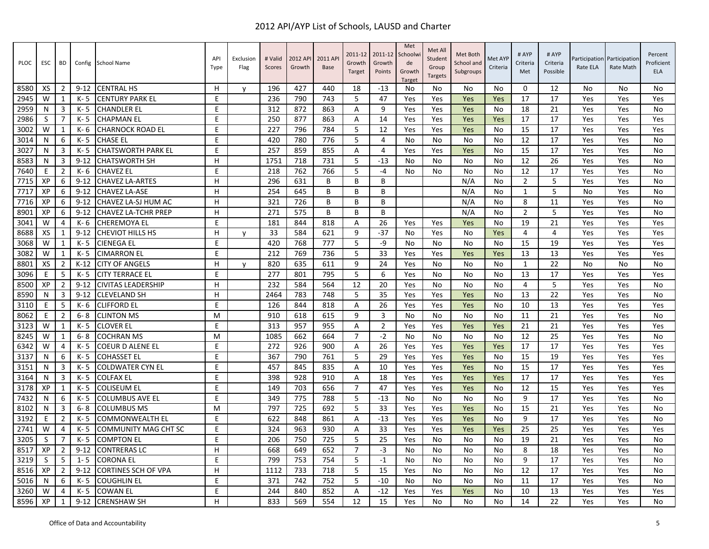| PLOC | ESC | BD             |          | Config School Name          | API<br>Type | Exclusion<br>Flag | # Valid<br>Scores | 2012 API<br>Growth | 2011 AP<br><b>Base</b> | 2011-12<br>Growth<br>Target | 2011-12<br>Growth<br>Points | Met<br>Schoolwi<br>de<br>Growth<br><b>Target</b> | Met All<br>Student<br>Group<br><b>Targets</b> | Met Both<br>School and<br>Subgroups | Met AYP<br>Criteria | # AYP<br>Criteria<br>Met | # AYP<br>Criteria<br>Possible | Rate ELA | Participation Participation<br>Rate Math | Percent<br>Proficient<br><b>ELA</b> |
|------|-----|----------------|----------|-----------------------------|-------------|-------------------|-------------------|--------------------|------------------------|-----------------------------|-----------------------------|--------------------------------------------------|-----------------------------------------------|-------------------------------------|---------------------|--------------------------|-------------------------------|----------|------------------------------------------|-------------------------------------|
| 8580 | XS  | $\overline{2}$ | $9 - 12$ | <b>CENTRAL HS</b>           | н           | y                 | 196               | 427                | 440                    | 18                          | $-13$                       | No                                               | No                                            | No                                  | No                  | 0                        | 12                            | No       | No                                       | No                                  |
| 2945 | W   | 1              | K-5      | <b>CENTURY PARK EL</b>      | E           |                   | 236               | 790                | 743                    | 5                           | 47                          | Yes                                              | Yes                                           | Yes                                 | Yes                 | 17                       | 17                            | Yes      | Yes                                      | Yes                                 |
| 2959 | N   | 3              | K- 5     | <b>CHANDLER EL</b>          | E           |                   | 312               | 872                | 863                    | A                           | 9                           | Yes                                              | Yes                                           | Yes                                 | No                  | 18                       | 21                            | Yes      | Yes                                      | No                                  |
| 2986 | S   | 7              | K-5      | <b>CHAPMAN EL</b>           | E           |                   | 250               | 877                | 863                    | $\overline{A}$              | 14                          | Yes                                              | Yes                                           | Yes                                 | Yes                 | 17                       | 17                            | Yes      | Yes                                      | Yes                                 |
| 3002 | W   | 1              | K-6      | <b>CHARNOCK ROAD EL</b>     | E           |                   | 227               | 796                | 784                    | 5                           | 12                          | Yes                                              | Yes                                           | Yes                                 | No                  | 15                       | 17                            | Yes      | Yes                                      | Yes                                 |
| 3014 | N   | 6              | K- 5     | <b>CHASE EL</b>             | E           |                   | 420               | 780                | 776                    | 5                           | 4                           | No                                               | No                                            | No                                  | No                  | 12                       | 17                            | Yes      | Yes                                      | No                                  |
| 3027 | N   | 3              | K-5      | <b>CHATSWORTH PARK EL</b>   | E           |                   | 257               | 859                | 855                    | A                           | $\overline{4}$              | Yes                                              | Yes                                           | Yes                                 | No                  | 15                       | 17                            | Yes      | Yes                                      | No                                  |
| 8583 | N   | 3              | $9 - 12$ | <b>CHATSWORTH SH</b>        | H           |                   | 1751              | 718                | 731                    | 5                           | $-13$                       | No                                               | No                                            | No                                  | No                  | 12                       | 26                            | Yes      | Yes                                      | No                                  |
| 7640 | Ε   | $\overline{2}$ | K- 6     | <b>CHAVEZ EL</b>            | E           |                   | 218               | 762                | 766                    | 5                           | $-4$                        | <b>No</b>                                        | No                                            | No                                  | No                  | 12                       | 17                            | Yes      | Yes                                      | No                                  |
| 7715 | XP  | 6              | $9 - 12$ | <b>CHAVEZ LA-ARTES</b>      | H           |                   | 296               | 631                | B                      | B                           | B                           |                                                  |                                               | N/A                                 | No                  | $\overline{2}$           | 5                             | Yes      | Yes                                      | No                                  |
| 7717 | XP  | 6              | $9 - 12$ | <b>CHAVEZ LA-ASE</b>        | H           |                   | 254               | 645                | B                      | B                           | B                           |                                                  |                                               | N/A                                 | No                  | 1                        | 5                             | No       | Yes                                      | No                                  |
| 7716 | XP  | 6              | $9 - 12$ | CHAVEZ LA-SJ HUM AC         | H           |                   | 321               | 726                | B                      | B                           | B                           |                                                  |                                               | N/A                                 | No                  | 8                        | 11                            | Yes      | Yes                                      | No                                  |
| 8901 | XP  | 6              | $9 - 12$ | <b>CHAVEZ LA-TCHR PREP</b>  | H.          |                   | 271               | 575                | B                      | B                           | B                           |                                                  |                                               | N/A                                 | No                  | $\overline{2}$           | 5                             | Yes      | Yes                                      | No                                  |
| 3041 | W   | 4              | K- 6     | <b>CHEREMOYA EL</b>         | E           |                   | 181               | 844                | 818                    | Α                           | 26                          | Yes                                              | Yes                                           | Yes                                 | No                  | 19                       | 21                            | Yes      | Yes                                      | Yes                                 |
| 8688 | XS  | 1              | $9 - 12$ | <b>CHEVIOT HILLS HS</b>     | H           | y                 | 33                | 584                | 621                    | 9                           | $-37$                       | No                                               | Yes                                           | No                                  | Yes                 | 4                        | 4                             | Yes      | Yes                                      | Yes                                 |
| 3068 | W   | 1              | K- 5     | <b>CIENEGA EL</b>           | E           |                   | 420               | 768                | 777                    | 5                           | -9                          | No                                               | No                                            | No                                  | No                  | 15                       | 19                            | Yes      | Yes                                      | Yes                                 |
| 3082 | W   | 1              | K-5      | <b>CIMARRON EL</b>          | E           |                   | 212               | 769                | 736                    | 5                           | 33                          | Yes                                              | Yes                                           | Yes                                 | Yes                 | 13                       | 13                            | Yes      | Yes                                      | Yes                                 |
| 8801 | XS  | $\overline{2}$ | $K-12$   | <b>CITY OF ANGELS</b>       | H           | y                 | 820               | 635                | 611                    | 9                           | 24                          | Yes                                              | No                                            | No                                  | <b>No</b>           | $\mathbf{1}$             | 22                            | No       | No                                       | No                                  |
| 3096 | E   | 5              | K- 5     | <b>CITY TERRACE EL</b>      | E           |                   | 277               | 801                | 795                    | 5                           | 6                           | Yes                                              | No                                            | No                                  | No                  | 13                       | 17                            | Yes      | Yes                                      | Yes                                 |
| 8500 | XP  | $\overline{2}$ | $9 - 12$ | <b>CIVITAS LEADERSHIP</b>   | н           |                   | 232               | 584                | 564                    | 12                          | 20                          | Yes                                              | No                                            | No                                  | No                  | $\overline{4}$           | 5                             | Yes      | Yes                                      | No                                  |
| 8590 | N   | 3              | $9 - 12$ | <b>CLEVELAND SH</b>         | н           |                   | 2464              | 783                | 748                    | 5                           | 35                          | Yes                                              | Yes                                           | Yes                                 | No                  | 13                       | 22                            | Yes      | Yes                                      | No                                  |
| 3110 | Ε   | 5              | K- 6     | <b>CLIFFORD EL</b>          | E           |                   | 126               | 844                | 818                    | Α                           | 26                          | Yes                                              | Yes                                           | Yes                                 | No                  | 10                       | 13                            | Yes      | Yes                                      | Yes                                 |
| 8062 | E   | $\overline{2}$ | $6 - 8$  | <b>CLINTON MS</b>           | M           |                   | 910               | 618                | 615                    | 9                           | $\overline{3}$              | No                                               | No                                            | <b>No</b>                           | No                  | 11                       | 21                            | Yes      | Yes                                      | <b>No</b>                           |
| 3123 | W   | 1              | K-5      | <b>CLOVER EL</b>            | Ε           |                   | 313               | 957                | 955                    | Α                           | $\overline{2}$              | Yes                                              | Yes                                           | Yes                                 | Yes                 | 21                       | 21                            | Yes      | Yes                                      | Yes                                 |
| 8245 | W   | 1              | $6 - 8$  | <b>COCHRAN MS</b>           | M           |                   | 1085              | 662                | 664                    | $\overline{7}$              | $-2$                        | No.                                              | No                                            | No                                  | No                  | 12                       | 25                            | Yes      | Yes                                      | No                                  |
| 6342 | W   | 4              | $K - 5$  | <b>COEUR D ALENE EL</b>     | E           |                   | 272               | 926                | 900                    | A                           | 26                          | Yes                                              | Yes                                           | Yes                                 | Yes                 | 17                       | 17                            | Yes      | Yes                                      | Yes                                 |
| 3137 | N   | 6              | K- 5     | <b>COHASSET EL</b>          | E           |                   | 367               | 790                | 761                    | 5                           | 29                          | Yes                                              | Yes                                           | Yes                                 | No                  | 15                       | 19                            | Yes      | Yes                                      | Yes                                 |
| 3151 | N   | 3              | K-5      | <b>COLDWATER CYN EL</b>     | E           |                   | 457               | 845                | 835                    | A                           | 10                          | Yes                                              | Yes                                           | Yes                                 | No                  | 15                       | 17                            | Yes      | Yes                                      | Yes                                 |
| 3164 | N   | 3              | K- 5     | <b>COLFAX EL</b>            | E           |                   | 398               | 928                | 910                    | A                           | 18                          | Yes                                              | Yes                                           | Yes                                 | Yes                 | 17                       | 17                            | Yes      | Yes                                      | Yes                                 |
| 3178 | XP  | 1              | K- 5     | <b>COLISEUM EL</b>          | E           |                   | 149               | 703                | 656                    | $\overline{7}$              | 47                          | Yes                                              | Yes                                           | Yes                                 | No                  | 12                       | 15                            | Yes      | Yes                                      | Yes                                 |
| 7432 | N   | 6              | K-5      | <b>COLUMBUS AVE EL</b>      | E           |                   | 349               | 775                | 788                    | 5                           | $-13$                       | No                                               | No                                            | No                                  | No                  | 9                        | 17                            | Yes      | Yes                                      | No                                  |
| 8102 | N   | 3              | $6 - 8$  | <b>COLUMBUS MS</b>          | M           |                   | 797               | 725                | 692                    | 5                           | 33                          | Yes                                              | Yes                                           | Yes                                 | No                  | 15                       | 21                            | Yes      | Yes                                      | No                                  |
| 3192 | Ε   | $\overline{2}$ | K- 5     | COMMONWEALTH EL             | E           |                   | 622               | 848                | 861                    | Α                           | $-13$                       | Yes                                              | Yes                                           | Yes                                 | No                  | 9                        | 17                            | Yes      | Yes                                      | No                                  |
| 2741 | W   | 4              | K-5      | <b>COMMUNITY MAG CHT SC</b> | E           |                   | 324               | 963                | 930                    | A                           | 33                          | Yes                                              | Yes                                           | Yes                                 | Yes                 | 25                       | 25                            | Yes      | Yes                                      | Yes                                 |
| 3205 | S   | $\overline{7}$ | K-5      | <b>COMPTON EL</b>           | E           |                   | 206               | 750                | 725                    | 5                           | 25                          | Yes                                              | No                                            | No                                  | No                  | 19                       | 21                            | Yes      | Yes                                      | No                                  |
| 8517 | XP  | $\overline{2}$ | $9 - 12$ | <b>CONTRERAS LC</b>         | H           |                   | 668               | 649                | 652                    | $\overline{7}$              | $-3$                        | N <sub>0</sub>                                   | No                                            | No                                  | No                  | 8                        | 18                            | Yes      | Yes                                      | No                                  |
| 3219 | S   | 5              | $1 - 5$  | <b>CORONA EL</b>            | E           |                   | 799               | 753                | 754                    | 5                           | $-1$                        | No                                               | No                                            | No                                  | No                  | 9                        | 17                            | Yes      | Yes                                      | No                                  |
| 8516 | XP  | 2              | $9 - 12$ | <b>CORTINES SCH OF VPA</b>  | H           |                   | 1112              | 733                | 718                    | 5                           | 15                          | Yes                                              | No                                            | No                                  | No                  | 12                       | 17                            | Yes      | Yes                                      | No                                  |
| 5016 | N   | 6              | K-5      | <b>COUGHLIN EL</b>          | E           |                   | 371               | 742                | 752                    | 5                           | $-10$                       | No                                               | No                                            | No                                  | No                  | 11                       | 17                            | Yes      | Yes                                      | No                                  |
| 3260 | W   | 4              | K-5      | <b>COWAN EL</b>             | E           |                   | 244               | 840                | 852                    | A                           | $-12$                       | Yes                                              | Yes                                           | Yes                                 | No                  | 10                       | 13                            | Yes      | Yes                                      | Yes                                 |
| 8596 | XP  | $\mathbf{1}$   | $9 - 12$ | <b>CRENSHAW SH</b>          | H           |                   | 833               | 569                | 554                    | 12                          | 15                          | Yes                                              | No                                            | No                                  | No                  | 14                       | 22                            | Yes      | Yes                                      | No                                  |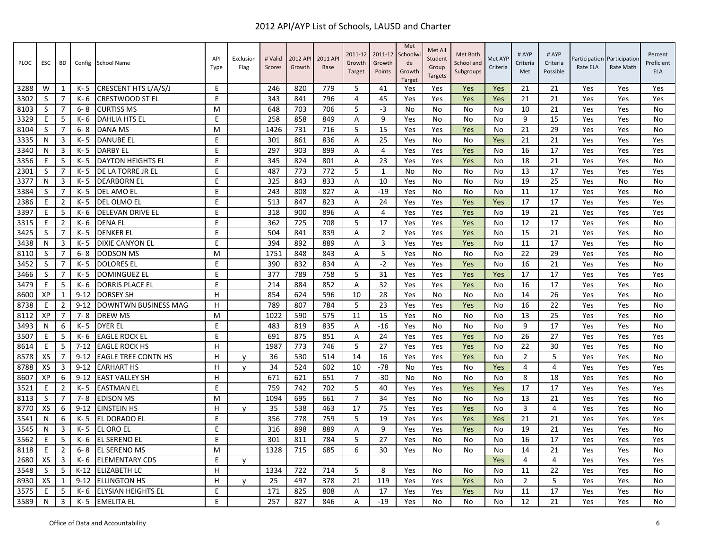| <b>PLOC</b> | <b>ESC</b> | BD             | Config   | School Name                | API<br>Type | Exclusion<br>Flag | # Valid<br>Scores | 2012 API<br>Growth | 2011 AP<br><b>Base</b> | 2011-12<br>Growth<br>Target | 2011-12<br>Growth<br>Points | Met<br>Schoolw<br>de<br>Growth<br><b>Target</b> | Met All<br>Student<br>Group<br><b>Targets</b> | Met Both<br>School and<br>Subgroups | Met AYP<br>Criteria | # AYP<br>Criteria<br>Met | # AYP<br>Criteria<br>Possible | Participation<br>Rate ELA | Participation<br>Rate Math | Percent<br>Proficient<br><b>ELA</b> |
|-------------|------------|----------------|----------|----------------------------|-------------|-------------------|-------------------|--------------------|------------------------|-----------------------------|-----------------------------|-------------------------------------------------|-----------------------------------------------|-------------------------------------|---------------------|--------------------------|-------------------------------|---------------------------|----------------------------|-------------------------------------|
| 3288        | W          | 1              | K- 5     | CRESCENT HTS L/A/S/J       | E           |                   | 246               | 820                | 779                    | -5                          | 41                          | Yes                                             | Yes                                           | Yes                                 | Yes                 | 21                       | 21                            | Yes                       | Yes                        | Yes                                 |
| 3302        | S          | 7              | K- 6     | <b>CRESTWOOD ST EL</b>     | E           |                   | 343               | 841                | 796                    | $\overline{4}$              | 45                          | Yes                                             | Yes                                           | Yes                                 | Yes                 | 21                       | 21                            | Yes                       | Yes                        | Yes                                 |
| 8103        | S          | $\overline{7}$ | $6 - 8$  | <b>CURTISS MS</b>          | M           |                   | 648               | 703                | 706                    | 5                           | $-3$                        | No                                              | No                                            | No                                  | No                  | 10                       | 21                            | Yes                       | Yes                        | <b>No</b>                           |
| 3329        | E          | 5              | K- 6     | DAHLIA HTS EL              | E           |                   | 258               | 858                | 849                    | Α                           | 9                           | Yes                                             | No                                            | No                                  | No                  | 9                        | 15                            | Yes                       | Yes                        | <b>No</b>                           |
| 8104        | S          | $\overline{7}$ | $6 - 8$  | DANA MS                    | M           |                   | 1426              | 731                | 716                    | 5                           | 15                          | Yes                                             | Yes                                           | Yes                                 | No                  | 21                       | 29                            | Yes                       | Yes                        | <b>No</b>                           |
| 3335        | N          | 3              | $K - 5$  | <b>DANUBE EL</b>           | E           |                   | 301               | 861                | 836                    | Α                           | 25                          | Yes                                             | No                                            | No                                  | Yes                 | 21                       | 21                            | Yes                       | Yes                        | Yes                                 |
| 3340        | N          | 3              | K- 5     | <b>DARBY EL</b>            | E           |                   | 297               | 903                | 899                    | Α                           | $\overline{4}$              | Yes                                             | Yes                                           | Yes                                 | No                  | 16                       | 17                            | Yes                       | Yes                        | Yes                                 |
| 3356        | E          | 5              | $K - 5$  | <b>DAYTON HEIGHTS EL</b>   | E           |                   | 345               | 824                | 801                    | A                           | 23                          | Yes                                             | Yes                                           | Yes                                 | No                  | 18                       | 21                            | Yes                       | Yes                        | <b>No</b>                           |
| 2301        | S          | $\overline{7}$ | $K - 5$  | DE LA TORRE JR EL          | E           |                   | 487               | 773                | 772                    | 5                           | 1                           | No                                              | No                                            | No                                  | No                  | 13                       | 17                            | Yes                       | Yes                        | Yes                                 |
| 3377        | N          | 3              | K-5      | <b>DEARBORN EL</b>         | E           |                   | 325               | 843                | 833                    | Α                           | 10                          | Yes                                             | No                                            | No                                  | No                  | 19                       | 25                            | Yes                       | No                         | <b>No</b>                           |
| 3384        | S          | $\overline{7}$ | $K - 5$  | DEL AMO EL                 | E           |                   | 243               | 808                | 827                    | A                           | $-19$                       | Yes                                             | No                                            | No                                  | No                  | 11                       | 17                            | Yes                       | Yes                        | No                                  |
| 2386        | E          | 2              | K- 5     | <b>DEL OLMO EL</b>         | E           |                   | 513               | 847                | 823                    | A                           | 24                          | Yes                                             | Yes                                           | Yes                                 | Yes                 | 17                       | 17                            | Yes                       | Yes                        | Yes                                 |
| 3397        | E          | 5              | K- 6     | <b>DELEVAN DRIVE EL</b>    | E           |                   | 318               | 900                | 896                    | A                           | $\overline{4}$              | Yes                                             | Yes                                           | Yes                                 | No                  | 19                       | 21                            | Yes                       | Yes                        | Yes                                 |
| 3315        | E          | $\overline{2}$ | K- 6     | <b>DENA EL</b>             | E           |                   | 362               | 725                | 708                    | 5                           | 17                          | Yes                                             | Yes                                           | Yes                                 | No                  | 12                       | 17                            | Yes                       | Yes                        | No                                  |
| 3425        | S          | 7              | K- 5     | <b>DENKER EL</b>           | E           |                   | 504               | 841                | 839                    | Α                           | $\overline{2}$              | Yes                                             | Yes                                           | Yes                                 | No                  | 15                       | 21                            | Yes                       | Yes                        | No                                  |
| 3438        | N          | 3              | $K - 5$  | <b>DIXIE CANYON EL</b>     | E           |                   | 394               | 892                | 889                    | A                           | $\overline{3}$              | Yes                                             | Yes                                           | Yes                                 | No                  | 11                       | 17                            | Yes                       | Yes                        | <b>No</b>                           |
| 8110        | S          | $\overline{7}$ | $6 - 8$  | <b>DODSON MS</b>           | M           |                   | 1751              | 848                | 843                    | A                           | 5                           | Yes                                             | No                                            | No                                  | No                  | 22                       | 29                            | Yes                       | Yes                        | <b>No</b>                           |
| 3452        | S          | 7              | K-5      | <b>DOLORES EL</b>          | E           |                   | 390               | 832                | 834                    | Α                           | $-2$                        | Yes                                             | Yes                                           | Yes                                 | <b>No</b>           | 16                       | 21                            | Yes                       | Yes                        | No                                  |
| 3466        | S          | $\overline{7}$ | K- 5     | <b>DOMINGUEZ EL</b>        | E           |                   | 377               | 789                | 758                    | 5                           | 31                          | Yes                                             | Yes                                           | Yes                                 | Yes                 | 17                       | 17                            | Yes                       | Yes                        | Yes                                 |
| 3479        | E          | 5              | K- 6     | <b>DORRIS PLACE EL</b>     | E           |                   | 214               | 884                | 852                    | Α                           | 32                          | Yes                                             | Yes                                           | Yes                                 | No                  | 16                       | 17                            | Yes                       | Yes                        | <b>No</b>                           |
| 8600        | XP         | 1              | $9 - 12$ | <b>DORSEY SH</b>           | H           |                   | 854               | 624                | 596                    | 10                          | 28                          | Yes                                             | No                                            | No                                  | <b>No</b>           | 14                       | 26                            | Yes                       | Yes                        | <b>No</b>                           |
| 8738        | E          | $\overline{2}$ | $9 - 12$ | DOWNTWN BUSINESS MAG       | H           |                   | 789               | 807                | 784                    | 5                           | 23                          | Yes                                             | Yes                                           | Yes                                 | No                  | 16                       | 22                            | Yes                       | Yes                        | <b>No</b>                           |
| 8112        | XP         | 7              | $7 - 8$  | <b>DREW MS</b>             | м           |                   | 1022              | 590                | 575                    | 11                          | 15                          | Yes                                             | No                                            | No                                  | No                  | 13                       | 25                            | Yes                       | Yes                        | No                                  |
| 3493        | N          | 6              | $K - 5$  | <b>DYER EL</b>             | E           |                   | 483               | 819                | 835                    | $\overline{A}$              | $-16$                       | Yes                                             | No                                            | No                                  | No                  | 9                        | 17                            | Yes                       | Yes                        | <b>No</b>                           |
| 3507        | E          | 5              | K- 6     | <b>EAGLE ROCK EL</b>       | E           |                   | 691               | 875                | 851                    | Α                           | 24                          | Yes                                             | Yes                                           | Yes                                 | No                  | 26                       | 27                            | Yes                       | Yes                        | Yes                                 |
| 8614        | F          | 5              | $7 - 12$ | <b>EAGLE ROCK HS</b>       | H.          |                   | 1987              | 773                | 746                    | 5                           | 27                          | Yes                                             | Yes                                           | Yes                                 | <b>No</b>           | 22                       | 30                            | Yes                       | Yes                        | <b>No</b>                           |
| 8578        | XS         | 7              | $9 - 12$ | <b>EAGLE TREE CONTN HS</b> | H           | v                 | 36                | 530                | 514                    | 14                          | 16                          | Yes                                             | Yes                                           | Yes                                 | No                  | $\overline{2}$           | 5                             | Yes                       | Yes                        | <b>No</b>                           |
| 8788        | XS         | 3              | $9 - 12$ | <b>EARHART HS</b>          | H           | y                 | 34                | 524                | 602                    | 10                          | $-78$                       | No                                              | Yes                                           | No                                  | Yes                 | 4                        | 4                             | Yes                       | Yes                        | Yes                                 |
| 8607        | XP         | 6              | $9 - 12$ | <b>EAST VALLEY SH</b>      | H.          |                   | 671               | 621                | 651                    | $\overline{7}$              | $-30$                       | No                                              | No                                            | No                                  | <b>No</b>           | 8                        | 18                            | Yes                       | Yes                        | <b>No</b>                           |
| 3521        | E          | $\overline{2}$ | K- 5     | <b>EASTMAN EL</b>          | E           |                   | 759               | 742                | 702                    | 5                           | 40                          | Yes                                             | Yes                                           | Yes                                 | Yes                 | 17                       | 17                            | Yes                       | Yes                        | Yes                                 |
| 8113        | S          | 7              | $7 - 8$  | <b>EDISON MS</b>           | M           |                   | 1094              | 695                | 661                    | $\overline{7}$              | 34                          | Yes                                             | No                                            | No                                  | No                  | 13                       | 21                            | Yes                       | Yes                        | <b>No</b>                           |
| 8770        | XS         | 6              | $9 - 12$ | <b>EINSTEIN HS</b>         | H.          | v                 | 35                | 538                | 463                    | 17                          | 75                          | Yes                                             | Yes                                           | Yes                                 | No                  | 3                        | 4                             | Yes                       | Yes                        | <b>No</b>                           |
| 3541        | N          | 6              | $K - 5$  | EL DORADO EL               | E           |                   | 356               | 778                | 759                    | 5                           | 19                          | Yes                                             | Yes                                           | Yes                                 | Yes                 | 21                       | 21                            | Yes                       | Yes                        | Yes                                 |
| 3545        | N          | 3              | $K - 5$  | EL ORO EL                  | E           |                   | 316               | 898                | 889                    | $\overline{A}$              | 9                           | Yes                                             | Yes                                           | Yes                                 | <b>No</b>           | 19                       | 21                            | Yes                       | Yes                        | <b>No</b>                           |
| 3562        | Е          | 5              | K- 6     | EL SERENO EL               | E           |                   | 301               | 811                | 784                    | 5                           | 27                          | Yes                                             | No                                            | No                                  | No                  | 16                       | 17                            | Yes                       | Yes                        | Yes                                 |
| 8118        | F          | $\overline{2}$ | $6 - 8$  | <b>EL SERENO MS</b>        | м           |                   | 1328              | 715                | 685                    | 6                           | 30                          | Yes                                             | No                                            | No                                  | No                  | 14                       | 21                            | Yes                       | Yes                        | No                                  |
| 2680        | XS         | 3              | K- 6     | <b>ELEMENTARY CDS</b>      | E           | v                 |                   |                    |                        |                             |                             |                                                 |                                               |                                     | Yes                 | 4                        | 4                             | Yes                       | Yes                        | Yes                                 |
| 3548        | S          | 5              | $K-12$   | <b>ELIZABETH LC</b>        | H.          |                   | 1334              | 722                | 714                    | 5                           | 8                           | Yes                                             | No                                            | No                                  | No                  | 11                       | 22                            | Yes                       | Yes                        | No                                  |
| 8930        | XS         | $\mathbf{1}$   | $9 - 12$ | <b>ELLINGTON HS</b>        | H.          | У                 | 25                | 497                | 378                    | 21                          | 119                         | Yes                                             | Yes                                           | Yes                                 | No                  | $\overline{2}$           | 5                             | Yes                       | Yes                        | <b>No</b>                           |
| 3575        | E          | 5              | K- 6     | <b>ELYSIAN HEIGHTS EL</b>  | E           |                   | 171               | 825                | 808                    | A                           | 17                          | Yes                                             | Yes                                           | Yes                                 | No                  | 11                       | 17                            | Yes                       | Yes                        | <b>No</b>                           |
| 3589        | N          | 3              | K- 5     | <b>EMELITA EL</b>          | E.          |                   | 257               | 827                | 846                    | Α                           | $-19$                       | Yes                                             | No                                            | No                                  | No                  | 12                       | 21                            | Yes                       | Yes                        | No                                  |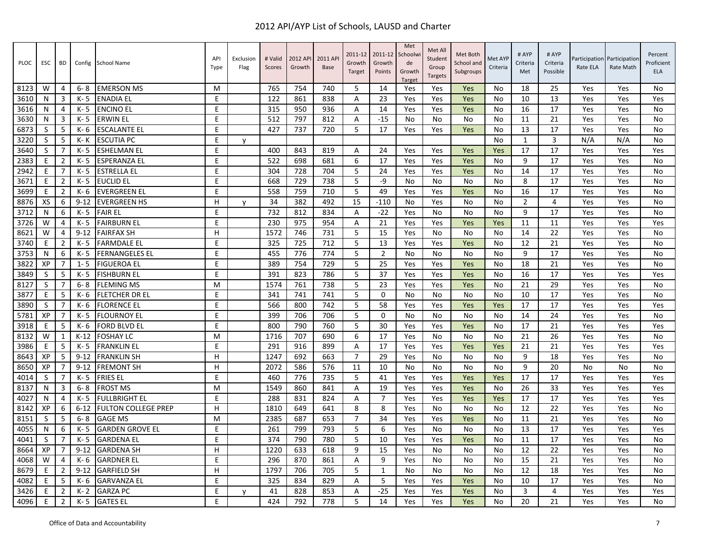| <b>PLOC</b> | <b>ESC</b> | <b>BD</b>      | Config   | <b>School Name</b>         | API<br>Type | Exclusion<br>Flag | # Valid<br>Scores | 2012 API<br>Growth | 2011 AP<br><b>Base</b> | 2011-12<br>Growth<br>Target | 2011-12<br>Growth<br>Points | Met<br>Schoolw<br>de<br>Growth<br><b>Target</b> | Met All<br>Student<br>Group<br><b>Targets</b> | Met Both<br>School and<br>Subgroups | Met AYP<br>Criteria | # AYP<br>Criteria<br>Met | # AYP<br>Criteria<br>Possible | Participation<br>Rate ELA | Participation<br>Rate Math | Percent<br>Proficient<br>ELA |
|-------------|------------|----------------|----------|----------------------------|-------------|-------------------|-------------------|--------------------|------------------------|-----------------------------|-----------------------------|-------------------------------------------------|-----------------------------------------------|-------------------------------------|---------------------|--------------------------|-------------------------------|---------------------------|----------------------------|------------------------------|
| 8123        | W          | 4              | 6-8      | <b>EMERSON MS</b>          | м           |                   | 765               | 754                | 740                    | 5                           | 14                          | Yes                                             | Yes                                           | Yes                                 | No                  | 18                       | 25                            | Yes                       | Yes                        | No                           |
| 3610        | N          | 3              | $K - 5$  | <b>ENADIA EL</b>           | E           |                   | 122               | 861                | 838                    | A                           | 23                          | Yes                                             | Yes                                           | Yes                                 | No                  | 10                       | 13                            | Yes                       | Yes                        | Yes                          |
| 3616        | N          | $\overline{4}$ | $K - 5$  | <b>ENCINO EL</b>           | E           |                   | 315               | 950                | 936                    | A                           | 14                          | Yes                                             | Yes                                           | Yes                                 | No                  | 16                       | 17                            | Yes                       | Yes                        | <b>No</b>                    |
| 3630        | N          | 3              | K- 5     | <b>ERWIN EL</b>            | E           |                   | 512               | 797                | 812                    | Α                           | $-15$                       | No                                              | No                                            | No                                  | No                  | 11                       | 21                            | Yes                       | Yes                        | <b>No</b>                    |
| 6873        | S          | 5              | K- 6     | <b>ESCALANTE EL</b>        | E           |                   | 427               | 737                | 720                    | 5                           | 17                          | Yes                                             | Yes                                           | Yes                                 | No                  | 13                       | 17                            | Yes                       | Yes                        | No                           |
| 3220        | S          | 5              | K-K      | <b>ESCUTIA PC</b>          | E           | v                 |                   |                    |                        |                             |                             |                                                 |                                               |                                     | <b>No</b>           | $\mathbf{1}$             | 3                             | N/A                       | N/A                        | <b>No</b>                    |
| 3640        | S          | 7              | K- 5     | <b>ESHELMAN EL</b>         | E           |                   | 400               | 843                | 819                    | Α                           | 24                          | Yes                                             | Yes                                           | Yes                                 | Yes                 | 17                       | 17                            | Yes                       | Yes                        | Yes                          |
| 2383        | E          | $\overline{2}$ | $K - 5$  | <b>ESPERANZA EL</b>        | E           |                   | 522               | 698                | 681                    | 6                           | 17                          | Yes                                             | Yes                                           | Yes                                 | No                  | 9                        | 17                            | Yes                       | Yes                        | <b>No</b>                    |
| 2942        | Е          | $\overline{7}$ | $K - 5$  | <b>ESTRELLA EL</b>         | E           |                   | 304               | 728                | 704                    | 5                           | 24                          | Yes                                             | Yes                                           | Yes                                 | No                  | 14                       | 17                            | Yes                       | Yes                        | <b>No</b>                    |
| 3671        | E          | $\overline{2}$ | $K - 5$  | <b>EUCLID EL</b>           | E           |                   | 668               | 729                | 738                    | 5                           | $-9$                        | No                                              | No                                            | No                                  | No                  | 8                        | 17                            | Yes                       | Yes                        | <b>No</b>                    |
| 3699        | E          | $\overline{2}$ | K- 6     | <b>EVERGREEN EL</b>        | E           |                   | 558               | 759                | 710                    | 5                           | 49                          | Yes                                             | Yes                                           | Yes                                 | No                  | 16                       | 17                            | Yes                       | Yes                        | No                           |
| 8876        | XS         | 6              | $9 - 12$ | <b>EVERGREEN HS</b>        | H           | v                 | 34                | 382                | 492                    | 15                          | $-110$                      | No                                              | Yes                                           | No                                  | <b>No</b>           | $\overline{2}$           | 4                             | Yes                       | Yes                        | No                           |
| 3712        | N          | 6              | K-5      | <b>FAIR EL</b>             | E           |                   | 732               | 812                | 834                    | Α                           | $-22$                       | Yes                                             | No                                            | No                                  | No                  | 9                        | 17                            | Yes                       | Yes                        | <b>No</b>                    |
| 3726        | W          | $\overline{4}$ | K- 5     | <b>FAIRBURN EL</b>         | E           |                   | 230               | 975                | 954                    | Α                           | 21                          | Yes                                             | Yes                                           | Yes                                 | Yes                 | 11                       | 11                            | Yes                       | Yes                        | Yes                          |
| 8621        | W          | $\overline{4}$ | $9 - 12$ | <b>FAIRFAX SH</b>          | H           |                   | 1572              | 746                | 731                    | 5                           | 15                          | Yes                                             | No                                            | No                                  | No                  | 14                       | 22                            | Yes                       | Yes                        | <b>No</b>                    |
| 3740        | E          | $\overline{2}$ | K-5      | <b>FARMDALE EL</b>         | E           |                   | 325               | 725                | 712                    | 5                           | 13                          | Yes                                             | Yes                                           | Yes                                 | <b>No</b>           | 12                       | 21                            | Yes                       | Yes                        | <b>No</b>                    |
| 3753        | N          | 6              | K- 5     | <b>FERNANGELES EL</b>      | E           |                   | 455               | 776                | 774                    | 5                           | $\overline{2}$              | No                                              | No                                            | No                                  | No                  | 9                        | 17                            | Yes                       | Yes                        | No                           |
| 3822        | XP         | $\overline{7}$ | $1 - 5$  | <b>FIGUEROA EL</b>         | E           |                   | 389               | 754                | 729                    | 5                           | 25                          | Yes                                             | Yes                                           | Yes                                 | <b>No</b>           | 18                       | 21                            | Yes                       | Yes                        | <b>No</b>                    |
| 3849        | S          | 5              | $K - 5$  | <b>FISHBURN EL</b>         | E           |                   | 391               | 823                | 786                    | 5                           | 37                          | Yes                                             | Yes                                           | Yes                                 | No                  | 16                       | 17                            | Yes                       | Yes                        | Yes                          |
| 8127        | S          | $\overline{7}$ | $6 - 8$  | <b>FLEMING MS</b>          | M           |                   | 1574              | 761                | 738                    | 5                           | 23                          | Yes                                             | Yes                                           | Yes                                 | No                  | 21                       | 29                            | Yes                       | Yes                        | <b>No</b>                    |
| 3877        | E          | 5              | K- 6     | <b>FLETCHER DR EL</b>      | E           |                   | 341               | 741                | 741                    | 5                           | $\mathbf 0$                 | No                                              | No                                            | No                                  | No                  | 10                       | 17                            | Yes                       | Yes                        | <b>No</b>                    |
| 3890        | S          | $\overline{7}$ | K- 6     | <b>FLORENCE EL</b>         | E           |                   | 566               | 800                | 742                    | 5                           | 58                          | Yes                                             | Yes                                           | Yes                                 | Yes                 | 17                       | 17                            | Yes                       | Yes                        | Yes                          |
| 5781        | XP         | 7              | K- 5     | <b>FLOURNOY EL</b>         | E           |                   | 399               | 706                | 706                    | 5                           | $\mathbf 0$                 | No                                              | No                                            | No                                  | No                  | 14                       | 24                            | Yes                       | Yes                        | No                           |
| 3918        | F          | 5              | K- 6     | <b>FORD BLVD EL</b>        | E           |                   | 800               | 790                | 760                    | 5                           | 30                          | Yes                                             | Yes                                           | Yes                                 | No                  | 17                       | 21                            | Yes                       | Yes                        | Yes                          |
| 8132        | W          | $\mathbf{1}$   | $K-12$   | <b>FOSHAY LC</b>           | M           |                   | 1716              | 707                | 690                    | 6                           | 17                          | Yes                                             | No                                            | No                                  | No                  | 21                       | 26                            | Yes                       | Yes                        | <b>No</b>                    |
| 3986        | E          | 5              | $K - 5$  | <b>FRANKLIN EL</b>         | E           |                   | 291               | 916                | 899                    | Α                           | 17                          | Yes                                             | Yes                                           | Yes                                 | Yes                 | 21                       | 21                            | Yes                       | Yes                        | Yes                          |
| 8643        | XP         | 5              | $9 - 12$ | <b>FRANKLIN SH</b>         | H           |                   | 1247              | 692                | 663                    | $\overline{7}$              | 29                          | Yes                                             | No                                            | No                                  | <b>No</b>           | 9                        | 18                            | Yes                       | Yes                        | <b>No</b>                    |
| 8650        | XP         | 7              | $9 - 12$ | <b>FREMONT SH</b>          | H           |                   | 2072              | 586                | 576                    | 11                          | 10                          | No                                              | No                                            | No                                  | No                  | 9                        | 20                            | No                        | No                         | No                           |
| 4014        | S          | 7              | K- 5     | <b>FRIES EL</b>            | E           |                   | 460               | 776                | 735                    | 5                           | 41                          | Yes                                             | Yes                                           | Yes                                 | Yes                 | 17                       | 17                            | Yes                       | Yes                        | Yes                          |
| 8137        | N          | 3              | $6 - 8$  | <b>FROST MS</b>            | M           |                   | 1549              | 860                | 841                    | A                           | 19                          | Yes                                             | Yes                                           | Yes                                 | No                  | 26                       | 33                            | Yes                       | Yes                        | Yes                          |
| 4027        | N          | $\overline{4}$ | K- 5     | <b>FULLBRIGHT EL</b>       | E           |                   | 288               | 831                | 824                    | Α                           | $\overline{7}$              | Yes                                             | Yes                                           | Yes                                 | Yes                 | 17                       | 17                            | Yes                       | Yes                        | Yes                          |
| 8142        | XP         | 6              | $6 - 12$ | <b>FULTON COLLEGE PREP</b> | H           |                   | 1810              | 649                | 641                    | 8                           | 8                           | Yes                                             | No                                            | No                                  | No                  | 12                       | 22                            | Yes                       | Yes                        | <b>No</b>                    |
| 8151        | S          | 5              | $6 - 8$  | <b>GAGE MS</b>             | M           |                   | 2385              | 687                | 653                    | $\overline{7}$              | 34                          | Yes                                             | Yes                                           | Yes                                 | No                  | 11                       | 21                            | Yes                       | Yes                        | No                           |
| 4055        | N          | 6              | K- 5     | <b>GARDEN GROVE EL</b>     | E           |                   | 261               | 799                | 793                    | 5                           | 6                           | Yes                                             | No                                            | No                                  | No                  | 13                       | 17                            | Yes                       | Yes                        | Yes                          |
| 4041        | S          | 7              | K-5      | <b>GARDENA EL</b>          | E           |                   | 374               | 790                | 780                    | 5                           | 10                          | Yes                                             | Yes                                           | Yes                                 | No                  | 11                       | 17                            | Yes                       | Yes                        | <b>No</b>                    |
| 8664        | XP         | 7              | $9 - 12$ | <b>GARDENA SH</b>          | н           |                   | 1220              | 633                | 618                    | 9                           | 15                          | Yes                                             | No                                            | No                                  | No                  | 12                       | 22                            | Yes                       | Yes                        | <b>No</b>                    |
| 4068        | W          | $\overline{4}$ | K- 6     | <b>GARDNER EL</b>          | E           |                   | 296               | 870                | 861                    | A                           | 9                           | Yes                                             | No                                            | No                                  | No                  | 15                       | 21                            | Yes                       | Yes                        | <b>No</b>                    |
| 8679        | F          | $\overline{2}$ | $9 - 12$ | <b>GARFIELD SH</b>         | H.          |                   | 1797              | 706                | 705                    | 5                           | $\mathbf{1}$                | No                                              | No                                            | No                                  | N <sub>0</sub>      | 12                       | 18                            | Yes                       | Yes                        | <b>No</b>                    |
| 4082        | E          | 5              | K- 6     | <b>GARVANZA EL</b>         | E           |                   | 325               | 834                | 829                    | Α                           | 5                           | Yes                                             | Yes                                           | Yes                                 | No                  | 10                       | 17                            | Yes                       | Yes                        | No                           |
| 3426        | E          | $\overline{2}$ | K- 2     | <b>GARZA PC</b>            | E           | v                 | 41                | 828                | 853                    | Α                           | $-25$                       | Yes                                             | Yes                                           | Yes                                 | No                  | 3                        | 4                             | Yes                       | Yes                        | Yes                          |
| 4096        | E          | $\overline{2}$ | $K - 5$  | <b>GATES EL</b>            | E           |                   | 424               | 792                | 778                    | 5                           | 14                          | Yes                                             | Yes                                           | <b>Yes</b>                          | <b>No</b>           | 20                       | 21                            | Yes                       | Yes                        | <b>No</b>                    |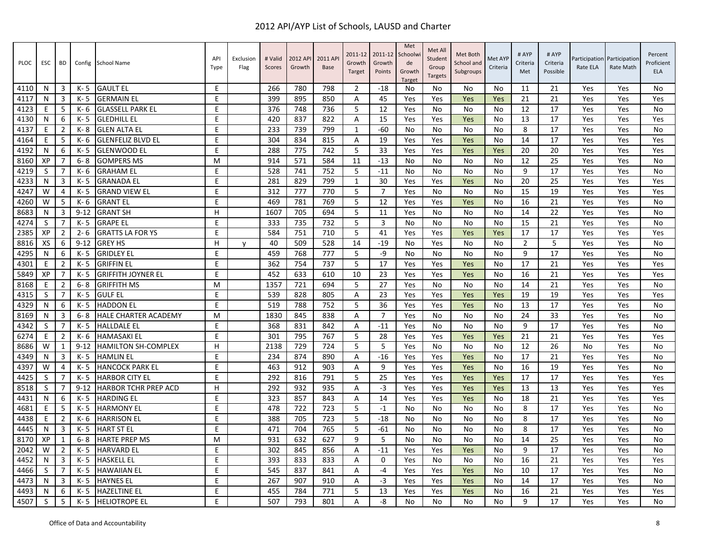| <b>PLOC</b> | <b>ESC</b> | BD             | Config   | <b>School Name</b>          | API<br>Type | Exclusior<br>Flag | # Valid<br>Scores | 2012 AP<br>Growth | 2011 AP<br>Base | 2011-12<br>Growth<br>Target | 2011-12<br>Growth<br>Points | Met<br>Schoolwi<br>de<br>Growth<br>Target | Met All<br>Student<br>Group<br><b>Targets</b> | Met Both<br>School and<br>Subgroups | Met AYF<br>Criteria | # AYP<br>Criteria<br>Met | # AYP<br>Criteria<br>Possible | Rate ELA | Participation Participation<br>Rate Math | Percent<br>Proficient<br><b>ELA</b> |
|-------------|------------|----------------|----------|-----------------------------|-------------|-------------------|-------------------|-------------------|-----------------|-----------------------------|-----------------------------|-------------------------------------------|-----------------------------------------------|-------------------------------------|---------------------|--------------------------|-------------------------------|----------|------------------------------------------|-------------------------------------|
| 4110        | N.         | 3              | K- 5     | <b>GAULT EL</b>             | E           |                   | 266               | 780               | 798             | $\overline{2}$              | -18                         | No                                        | No                                            | No                                  | No                  | 11                       | 21                            | Yes      | Yes                                      | No                                  |
| 4117        | N          | 3              | $K - 5$  | <b>GERMAIN EL</b>           | E           |                   | 399               | 895               | 850             | A                           | 45                          | Yes                                       | Yes                                           | Yes                                 | Yes                 | 21                       | 21                            | Yes      | Yes                                      | Yes                                 |
| 4123        | E          | 5              | K- 6     | <b>GLASSELL PARK EL</b>     | E           |                   | 376               | 748               | 736             | 5                           | 12                          | Yes                                       | No                                            | No                                  | No                  | 12                       | 17                            | Yes      | Yes                                      | No                                  |
| 4130        | N          | 6              | $K - 5$  | <b>GLEDHILL EL</b>          | E           |                   | 420               | 837               | 822             | A                           | 15                          | Yes                                       | Yes                                           | Yes                                 | No                  | 13                       | 17                            | Yes      | Yes                                      | Yes                                 |
| 4137        | E          | $\overline{2}$ | K-8      | <b>GLEN ALTA EL</b>         | E.          |                   | 233               | 739               | 799             | $\mathbf{1}$                | $-60$                       | No                                        | No                                            | No                                  | No                  | 8                        | 17                            | Yes      | Yes                                      | No                                  |
| 4164        | E          | 5              | K- 6     | <b>GLENFELIZ BLVD EL</b>    | E           |                   | 304               | 834               | 815             | A                           | 19                          | Yes                                       | Yes                                           | Yes                                 | No                  | 14                       | 17                            | Yes      | Yes                                      | Yes                                 |
| 4192        | N          | 6              | K-5      | <b>GLENWOOD EL</b>          | E           |                   | 288               | 775               | 742             | 5                           | 33                          | Yes                                       | Yes                                           | Yes                                 | Yes                 | 20                       | 20                            | Yes      | Yes                                      | Yes                                 |
| 8160        | XP         | 7              | $6 - 8$  | <b>GOMPERS MS</b>           | M           |                   | 914               | 571               | 584             | 11                          | $-13$                       | No                                        | No                                            | No                                  | No                  | 12                       | 25                            | Yes      | Yes                                      | No                                  |
| 4219        | S          | 7              | K- 6     | <b>GRAHAM EL</b>            | E           |                   | 528               | 741               | 752             | 5                           | $-11$                       | No                                        | No                                            | No                                  | No                  | 9                        | 17                            | Yes      | Yes                                      | No                                  |
| 4233        | N          | 3              | K-5      | <b>GRANADA EL</b>           | E           |                   | 281               | 829               | 799             | $\mathbf{1}$                | 30                          | Yes                                       | Yes                                           | Yes                                 | <b>No</b>           | 20                       | 25                            | Yes      | Yes                                      | Yes                                 |
| 4247        | W          | 4              | K- 5     | <b>GRAND VIEW EL</b>        | E           |                   | 312               | 777               | 770             | 5                           | $\overline{7}$              | Yes                                       | No                                            | No                                  | No                  | 15                       | 19                            | Yes      | Yes                                      | Yes                                 |
| 4260        | W          | 5              | K- 6     | <b>GRANT EL</b>             | E           |                   | 469               | 781               | 769             | 5                           | 12                          | Yes                                       | Yes                                           | Yes                                 | No                  | 16                       | 21                            | Yes      | Yes                                      | No                                  |
| 8683        | N          | $\overline{3}$ | $9 - 12$ | <b>GRANT SH</b>             | H           |                   | 1607              | 705               | 694             | 5                           | 11                          | Yes                                       | No                                            | No                                  | No                  | 14                       | 22                            | Yes      | Yes                                      | No                                  |
| 4274        | S          | $\overline{7}$ | K- 5     | <b>GRAPE EL</b>             | E           |                   | 333               | 735               | 732             | 5                           | 3                           | No                                        | No                                            | No                                  | No                  | 15                       | 21                            | Yes      | Yes                                      | No                                  |
| 2385        | XP         | $\overline{2}$ | $2 - 6$  | <b>GRATTS LA FOR YS</b>     | E           |                   | 584               | 751               | 710             | 5                           | 41                          | Yes                                       | Yes                                           | Yes                                 | Yes                 | 17                       | 17                            | Yes      | Yes                                      | Yes                                 |
| 8816        | XS         | 6              | $9 - 12$ | <b>GREY HS</b>              | H           | v                 | 40                | 509               | 528             | 14                          | $-19$                       | No                                        | Yes                                           | No                                  | No                  | $\overline{2}$           | 5                             | Yes      | Yes                                      | No                                  |
| 4295        | N          | 6              | K- 5     | <b>GRIDLEY EL</b>           | E           |                   | 459               | 768               | 777             | 5                           | -9                          | No                                        | No                                            | No                                  | No                  | 9                        | 17                            | Yes      | Yes                                      | No                                  |
| 4301        | E          | $\overline{2}$ | $K - 5$  | <b>GRIFFIN EL</b>           | E           |                   | 362               | 754               | 737             | 5                           | 17                          | Yes                                       | Yes                                           | Yes                                 | No                  | 17                       | 21                            | Yes      | Yes                                      | Yes                                 |
| 5849        | XP         | $\overline{7}$ | K-5      | <b>GRIFFITH JOYNER EL</b>   | E           |                   | 452               | 633               | 610             | 10                          | 23                          | Yes                                       | Yes                                           | Yes                                 | No                  | 16                       | 21                            | Yes      | Yes                                      | Yes                                 |
| 8168        | E          | $\overline{2}$ | $6 - 8$  | <b>GRIFFITH MS</b>          | M           |                   | 1357              | 721               | 694             | 5                           | 27                          | Yes                                       | No                                            | No                                  | <b>No</b>           | 14                       | 21                            | Yes      | Yes                                      | No                                  |
| 4315        | S          | $\overline{7}$ | $K - 5$  | <b>GULF EL</b>              | E           |                   | 539               | 828               | 805             | A                           | 23                          | Yes                                       | Yes                                           | Yes                                 | Yes                 | 19                       | 19                            | Yes      | Yes                                      | Yes                                 |
| 4329        | N          | 6              | K- 5     | <b>HADDON EL</b>            | E           |                   | 519               | 788               | 752             | 5                           | 36                          | Yes                                       | Yes                                           | Yes                                 | No                  | 13                       | 17                            | Yes      | Yes                                      | No                                  |
| 8169        | N          | 3              | $6 - 8$  | <b>HALE CHARTER ACADEMY</b> | M           |                   | 1830              | 845               | 838             | A                           | $\overline{7}$              | Yes                                       | No                                            | No                                  | No                  | 24                       | 33                            | Yes      | Yes                                      | No                                  |
| 4342        | S          | 7              | $K - 5$  | <b>HALLDALE EL</b>          | E           |                   | 368               | 831               | 842             | A                           | $-11$                       | Yes                                       | No                                            | No                                  | No                  | 9                        | 17                            | Yes      | Yes                                      | No                                  |
| 6274        | E          | $\overline{2}$ | K- 6     | <b>HAMASAKI EL</b>          | E           |                   | 301               | 795               | 767             | 5                           | 28                          | Yes                                       | Yes                                           | Yes                                 | Yes                 | 21                       | 21                            | Yes      | Yes                                      | Yes                                 |
| 8686        | W          | 1              | $9 - 12$ | <b>HAMILTON SH-COMPLEX</b>  | H           |                   | 2138              | 729               | 724             | 5                           | 5                           | Yes                                       | No                                            | <b>No</b>                           | No                  | 12                       | 26                            | No       | Yes                                      | <b>No</b>                           |
| 4349        | N          | 3              | K- 5     | <b>HAMLIN EL</b>            | E           |                   | 234               | 874               | 890             | Α                           | $-16$                       | Yes                                       | Yes                                           | Yes                                 | No                  | 17                       | 21                            | Yes      | Yes                                      | No                                  |
| 4397        | W          | 4              | K- 5     | <b>HANCOCK PARK EL</b>      | E           |                   | 463               | 912               | 903             | A                           | 9                           | Yes                                       | Yes                                           | Yes                                 | No                  | 16                       | 19                            | Yes      | Yes                                      | No                                  |
| 4425        | S          | 7              | $K - 5$  | <b>HARBOR CITY EL</b>       | E           |                   | 292               | 816               | 791             | 5                           | 25                          | Yes                                       | Yes                                           | Yes                                 | Yes                 | 17                       | 17                            | Yes      | Yes                                      | Yes                                 |
| 8518        | S          | 7              | $9 - 12$ | HARBOR TCHR PREP ACD        | Н           |                   | 292               | 932               | 935             | A                           | $-3$                        | Yes                                       | Yes                                           | Yes                                 | Yes                 | 13                       | 13                            | Yes      | Yes                                      | Yes                                 |
| 4431        | N          | 6              | K- 5     | <b>HARDING EL</b>           | E           |                   | 323               | 857               | 843             | A                           | 14                          | Yes                                       | Yes                                           | Yes                                 | No                  | 18                       | 21                            | Yes      | Yes                                      | Yes                                 |
| 4681        | Е          | 5              | $K - 5$  | <b>HARMONY EL</b>           | E           |                   | 478               | 722               | 723             | 5                           | $-1$                        | No                                        | No                                            | No                                  | No                  | 8                        | 17                            | Yes      | Yes                                      | <b>No</b>                           |
| 4438        | E          | $\overline{2}$ | K- 6     | <b>HARRISON EL</b>          | E           |                   | 388               | 705               | 723             | 5                           | $-18$                       | No                                        | No                                            | No                                  | No                  | 8                        | 17                            | Yes      | Yes                                      | No                                  |
| 4445        | N          | 3              | $K - 5$  | <b>HART ST EL</b>           | E           |                   | 471               | 704               | 765             | 5                           | $-61$                       | No                                        | No                                            | No                                  | No                  | 8                        | 17                            | Yes      | Yes                                      | No                                  |
| 8170        | XP         | $\mathbf{1}$   | $6 - 8$  | <b>HARTE PREP MS</b>        | M           |                   | 931               | 632               | 627             | 9                           | 5                           | No                                        | No                                            | No                                  | No                  | 14                       | 25                            | Yes      | Yes                                      | No                                  |
| 2042        | W          | $\overline{2}$ | K- 5     | <b>HARVARD EL</b>           | E           |                   | 302               | 845               | 856             | A                           | $-11$                       | Yes                                       | Yes                                           | Yes                                 | No                  | 9                        | 17                            | Yes      | Yes                                      | No                                  |
| 4452        | N          | 3              | $K - 5$  | <b>HASKELL EL</b>           | E           |                   | 393               | 833               | 833             | A                           | $\mathbf 0$                 | Yes                                       | No                                            | No                                  | No                  | 16                       | 21                            | Yes      | Yes                                      | Yes                                 |
| 4466        | S          | $\overline{7}$ | $K - 5$  | <b>HAWAIIAN EL</b>          | E           |                   | 545               | 837               | 841             | Α                           | -4                          | Yes                                       | Yes                                           | Yes                                 | No                  | 10                       | 17                            | Yes      | Yes                                      | No                                  |
| 4473        | N          | 3              | K-5      | <b>HAYNES EL</b>            | E           |                   | 267               | 907               | 910             | A                           | $-3$                        | Yes                                       | Yes                                           | Yes                                 | No                  | 14                       | 17                            | Yes      | Yes                                      | No                                  |
| 4493        | N          | 6              | $K - 5$  | <b>HAZELTINE EL</b>         | E.          |                   | 455               | 784               | 771             | 5                           | 13                          | Yes                                       | Yes                                           | Yes                                 | No                  | 16                       | 21                            | Yes      | Yes                                      | Yes                                 |
| 4507        | S          | 5              | K-5      | <b>HELIOTROPE EL</b>        | E           |                   | 507               | 793               | 801             | A                           | -8                          | No                                        | No                                            | No                                  | No                  | 9                        | 17                            | Yes      | Yes                                      | No                                  |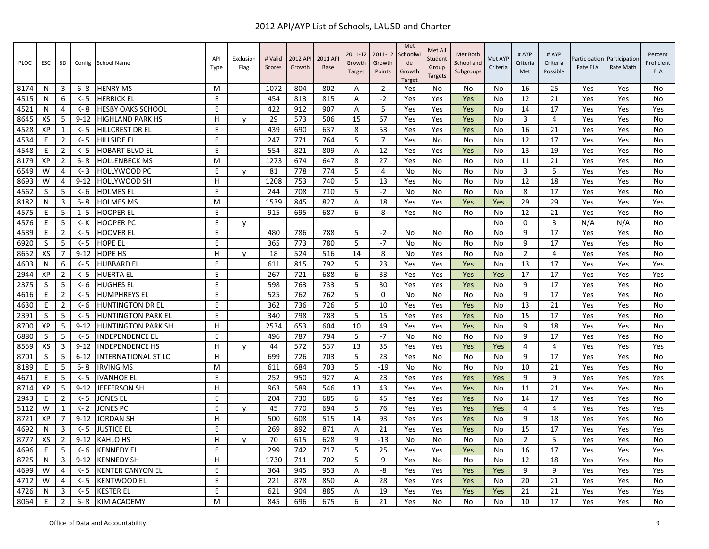| <b>PLOC</b> | <b>ESC</b>   | <b>BD</b>      | Config   | <b>School Name</b>         | API<br>Type | Exclusion<br>Flag | # Valid<br>Scores | 2012 API<br>Growth | 2011 AP<br><b>Base</b> | 2011-12<br>Growth<br>Target | 2011-12<br>Growth<br>Points | Met<br>Schoolw<br>de<br>Growth<br><b>Target</b> | Met All<br>Student<br>Group<br><b>Targets</b> | Met Both<br>School and<br>Subgroups | Met AYP<br>Criteria | # AYP<br>Criteria<br>Met | # AYP<br>Criteria<br>Possible | Participation<br>Rate ELA | Participation<br>Rate Math | Percent<br>Proficient<br>ELA |
|-------------|--------------|----------------|----------|----------------------------|-------------|-------------------|-------------------|--------------------|------------------------|-----------------------------|-----------------------------|-------------------------------------------------|-----------------------------------------------|-------------------------------------|---------------------|--------------------------|-------------------------------|---------------------------|----------------------------|------------------------------|
| 8174        | N            | 3              | $6 - 8$  | <b>HENRY MS</b>            | M           |                   | 1072              | 804                | 802                    | A                           | $\overline{2}$              | Yes                                             | No                                            | No                                  | No                  | 16                       | 25                            | Yes                       | Yes                        | No                           |
| 4515        | N            | 6              | $K - 5$  | <b>HERRICK EL</b>          | E           |                   | 454               | 813                | 815                    | A                           | $-2$                        | Yes                                             | Yes                                           | Yes                                 | No                  | 12                       | 21                            | Yes                       | Yes                        | <b>No</b>                    |
| 4521        | N            | 4              | K-8      | <b>HESBY OAKS SCHOOL</b>   | E           |                   | 422               | 912                | 907                    | A                           | 5                           | Yes                                             | Yes                                           | Yes                                 | No                  | 14                       | 17                            | Yes                       | Yes                        | Yes                          |
| 8645        | XS           | 5              | $9 - 12$ | <b>HIGHLAND PARK HS</b>    | н           | y                 | 29                | 573                | 506                    | 15                          | 67                          | Yes                                             | Yes                                           | Yes                                 | No                  | 3                        | 4                             | Yes                       | Yes                        | <b>No</b>                    |
| 4528        | XP           | 1              | $K - 5$  | <b>HILLCREST DR EL</b>     | E           |                   | 439               | 690                | 637                    | 8                           | 53                          | Yes                                             | Yes                                           | Yes                                 | No                  | 16                       | 21                            | Yes                       | Yes                        | <b>No</b>                    |
| 4534        | E            | $\overline{2}$ | K- 5     | <b>HILLSIDE EL</b>         | E           |                   | 247               | 771                | 764                    | 5                           | $\overline{7}$              | Yes                                             | No                                            | No                                  | No                  | 12                       | 17                            | Yes                       | Yes                        | No                           |
| 4548        | E            | $\overline{2}$ | K- 5     | <b>HOBART BLVD EL</b>      | E           |                   | 554               | 821                | 809                    | A                           | 12                          | Yes                                             | Yes                                           | Yes                                 | <b>No</b>           | 13                       | 19                            | Yes                       | Yes                        | <b>No</b>                    |
| 8179        | XP           | 2              | $6 - 8$  | <b>HOLLENBECK MS</b>       | м           |                   | 1273              | 674                | 647                    | 8                           | 27                          | Yes                                             | No                                            | No                                  | No                  | 11                       | 21                            | Yes                       | Yes                        | <b>No</b>                    |
| 6549        | W            | $\overline{4}$ | K-3      | HOLLYWOOD PC               | E           | $\mathsf{v}$      | 81                | 778                | 774                    | 5                           | $\overline{4}$              | No                                              | No                                            | No                                  | No                  | $\overline{3}$           | 5                             | Yes                       | Yes                        | No                           |
| 8693        | W            | $\overline{4}$ | $9 - 12$ | <b>HOLLYWOOD SH</b>        | H.          |                   | 1208              | 753                | 740                    | 5                           | 13                          | Yes                                             | No                                            | No                                  | No                  | 12                       | 18                            | Yes                       | Yes                        | <b>No</b>                    |
| 4562        | S            | 5              | K- 6     | <b>HOLMES EL</b>           | E           |                   | 244               | 708                | 710                    | 5                           | $-2$                        | No                                              | No                                            | No                                  | No                  | 8                        | 17                            | Yes                       | Yes                        | <b>No</b>                    |
| 8182        | N            | 3              | $6 - 8$  | <b>HOLMES MS</b>           | M           |                   | 1539              | 845                | 827                    | A                           | 18                          | Yes                                             | Yes                                           | Yes                                 | Yes                 | 29                       | 29                            | Yes                       | Yes                        | Yes                          |
| 4575        | Ε            | 5              | $1 - 5$  | <b>HOOPER EL</b>           | E           |                   | 915               | 695                | 687                    | 6                           | 8                           | Yes                                             | No                                            | No                                  | No                  | 12                       | 21                            | Yes                       | Yes                        | No                           |
| 4576        | E            | 5              | K- K     | <b>HOOPER PC</b>           | E           | y                 |                   |                    |                        |                             |                             |                                                 |                                               |                                     | <b>No</b>           | $\mathbf 0$              | 3                             | N/A                       | N/A                        | <b>No</b>                    |
| 4589        | E            | $\overline{2}$ | $K - 5$  | <b>HOOVER EL</b>           | E           |                   | 480               | 786                | 788                    | 5                           | $-2$                        | No                                              | No                                            | No                                  | No                  | 9                        | 17                            | Yes                       | Yes                        | No                           |
| 6920        | S            | 5              | K- 5     | <b>HOPE EL</b>             | E           |                   | 365               | 773                | 780                    | 5                           | $-7$                        | No                                              | No                                            | No                                  | No                  | 9                        | 17                            | Yes                       | Yes                        | <b>No</b>                    |
| 8652        | XS           | 7              | $9 - 12$ | <b>HOPE HS</b>             | H           | v                 | 18                | 524                | 516                    | 14                          | 8                           | <b>No</b>                                       | Yes                                           | No                                  | <b>No</b>           | $\overline{2}$           | 4                             | Yes                       | Yes                        | <b>No</b>                    |
| 4603        | N            | 6              | K- 5     | <b>HUBBARD EL</b>          | E           |                   | 611               | 815                | 792                    | 5                           | 23                          | Yes                                             | Yes                                           | Yes                                 | No                  | 13                       | 17                            | Yes                       | Yes                        | Yes                          |
| 2944        | XP           | $\overline{2}$ | K- 5     | <b>HUERTA EL</b>           | E           |                   | 267               | 721                | 688                    | 6                           | 33                          | Yes                                             | Yes                                           | Yes                                 | Yes                 | 17                       | 17                            | Yes                       | Yes                        | Yes                          |
| 2375        | <sub>S</sub> | 5              | $K - 6$  | <b>HUGHES EL</b>           | E           |                   | 598               | 763                | 733                    | 5                           | 30                          | Yes                                             | Yes                                           | Yes                                 | No                  | 9                        | 17                            | Yes                       | Yes                        | <b>No</b>                    |
| 4616        | E            | $\overline{2}$ | K-5      | <b>HUMPHREYS EL</b>        | E           |                   | 525               | 762                | 762                    | 5                           | $\mathbf 0$                 | <b>No</b>                                       | No                                            | No                                  | No                  | 9                        | 17                            | Yes                       | Yes                        | <b>No</b>                    |
| 4630        | E            | $\overline{2}$ | K- 6     | <b>HUNTINGTON DR EL</b>    | E           |                   | 362               | 736                | 726                    | 5                           | 10                          | Yes                                             | Yes                                           | Yes                                 | No                  | 13                       | 21                            | Yes                       | Yes                        | <b>No</b>                    |
| 2391        | <sub>S</sub> | 5              | K- 5     | <b>HUNTINGTON PARK EL</b>  | E           |                   | 340               | 798                | 783                    | 5                           | 15                          | Yes                                             | Yes                                           | Yes                                 | No                  | 15                       | 17                            | Yes                       | Yes                        | <b>No</b>                    |
| 8700        | XP           | 5              | $9 - 12$ | <b>HUNTINGTON PARK SH</b>  | H           |                   | 2534              | 653                | 604                    | 10                          | 49                          | Yes                                             | Yes                                           | Yes                                 | No                  | 9                        | 18                            | Yes                       | Yes                        | <b>No</b>                    |
| 6880        | S            | 5              | $K - 5$  | <b>INDEPENDENCE EL</b>     | E           |                   | 496               | 787                | 794                    | 5                           | $-7$                        | No                                              | No                                            | No                                  | No                  | 9                        | 17                            | Yes                       | Yes                        | <b>No</b>                    |
| 8559        | XS           | 3              | $9 - 12$ | <b>INDEPENDENCE HS</b>     | H           | v                 | 44                | 572                | 537                    | 13                          | 35                          | Yes                                             | Yes                                           | Yes                                 | Yes                 | $\overline{4}$           | 4                             | Yes                       | Yes                        | Yes                          |
| 8701        | S            | 5              | $6 - 12$ | <b>INTERNATIONAL ST LC</b> | H.          |                   | 699               | 726                | 703                    | 5                           | 23                          | Yes                                             | No                                            | No                                  | No                  | 9                        | 17                            | Yes                       | Yes                        | <b>No</b>                    |
| 8189        | E            | 5              | $6 - 8$  | <b>IRVING MS</b>           | M           |                   | 611               | 684                | 703                    | 5                           | $-19$                       | No                                              | No                                            | No                                  | No                  | 10                       | 21                            | Yes                       | Yes                        | <b>No</b>                    |
| 4671        | F            | 5              | K-5      | <b>IVANHOE EL</b>          | E           |                   | 252               | 950                | 927                    | Α                           | 23                          | Yes                                             | Yes                                           | Yes                                 | Yes                 | 9                        | 9                             | Yes                       | Yes                        | Yes                          |
| 8714        | XP           | 5              | $9 - 12$ | <b>JEFFERSON SH</b>        | H.          |                   | 963               | 589                | 546                    | 13                          | 43                          | Yes                                             | Yes                                           | Yes                                 | No                  | 11                       | 21                            | Yes                       | Yes                        | <b>No</b>                    |
| 2943        | E            | $\overline{2}$ | $K - 5$  | <b>JONES EL</b>            | E           |                   | 204               | 730                | 685                    | 6                           | 45                          | Yes                                             | Yes                                           | Yes                                 | No                  | 14                       | 17                            | Yes                       | Yes                        | <b>No</b>                    |
| 5112        | W            | $\mathbf{1}$   | $K - 2$  | <b>JONES PC</b>            | E           | у                 | 45                | 770                | 694                    | 5                           | 76                          | Yes                                             | Yes                                           | Yes                                 | Yes                 | 4                        | 4                             | Yes                       | Yes                        | Yes                          |
| 8721        | XP           | 7              | $9 - 12$ | <b>JORDAN SH</b>           | H           |                   | 500               | 608                | 515                    | 14                          | 93                          | Yes                                             | Yes                                           | Yes                                 | No                  | 9                        | 18                            | Yes                       | Yes                        | <b>No</b>                    |
| 4692        | N            | 3              | K-5      | <b>JUSTICE EL</b>          | E           |                   | 269               | 892                | 871                    | A                           | 21                          | Yes                                             | Yes                                           | Yes                                 | N <sub>0</sub>      | 15                       | 17                            | Yes                       | Yes                        | Yes                          |
| 8777        | XS           | $\overline{2}$ | $9 - 12$ | <b>KAHLO HS</b>            | H           | v                 | 70                | 615                | 628                    | 9                           | $-13$                       | No                                              | No                                            | No                                  | No                  | $\overline{2}$           | 5                             | Yes                       | Yes                        | <b>No</b>                    |
| 4696        | E            | 5              | K- 6     | <b>KENNEDY EL</b>          | E           |                   | 299               | 742                | 717                    | 5                           | 25                          | Yes                                             | Yes                                           | Yes                                 | No                  | 16                       | 17                            | Yes                       | Yes                        | Yes                          |
| 8725        | N            | 3              | $9 - 12$ | <b>KENNEDY SH</b>          | H.          |                   | 1730              | 711                | 702                    | 5                           | 9                           | Yes                                             | <b>No</b>                                     | No                                  | No                  | 12                       | 18                            | Yes                       | Yes                        | <b>No</b>                    |
| 4699        | W            | $\overline{4}$ | K- 5     | <b>KENTER CANYON EL</b>    | E           |                   | 364               | 945                | 953                    | A                           | -8                          | Yes                                             | Yes                                           | Yes                                 | Yes                 | 9                        | 9                             | Yes                       | Yes                        | Yes                          |
| 4712        | W            | 4              | $K - 5$  | <b>KENTWOOD EL</b>         | E           |                   | 221               | 878                | 850                    | A                           | 28                          | Yes                                             | Yes                                           | Yes                                 | No                  | 20                       | 21                            | Yes                       | Yes                        | <b>No</b>                    |
| 4726        | N            | 3              | $K - 5$  | <b>KESTER EL</b>           | E           |                   | 621               | 904                | 885                    | A                           | 19                          | Yes                                             | Yes                                           | Yes                                 | Yes                 | 21                       | 21                            | Yes                       | Yes                        | Yes                          |
| 8064        | E            | $\overline{2}$ | $6 - 8$  | <b>KIM ACADEMY</b>         | M           |                   | 845               | 696                | 675                    | 6                           | 21                          | Yes                                             | No                                            | No                                  | No                  | 10                       | 17                            | Yes                       | Yes                        | <b>No</b>                    |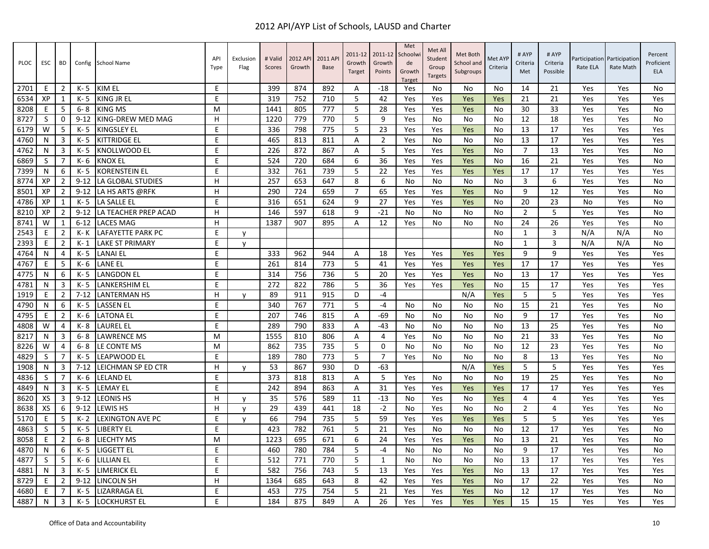| <b>PLOC</b> | <b>ESC</b>   | BD             | Config   | School Name            | API<br>Type | Exclusion<br>Flag | # Valid<br>Scores | 2012 API<br>Growth | 2011 AP<br><b>Base</b> | 2011-12<br>Growth<br>Target | 2011-12<br>Growth<br>Points | Met<br>Schoolw<br>de<br>Growth<br><b>Target</b> | Met All<br>Student<br>Group<br><b>Targets</b> | Met Both<br>School and<br>Subgroups | Met AYP<br>Criteria | # AYP<br>Criteria<br>Met | # AYP<br>Criteria<br>Possible | Participation<br>Rate ELA | Participation<br>Rate Math | Percent<br>Proficient<br><b>ELA</b> |
|-------------|--------------|----------------|----------|------------------------|-------------|-------------------|-------------------|--------------------|------------------------|-----------------------------|-----------------------------|-------------------------------------------------|-----------------------------------------------|-------------------------------------|---------------------|--------------------------|-------------------------------|---------------------------|----------------------------|-------------------------------------|
| 2701        | E            | $\overline{2}$ | $K - 5$  | KIM EL                 | Е           |                   | 399               | 874                | 892                    | A                           | $-18$                       | Yes                                             | No                                            | No                                  | No                  | 14                       | 21                            | Yes                       | Yes                        | <b>No</b>                           |
| 6534        | XP           | 1              | K- 5     | KING JR EL             | E           |                   | 319               | 752                | 710                    | 5                           | 42                          | Yes                                             | Yes                                           | Yes                                 | Yes                 | 21                       | 21                            | Yes                       | Yes                        | Yes                                 |
| 8208        | E            | 5              | $6 - 8$  | <b>KING MS</b>         | M           |                   | 1441              | 805                | 777                    | 5                           | 28                          | Yes                                             | Yes                                           | Yes                                 | No                  | 30                       | 33                            | Yes                       | Yes                        | <b>No</b>                           |
| 8727        | S            | $\mathbf 0$    | $9 - 12$ | KING-DREW MED MAG      | н           |                   | 1220              | 779                | 770                    | 5                           | 9                           | Yes                                             | No                                            | No                                  | No                  | 12                       | 18                            | Yes                       | Yes                        | <b>No</b>                           |
| 6179        | W            | 5              | $K - 5$  | <b>KINGSLEY EL</b>     | E           |                   | 336               | 798                | 775                    | 5                           | 23                          | Yes                                             | Yes                                           | Yes                                 | No                  | 13                       | 17                            | Yes                       | Yes                        | Yes                                 |
| 4760        | N            | 3              | $K - 5$  | <b>KITTRIDGE EL</b>    | E           |                   | 465               | 813                | 811                    | Α                           | $\overline{2}$              | Yes                                             | No                                            | No                                  | No                  | 13                       | 17                            | Yes                       | Yes                        | Yes                                 |
| 4762        | N            | 3              | K- 5     | KNOLLWOOD EL           | E           |                   | 226               | 872                | 867                    | Α                           | 5                           | Yes                                             | Yes                                           | Yes                                 | No                  | $\overline{7}$           | 13                            | Yes                       | Yes                        | <b>No</b>                           |
| 6869        | S            | $\overline{7}$ | K- 6     | <b>KNOX EL</b>         | E           |                   | 524               | 720                | 684                    | 6                           | 36                          | Yes                                             | Yes                                           | Yes                                 | No                  | 16                       | 21                            | Yes                       | Yes                        | <b>No</b>                           |
| 7399        | N            | 6              | $K - 5$  | <b>KORENSTEIN EL</b>   | E           |                   | 332               | 761                | 739                    | 5                           | 22                          | Yes                                             | Yes                                           | Yes                                 | Yes                 | 17                       | 17                            | Yes                       | Yes                        | Yes                                 |
| 8774        | XP           | $\overline{2}$ | $9 - 12$ | LA GLOBAL STUDIES      | H           |                   | 257               | 653                | 647                    | 8                           | 6                           | <b>No</b>                                       | No                                            | No                                  | No                  | 3                        | 6                             | Yes                       | Yes                        | <b>No</b>                           |
| 8501        | XP           | $\overline{2}$ | $9 - 12$ | LA HS ARTS @RFK        | H           |                   | 290               | 724                | 659                    | $\overline{7}$              | 65                          | Yes                                             | Yes                                           | Yes                                 | No                  | 9                        | 12                            | Yes                       | Yes                        | No                                  |
| 4786        | XP           | 1              | K- 5     | LA SALLE EL            | E           |                   | 316               | 651                | 624                    | 9                           | 27                          | Yes                                             | Yes                                           | Yes                                 | No                  | 20                       | 23                            | No                        | Yes                        | <b>No</b>                           |
| 8210        | XP           | $\overline{2}$ | $9 - 12$ | LA TEACHER PREP ACAD   | H           |                   | 146               | 597                | 618                    | 9                           | $-21$                       | No                                              | No                                            | No                                  | N <sub>0</sub>      | $\overline{2}$           | 5                             | Yes                       | Yes                        | <b>No</b>                           |
| 8741        | W            | 1              | $6 - 12$ | <b>LACES MAG</b>       | H           |                   | 1387              | 907                | 895                    | Α                           | 12                          | Yes                                             | No                                            | No                                  | No                  | 24                       | 26                            | Yes                       | Yes                        | No                                  |
| 2543        | Е            | 2              | K- K     | LAFAYETTE PARK PC      | E           | y                 |                   |                    |                        |                             |                             |                                                 |                                               |                                     | No                  | $\mathbf{1}$             | 3                             | N/A                       | N/A                        | No                                  |
| 2393        | F            | $\overline{2}$ | $K-1$    | <b>LAKE ST PRIMARY</b> | E           | v                 |                   |                    |                        |                             |                             |                                                 |                                               |                                     | No                  | $\mathbf{1}$             | 3                             | N/A                       | N/A                        | <b>No</b>                           |
| 4764        | N            | $\overline{4}$ | $K - 5$  | <b>LANAI EL</b>        | E           |                   | 333               | 962                | 944                    | A                           | 18                          | Yes                                             | Yes                                           | Yes                                 | Yes                 | 9                        | 9                             | Yes                       | Yes                        | Yes                                 |
| 4767        | E            | 5              | K- 6     | <b>LANE EL</b>         | E           |                   | 261               | 814                | 773                    | 5                           | 41                          | Yes                                             | Yes                                           | Yes                                 | Yes                 | 17                       | 17                            | Yes                       | Yes                        | Yes                                 |
| 4775        | N            | 6              | K- 5     | <b>LANGDON EL</b>      | E           |                   | 314               | 756                | 736                    | 5                           | 20                          | Yes                                             | Yes                                           | Yes                                 | No                  | 13                       | 17                            | Yes                       | Yes                        | Yes                                 |
| 4781        | N            | 3              | $K - 5$  | <b>LANKERSHIM EL</b>   | E           |                   | 272               | 822                | 786                    | 5                           | 36                          | Yes                                             | Yes                                           | Yes                                 | No                  | 15                       | 17                            | Yes                       | Yes                        | Yes                                 |
| 1919        | E            | $\overline{2}$ | $7 - 12$ | <b>LANTERMAN HS</b>    | H           | y                 | 89                | 911                | 915                    | D                           | $-4$                        |                                                 |                                               | N/A                                 | Yes                 | 5                        | 5                             | Yes                       | Yes                        | Yes                                 |
| 4790        | N            | 6              | K- 5     | <b>LASSEN EL</b>       | E           |                   | 340               | 767                | 771                    | 5                           | $-4$                        | No                                              | No                                            | No                                  | No                  | 15                       | 21                            | Yes                       | Yes                        | <b>No</b>                           |
| 4795        | E            | $\overline{2}$ | K- 6     | <b>LATONA EL</b>       | E           |                   | 207               | 746                | 815                    | Α                           | $-69$                       | No                                              | No                                            | No                                  | No                  | 9                        | 17                            | Yes                       | Yes                        | <b>No</b>                           |
| 4808        | W            | 4              | K-8      | <b>LAUREL EL</b>       | E           |                   | 289               | 790                | 833                    | $\overline{A}$              | $-43$                       | No                                              | No                                            | No                                  | No                  | 13                       | 25                            | Yes                       | Yes                        | <b>No</b>                           |
| 8217        | N            | 3              | $6 - 8$  | <b>LAWRENCE MS</b>     | M           |                   | 1555              | 810                | 806                    | Α                           | 4                           | Yes                                             | No                                            | No                                  | No                  | 21                       | 33                            | Yes                       | Yes                        | <b>No</b>                           |
| 8226        | W            | $\overline{4}$ | $6 - 8$  | LE CONTE MS            | M           |                   | 862               | 735                | 735                    | 5                           | $\mathbf 0$                 | <b>No</b>                                       | No                                            | No                                  | <b>No</b>           | 12                       | 23                            | Yes                       | Yes                        | <b>No</b>                           |
| 4829        | S            | 7              | $K - 5$  | LEAPWOOD EL            | E           |                   | 189               | 780                | 773                    | 5                           | $\overline{7}$              | Yes                                             | No                                            | No                                  | No                  | 8                        | 13                            | Yes                       | Yes                        | <b>No</b>                           |
| 1908        | N            | 3              | $7 - 12$ | LEICHMAN SP ED CTR     | H           | v                 | 53                | 867                | 930                    | D                           | $-63$                       |                                                 |                                               | N/A                                 | Yes                 | 5                        | 5                             | Yes                       | Yes                        | Yes                                 |
| 4836        | <sub>S</sub> | $\overline{7}$ | $K - 6$  | <b>LELAND EL</b>       | E           |                   | 373               | 818                | 813                    | A                           | 5                           | Yes                                             | No                                            | No                                  | No                  | 19                       | 25                            | Yes                       | Yes                        | <b>No</b>                           |
| 4849        | N            | 3              | K- 5     | <b>LEMAY EL</b>        | E           |                   | 242               | 894                | 863                    | Α                           | 31                          | Yes                                             | Yes                                           | Yes                                 | Yes                 | 17                       | 17                            | Yes                       | Yes                        | Yes                                 |
| 8620        | XS           | 3              | $9 - 12$ | <b>LEONIS HS</b>       | H           | v                 | 35                | 576                | 589                    | 11                          | $-13$                       | No                                              | Yes                                           | No                                  | Yes                 | 4                        | 4                             | Yes                       | Yes                        | Yes                                 |
| 8638        | XS           | 6              | $9 - 12$ | <b>LEWIS HS</b>        | H.          | v                 | 29                | 439                | 441                    | 18                          | $-2$                        | No                                              | Yes                                           | No                                  | No                  | $\overline{2}$           | 4                             | Yes                       | Yes                        | <b>No</b>                           |
| 5170        | E            | 5              | $K - 2$  | LEXINGTON AVE PC       | E           | v                 | 66                | 794                | 735                    | 5                           | 59                          | Yes                                             | Yes                                           | Yes                                 | Yes                 | 5                        | 5                             | Yes                       | Yes                        | Yes                                 |
| 4863        | S            | 5              | $K - 5$  | <b>LIBERTY EL</b>      | E           |                   | 423               | 782                | 761                    | 5                           | 21                          | Yes                                             | No                                            | No                                  | No                  | 12                       | 17                            | Yes                       | Yes                        | No                                  |
| 8058        | Е            | $\overline{2}$ | $6 - 8$  | LIECHTY MS             | M           |                   | 1223              | 695                | 671                    | 6                           | 24                          | Yes                                             | Yes                                           | Yes                                 | No                  | 13                       | 21                            | Yes                       | Yes                        | <b>No</b>                           |
| 4870        | N            | 6              | $K - 5$  | <b>LIGGETT EL</b>      | E           |                   | 460               | 780                | 784                    | 5                           | $-4$                        | No                                              | No                                            | No                                  | No                  | 9                        | 17                            | Yes                       | Yes                        | No                                  |
| 4877        | <sub>S</sub> | 5              | K- 6     | <b>LILLIAN EL</b>      | E           |                   | 512               | 771                | 770                    | 5                           | 1                           | No                                              | No                                            | No                                  | No                  | 13                       | 17                            | Yes                       | Yes                        | Yes                                 |
| 4881        | N            | 3              | K- 5     | <b>LIMERICK EL</b>     | E           |                   | 582               | 756                | 743                    | 5                           | 13                          | Yes                                             | Yes                                           | Yes                                 | No                  | 13                       | 17                            | Yes                       | Yes                        | Yes                                 |
| 8729        | E            | $\overline{2}$ | $9 - 12$ | LINCOLN SH             | H.          |                   | 1364              | 685                | 643                    | 8                           | 42                          | Yes                                             | Yes                                           | Yes                                 | No                  | 17                       | 22                            | Yes                       | Yes                        | <b>No</b>                           |
| 4680        | E            | 7              | $K - 5$  | LIZARRAGA EL           | E           |                   | 453               | 775                | 754                    | 5                           | 21                          | Yes                                             | Yes                                           | Yes                                 | No                  | 12                       | 17                            | Yes                       | Yes                        | <b>No</b>                           |
| 4887        | N            | 3              | K- 5     | <b>LOCKHURST EL</b>    | E.          |                   | 184               | 875                | 849                    | Α                           | 26                          | Yes                                             | Yes                                           | Yes                                 | Yes                 | 15                       | 15                            | Yes                       | Yes                        | Yes                                 |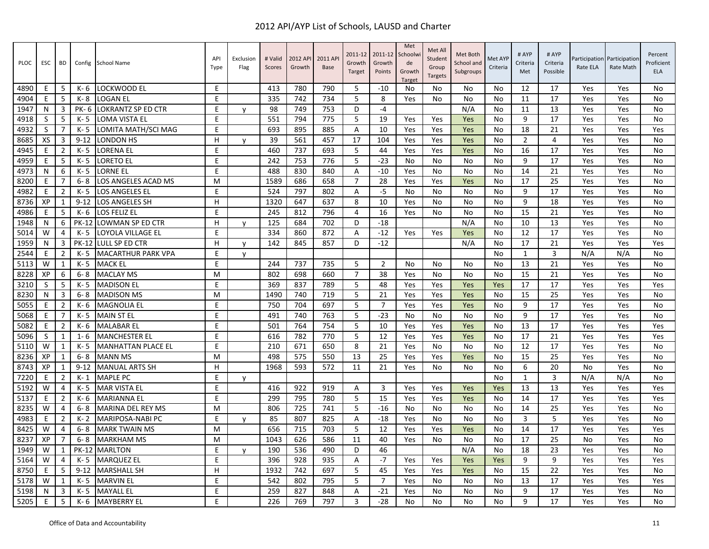| PLOC | ESC | BD             |              | Config School Name        | API<br>Type | Exclusion<br>Flag | # Valid<br>Scores | 2012 API<br>Growth | 2011 AP<br><b>Base</b> | 2011-12<br>Growth<br>Target | 2011-12<br>Growth<br>Points | Met<br>Schoolwi<br>de<br>Growth<br><b>Target</b> | Met All<br>Student<br>Group<br><b>Targets</b> | Met Both<br>School and<br>Subgroups | Met AYP<br>Criteria | # AYP<br>Criteria<br>Met | # AYP<br>Criteria<br>Possible | Rate ELA | Participation Participation<br>Rate Math | Percent<br>Proficient<br><b>ELA</b> |
|------|-----|----------------|--------------|---------------------------|-------------|-------------------|-------------------|--------------------|------------------------|-----------------------------|-----------------------------|--------------------------------------------------|-----------------------------------------------|-------------------------------------|---------------------|--------------------------|-------------------------------|----------|------------------------------------------|-------------------------------------|
| 4890 | E   | 5              | K- 6         | LOCKWOOD EL               | E           |                   | 413               | 780                | 790                    | 5                           | $-10$                       | No                                               | No                                            | No                                  | No                  | 12                       | 17                            | Yes      | Yes                                      | No                                  |
| 4904 | E   | 5              | K-8          | <b>LOGAN EL</b>           | F.          |                   | 335               | 742                | 734                    | 5                           | 8                           | Yes                                              | No                                            | No                                  | No                  | 11                       | 17                            | Yes      | Yes                                      | No                                  |
| 1947 | N   | 3              | PK-6         | <b>LOKRANTZ SP ED CTR</b> | E           | y                 | 98                | 749                | 753                    | D                           | $-4$                        |                                                  |                                               | N/A                                 | No                  | 11                       | 13                            | Yes      | Yes                                      | No                                  |
| 4918 | S   | 5              | K- 5         | LOMA VISTA EL             | E           |                   | 551               | 794                | 775                    | 5                           | 19                          | Yes                                              | Yes                                           | Yes                                 | No                  | 9                        | 17                            | Yes      | Yes                                      | No                                  |
| 4932 | S   | 7              | K-5          | LOMITA MATH/SCI MAG       | E           |                   | 693               | 895                | 885                    | A                           | 10                          | Yes                                              | Yes                                           | Yes                                 | No                  | 18                       | 21                            | Yes      | Yes                                      | Yes                                 |
| 8685 | XS  | 3              | $9 - 12$     | <b>LONDON HS</b>          | н           | y                 | 39                | 561                | 457                    | 17                          | 104                         | Yes                                              | Yes                                           | Yes                                 | No                  | $\overline{2}$           | 4                             | Yes      | Yes                                      | No                                  |
| 4945 | E   | $\overline{2}$ | $K - 5$      | ORENA EL                  | E           |                   | 460               | 737                | 693                    | 5                           | 44                          | Yes                                              | Yes                                           | Yes                                 | No                  | 16                       | 17                            | Yes      | Yes                                      | No                                  |
| 4959 | E   | 5              | K-5          | LORETO EL                 | E           |                   | 242               | 753                | 776                    | 5                           | $-23$                       | No                                               | No                                            | No                                  | No                  | 9                        | 17                            | Yes      | Yes                                      | No                                  |
| 4973 | N   | 6              | K- 5         | LORNE EL                  | E           |                   | 488               | 830                | 840                    | Α                           | $-10$                       | Yes                                              | No                                            | No                                  | No                  | 14                       | 21                            | Yes      | Yes                                      | No                                  |
| 8200 | E   | 7              | $6 - 8$      | LOS ANGELES ACAD MS       | м           |                   | 1589              | 686                | 658                    | $\overline{7}$              | 28                          | Yes                                              | Yes                                           | Yes                                 | No                  | 17                       | 25                            | Yes      | Yes                                      | No                                  |
| 4982 | E   | 2              | K-5          | <b>LOS ANGELES EL</b>     | E           |                   | 524               | 797                | 802                    | A                           | $-5$                        | No                                               | No                                            | No                                  | No                  | 9                        | 17                            | Yes      | Yes                                      | No                                  |
| 8736 | XP  | 1              | $9 - 12$     | LOS ANGELES SH            | H           |                   | 1320              | 647                | 637                    | 8                           | 10                          | Yes                                              | No                                            | No                                  | No                  | 9                        | 18                            | Yes      | Yes                                      | No                                  |
| 4986 | E   | 5              | K- 6         | LOS FELIZ EL              | E           |                   | 245               | 812                | 796                    | $\overline{4}$              | 16                          | Yes                                              | No                                            | No                                  | No                  | 15                       | 21                            | Yes      | Yes                                      | <b>No</b>                           |
| 1948 | N   | 6              | <b>PK-12</b> | <b>LOWMAN SP ED CTR</b>   | н           | $\mathsf{v}$      | 125               | 684                | 702                    | D                           | $-18$                       |                                                  |                                               | N/A                                 | No                  | 10                       | 13                            | Yes      | Yes                                      | No                                  |
| 5014 | W   | 4              | K- 5         | LOYOLA VILLAGE EL         | E           |                   | 334               | 860                | 872                    | Α                           | $-12$                       | Yes                                              | Yes                                           | Yes                                 | No                  | 12                       | 17                            | Yes      | Yes                                      | No                                  |
| 1959 | N   | 3              | <b>PK-12</b> | LULL SP ED CTR            | H.          | v                 | 142               | 845                | 857                    | D                           | $-12$                       |                                                  |                                               | N/A                                 | No                  | 17                       | 21                            | Yes      | Yes                                      | Yes                                 |
| 2544 | E   | $\overline{2}$ | K-5          | <b>MACARTHUR PARK VPA</b> | E           | V                 |                   |                    |                        |                             |                             |                                                  |                                               |                                     | No                  | 1                        | 3                             | N/A      | N/A                                      | No                                  |
| 5113 | W   | 1              | K-5          | <b>MACK EL</b>            | E           |                   | 244               | 737                | 735                    | 5                           | $\overline{2}$              | No                                               | No                                            | No                                  | No                  | 13                       | 21                            | Yes      | Yes                                      | No                                  |
| 8228 | XP  | 6              | $6 - 8$      | <b>MACLAY MS</b>          | м           |                   | 802               | 698                | 660                    | $\overline{7}$              | 38                          | Yes                                              | No                                            | No                                  | No                  | 15                       | 21                            | Yes      | Yes                                      | No                                  |
| 3210 | S   | 5              | K-5          | <b>MADISON EL</b>         | E           |                   | 369               | 837                | 789                    | 5                           | 48                          | Yes                                              | Yes                                           | Yes                                 | Yes                 | 17                       | 17                            | Yes      | Yes                                      | Yes                                 |
| 8230 | N   | 3              | $6 - 8$      | <b>MADISON MS</b>         | M           |                   | 1490              | 740                | 719                    | 5                           | 21                          | Yes                                              | Yes                                           | Yes                                 | No                  | 15                       | 25                            | Yes      | Yes                                      | No                                  |
| 5055 | E   | $\overline{2}$ | K- 6         | <b>MAGNOLIA EL</b>        | E           |                   | 750               | 704                | 697                    | 5                           | $\overline{7}$              | Yes                                              | Yes                                           | Yes                                 | No                  | 9                        | 17                            | Yes      | Yes                                      | No                                  |
| 5068 | E   | 7              | K-5          | <b>MAIN ST EL</b>         | E           |                   | 491               | 740                | 763                    | 5                           | $-23$                       | No                                               | No                                            | No                                  | No                  | 9                        | 17                            | Yes      | Yes                                      | No                                  |
| 5082 | E   | $\overline{2}$ | K- 6         | <b>MALABAR EL</b>         | E           |                   | 501               | 764                | 754                    | 5                           | 10                          | Yes                                              | Yes                                           | Yes                                 | No                  | 13                       | 17                            | Yes      | Yes                                      | Yes                                 |
| 5096 | S   | 1              | 1-6          | <b>MANCHESTER EL</b>      | E           |                   | 616               | 782                | 770                    | 5                           | 12                          | Yes                                              | Yes                                           | Yes                                 | No                  | 17                       | 21                            | Yes      | Yes                                      | Yes                                 |
| 5110 | W   | 1              | K-5          | <b>MANHATTAN PLACE EL</b> | E           |                   | 210               | 671                | 650                    | 8                           | 21                          | Yes                                              | No                                            | No                                  | No                  | 12                       | 17                            | Yes      | Yes                                      | No                                  |
| 8236 | XP  | $\mathbf{1}$   | $6 - 8$      | <b>MANN MS</b>            | M           |                   | 498               | 575                | 550                    | 13                          | 25                          | Yes                                              | Yes                                           | Yes                                 | No                  | 15                       | 25                            | Yes      | Yes                                      | No                                  |
| 8743 | XP  | 1              | $9 - 12$     | <b>MANUAL ARTS SH</b>     | н           |                   | 1968              | 593                | 572                    | 11                          | 21                          | Yes                                              | No                                            | No                                  | No                  | 6                        | 20                            | No       | Yes                                      | No                                  |
| 7220 | E   | $\overline{2}$ | $K-1$        | <b>MAPLE PC</b>           | E           | V                 |                   |                    |                        |                             |                             |                                                  |                                               |                                     | No                  | 1                        | 3                             | N/A      | N/A                                      | No                                  |
| 5192 | W   | 4              | $K - 5$      | <b>MAR VISTA EL</b>       | E           |                   | 416               | 922                | 919                    | A                           | 3                           | Yes                                              | Yes                                           | Yes                                 | Yes                 | 13                       | 13                            | Yes      | Yes                                      | Yes                                 |
| 5137 | E   | $\overline{2}$ | K- 6         | <b>MARIANNA EL</b>        | E           |                   | 299               | 795                | 780                    | 5                           | 15                          | Yes                                              | Yes                                           | Yes                                 | No                  | 14                       | 17                            | Yes      | Yes                                      | Yes                                 |
| 8235 | W   | 4              | $6 - 8$      | <b>MARINA DEL REY MS</b>  | M           |                   | 806               | 725                | 741                    | 5                           | $-16$                       | <b>No</b>                                        | No                                            | No                                  | <b>No</b>           | 14                       | 25                            | Yes      | Yes                                      | <b>No</b>                           |
| 4983 | E   | $\overline{2}$ | $K - 2$      | MARIPOSA-NABI PC          | E           | $\mathsf{v}$      | 85                | 807                | 825                    | A                           | $-18$                       | Yes                                              | No                                            | No                                  | No                  | 3                        | 5                             | Yes      | Yes                                      | No                                  |
| 8425 | W   | 4              | 6-8          | <b>MARK TWAIN MS</b>      | м           |                   | 656               | 715                | 703                    | 5                           | 12                          | Yes                                              | Yes                                           | Yes                                 | No                  | 14                       | 17                            | Yes      | Yes                                      | Yes                                 |
| 8237 | XP  | 7              | $6 - 8$      | <b>MARKHAM MS</b>         | м           |                   | 1043              | 626                | 586                    | 11                          | 40                          | Yes                                              | No                                            | No                                  | No                  | 17                       | 25                            | No       | Yes                                      | No                                  |
| 1949 | W   | $\mathbf{1}$   | <b>PK-12</b> | <b>MARLTON</b>            | E           | $\mathsf{v}$      | 190               | 536                | 490                    | D                           | 46                          |                                                  |                                               | N/A                                 | No                  | 18                       | 23                            | Yes      | Yes                                      | No                                  |
| 5164 | W   | 4              | K- 5         | <b>MARQUEZ EL</b>         | E           |                   | 396               | 928                | 935                    | A                           | $-7$                        | Yes                                              | Yes                                           | Yes                                 | Yes                 | 9                        | 9                             | Yes      | Yes                                      | Yes                                 |
| 8750 | E   | 5              | $9 - 12$     | <b>MARSHALL SH</b>        | H           |                   | 1932              | 742                | 697                    | 5                           | 45                          | Yes                                              | Yes                                           | Yes                                 | <b>No</b>           | 15                       | 22                            | Yes      | Yes                                      | <b>No</b>                           |
| 5178 | W   | $\mathbf{1}$   | K- 5         | <b>MARVIN EL</b>          | E           |                   | 542               | 802                | 795                    | 5                           | $\overline{7}$              | Yes                                              | No                                            | No                                  | No                  | 13                       | 17                            | Yes      | Yes                                      | Yes                                 |
| 5198 | N   | 3              | K- 5         | <b>MAYALL EL</b>          | E           |                   | 259               | 827                | 848                    | Α                           | $-21$                       | Yes                                              | No                                            | No                                  | No                  | 9                        | 17                            | Yes      | Yes                                      | No                                  |
| 5205 | E   | 5              | K-6          | <b>MAYBERRY EL</b>        | E           |                   | 226               | 769                | 797                    | 3                           | $-28$                       | No                                               | No                                            | No                                  | No                  | 9                        | 17                            | Yes      | Yes                                      | No                                  |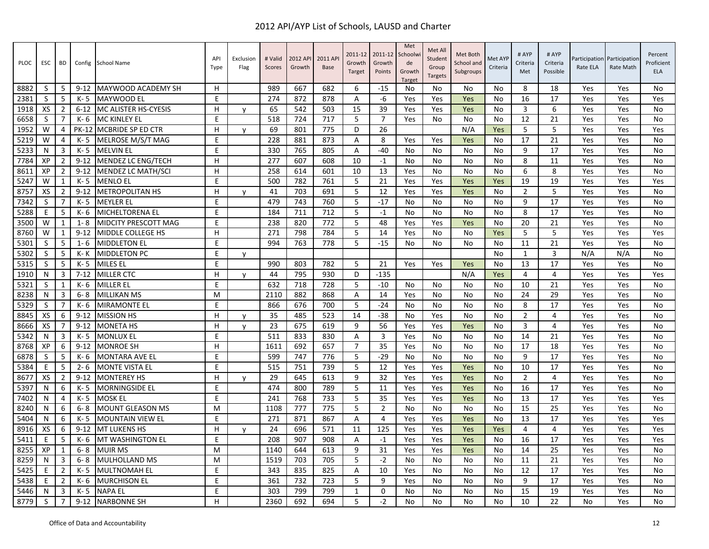| <b>PLOC</b> | <b>ESC</b> | <b>BD</b>      | Config   | <b>School Name</b>        | API<br>Type | Exclusion<br>Flag | # Valid<br><b>Scores</b> | 2012 AP<br>Growth | 2011 AP<br><b>Base</b> | 2011-12<br>Growth<br>Target | 2011-12<br>Growth<br>Points | Met<br>Schoolw<br>de<br>Growth<br>Target | Met All<br>Student<br>Group<br><b>Targets</b> | Met Both<br>School and<br>Subgroups | Met AYP<br>Criteria | # AYP<br>Criteria<br>Met | # AYP<br>Criteria<br>Possible | Rate ELA | Participation Participation<br>Rate Math | Percent<br>Proficient<br><b>ELA</b> |
|-------------|------------|----------------|----------|---------------------------|-------------|-------------------|--------------------------|-------------------|------------------------|-----------------------------|-----------------------------|------------------------------------------|-----------------------------------------------|-------------------------------------|---------------------|--------------------------|-------------------------------|----------|------------------------------------------|-------------------------------------|
| 8882        | S          | -5             | $9 - 12$ | MAYWOOD ACADEMY SH        | н           |                   | 989                      | 667               | 682                    | 6                           | $-15$                       | No                                       | No                                            | No                                  | No                  | 8                        | 18                            | Yes      | Yes                                      | No                                  |
| 2381        | S          | 5              | K-5      | <b>MAYWOOD EL</b>         | E           |                   | 274                      | 872               | 878                    | A                           | -6                          | Yes                                      | Yes                                           | Yes                                 | No                  | 16                       | 17                            | Yes      | Yes                                      | Yes                                 |
| 1918        | XS         | $\overline{2}$ | $6 - 12$ | MC ALISTER HS-CYESIS      | н           | $\mathsf{v}$      | 65                       | 542               | 503                    | 15                          | 39                          | Yes                                      | Yes                                           | Yes                                 | No                  | 3                        | 6                             | Yes      | Yes                                      | No                                  |
| 6658        | S          | 7              | K- 6     | MC KINLEY EL              | F           |                   | 518                      | 724               | 717                    | 5                           | $\overline{7}$              | Yes                                      | No                                            | No                                  | No                  | 12                       | 21                            | Yes      | Yes                                      | No                                  |
| 1952        | W          | 4              | PK-12    | MCBRIDE SP ED CTR         | H.          | v                 | 69                       | 801               | 775                    | D                           | 26                          |                                          |                                               | N/A                                 | Yes                 | 5                        | 5                             | Yes      | Yes                                      | Yes                                 |
| 5219        | W          | 4              | K-5      | MELROSE M/S/T MAG         | E           |                   | 228                      | 881               | 873                    | Α                           | 8                           | Yes                                      | Yes                                           | Yes                                 | No                  | 17                       | 21                            | Yes      | Yes                                      | No                                  |
| 5233        | N          | 3              | K-5      | <b>MELVIN EL</b>          | E           |                   | 330                      | 765               | 805                    | A                           | $-40$                       | No                                       | No                                            | No                                  | No                  | 9                        | 17                            | Yes      | Yes                                      | No                                  |
| 7784        | XP         | $\overline{2}$ | $9 - 12$ | MENDEZ LC ENG/TECH        | H           |                   | 277                      | 607               | 608                    | 10                          | $-1$                        | No                                       | No                                            | No                                  | No                  | 8                        | 11                            | Yes      | Yes                                      | No                                  |
| 8611        | XP         | 2              | $9 - 12$ | <b>MENDEZ LC MATH/SCI</b> | н           |                   | 258                      | 614               | 601                    | 10                          | 13                          | Yes                                      | No                                            | No                                  | No                  | 6                        | 8                             | Yes      | Yes                                      | No                                  |
| 5247        | W          | $\mathbf{1}$   | K-5      | MENLO EL                  | E           |                   | 500                      | 782               | 761                    | 5                           | 21                          | Yes                                      | Yes                                           | Yes                                 | Yes                 | 19                       | 19                            | Yes      | Yes                                      | Yes                                 |
| 8757        | XS         | $\overline{2}$ | $9 - 12$ | <b>METROPOLITAN HS</b>    | н           | v                 | 41                       | 703               | 691                    | 5                           | 12                          | Yes                                      | Yes                                           | Yes                                 | No                  | $\overline{2}$           | 5                             | Yes      | Yes                                      | No                                  |
| 7342        | S          | $\overline{7}$ | K-5      | <b>MEYLER EL</b>          | F           |                   | 479                      | 743               | 760                    | 5                           | $-17$                       | No                                       | No                                            | No                                  | No                  | 9                        | 17                            | Yes      | Yes                                      | No                                  |
| 5288        | E          | 5              | K- 6     | <b>MICHELTORENA EL</b>    | E           |                   | 184                      | 711               | 712                    | 5                           | $-1$                        | No                                       | No                                            | No                                  | No                  | 8                        | 17                            | Yes      | Yes                                      | No                                  |
| 3500        | W          | 1              | $1 - 8$  | MIDCITY PRESCOTT MAG      | E           |                   | 238                      | 820               | 772                    | 5                           | 48                          | Yes                                      | Yes                                           | Yes                                 | No                  | 20                       | 21                            | Yes      | Yes                                      | No                                  |
| 8760        | W          | $\mathbf{1}$   | $9 - 12$ | <b>MIDDLE COLLEGE HS</b>  | H           |                   | 271                      | 798               | 784                    | 5                           | 14                          | Yes                                      | No                                            | No                                  | Yes                 | 5                        | 5                             | Yes      | Yes                                      | Yes                                 |
| 5301        | S          | 5              | $1 - 6$  | <b>MIDDLETON EL</b>       | E           |                   | 994                      | 763               | 778                    | 5                           | $-15$                       | No                                       | No                                            | No                                  | No                  | 11                       | 21                            | Yes      | Yes                                      | No                                  |
| 5302        | S          | 5              | K- K     | MIDDLETON PC              | E           | V                 |                          |                   |                        |                             |                             |                                          |                                               |                                     | No                  | $\mathbf{1}$             | 3                             | N/A      | N/A                                      | No                                  |
| 5315        | S          | -5             | K-5      | <b>MILES EL</b>           | E           |                   | 990                      | 803               | 782                    | 5                           | 21                          | Yes                                      | Yes                                           | Yes                                 | No                  | 13                       | 17                            | Yes      | Yes                                      | No                                  |
| 1910        | N          | 3              | $7 - 12$ | <b>MILLER CTC</b>         | H.          | V                 | 44                       | 795               | 930                    | D                           | $-135$                      |                                          |                                               | N/A                                 | Yes                 | 4                        | 4                             | Yes      | Yes                                      | Yes                                 |
| 5321        | S          | $\mathbf{1}$   | K-6      | <b>MILLER EL</b>          | E           |                   | 632                      | 718               | 728                    | 5                           | $-10$                       | No                                       | No                                            | No                                  | No                  | 10                       | 21                            | Yes      | Yes                                      | No                                  |
| 8238        | N          | 3              | $6 - 8$  | <b>MILLIKAN MS</b>        | M           |                   | 2110                     | 882               | 868                    | A                           | 14                          | Yes                                      | No                                            | No                                  | No                  | 24                       | 29                            | Yes      | Yes                                      | No                                  |
| 5329        | S          | 7              | K- 6     | <b>MIRAMONTE EL</b>       | E           |                   | 866                      | 676               | 700                    | 5                           | -24                         | No                                       | No                                            | No                                  | No                  | 8                        | 17                            | Yes      | Yes                                      | No                                  |
| 8845        | XS         | 6              | $9 - 12$ | <b>MISSION HS</b>         | H           | v                 | 35                       | 485               | 523                    | 14                          | $-38$                       | No                                       | Yes                                           | No                                  | N <sub>0</sub>      | $\overline{2}$           | 4                             | Yes      | Yes                                      | No                                  |
| 8666        | XS         | $\overline{7}$ | $9 - 12$ | <b>MONETA HS</b>          | H           | y                 | 23                       | 675               | 619                    | 9                           | 56                          | Yes                                      | Yes                                           | Yes                                 | No                  | 3                        | 4                             | Yes      | Yes                                      | No                                  |
| 5342        | N          | 3              | K-5      | <b>MONLUX EL</b>          | E           |                   | 511                      | 833               | 830                    | Α                           | 3                           | Yes                                      | No                                            | No                                  | No                  | 14                       | 21                            | Yes      | Yes                                      | No                                  |
| 8768        | XP         | 6              | $9 - 12$ | <b>MONROE SH</b>          | H           |                   | 1611                     | 692               | 657                    | $\overline{7}$              | 35                          | Yes                                      | <b>No</b>                                     | No                                  | No                  | 17                       | 18                            | Yes      | Yes                                      | <b>No</b>                           |
| 6878        | S          | -5             | K- 6     | <b>MONTARA AVE EL</b>     | E           |                   | 599                      | 747               | 776                    | 5                           | $-29$                       | No                                       | No                                            | No                                  | No                  | 9                        | 17                            | Yes      | Yes                                      | No                                  |
| 5384        | E          | 5              | $2 - 6$  | <b>MONTE VISTA EL</b>     | E           |                   | 515                      | 751               | 739                    | 5                           | 12                          | Yes                                      | Yes                                           | Yes                                 | No                  | 10                       | 17                            | Yes      | Yes                                      | No                                  |
| 8677        | XS         | $\overline{2}$ | $9 - 12$ | <b>MONTEREY HS</b>        | H           | V                 | 29                       | 645               | 613                    | 9                           | 32                          | Yes                                      | Yes                                           | Yes                                 | No                  | $\overline{2}$           | 4                             | Yes      | Yes                                      | No                                  |
| 5397        | N          | 6              | K- 5     | <b>MORNINGSIDE EL</b>     | E           |                   | 474                      | 800               | 789                    | 5                           | 11                          | Yes                                      | Yes                                           | Yes                                 | No                  | 16                       | 17                            | Yes      | Yes                                      | No                                  |
| 7402        | N          | $\overline{4}$ | K-5      | <b>MOSK EL</b>            | E           |                   | 241                      | 768               | 733                    | 5                           | 35                          | Yes                                      | Yes                                           | Yes                                 | No                  | 13                       | 17                            | Yes      | Yes                                      | Yes                                 |
| 8240        | N          | 6              | $6 - 8$  | <b>MOUNT GLEASON MS</b>   | M           |                   | 1108                     | 777               | 775                    | 5                           | $\overline{2}$              | No                                       | <b>No</b>                                     | No                                  | No                  | 15                       | 25                            | Yes      | Yes                                      | No                                  |
| 5404        | N          | 6              | K- 5     | <b>MOUNTAIN VIEW EL</b>   | E           |                   | 271                      | 871               | 867                    | A                           | $\overline{4}$              | Yes                                      | Yes                                           | Yes                                 | No                  | 13                       | 17                            | Yes      | Yes                                      | Yes                                 |
| 8916        | XS         | 6              | $9 - 12$ | <b>MT LUKENS HS</b>       | H.          | V                 | 24                       | 696               | 571                    | 11                          | 125                         | Yes                                      | Yes                                           | Yes                                 | Yes                 | 4                        | 4                             | Yes      | Yes                                      | Yes                                 |
| 5411        | Ε          | -5             | K- 6     | MT WASHINGTON EL          | E           |                   | 208                      | 907               | 908                    | A                           | $-1$                        | Yes                                      | Yes                                           | Yes                                 | No                  | 16                       | 17                            | Yes      | Yes                                      | Yes                                 |
| 8255        | XP         | $\mathbf{1}$   | $6 - 8$  | MUIR MS                   | M           |                   | 1140                     | 644               | 613                    | 9                           | 31                          | Yes                                      | Yes                                           | Yes                                 | N <sub>0</sub>      | 14                       | 25                            | Yes      | Yes                                      | No                                  |
| 8259        | N          | 3              | $6 - 8$  | MULHOLLAND MS             | M           |                   | 1519                     | 703               | 705                    | 5                           | $-2$                        | No                                       | No                                            | No                                  | No                  | 11                       | 21                            | Yes      | Yes                                      | No                                  |
| 5425        | Ε          | 2              | K-5      | <b>MULTNOMAH EL</b>       | E           |                   | 343                      | 835               | 825                    | Α                           | 10                          | Yes                                      | No                                            | No                                  | No                  | 12                       | 17                            | Yes      | Yes                                      | No                                  |
| 5438        | Ε          | $\overline{2}$ | K- 6     | <b>MURCHISON EL</b>       | E           |                   | 361                      | 732               | 723                    | 5                           | 9                           | Yes                                      | No                                            | No                                  | No                  | 9                        | 17                            | Yes      | Yes                                      | No                                  |
| 5446        | N          | 3              | K-5      | <b>NAPA EL</b>            | E           |                   | 303                      | 799               | 799                    | 1                           | $\mathbf 0$                 | No                                       | No                                            | No                                  | No                  | 15                       | 19                            | Yes      | Yes                                      | No                                  |
| 8779        | S          | $\overline{7}$ | $9 - 12$ | <b>NARBONNE SH</b>        | H           |                   | 2360                     | 692               | 694                    | 5                           | $-2$                        | No                                       | No                                            | No                                  | No                  | 10                       | 22                            | No       | Yes                                      | No                                  |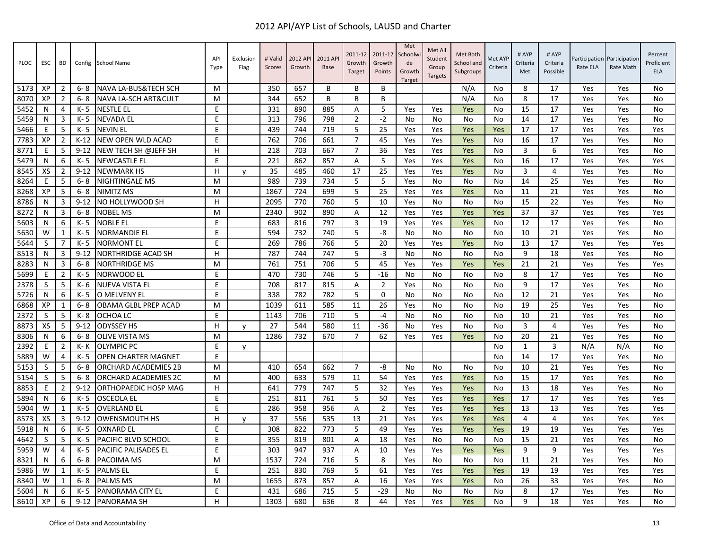| <b>PLOC</b> | <b>ESC</b>   | BD             | Config   | School Name                 | API<br>Type | Exclusion<br>Flag | # Valid<br>Scores | 2012 API<br>Growth | 2011 AP<br><b>Base</b> | 2011-12<br>Growth<br>Target | 2011-12<br>Growth<br>Points | Met<br>Schoolw<br>de<br>Growth<br><b>Target</b> | Met All<br>Student<br>Group<br><b>Targets</b> | Met Both<br>School and<br>Subgroups | Met AYP<br>Criteria | # AYP<br>Criteria<br>Met | # AYP<br>Criteria<br>Possible | Rate ELA | Participation Participation<br>Rate Math | Percent<br>Proficient<br><b>ELA</b> |
|-------------|--------------|----------------|----------|-----------------------------|-------------|-------------------|-------------------|--------------------|------------------------|-----------------------------|-----------------------------|-------------------------------------------------|-----------------------------------------------|-------------------------------------|---------------------|--------------------------|-------------------------------|----------|------------------------------------------|-------------------------------------|
| 5173        | XP           | $\overline{2}$ | $6 - 8$  | NAVA LA-BUS&TECH SCH        | M           |                   | 350               | 657                | B                      | B                           | B                           |                                                 |                                               | N/A                                 | No                  | 8                        | 17                            | Yes      | Yes                                      | No                                  |
| 8070        | XP           | $\overline{2}$ | $6 - 8$  | NAVA LA-SCH ART&CULT        | M           |                   | 344               | 652                | B                      | B                           | B                           |                                                 |                                               | N/A                                 | No                  | 8                        | 17                            | Yes      | Yes                                      | No                                  |
| 5452        | N            | $\overline{4}$ | $K - 5$  | <b>NESTLE EL</b>            | E           |                   | 331               | 890                | 885                    | Α                           | 5                           | Yes                                             | Yes                                           | Yes                                 | <b>No</b>           | 15                       | 17                            | Yes      | Yes                                      | No                                  |
| 5459        | N            | 3              | $K - 5$  | <b>NEVADA EL</b>            | E           |                   | 313               | 796                | 798                    | $\overline{2}$              | $-2$                        | No                                              | No                                            | No                                  | No                  | 14                       | 17                            | Yes      | Yes                                      | No                                  |
| 5466        | Ε            | -5             | $K - 5$  | <b>NEVIN EL</b>             | E           |                   | 439               | 744                | 719                    | 5                           | 25                          | Yes                                             | Yes                                           | Yes                                 | Yes                 | 17                       | 17                            | Yes      | Yes                                      | Yes                                 |
| 7783        | XP           | $\overline{2}$ | $K-12$   | NEW OPEN WLD ACAD           | E           |                   | 762               | 706                | 661                    | $\overline{7}$              | 45                          | Yes                                             | Yes                                           | Yes                                 | <b>No</b>           | 16                       | 17                            | Yes      | Yes                                      | <b>No</b>                           |
| 8771        | E            | 5              | $9 - 12$ | NEW TECH SH @JEFF SH        | H           |                   | 218               | 703                | 667                    | $\overline{7}$              | 36                          | Yes                                             | Yes                                           | Yes                                 | <b>No</b>           | 3                        | 6                             | Yes      | Yes                                      | No                                  |
| 5479        | N            | 6              | $K - 5$  | <b>NEWCASTLE EL</b>         | E           |                   | 221               | 862                | 857                    | A                           | 5                           | Yes                                             | Yes                                           | Yes                                 | No                  | 16                       | 17                            | Yes      | Yes                                      | Yes                                 |
| 8545        | XS           | $\overline{2}$ | $9 - 12$ | <b>NEWMARK HS</b>           | H           | $\mathsf{v}$      | 35                | 485                | 460                    | 17                          | 25                          | Yes                                             | Yes                                           | Yes                                 | No                  | 3                        | 4                             | Yes      | Yes                                      | No                                  |
| 8264        | F            | 5              | $6 - 8$  | <b>NIGHTINGALE MS</b>       | м           |                   | 989               | 739                | 734                    | 5                           | 5                           | Yes                                             | No                                            | No                                  | No                  | 14                       | 25                            | Yes      | Yes                                      | No                                  |
| 8268        | XP           | -5             | $6 - 8$  | <b>NIMITZ MS</b>            | M           |                   | 1867              | 724                | 699                    | 5                           | 25                          | Yes                                             | Yes                                           | Yes                                 | No                  | 11                       | 21                            | Yes      | Yes                                      | No                                  |
| 8786        | N            | 3              | $9 - 12$ | NO HOLLYWOOD SH             | H           |                   | 2095              | 770                | 760                    | 5                           | 10                          | Yes                                             | No                                            | No                                  | No                  | 15                       | 22                            | Yes      | Yes                                      | No                                  |
| 8272        | N            | $\overline{3}$ | $6 - 8$  | <b>NOBEL MS</b>             | м           |                   | 2340              | 902                | 890                    | $\overline{A}$              | 12                          | Yes                                             | Yes                                           | Yes                                 | Yes                 | 37                       | 37                            | Yes      | Yes                                      | Yes                                 |
| 5603        | N            | 6              | $K - 5$  | <b>NOBLE EL</b>             | E           |                   | 683               | 816                | 797                    | $\overline{\mathbf{3}}$     | 19                          | Yes                                             | Yes                                           | Yes                                 | No                  | 12                       | 17                            | Yes      | Yes                                      | No                                  |
| 5630        | W            | 1              | K- 5     | <b>NORMANDIE EL</b>         | E           |                   | 594               | 732                | 740                    | 5                           | -8                          | No                                              | No                                            | No                                  | No                  | 10                       | 21                            | Yes      | Yes                                      | No                                  |
| 5644        | <sub>S</sub> | $\overline{7}$ | $K - 5$  | <b>NORMONT EL</b>           | E           |                   | 269               | 786                | 766                    | 5                           | 20                          | Yes                                             | Yes                                           | Yes                                 | No                  | 13                       | 17                            | Yes      | Yes                                      | Yes                                 |
| 8513        | N            | 3              | $9 - 12$ | <b>NORTHRIDGE ACAD SH</b>   | H           |                   | 787               | 744                | 747                    | 5                           | $-3$                        | No                                              | No                                            | No                                  | No                  | 9                        | 18                            | Yes      | Yes                                      | No                                  |
| 8283        | N            | 3              | $6 - 8$  | <b>NORTHRIDGE MS</b>        | м           |                   | 761               | 751                | 706                    | 5                           | 45                          | Yes                                             | Yes                                           | Yes                                 | Yes                 | 21                       | 21                            | Yes      | Yes                                      | Yes                                 |
| 5699        | Ε            | $\overline{2}$ | K- 5     | NORWOOD EL                  | E           |                   | 470               | 730                | 746                    | 5                           | $-16$                       | No                                              | No                                            | No                                  | No                  | 8                        | 17                            | Yes      | Yes                                      | No                                  |
| 2378        | <sub>S</sub> | -5             | K- 6     | <b>NUEVA VISTA EL</b>       | E           |                   | 708               | 817                | 815                    | Α                           | $\overline{2}$              | Yes                                             | No                                            | No                                  | No                  | 9                        | 17                            | Yes      | Yes                                      | No                                  |
| 5726        | N            | 6              | $K - 5$  | O MELVENY EL                | E           |                   | 338               | 782                | 782                    | 5                           | $\Omega$                    | No                                              | No                                            | No                                  | <b>No</b>           | 12                       | 21                            | Yes      | Yes                                      | No                                  |
| 6868        | XP           | 1              | $6 - 8$  | OBAMA GLBL PREP ACAD        | M           |                   | 1039              | 611                | 585                    | 11                          | 26                          | Yes                                             | No                                            | No                                  | No                  | 19                       | 25                            | Yes      | Yes                                      | No                                  |
| 2372        | S            | 5              | K-8      | OCHOA LC                    | E           |                   | 1143              | 706                | 710                    | 5                           | $-4$                        | No                                              | No                                            | No                                  | No                  | 10                       | 21                            | Yes      | Yes                                      | No                                  |
| 8873        | XS           | -5             | $9 - 12$ | <b>ODYSSEY HS</b>           | H           | $\mathsf{v}$      | 27                | 544                | 580                    | 11                          | $-36$                       | No                                              | Yes                                           | No                                  | No                  | 3                        | 4                             | Yes      | Yes                                      | No                                  |
| 8306        | N            | 6              | $6 - 8$  | <b>OLIVE VISTA MS</b>       | M           |                   | 1286              | 732                | 670                    | $\overline{7}$              | 62                          | Yes                                             | Yes                                           | Yes                                 | No                  | 20                       | 21                            | Yes      | Yes                                      | No                                  |
| 2392        | E            | $\overline{2}$ | $K - K$  | <b>OLYMPIC PC</b>           | E           | y                 |                   |                    |                        |                             |                             |                                                 |                                               |                                     | <b>No</b>           | $\mathbf{1}$             | 3                             | N/A      | N/A                                      | No                                  |
| 5889        | W            | 4              | K- 5     | <b>OPEN CHARTER MAGNET</b>  | E           |                   |                   |                    |                        |                             |                             |                                                 |                                               |                                     | No                  | 14                       | 17                            | Yes      | Yes                                      | No                                  |
| 5153        | S            | -5             | $6 - 8$  | <b>ORCHARD ACADEMIES 2B</b> | M           |                   | 410               | 654                | 662                    | $\overline{7}$              | -8                          | No.                                             | No                                            | No                                  | No                  | 10                       | 21                            | Yes      | Yes                                      | No                                  |
| 5154        | S            | -5             | $6 - 8$  | <b>ORCHARD ACADEMIES 2C</b> | M           |                   | 400               | 633                | 579                    | 11                          | 54                          | Yes                                             | Yes                                           | Yes                                 | <b>No</b>           | 15                       | 17                            | Yes      | Yes                                      | No                                  |
| 8853        | E            | $\overline{2}$ | $9 - 12$ | ORTHOPAEDIC HOSP MAG        | H           |                   | 641               | 779                | 747                    | 5                           | 32                          | Yes                                             | Yes                                           | Yes                                 | <b>No</b>           | 13                       | 18                            | Yes      | Yes                                      | No                                  |
| 5894        | N            | 6              | K- 5     | <b>OSCEOLA EL</b>           | E           |                   | 251               | 811                | 761                    | 5                           | 50                          | Yes                                             | Yes                                           | Yes                                 | Yes                 | 17                       | 17                            | Yes      | Yes                                      | Yes                                 |
| 5904        | W            | 1              | $K - 5$  | <b>OVERLAND EL</b>          | E           |                   | 286               | 958                | 956                    | A                           | $\overline{2}$              | Yes                                             | Yes                                           | Yes                                 | Yes                 | 13                       | 13                            | Yes      | Yes                                      | Yes                                 |
| 8573        | XS           | 3              | $9 - 12$ | <b>OWENSMOUTH HS</b>        | H           | <b>V</b>          | 37                | 556                | 535                    | 13                          | 21                          | Yes                                             | Yes                                           | Yes                                 | Yes                 | $\overline{4}$           | 4                             | Yes      | Yes                                      | Yes                                 |
| 5918        | N            | 6              | $K - 5$  | <b>OXNARD EL</b>            | F           |                   | 308               | 822                | 773                    | 5                           | 49                          | Yes                                             | Yes                                           | Yes                                 | Yes                 | 19                       | 19                            | Yes      | Yes                                      | Yes                                 |
| 4642        | S            | -5             | $K - 5$  | <b>PACIFIC BLVD SCHOOL</b>  | E           |                   | 355               | 819                | 801                    | A                           | 18                          | Yes                                             | No                                            | No                                  | No                  | 15                       | 21                            | Yes      | Yes                                      | No                                  |
| 5959        | W            | $\overline{4}$ | K-5      | <b>PACIFIC PALISADES EL</b> | F           |                   | 303               | 947                | 937                    | $\overline{A}$              | 10                          | Yes                                             | Yes                                           | Yes                                 | Yes                 | 9                        | 9                             | Yes      | Yes                                      | Yes                                 |
| 8321        | N            | 6              | $6 - 8$  | PACOIMA MS                  | M           |                   | 1537              | 724                | 716                    | 5                           | 8                           | Yes                                             | No                                            | No                                  | No                  | 11                       | 21                            | Yes      | Yes                                      | No                                  |
| 5986        | W            | $\mathbf{1}$   | K-5      | <b>PALMS EL</b>             | E           |                   | 251               | 830                | 769                    | 5                           | 61                          | Yes                                             | Yes                                           | Yes                                 | Yes                 | 19                       | 19                            | Yes      | Yes                                      | Yes                                 |
| 8340        | W            | 1              | $6 - 8$  | <b>PALMS MS</b>             | м           |                   | 1655              | 873                | 857                    | A                           | 16                          | Yes                                             | Yes                                           | Yes                                 | No                  | 26                       | 33                            | Yes      | Yes                                      | No                                  |
| 5604        | N            | 6              | $K - 5$  | PANORAMA CITY EL            | E           |                   | 431               | 686                | 715                    | 5                           | $-29$                       | No                                              | No                                            | No                                  | No                  | 8                        | 17                            | Yes      | Yes                                      | No                                  |
| 8610        | XP           | 6              | $9 - 12$ | <b>PANORAMA SH</b>          | H.          |                   | 1303              | 680                | 636                    | 8                           | 44                          | Yes                                             | Yes                                           | Yes                                 | No                  | 9                        | 18                            | Yes      | Yes                                      | No                                  |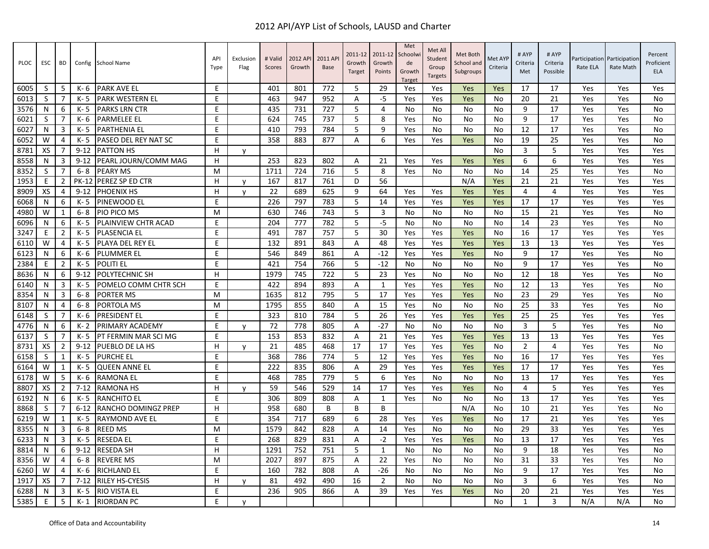| PLOC | ESC | <b>BD</b>      |              | Config School Name          | API<br>Type | Exclusion<br>Flag | # Valid<br>Scores | 2012 AP<br>Growth | 2011 AP<br><b>Base</b> | 2011-12<br>Growth<br>Target | 2011-12<br>Growth<br>Points | Met<br>Schoolw<br>de<br>Growth<br><b>Target</b> | Met All<br>Student<br>Group<br><b>Targets</b> | Met Both<br>School and<br>Subgroups | Met AYP<br>Criteria | # AYP<br>Criteria<br>Met | # AYP<br>Criteria<br>Possible | Participation<br>Rate ELA | Participation<br>Rate Math | Percent<br>Proficient<br><b>ELA</b> |
|------|-----|----------------|--------------|-----------------------------|-------------|-------------------|-------------------|-------------------|------------------------|-----------------------------|-----------------------------|-------------------------------------------------|-----------------------------------------------|-------------------------------------|---------------------|--------------------------|-------------------------------|---------------------------|----------------------------|-------------------------------------|
| 6005 | S   | 5              | K- 6         | <b>PARK AVE EL</b>          | Ε           |                   | 401               | 801               | 772                    | 5                           | 29                          | Yes                                             | Yes                                           | Yes                                 | Yes                 | 17                       | 17                            | Yes                       | Yes                        | Yes                                 |
| 6013 | S   | $\overline{7}$ | K-5          | PARK WESTERN EL             | E           |                   | 463               | 947               | 952                    | A                           | -5                          | Yes                                             | Yes                                           | Yes                                 | No                  | 20                       | 21                            | Yes                       | Yes                        | <b>No</b>                           |
| 3576 | N   | 6              | K-5          | <b>PARKS LRN CTR</b>        | E           |                   | 435               | 731               | 727                    | 5                           | $\overline{4}$              | No                                              | No                                            | No                                  | No                  | 9                        | 17                            | Yes                       | Yes                        | <b>No</b>                           |
| 6021 | S   | 7              | K- 6         | <b>PARMELEE EL</b>          | E           |                   | 624               | 745               | 737                    | 5                           | 8                           | Yes                                             | No                                            | No                                  | No                  | 9                        | 17                            | Yes                       | Yes                        | No                                  |
| 6027 | N   | 3              | K-5          | <b>PARTHENIA EL</b>         | E           |                   | 410               | 793               | 784                    | 5                           | 9                           | Yes                                             | No                                            | No                                  | No                  | 12                       | 17                            | Yes                       | Yes                        | <b>No</b>                           |
| 6052 | W   | 4              | K-5          | <b>PASEO DEL REY NAT SC</b> | Ε           |                   | 358               | 883               | 877                    | A                           | 6                           | Yes                                             | Yes                                           | Yes                                 | No                  | 19                       | 25                            | Yes                       | Yes                        | <b>No</b>                           |
| 8781 | XS  |                | $9 - 12$     | <b>PATTON HS</b>            | H           | y                 |                   |                   |                        |                             |                             |                                                 |                                               |                                     | No.                 | 3                        | 5                             | Yes                       | Yes                        | Yes                                 |
| 8558 | N   | 3              | $9 - 12$     | PEARL JOURN/COMM MAG        | H           |                   | 253               | 823               | 802                    | A                           | 21                          | Yes                                             | Yes                                           | Yes                                 | Yes                 | 6                        | 6                             | Yes                       | Yes                        | Yes                                 |
| 8352 | S   | $\overline{7}$ | $6 - 8$      | <b>PEARY MS</b>             | м           |                   | 1711              | 724               | 716                    | 5                           | 8                           | Yes                                             | No                                            | No                                  | No                  | 14                       | 25                            | Yes                       | Yes                        | No                                  |
| 1953 | E   | $\overline{2}$ | <b>PK-12</b> | PEREZ SP ED CTR             | H           | y                 | 167               | 817               | 761                    | D                           | 56                          |                                                 |                                               | N/A                                 | Yes                 | 21                       | 21                            | Yes                       | Yes                        | Yes                                 |
| 8909 | XS  | 4              | $9 - 12$     | PHOENIX HS                  | H           | v                 | 22                | 689               | 625                    | 9                           | 64                          | Yes                                             | Yes                                           | Yes                                 | Yes                 | 4                        | 4                             | Yes                       | Yes                        | Yes                                 |
| 6068 | N   | 6              | K-5          | PINEWOOD EL                 | E           |                   | 226               | 797               | 783                    | 5                           | 14                          | Yes                                             | Yes                                           | Yes                                 | Yes                 | 17                       | 17                            | Yes                       | Yes                        | Yes                                 |
| 4980 | W   | $\mathbf{1}$   | $6 - 8$      | PIO PICO MS                 | M           |                   | 630               | 746               | 743                    | 5                           | 3                           | <b>No</b>                                       | No.                                           | No                                  | <b>No</b>           | 15                       | 21                            | Yes                       | Yes                        | <b>No</b>                           |
| 6096 | N   | 6              | K-5          | PLAINVIEW CHTR ACAD         | E           |                   | 204               | 777               | 782                    | 5                           | $-5$                        | No                                              | No                                            | No                                  | No                  | 14                       | 23                            | Yes                       | Yes                        | No                                  |
| 3247 | Ε   | 2              | K-5          | <b>PLASENCIA EL</b>         | E           |                   | 491               | 787               | 757                    | 5                           | 30                          | Yes                                             | Yes                                           | Yes                                 | No                  | 16                       | 17                            | Yes                       | Yes                        | Yes                                 |
| 6110 | W   | 4              | $K - 5$      | PLAYA DEL REY EL            | E           |                   | 132               | 891               | 843                    | A                           | 48                          | Yes                                             | Yes                                           | Yes                                 | Yes                 | 13                       | 13                            | Yes                       | Yes                        | Yes                                 |
| 6123 | N   | 6              | K-6          | PLUMMER EL                  | E           |                   | 546               | 849               | 861                    | Α                           | $-12$                       | Yes                                             | Yes                                           | Yes                                 | No                  | 9                        | 17                            | Yes                       | Yes                        | No                                  |
| 2384 | E   | $\overline{2}$ | K-5          | <b>POLITI EL</b>            | E           |                   | 421               | 754               | 766                    | 5                           | $-12$                       | <b>No</b>                                       | N <sub>0</sub>                                | No                                  | <b>No</b>           | 9                        | 17                            | Yes                       | Yes                        | <b>No</b>                           |
| 8636 | N   | 6              | $9 - 12$     | POLYTECHNIC SH              | н           |                   | 1979              | 745               | 722                    | 5                           | 23                          | Yes                                             | No                                            | No                                  | No.                 | 12                       | 18                            | Yes                       | Yes                        | No                                  |
| 6140 | N   | 3              | K-5          | POMELO COMM CHTR SCH        | E           |                   | 422               | 894               | 893                    | Α                           | $\mathbf{1}$                | Yes                                             | Yes                                           | Yes                                 | No                  | 12                       | 13                            | Yes                       | Yes                        | <b>No</b>                           |
| 8354 | N   | 3              | $6 - 8$      | <b>PORTER MS</b>            | M           |                   | 1635              | 812               | 795                    | 5                           | 17                          | Yes                                             | Yes                                           | Yes                                 | No                  | 23                       | 29                            | Yes                       | Yes                        | <b>No</b>                           |
| 8107 | N   | 4              | $6 - 8$      | PORTOLA MS                  | M           |                   | 1795              | 855               | 840                    | Α                           | 15                          | Yes                                             | No                                            | No                                  | No                  | 25                       | 33                            | Yes                       | Yes                        | No                                  |
| 6148 | S   | 7              | $K - 6$      | <b>PRESIDENT EL</b>         | E           |                   | 323               | 810               | 784                    | 5                           | 26                          | Yes                                             | Yes                                           | Yes                                 | Yes                 | 25                       | 25                            | Yes                       | Yes                        | Yes                                 |
| 4776 | N   | 6              | $K - 2$      | PRIMARY ACADEMY             | E           | $\mathsf{V}$      | 72                | 778               | 805                    | A                           | $-27$                       | No                                              | No                                            | No                                  | No                  | 3                        | 5                             | Yes                       | Yes                        | <b>No</b>                           |
| 6137 | S   | $\overline{7}$ | K- 5         | PT FERMIN MAR SCI MG        | E           |                   | 153               | 853               | 832                    | A                           | 21                          | Yes                                             | Yes                                           | Yes                                 | Yes                 | 13                       | 13                            | Yes                       | Yes                        | Yes                                 |
| 8731 | XS  | $\overline{2}$ | $9 - 12$     | PUEBLO DE LA HS             | H           | $\mathsf{v}$      | 21                | 485               | 468                    | 17                          | 17                          | Yes                                             | Yes                                           | Yes                                 | <b>No</b>           | $\overline{2}$           | 4                             | Yes                       | Yes                        | <b>No</b>                           |
| 6158 | S   | 1              | K-5          | <b>PURCHE EL</b>            | E           |                   | 368               | 786               | 774                    | 5                           | 12                          | Yes                                             | Yes                                           | Yes                                 | No                  | 16                       | 17                            | Yes                       | Yes                        | Yes                                 |
| 6164 | W   | 1              | K- 5         | <b>QUEEN ANNE EL</b>        | E           |                   | 222               | 835               | 806                    | Α                           | 29                          | Yes                                             | Yes                                           | Yes                                 | Yes                 | 17                       | 17                            | Yes                       | Yes                        | Yes                                 |
| 6178 | W   | 5              | K- 6         | <b>RAMONA EL</b>            | E           |                   | 468               | 785               | 779                    | 5                           | 6                           | Yes                                             | No                                            | No                                  | No                  | 13                       | 17                            | Yes                       | Yes                        | Yes                                 |
| 8807 | XS  | $\overline{2}$ | $7 - 12$     | <b>RAMONA HS</b>            | H           | v                 | 59                | 546               | 529                    | 14                          | 17                          | Yes                                             | Yes                                           | Yes                                 | No                  | 4                        | 5                             | Yes                       | Yes                        | Yes                                 |
| 6192 | N   | 6              | K-5          | <b>RANCHITO EL</b>          | E           |                   | 306               | 809               | 808                    | Α                           | $\mathbf{1}$                | Yes                                             | No                                            | No                                  | No                  | 13                       | 17                            | Yes                       | Yes                        | Yes                                 |
| 8868 | S   | 7              | $6 - 12$     | RANCHO DOMINGZ PREP         | H           |                   | 958               | 680               | B                      | B                           | B                           |                                                 |                                               | N/A                                 | No                  | 10                       | 21                            | Yes                       | Yes                        | <b>No</b>                           |
| 6219 | W   | 1              | K- 5         | RAYMOND AVE EL              | Ε           |                   | 354               | 717               | 689                    | 6                           | 28                          | Yes                                             | Yes                                           | Yes                                 | No                  | 17                       | 21                            | Yes                       | Yes                        | Yes                                 |
| 8355 | N   | 3              | $6 - 8$      | <b>REED MS</b>              | M           |                   | 1579              | 842               | 828                    | A                           | 14                          | Yes                                             | No                                            | No                                  | No                  | 29                       | 33                            | Yes                       | Yes                        | Yes                                 |
| 6233 | N   | 3              | $K - 5$      | <b>RESEDA EL</b>            | E           |                   | 268               | 829               | 831                    | A                           | $-2$                        | Yes                                             | Yes                                           | Yes                                 | No                  | 13                       | 17                            | Yes                       | Yes                        | Yes                                 |
| 8814 | N   | 6              | $9 - 12$     | <b>RESEDA SH</b>            | н           |                   | 1291              | 752               | 751                    | 5                           | $\mathbf{1}$                | No                                              | No                                            | No                                  | No                  | 9                        | 18                            | Yes                       | Yes                        | No                                  |
| 8356 | W   | 4              | $6 - 8$      | <b>REVERE MS</b>            | M           |                   | 2027              | 897               | 875                    | A                           | 22                          | Yes                                             | No                                            | No                                  | No                  | 31                       | 33                            | Yes                       | Yes                        | <b>No</b>                           |
| 6260 | W   | 4              | K- 6         | <b>RICHLAND EL</b>          | Ε           |                   | 160               | 782               | 808                    | Α                           | $-26$                       | No                                              | No                                            | No                                  | No                  | 9                        | 17                            | Yes                       | Yes                        | <b>No</b>                           |
| 1917 | XS  |                | $7 - 12$     | <b>RILEY HS-CYESIS</b>      | H           | y                 | 81                | 492               | 490                    | 16                          | $\overline{2}$              | No                                              | No                                            | No                                  | No                  | 3                        | 6                             | Yes                       | Yes                        | <b>No</b>                           |
| 6288 | N   | 3              | $K - 5$      | <b>RIO VISTA EL</b>         | E           |                   | 236               | 905               | 866                    | A                           | 39                          | Yes                                             | Yes                                           | Yes                                 | No                  | 20                       | 21                            | Yes                       | Yes                        | Yes                                 |
| 5385 | Ε   | 5              | $K-1$        | <b>RIORDAN PC</b>           | E           | y                 |                   |                   |                        |                             |                             |                                                 |                                               |                                     | No                  | 1                        | 3                             | N/A                       | N/A                        | <b>No</b>                           |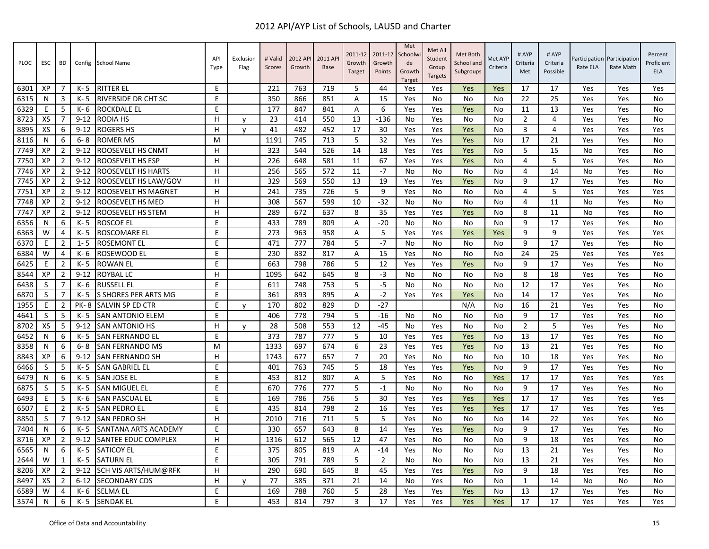| <b>PLOC</b> | <b>ESC</b>   | BD             | Config      | <b>School Name</b>          | <b>API</b><br>Type | Exclusion<br>Flag | # Valid<br>Scores | 2012 API<br>Growth | 2011 AP<br><b>Base</b> | 2011-12<br>Growth<br>Target | 2011-12<br>Growth<br>Points | Met<br>Schoolw<br>de<br>Growth<br><b>Target</b> | Met All<br>Student<br>Group<br><b>Targets</b> | Met Both<br>School and<br>Subgroups | Met AYP<br>Criteria | # AYP<br>Criteria<br>Met | # AYP<br>Criteria<br>Possible | Rate ELA | Participation Participation<br>Rate Math | Percent<br>Proficient<br><b>ELA</b> |
|-------------|--------------|----------------|-------------|-----------------------------|--------------------|-------------------|-------------------|--------------------|------------------------|-----------------------------|-----------------------------|-------------------------------------------------|-----------------------------------------------|-------------------------------------|---------------------|--------------------------|-------------------------------|----------|------------------------------------------|-------------------------------------|
| 6301        | XP           | 7              | $K - 5$     | <b>RITTER EL</b>            | E                  |                   | 221               | 763                | 719                    | -5                          | 44                          | Yes                                             | Yes                                           | Yes                                 | Yes                 | 17                       | 17                            | Yes      | Yes                                      | Yes                                 |
| 6315        | N            | 3              | K- 5        | <b>RIVERSIDE DR CHT SC</b>  | E                  |                   | 350               | 866                | 851                    | Α                           | 15                          | Yes                                             | No                                            | No                                  | No                  | 22                       | 25                            | Yes      | Yes                                      | No                                  |
| 6329        | E            | 5              | $K - 6$     | <b>ROCKDALE EL</b>          | E                  |                   | 177               | 847                | 841                    | Α                           | 6                           | Yes                                             | Yes                                           | Yes                                 | <b>No</b>           | 11                       | 13                            | Yes      | Yes                                      | No                                  |
| 8723        | XS           | -7             | $9 - 12$    | RODIA HS                    | H                  | $\mathsf{v}$      | 23                | 414                | 550                    | 13                          | $-136$                      | No                                              | Yes                                           | No                                  | No                  | $\overline{2}$           | 4                             | Yes      | Yes                                      | No                                  |
| 8895        | <b>XS</b>    | 6              | $9 - 12$    | ROGERS HS                   | H                  | $\mathsf{v}$      | 41                | 482                | 452                    | 17                          | 30                          | Yes                                             | Yes                                           | Yes                                 | No                  | 3                        | 4                             | Yes      | Yes                                      | Yes                                 |
| 8116        | N            | 6              | $6 - 8$     | <b>ROMER MS</b>             | M                  |                   | 1191              | 745                | 713                    | 5                           | 32                          | Yes                                             | Yes                                           | Yes                                 | <b>No</b>           | 17                       | 21                            | Yes      | Yes                                      | No                                  |
| 7749        | XP           | $\overline{2}$ | $9 - 12$    | ROOSEVELT HS CNMT           | H                  |                   | 323               | 544                | 526                    | 14                          | 18                          | Yes                                             | Yes                                           | Yes                                 | No                  | 5                        | 15                            | No       | Yes                                      | No                                  |
| 7750        | XP           | $\overline{2}$ | $9 - 12$    | ROOSEVELT HS ESP            | H                  |                   | 226               | 648                | 581                    | 11                          | 67                          | Yes                                             | Yes                                           | Yes                                 | No                  | 4                        | 5                             | Yes      | Yes                                      | No                                  |
| 7746        | XP           | $\overline{2}$ | $9 - 12$    | ROOSEVELT HS HARTS          | н                  |                   | 256               | 565                | 572                    | 11                          | $-7$                        | No                                              | No                                            | No                                  | No                  | 4                        | 14                            | No       | Yes                                      | No                                  |
| 7745        | XP           | $\overline{2}$ | $9 - 12$    | ROOSEVELT HS LAW/GOV        | н                  |                   | 329               | 569                | 550                    | 13                          | 19                          | Yes                                             | Yes                                           | Yes                                 | No                  | 9                        | 17                            | Yes      | Yes                                      | No                                  |
| 7751        | XP           | $\overline{2}$ | $9 - 12$    | ROOSEVELT HS MAGNET         | H                  |                   | 241               | 735                | 726                    | 5                           | 9                           | Yes                                             | No                                            | No                                  | No                  | $\overline{4}$           | 5                             | Yes      | Yes                                      | Yes                                 |
| 7748        | XP           | $\overline{2}$ | $9 - 12$    | ROOSEVELT HS MED            | H                  |                   | 308               | 567                | 599                    | 10                          | $-32$                       | No                                              | No                                            | No                                  | No                  | 4                        | 11                            | No       | Yes                                      | No                                  |
| 7747        | XP           | $\overline{2}$ | $9 - 12$    | ROOSEVELT HS STEM           | н                  |                   | 289               | 672                | 637                    | 8                           | 35                          | Yes                                             | Yes                                           | Yes                                 | N <sub>0</sub>      | 8                        | 11                            | No       | Yes                                      | <b>No</b>                           |
| 6356        | N            | 6              | $K - 5$     | <b>ROSCOE EL</b>            | Ε                  |                   | 433               | 789                | 809                    | Α                           | $-20$                       | No                                              | No                                            | No                                  | No                  | 9                        | 17                            | Yes      | Yes                                      | No                                  |
| 6363        | W            | 4              | K- 5        | ROSCOMARE EL                | E                  |                   | 273               | 963                | 958                    | Α                           | 5                           | Yes                                             | Yes                                           | Yes                                 | Yes                 | 9                        | 9                             | Yes      | Yes                                      | Yes                                 |
| 6370        | E            | $\overline{2}$ | $1 - 5$     | <b>ROSEMONT EL</b>          | E                  |                   | 471               | 777                | 784                    | 5                           | $-7$                        | No                                              | No                                            | No                                  | No                  | 9                        | 17                            | Yes      | Yes                                      | No                                  |
| 6384        | W            | $\overline{4}$ | $K - 6$     | <b>ROSEWOOD EL</b>          | E                  |                   | 230               | 832                | 817                    | A                           | 15                          | Yes                                             | No                                            | No                                  | No                  | 24                       | 25                            | Yes      | Yes                                      | Yes                                 |
| 6425        | E            | $\overline{2}$ | $K - 5$     | <b>ROWAN EL</b>             | E                  |                   | 663               | 798                | 786                    | 5                           | 12                          | Yes                                             | Yes                                           | Yes                                 | <b>No</b>           | 9                        | 17                            | Yes      | Yes                                      | No                                  |
| 8544        | XP           | $\overline{2}$ | $9 - 12$    | ROYBAL LC                   | H                  |                   | 1095              | 642                | 645                    | 8                           | -3                          | No                                              | No                                            | No                                  | No                  | 8                        | 18                            | Yes      | Yes                                      | No                                  |
| 6438        | S            | 7              | $K - 6$     | <b>RUSSELL EL</b>           | E                  |                   | 611               | 748                | 753                    | 5                           | $-5$                        | No                                              | No                                            | No                                  | No                  | 12                       | 17                            | Yes      | Yes                                      | No                                  |
| 6870        | S            | $\overline{7}$ | $K - 5$     | S SHORES PER ARTS MG        | E                  |                   | 361               | 893                | 895                    | A                           | $-2$                        | Yes                                             | Yes                                           | Yes                                 | <b>No</b>           | 14                       | 17                            | Yes      | Yes                                      | No                                  |
| 1955        | E            | $\overline{2}$ | <b>PK-8</b> | <b>SALVIN SP ED CTR</b>     | E                  | y                 | 170               | 802                | 829                    | D                           | $-27$                       |                                                 |                                               | N/A                                 | No                  | 16                       | 21                            | Yes      | Yes                                      | No                                  |
| 4641        | S            | 5              | K- 5        | <b>SAN ANTONIO ELEM</b>     | E                  |                   | 406               | 778                | 794                    | 5                           | $-16$                       | No.                                             | No                                            | No                                  | No                  | 9                        | 17                            | Yes      | Yes                                      | No                                  |
| 8702        | XS           | -5             | $9 - 12$    | <b>SAN ANTONIO HS</b>       | H                  | y                 | 28                | 508                | 553                    | 12                          | $-45$                       | No                                              | Yes                                           | No                                  | No                  | $\overline{2}$           | 5                             | Yes      | Yes                                      | No                                  |
| 6452        | N            | 6              | $K - 5$     | SAN FERNANDO EL             | E                  |                   | 373               | 787                | 777                    | 5                           | 10                          | Yes                                             | Yes                                           | Yes                                 | No                  | 13                       | 17                            | Yes      | Yes                                      | No                                  |
| 8358        | N            | 6              | $6 - 8$     | <b>SAN FERNANDO MS</b>      | м                  |                   | 1333              | 697                | 674                    | 6                           | 23                          | Yes                                             | Yes                                           | Yes                                 | <b>No</b>           | 13                       | 21                            | Yes      | Yes                                      | No                                  |
| 8843        | XP           | 6              | $9 - 12$    | SAN FERNANDO SH             | н                  |                   | 1743              | 677                | 657                    | $\overline{7}$              | 20                          | Yes                                             | No                                            | No                                  | No                  | 10                       | 18                            | Yes      | Yes                                      | No                                  |
| 6466        | <sub>S</sub> | -5             | $K - 5$     | <b>SAN GABRIEL EL</b>       | E                  |                   | 401               | 763                | 745                    | 5                           | 18                          | Yes                                             | Yes                                           | Yes                                 | No                  | 9                        | 17                            | Yes      | Yes                                      | No                                  |
| 6479        | N            | 6              | $K - 5$     | <b>SAN JOSE EL</b>          | E                  |                   | 453               | 812                | 807                    | A                           | 5                           | Yes                                             | <b>No</b>                                     | No                                  | Yes                 | 17                       | 17                            | Yes      | Yes                                      | Yes                                 |
| 6875        | S            | 5              | $K - 5$     | <b>SAN MIGUEL EL</b>        | F                  |                   | 670               | 776                | 777                    | 5                           | $-1$                        | No                                              | No                                            | No                                  | No                  | 9                        | 17                            | Yes      | Yes                                      | No                                  |
| 6493        | E            | -5             | K- 6        | <b>SAN PASCUAL EL</b>       | E                  |                   | 169               | 786                | 756                    | 5                           | 30                          | Yes                                             | Yes                                           | Yes                                 | Yes                 | 17                       | 17                            | Yes      | Yes                                      | Yes                                 |
| 6507        | Е            | $\overline{2}$ | $K - 5$     | <b>SAN PEDRO EL</b>         | E                  |                   | 435               | 814                | 798                    | $\overline{2}$              | 16                          | Yes                                             | Yes                                           | Yes                                 | Yes                 | 17                       | 17                            | Yes      | Yes                                      | Yes                                 |
| 8850        | S            | 7              | $9 - 12$    | SAN PEDRO SH                | H                  |                   | 2010              | 716                | 711                    | 5                           | 5                           | Yes                                             | No                                            | No                                  | No                  | 14                       | 22                            | Yes      | Yes                                      | No                                  |
| 7404        | N            | 6              | $K - 5$     | SANTANA ARTS ACADEMY        | E                  |                   | 330               | 657                | 643                    | 8                           | 14                          | Yes                                             | Yes                                           | Yes                                 | <b>No</b>           | 9                        | 17                            | Yes      | Yes                                      | No                                  |
| 8716        | XP           | $\overline{2}$ | $9 - 12$    | <b>SANTEE EDUC COMPLEX</b>  | H                  |                   | 1316              | 612                | 565                    | 12                          | 47                          | Yes                                             | No                                            | No                                  | No                  | 9                        | 18                            | Yes      | Yes                                      | No                                  |
| 6565        | N            | 6              | K- 5        | <b>SATICOY EL</b>           | E                  |                   | 375               | 805                | 819                    | Α                           | $-14$                       | Yes                                             | No                                            | No                                  | No                  | 13                       | 21                            | Yes      | Yes                                      | No                                  |
| 2644        | W            | 1              | K-5         | <b>SATURN EL</b>            | E                  |                   | 305               | 791                | 789                    | 5                           | $\overline{2}$              | No                                              | No                                            | No                                  | No                  | 13                       | 21                            | Yes      | Yes                                      | No                                  |
| 8206        | XP           | $\overline{2}$ | $9 - 12$    | <b>SCH VIS ARTS/HUM@RFK</b> | H                  |                   | 290               | 690                | 645                    | 8                           | 45                          | Yes                                             | Yes                                           | Yes                                 | No                  | 9                        | 18                            | Yes      | Yes                                      | No                                  |
| 8497        | XS           | $\overline{2}$ | $6 - 12$    | <b>SECONDARY CDS</b>        | H                  | y                 | 77                | 385                | 371                    | 21                          | 14                          | No                                              | Yes                                           | No                                  | No                  | $\mathbf{1}$             | 14                            | No       | No                                       | No                                  |
| 6589        | W            | $\overline{4}$ | $K - 6$     | <b>SELMA EL</b>             | E                  |                   | 169               | 788                | 760                    | 5                           | 28                          | Yes                                             | Yes                                           | Yes                                 | No                  | 13                       | 17                            | Yes      | Yes                                      | No                                  |
| 3574        | N            | 6              | K-5         | <b>SENDAK EL</b>            | E.                 |                   | 453               | 814                | 797                    | 3                           | 17                          | Yes                                             | Yes                                           | Yes                                 | Yes                 | 17                       | 17                            | Yes      | Yes                                      | Yes                                 |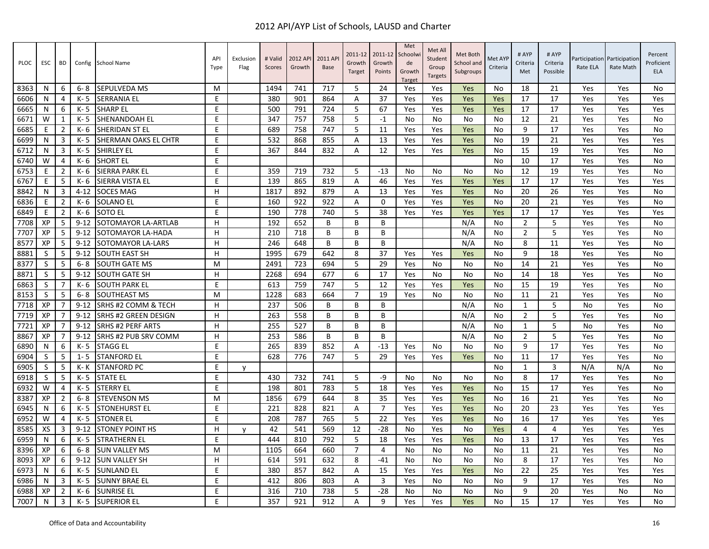| PLOC | ESC | BD             |          | Config School Name          | API<br>Type | Exclusion<br>Flag | # Valid<br>Scores | 2012 API<br>Growth | 2011 AP<br><b>Base</b> | 2011-12<br>Growth<br>Target | 2011-12<br>Growth<br>Points | Met<br>Schoolwi<br>de<br>Growth<br><b>Target</b> | Met All<br>Student<br>Group<br><b>Targets</b> | Met Both<br>School and<br>Subgroups | Met AYP<br>Criteria | # AYP<br>Criteria<br>Met | # AYP<br>Criteria<br>Possible | Rate ELA | Participation Participation<br>Rate Math | Percent<br>Proficient<br><b>ELA</b> |
|------|-----|----------------|----------|-----------------------------|-------------|-------------------|-------------------|--------------------|------------------------|-----------------------------|-----------------------------|--------------------------------------------------|-----------------------------------------------|-------------------------------------|---------------------|--------------------------|-------------------------------|----------|------------------------------------------|-------------------------------------|
| 8363 | N   | 6              | 6-8      | SEPULVEDA MS                | м           |                   | 1494              | 741                | 717                    | 5                           | 24                          | Yes                                              | Yes                                           | Yes                                 | No                  | 18                       | 21                            | Yes      | Yes                                      | No                                  |
| 6606 | N   | 4              | K-5      | <b>SERRANIA EL</b>          | E           |                   | 380               | 901                | 864                    | A                           | 37                          | Yes                                              | Yes                                           | Yes                                 | Yes                 | 17                       | 17                            | Yes      | Yes                                      | Yes                                 |
| 6665 | N   | 6              | K- 5     | <b>SHARP EL</b>             | E           |                   | 500               | 791                | 724                    | 5                           | 67                          | Yes                                              | Yes                                           | Yes                                 | Yes                 | 17                       | 17                            | Yes      | Yes                                      | Yes                                 |
| 6671 | W   | $\mathbf{1}$   | K-5      | SHENANDOAH EL               | E           |                   | 347               | 757                | 758                    | 5                           | $-1$                        | No                                               | No                                            | No                                  | No                  | 12                       | 21                            | Yes      | Yes                                      | No                                  |
| 6685 | E   | $\overline{2}$ | $K - 6$  | SHERIDAN ST EL              | E           |                   | 689               | 758                | 747                    | 5                           | 11                          | Yes                                              | Yes                                           | Yes                                 | No                  | 9                        | 17                            | Yes      | Yes                                      | No                                  |
| 6699 | N   | 3              | K- 5     | <b>SHERMAN OAKS EL CHTR</b> | E           |                   | 532               | 868                | 855                    | Α                           | 13                          | Yes                                              | Yes                                           | Yes                                 | No                  | 19                       | 21                            | Yes      | Yes                                      | Yes                                 |
| 6712 | N   | 3              | K-5      | <b>SHIRLEY EL</b>           | E           |                   | 367               | 844                | 832                    | A                           | 12                          | Yes                                              | Yes                                           | Yes                                 | No                  | 15                       | 19                            | Yes      | Yes                                      | No                                  |
| 6740 | W   | 4              | K-6      | <b>SHORT EL</b>             | E           |                   |                   |                    |                        |                             |                             |                                                  |                                               |                                     | No                  | 10                       | 17                            | Yes      | Yes                                      | No                                  |
| 6753 | Ε   | $\overline{2}$ | K- 6     | SIERRA PARK EL              | $\sf E$     |                   | 359               | 719                | 732                    | 5                           | $-13$                       | No                                               | No                                            | No                                  | No                  | 12                       | 19                            | Yes      | Yes                                      | No                                  |
| 6767 | E   | 5              | K- 6     | SIERRA VISTA EL             | E           |                   | 139               | 865                | 819                    | A                           | 46                          | Yes                                              | Yes                                           | Yes                                 | Yes                 | 17                       | 17                            | Yes      | Yes                                      | Yes                                 |
| 8842 | N   | 3              | $4 - 12$ | <b>SOCES MAG</b>            | H           |                   | 1817              | 892                | 879                    | Α                           | 13                          | Yes                                              | Yes                                           | Yes                                 | No                  | 20                       | 26                            | Yes      | Yes                                      | No                                  |
| 6836 | E   | $\overline{2}$ | K- 6     | <b>SOLANO EL</b>            | E           |                   | 160               | 922                | 922                    | A                           | $\Omega$                    | Yes                                              | Yes                                           | Yes                                 | <b>No</b>           | 20                       | 21                            | Yes      | Yes                                      | No                                  |
| 6849 | E   | $\overline{2}$ | K-6      | <b>SOTO EL</b>              | E           |                   | 190               | 778                | 740                    | 5                           | 38                          | Yes                                              | Yes                                           | Yes                                 | Yes                 | 17                       | 17                            | Yes      | Yes                                      | Yes                                 |
| 7708 | XP  | 5              | $9 - 12$ | SOTOMAYOR LA-ARTLAB         | H           |                   | 192               | 652                | B                      | $\overline{B}$              | B                           |                                                  |                                               | N/A                                 | No                  | $\overline{2}$           | 5                             | Yes      | Yes                                      | No                                  |
| 7707 | XP  | 5              | $9 - 12$ | SOTOMAYOR LA-HADA           | H           |                   | 210               | 718                | B                      | B                           | B                           |                                                  |                                               | N/A                                 | No                  | $\overline{2}$           | 5                             | Yes      | Yes                                      | No                                  |
| 8577 | XP  | 5              | $9 - 12$ | SOTOMAYOR LA-LARS           | H           |                   | 246               | 648                | B                      | B                           | B                           |                                                  |                                               | N/A                                 | No                  | 8                        | 11                            | Yes      | Yes                                      | No                                  |
| 8881 | S   | 5              | $9 - 12$ | <b>SOUTH EAST SH</b>        | H           |                   | 1995              | 679                | 642                    | 8                           | 37                          | Yes                                              | Yes                                           | Yes                                 | No                  | 9                        | 18                            | Yes      | Yes                                      | No                                  |
| 8377 | S   | 5              | $6 - 8$  | <b>SOUTH GATE MS</b>        | M           |                   | 2491              | 723                | 694                    | 5                           | 29                          | Yes                                              | No                                            | No                                  | <b>No</b>           | 14                       | 21                            | Yes      | Yes                                      | No                                  |
| 8871 | S   | 5              | $9 - 12$ | <b>SOUTH GATE SH</b>        | н           |                   | 2268              | 694                | 677                    | 6                           | 17                          | Yes                                              | No                                            | No                                  | No                  | 14                       | 18                            | Yes      | Yes                                      | No                                  |
| 6863 | S   | 7              | $K - 6$  | <b>SOUTH PARK EL</b>        | F           |                   | 613               | 759                | 747                    | 5                           | 12                          | Yes                                              | Yes                                           | Yes                                 | No                  | 15                       | 19                            | Yes      | Yes                                      | No                                  |
| 8153 | S   | 5              | $6 - 8$  | SOUTHEAST MS                | м           |                   | 1228              | 683                | 664                    | $\overline{7}$              | 19                          | Yes                                              | No                                            | No                                  | No                  | 11                       | 21                            | Yes      | Yes                                      | No                                  |
| 7718 | XP  | 7              | $9 - 12$ | SRHS #2 COMM & TECH         | H           |                   | 237               | 506                | B                      | B                           | B                           |                                                  |                                               | N/A                                 | No                  | 1                        | 5                             | No       | Yes                                      | No                                  |
| 7719 | XP  | 7              | $9 - 12$ | <b>SRHS #2 GREEN DESIGN</b> | H           |                   | 263               | 558                | B                      | B                           | B                           |                                                  |                                               | N/A                                 | No                  | $\overline{2}$           | 5                             | Yes      | Yes                                      | <b>No</b>                           |
| 7721 | XP  | 7              | $9 - 12$ | SRHS #2 PERF ARTS           | н           |                   | 255               | 527                | B                      | B                           | B                           |                                                  |                                               | N/A                                 | No                  | 1                        | 5                             | No       | Yes                                      | No                                  |
| 8867 | XP  | 7              | $9 - 12$ | SRHS #2 PUB SRV COMM        | H           |                   | 253               | 586                | B                      | B                           | B                           |                                                  |                                               | N/A                                 | No                  | 2                        | 5                             | Yes      | Yes                                      | No                                  |
| 6890 | N   | 6              | K-5      | <b>STAGG EL</b>             | E           |                   | 265               | 839                | 852                    | A                           | $-13$                       | Yes                                              | No                                            | No                                  | No                  | 9                        | 17                            | Yes      | Yes                                      | No                                  |
| 6904 | S   | 5              | $1 - 5$  | <b>STANFORD EL</b>          | F           |                   | 628               | 776                | 747                    | 5                           | 29                          | Yes                                              | Yes                                           | Yes                                 | No                  | 11                       | 17                            | Yes      | Yes                                      | No                                  |
| 6905 | S   | 5              | K- K     | <b>STANFORD PC</b>          | E           | y                 |                   |                    |                        |                             |                             |                                                  |                                               |                                     | <b>No</b>           | 1                        | 3                             | N/A      | N/A                                      | No                                  |
| 6918 | S   | 5              | K- 5     | <b>STATE EL</b>             | E           |                   | 430               | 732                | 741                    | 5                           | $-9$                        | No                                               | No                                            | No                                  | No                  | 8                        | 17                            | Yes      | Yes                                      | No                                  |
| 6932 | W   | 4              | K- 5     | <b>STERRY EL</b>            | E           |                   | 198               | 801                | 783                    | 5                           | 18                          | Yes                                              | Yes                                           | Yes                                 | No                  | 15                       | 17                            | Yes      | Yes                                      | No                                  |
| 8387 | XP  | $\overline{2}$ | $6 - 8$  | <b>STEVENSON MS</b>         | M           |                   | 1856              | 679                | 644                    | 8                           | 35                          | Yes                                              | Yes                                           | Yes                                 | No                  | 16                       | 21                            | Yes      | Yes                                      | No                                  |
| 6945 | N   | 6              | K- 5     | <b>STONEHURST EL</b>        | E           |                   | 221               | 828                | 821                    | Α                           | $\overline{7}$              | Yes                                              | Yes                                           | Yes                                 | No                  | 20                       | 23                            | Yes      | Yes                                      | Yes                                 |
| 6952 | W   | 4              | K- 5     | STONER EL                   | E           |                   | 208               | 787                | 765                    | 5                           | 22                          | Yes                                              | Yes                                           | Yes                                 | No                  | 16                       | 17                            | Yes      | Yes                                      | Yes                                 |
| 8585 | XS  | 3              | $9 - 12$ | <b>STONEY POINT HS</b>      | H           | V                 | 42                | 541                | 569                    | 12                          | $-28$                       | No                                               | Yes                                           | No                                  | Yes                 | 4                        | 4                             | Yes      | Yes                                      | Yes                                 |
| 6959 | N   | 6              | K-5      | <b>STRATHERN EL</b>         | E           |                   | 444               | 810                | 792                    | 5                           | 18                          | Yes                                              | Yes                                           | Yes                                 | No                  | 13                       | 17                            | Yes      | Yes                                      | Yes                                 |
| 8396 | XP  | 6              | $6 - 8$  | <b>SUN VALLEY MS</b>        | м           |                   | 1105              | 664                | 660                    | $\overline{7}$              | $\overline{4}$              | <b>No</b>                                        | No                                            | No                                  | No                  | 11                       | 21                            | Yes      | Yes                                      | No                                  |
| 8093 | XP  | 6              | $9 - 12$ | <b>SUN VALLEY SH</b>        | H           |                   | 614               | 591                | 632                    | 8                           | $-41$                       | No                                               | No                                            | No                                  | No                  | 8                        | 17                            | Yes      | Yes                                      | No                                  |
| 6973 | N   | 6              | K- 5     | <b>SUNLAND EL</b>           | E           |                   | 380               | 857                | 842                    | Α                           | 15                          | Yes                                              | Yes                                           | Yes                                 | No                  | 22                       | 25                            | Yes      | Yes                                      | Yes                                 |
| 6986 | N   | 3              | K-5      | <b>SUNNY BRAE EL</b>        | E           |                   | 412               | 806                | 803                    | A                           | 3                           | Yes                                              | No                                            | No                                  | No                  | 9                        | 17                            | Yes      | Yes                                      | No                                  |
| 6988 | XP  | 2              | K- 6     | <b>SUNRISE EL</b>           | E           |                   | 316               | 710                | 738                    | 5                           | $-28$                       | No                                               | No                                            | No                                  | No                  | 9                        | 20                            | Yes      | No                                       | No                                  |
| 7007 | N   | 3              | K- 5     | <b>SUPERIOR EL</b>          | E           |                   | 357               | 921                | 912                    | Α                           | 9                           | Yes                                              | Yes                                           | Yes                                 | No                  | 15                       | 17                            | Yes      | Yes                                      | No                                  |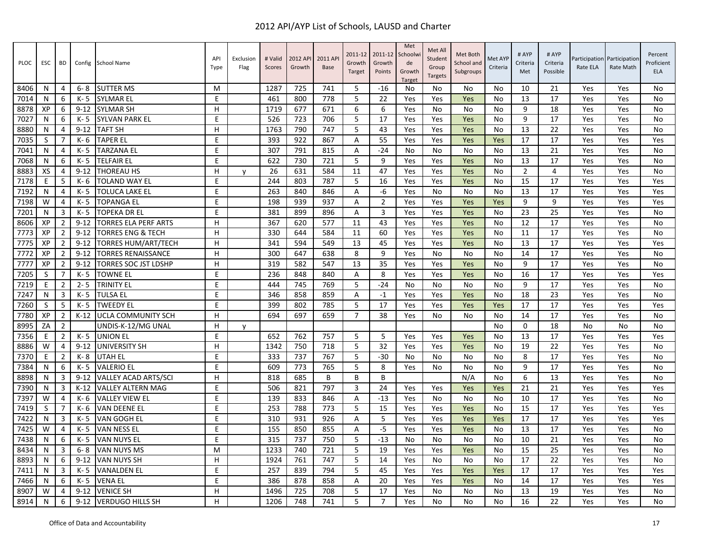| PLOC | <b>ESC</b> | <b>BD</b>      | Config   | <b>School Name</b>          | API<br>Type | Exclusion<br>Flag | # Valid<br>Scores | 2012 API<br>Growth | 2011 AP<br><b>Base</b> | 2011-12<br>Growth<br>Target | 2011-12<br>Growth<br>Points | Met<br>Schoolwi<br>de<br>Growth<br><b>Target</b> | Met All<br>Student<br>Group<br><b>Targets</b> | Met Both<br>School and<br>Subgroups | Met AYF<br>Criteria | # AYP<br>Criteria<br>Met | # AYP<br>Criteria<br>Possible | Rate ELA | Participation Participation<br>Rate Math | Percent<br>Proficient<br><b>ELA</b> |
|------|------------|----------------|----------|-----------------------------|-------------|-------------------|-------------------|--------------------|------------------------|-----------------------------|-----------------------------|--------------------------------------------------|-----------------------------------------------|-------------------------------------|---------------------|--------------------------|-------------------------------|----------|------------------------------------------|-------------------------------------|
| 8406 | N          | 4              | $6 - 8$  | <b>SUTTER MS</b>            | м           |                   | 1287              | 725                | 741                    | -5                          | $-16$                       | No                                               | No                                            | No                                  | No                  | 10                       | 21                            | Yes      | Yes                                      | No                                  |
| 7014 | N          | 6              | K-5      | <b>SYLMAR EL</b>            | E           |                   | 461               | 800                | 778                    | 5                           | 22                          | Yes                                              | Yes                                           | Yes                                 | No                  | 13                       | 17                            | Yes      | Yes                                      | No                                  |
| 8878 | XP         | 6              | $9 - 12$ | <b>SYLMAR SH</b>            | н           |                   | 1719              | 677                | 671                    | 6                           | 6                           | Yes                                              | No                                            | No                                  | No                  | 9                        | 18                            | Yes      | Yes                                      | No                                  |
| 7027 | N          | 6              | K- 5     | <b>SYLVAN PARK EL</b>       | E           |                   | 526               | 723                | 706                    | 5                           | 17                          | Yes                                              | Yes                                           | Yes                                 | No                  | 9                        | 17                            | Yes      | Yes                                      | No                                  |
| 8880 | N          | 4              | $9 - 12$ | <b>TAFT SH</b>              | H           |                   | 1763              | 790                | 747                    | 5                           | 43                          | Yes                                              | Yes                                           | Yes                                 | No                  | 13                       | 22                            | Yes      | Yes                                      | No                                  |
| 7035 | S          | 7              | K- 6     | <b>TAPER EL</b>             | E           |                   | 393               | 922                | 867                    | A                           | 55                          | Yes                                              | Yes                                           | Yes                                 | Yes                 | 17                       | 17                            | Yes      | Yes                                      | Yes                                 |
| 7041 | N          | 4              | K-5      | <b>TARZANA EL</b>           | E           |                   | 307               | 791                | 815                    | $\overline{A}$              | $-24$                       | No                                               | No                                            | No                                  | No                  | 13                       | 21                            | Yes      | Yes                                      | No                                  |
| 7068 | N          | 6              | K-5      | <b>TELFAIR EL</b>           | E           |                   | 622               | 730                | 721                    | 5                           | 9                           | Yes                                              | Yes                                           | Yes                                 | No                  | 13                       | 17                            | Yes      | Yes                                      | No                                  |
| 8883 | XS         | 4              | $9 - 12$ | <b>THOREAU HS</b>           | H           | $\mathsf{v}$      | 26                | 631                | 584                    | 11                          | 47                          | Yes                                              | Yes                                           | Yes                                 | No                  | 2                        | 4                             | Yes      | Yes                                      | No                                  |
| 7178 | E          | 5              | K- 6     | TOLAND WAY EL               | E           |                   | 244               | 803                | 787                    | 5                           | 16                          | Yes                                              | Yes                                           | Yes                                 | No                  | 15                       | 17                            | Yes      | Yes                                      | Yes                                 |
| 7192 | N          | 4              | K-5      | <b>TOLUCA LAKE EL</b>       | E           |                   | 263               | 840                | 846                    | A                           | $-6$                        | Yes                                              | No                                            | No                                  | No                  | 13                       | 17                            | Yes      | Yes                                      | Yes                                 |
| 7198 | W          | 4              | K-5      | TOPANGA EL                  | E           |                   | 198               | 939                | 937                    | Α                           | $\overline{2}$              | Yes                                              | Yes                                           | Yes                                 | Yes                 | 9                        | 9                             | Yes      | Yes                                      | Yes                                 |
| 7201 | N          | 3              | K-5      | <b>TOPEKA DR EL</b>         | E           |                   | 381               | 899                | 896                    | A                           | 3                           | Yes                                              | Yes                                           | Yes                                 | No                  | 23                       | 25                            | Yes      | Yes                                      | <b>No</b>                           |
| 8606 | XP         | 2              | $9 - 12$ | <b>TORRES ELA PERF ARTS</b> | H           |                   | 367               | 620                | 577                    | 11                          | 43                          | Yes                                              | Yes                                           | Yes                                 | No                  | 12                       | 17                            | Yes      | Yes                                      | No                                  |
| 7773 | XP         | $\overline{2}$ | $9 - 12$ | TORRES ENG & TECH           | H           |                   | 330               | 644                | 584                    | 11                          | 60                          | Yes                                              | Yes                                           | Yes                                 | No                  | 11                       | 17                            | Yes      | Yes                                      | No                                  |
| 7775 | XP         | $\overline{2}$ | $9 - 12$ | TORRES HUM/ART/TECH         | H           |                   | 341               | 594                | 549                    | 13                          | 45                          | Yes                                              | Yes                                           | Yes                                 | No                  | 13                       | 17                            | Yes      | Yes                                      | Yes                                 |
| 7772 | XP         | $\overline{2}$ | $9 - 12$ | <b>TORRES RENAISSANCE</b>   | H           |                   | 300               | 647                | 638                    | 8                           | 9                           | Yes                                              | No                                            | No                                  | No                  | 14                       | 17                            | Yes      | Yes                                      | No                                  |
| 7777 | XP         | $\overline{2}$ | $9 - 12$ | <b>TORRES SOC JST LDSHP</b> | H           |                   | 319               | 582                | 547                    | 13                          | 35                          | Yes                                              | Yes                                           | Yes                                 | No                  | 9                        | 17                            | Yes      | Yes                                      | No                                  |
| 7205 | S          | $\overline{7}$ | K- 5     | <b>TOWNE EL</b>             | E           |                   | 236               | 848                | 840                    | A                           | 8                           | Yes                                              | Yes                                           | Yes                                 | No                  | 16                       | 17                            | Yes      | Yes                                      | Yes                                 |
| 7219 | E          | $\overline{2}$ | $2 - 5$  | <b>TRINITY EL</b>           | E           |                   | 444               | 745                | 769                    | 5                           | $-24$                       | No                                               | No                                            | No                                  | No                  | 9                        | 17                            | Yes      | Yes                                      | No                                  |
| 7247 | N          | 3              | K-5      | <b>TULSA EL</b>             | E           |                   | 346               | 858                | 859                    | Α                           | $-1$                        | Yes                                              | Yes                                           | Yes                                 | <b>No</b>           | 18                       | 23                            | Yes      | Yes                                      | No                                  |
| 7260 | S          | 5              | K- 5     | <b>TWEEDY EL</b>            | E           |                   | 399               | 802                | 785                    | 5                           | 17                          | Yes                                              | Yes                                           | Yes                                 | Yes                 | 17                       | 17                            | Yes      | Yes                                      | Yes                                 |
| 7780 | XP         | $\overline{2}$ | $K-12$   | <b>UCLA COMMUNITY SCH</b>   | H           |                   | 694               | 697                | 659                    | $\overline{7}$              | 38                          | Yes                                              | No                                            | No                                  | No                  | 14                       | 17                            | Yes      | Yes                                      | No                                  |
| 8995 | ZA         | $\overline{2}$ |          | UNDIS-K-12/MG UNAL          | н           | V                 |                   |                    |                        |                             |                             |                                                  |                                               |                                     | No                  | $\Omega$                 | 18                            | No       | No                                       | No                                  |
| 7356 | Ε          | $\overline{2}$ | K- 5     | <b>UNION EL</b>             | E           |                   | 652               | 762                | 757                    | 5                           | 5                           | Yes                                              | Yes                                           | Yes                                 | No                  | 13                       | 17                            | Yes      | Yes                                      | Yes                                 |
| 8886 | W          | 4              | $9 - 12$ | <b>UNIVERSITY SH</b>        | H           |                   | 1342              | 750                | 718                    | 5                           | 32                          | Yes                                              | Yes                                           | Yes                                 | No                  | 19                       | 22                            | Yes      | Yes                                      | <b>No</b>                           |
| 7370 | E          | $\overline{2}$ | $K - 8$  | UTAH EL                     | E           |                   | 333               | 737                | 767                    | 5                           | $-30$                       | No                                               | No                                            | No                                  | No                  | 8                        | 17                            | Yes      | Yes                                      | No                                  |
| 7384 | N          | 6              | K-5      | <b>VALERIO EL</b>           | E           |                   | 609               | 773                | 765                    | 5                           | 8                           | Yes                                              | No                                            | No                                  | No                  | 9                        | 17                            | Yes      | Yes                                      | No                                  |
| 8898 | N          | 3              | $9 - 12$ | <b>VALLEY ACAD ARTS/SCI</b> | H           |                   | 818               | 685                | B                      | B                           | B                           |                                                  |                                               | N/A                                 | No                  | 6                        | 13                            | Yes      | Yes                                      | No                                  |
| 7390 | N          | 3              | $K-12$   | <b>VALLEY ALTERN MAG</b>    | E           |                   | 506               | 821                | 797                    | $\overline{3}$              | 24                          | Yes                                              | Yes                                           | Yes                                 | Yes                 | 21                       | 21                            | Yes      | Yes                                      | Yes                                 |
| 7397 | W          | 4              | K- 6     | <b>VALLEY VIEW EL</b>       | E           |                   | 139               | 833                | 846                    | Α                           | $-13$                       | Yes                                              | No                                            | No                                  | No                  | 10                       | 17                            | Yes      | Yes                                      | No                                  |
| 7419 | -S         | 7              | K- 6     | <b>VAN DEENE EL</b>         | E           |                   | 253               | 788                | 773                    | 5                           | 15                          | Yes                                              | Yes                                           | Yes                                 | No                  | 15                       | 17                            | Yes      | Yes                                      | Yes                                 |
| 7422 | N          | 3              | K- 5     | VAN GOGH EL                 | E           |                   | 310               | 931                | 926                    | Α                           | 5                           | Yes                                              | Yes                                           | Yes                                 | Yes                 | 17                       | 17                            | Yes      | Yes                                      | Yes                                 |
| 7425 | W          | 4              | K-5      | <b>VAN NESS EL</b>          | E           |                   | 155               | 850                | 855                    | A                           | $-5$                        | Yes                                              | Yes                                           | Yes                                 | No                  | 13                       | 17                            | Yes      | Yes                                      | No                                  |
| 7438 | N          | 6              | K-5      | <b>VAN NUYS EL</b>          | E           |                   | 315               | 737                | 750                    | 5                           | $-13$                       | No                                               | No                                            | No                                  | No                  | 10                       | 21                            | Yes      | Yes                                      | No                                  |
| 8434 | N          | 3              | $6 - 8$  | <b>VAN NUYS MS</b>          | м           |                   | 1233              | 740                | 721                    | 5                           | 19                          | Yes                                              | Yes                                           | Yes                                 | No                  | 15                       | 25                            | Yes      | Yes                                      | No                                  |
| 8893 | N          | 6              | $9 - 12$ | <b>VAN NUYS SH</b>          | H           |                   | 1924              | 761                | 747                    | 5                           | 14                          | Yes                                              | No                                            | No                                  | No                  | 17                       | 22                            | Yes      | Yes                                      | No                                  |
| 7411 | N          | 3              | K- 5     | <b>VANALDEN EL</b>          | E           |                   | 257               | 839                | 794                    | 5                           | 45                          | Yes                                              | Yes                                           | Yes                                 | Yes                 | 17                       | 17                            | Yes      | Yes                                      | Yes                                 |
| 7466 | N          | 6              | K-5      | <b>VENA EL</b>              | E           |                   | 386               | 878                | 858                    | A                           | 20                          | Yes                                              | Yes                                           | Yes                                 | No                  | 14                       | 17                            | Yes      | Yes                                      | Yes                                 |
| 8907 | W          | 4              | $9 - 12$ | <b>VENICE SH</b>            | H           |                   | 1496              | 725                | 708                    | 5                           | 17                          | Yes                                              | No                                            | No                                  | No                  | 13                       | 19                            | Yes      | Yes                                      | No                                  |
| 8914 | N          | 6              | $9 - 12$ | <b>VERDUGO HILLS SH</b>     | H           |                   | 1206              | 748                | 741                    | 5                           | $\overline{7}$              | Yes                                              | No                                            | No                                  | No                  | 16                       | 22                            | Yes      | Yes                                      | No                                  |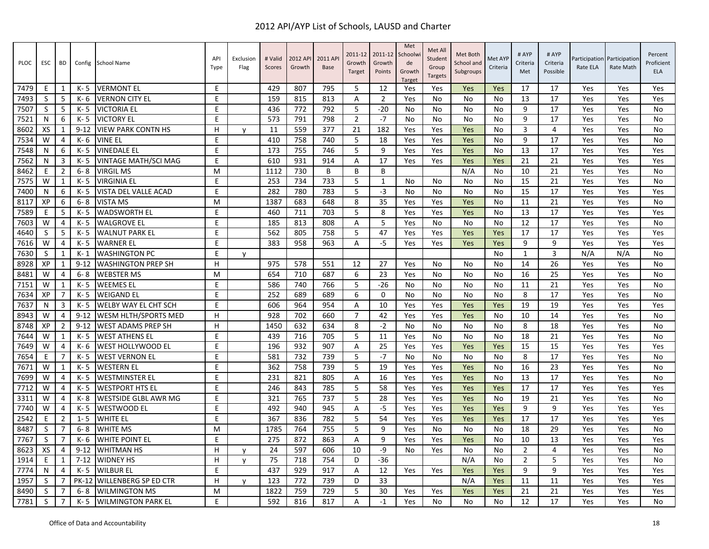| <b>PLOC</b> | <b>ESC</b>   | <b>BD</b>      | Config       | <b>School Name</b>          | API<br>Type | Exclusion<br>Flag | # Valid<br>Scores | 2012 API<br>Growth | 2011 AP<br><b>Base</b> | 2011-12<br>Growth<br>Target | 2011-12<br>Growth<br>Points | Met<br>Schoolw<br>de<br>Growth<br>Target | Met All<br>Student<br>Group<br><b>Targets</b> | Met Both<br>School and<br>Subgroups | Met AYF<br>Criteria | # AYP<br>Criteria<br>Met | # AYP<br>Criteria<br>Possible | Participation<br>Rate ELA | Participation<br>Rate Math | Percent<br>Proficient<br>ELA |
|-------------|--------------|----------------|--------------|-----------------------------|-------------|-------------------|-------------------|--------------------|------------------------|-----------------------------|-----------------------------|------------------------------------------|-----------------------------------------------|-------------------------------------|---------------------|--------------------------|-------------------------------|---------------------------|----------------------------|------------------------------|
| 7479        | E.           | 1              | K- 5         | <b>VERMONT EL</b>           | E           |                   | 429               | 807                | 795                    | -5                          | 12                          | Yes                                      | Yes                                           | Yes                                 | Yes                 | 17                       | 17                            | Yes                       | Yes                        | Yes                          |
| 7493        | S            | 5              | K- 6         | <b>VERNON CITY EL</b>       | E           |                   | 159               | 815                | 813                    | A                           | $\overline{2}$              | Yes                                      | No                                            | No                                  | No                  | 13                       | 17                            | Yes                       | Yes                        | Yes                          |
| 7507        | S            | 5              | $K - 5$      | <b>VICTORIA EL</b>          | E           |                   | 436               | 772                | 792                    | 5                           | $-20$                       | No                                       | No                                            | No                                  | No                  | 9                        | 17                            | Yes                       | Yes                        | <b>No</b>                    |
| 7521        | N            | 6              | K- 5         | <b>VICTORY EL</b>           | E           |                   | 573               | 791                | 798                    | $\mathbf 2$                 | $-7$                        | No                                       | No                                            | No                                  | No                  | 9                        | 17                            | Yes                       | Yes                        | No                           |
| 8602        | XS           | 1              | $9 - 12$     | <b>VIEW PARK CONTN HS</b>   | H           | v                 | 11                | 559                | 377                    | 21                          | 182                         | Yes                                      | Yes                                           | Yes                                 | No                  | 3                        | 4                             | Yes                       | Yes                        | <b>No</b>                    |
| 7534        | W            | 4              | K- 6         | <b>VINE EL</b>              | E           |                   | 410               | 758                | 740                    | 5                           | 18                          | Yes                                      | Yes                                           | Yes                                 | No                  | 9                        | 17                            | Yes                       | Yes                        | <b>No</b>                    |
| 7548        | N            | 6              | K-5          | <b>VINEDALE EL</b>          | E           |                   | 173               | 755                | 746                    | 5                           | 9                           | Yes                                      | Yes                                           | Yes                                 | No                  | 13                       | 17                            | Yes                       | Yes                        | Yes                          |
| 7562        | N            | 3              | $K - 5$      | VINTAGE MATH/SCI MAG        | E.          |                   | 610               | 931                | 914                    | A                           | 17                          | Yes                                      | Yes                                           | Yes                                 | Yes                 | 21                       | 21                            | Yes                       | Yes                        | Yes                          |
| 8462        | F            | $\overline{2}$ | 6-8          | <b>VIRGIL MS</b>            | M           |                   | 1112              | 730                | B                      | B                           | B                           |                                          |                                               | N/A                                 | No                  | 10                       | 21                            | Yes                       | Yes                        | No                           |
| 7575        | W            | $\mathbf{1}$   | K-5          | VIRGINIA EL                 | E           |                   | 253               | 734                | 733                    | 5                           | $\mathbf{1}$                | No.                                      | No                                            | No                                  | No                  | 15                       | 21                            | Yes                       | Yes                        | No                           |
| 7400        | N            | 6              | $K - 5$      | VISTA DEL VALLE ACAD        | E           |                   | 282               | 780                | 783                    | 5                           | $-3$                        | No                                       | No                                            | No                                  | No                  | 15                       | 17                            | Yes                       | Yes                        | Yes                          |
| 8117        | XP           | 6              | $6 - 8$      | <b>VISTA MS</b>             | M           |                   | 1387              | 683                | 648                    | 8                           | 35                          | Yes                                      | Yes                                           | Yes                                 | No                  | 11                       | 21                            | Yes                       | Yes                        | <b>No</b>                    |
| 7589        | E            | 5              | $K - 5$      | <b>WADSWORTH EL</b>         | E           |                   | 460               | 711                | 703                    | 5                           | 8                           | Yes                                      | Yes                                           | Yes                                 | <b>No</b>           | 13                       | 17                            | Yes                       | Yes                        | Yes                          |
| 7603        | W            | 4              | K- 5         | <b>WALGROVE EL</b>          | $\mathsf E$ |                   | 185               | 813                | 808                    | Α                           | 5                           | Yes                                      | No                                            | No                                  | No                  | 12                       | 17                            | Yes                       | Yes                        | No                           |
| 4640        | S            | 5              | $K - 5$      | <b>WALNUT PARK EL</b>       | E           |                   | 562               | 805                | 758                    | 5                           | 47                          | Yes                                      | Yes                                           | Yes                                 | Yes                 | 17                       | 17                            | Yes                       | Yes                        | Yes                          |
| 7616        | W            | $\overline{4}$ | $K - 5$      | <b>WARNER EL</b>            | E           |                   | 383               | 958                | 963                    | A                           | $-5$                        | Yes                                      | Yes                                           | Yes                                 | Yes                 | 9                        | 9                             | Yes                       | Yes                        | Yes                          |
| 7630        | S            | 1              | $K-1$        | <b>WASHINGTON PC</b>        | E           | ۷                 |                   |                    |                        |                             |                             |                                          |                                               |                                     | No                  | 1                        | 3                             | N/A                       | N/A                        | No                           |
| 8928        | XP           | 1              | $9 - 12$     | <b>WASHINGTON PREP SH</b>   | H           |                   | 975               | 578                | 551                    | 12                          | 27                          | Yes                                      | No                                            | No                                  | <b>No</b>           | 14                       | 26                            | Yes                       | Yes                        | <b>No</b>                    |
| 8481        | W            | 4              | 6-8          | <b>WEBSTER MS</b>           | M           |                   | 654               | 710                | 687                    | 6                           | 23                          | Yes                                      | No                                            | No                                  | No                  | 16                       | 25                            | Yes                       | Yes                        | No                           |
| 7151        | W            | 1              | $K - 5$      | <b>WEEMES EL</b>            | E           |                   | 586               | 740                | 766                    | 5                           | $-26$                       | No                                       | No                                            | No                                  | No                  | 11                       | 21                            | Yes                       | Yes                        | <b>No</b>                    |
| 7634        | XP           | 7              | $K - 5$      | <b>WEIGAND EL</b>           | E           |                   | 252               | 689                | 689                    | 6                           | $\Omega$                    | No                                       | No                                            | No                                  | No                  | 8                        | 17                            | Yes                       | Yes                        | <b>No</b>                    |
| 7637        | N            | 3              | K- 5         | WELBY WAY EL CHT SCH        | E           |                   | 606               | 964                | 954                    | Α                           | 10                          | Yes                                      | Yes                                           | Yes                                 | Yes                 | 19                       | 19                            | Yes                       | Yes                        | Yes                          |
| 8943        | W            | $\overline{4}$ | $9 - 12$     | WESM HLTH/SPORTS MED        | H           |                   | 928               | 702                | 660                    | $\overline{7}$              | 42                          | Yes                                      | Yes                                           | Yes                                 | No                  | 10                       | 14                            | Yes                       | Yes                        | No                           |
| 8748        | XP           | $\overline{2}$ | $9 - 12$     | <b>WEST ADAMS PREP SH</b>   | H           |                   | 1450              | 632                | 634                    | 8                           | $-2$                        | No                                       | No                                            | No                                  | No                  | 8                        | 18                            | Yes                       | Yes                        | <b>No</b>                    |
| 7644        | W            | 1              | K- 5         | <b>WEST ATHENS EL</b>       | E           |                   | 439               | 716                | 705                    | 5                           | 11                          | Yes                                      | No                                            | No                                  | No                  | 18                       | 21                            | Yes                       | Yes                        | <b>No</b>                    |
| 7649        | W            | 4              | K- 6         | <b>WEST HOLLYWOOD EL</b>    | E           |                   | 196               | 932                | 907                    | A                           | 25                          | Yes                                      | Yes                                           | Yes                                 | Yes                 | 15                       | 15                            | Yes                       | Yes                        | Yes                          |
| 7654        | F            | 7              | K- 5         | <b>WEST VERNON EL</b>       | E           |                   | 581               | 732                | 739                    | 5                           | $-7$                        | No                                       | No                                            | No                                  | No                  | 8                        | 17                            | Yes                       | Yes                        | No                           |
| 7671        | W            | $\mathbf{1}$   | K- 5         | <b>WESTERN EL</b>           | E           |                   | 362               | 758                | 739                    | 5                           | 19                          | Yes                                      | Yes                                           | Yes                                 | No                  | 16                       | 23                            | Yes                       | Yes                        | <b>No</b>                    |
| 7699        | W            | 4              | $K - 5$      | <b>WESTMINSTER EL</b>       | E           |                   | 231               | 821                | 805                    | A                           | 16                          | Yes                                      | Yes                                           | Yes                                 | No                  | 13                       | 17                            | Yes                       | Yes                        | <b>No</b>                    |
| 7712        | W            | $\overline{4}$ | $K - 5$      | <b>WESTPORT HTS EL</b>      | E           |                   | 246               | 843                | 785                    | 5                           | 58                          | Yes                                      | Yes                                           | Yes                                 | Yes                 | 17                       | 17                            | Yes                       | Yes                        | Yes                          |
| 3311        | W            | 4              | K-8          | <b>WESTSIDE GLBL AWR MG</b> | E           |                   | 321               | 765                | 737                    | 5                           | 28                          | Yes                                      | Yes                                           | Yes                                 | No                  | 19                       | 21                            | Yes                       | Yes                        | No                           |
| 7740        | W            | $\overline{4}$ | $K - 5$      | <b>WESTWOOD EL</b>          | E           |                   | 492               | 940                | 945                    | Α                           | $-5$                        | Yes                                      | Yes                                           | Yes                                 | Yes                 | 9                        | 9                             | Yes                       | Yes                        | Yes                          |
| 2542        | E            | $\overline{2}$ | $1 - 5$      | WHITE EL                    | E           |                   | 367               | 836                | 782                    | 5                           | 54                          | Yes                                      | Yes                                           | Yes                                 | Yes                 | 17                       | 17                            | Yes                       | Yes                        | Yes                          |
| 8487        | S            | $\overline{7}$ | $6 - 8$      | <b>WHITE MS</b>             | M           |                   | 1785              | 764                | 755                    | 5                           | 9                           | Yes                                      | No                                            | No                                  | No                  | 18                       | 29                            | Yes                       | Yes                        | <b>No</b>                    |
| 7767        | <sub>S</sub> | 7              | $K - 6$      | <b>WHITE POINT EL</b>       | E           |                   | 275               | 872                | 863                    | A                           | 9                           | Yes                                      | Yes                                           | Yes                                 | No                  | 10                       | 13                            | Yes                       | Yes                        | Yes                          |
| 8623        | XS           | $\overline{4}$ | $9 - 12$     | <b>WHITMAN HS</b>           | н           | v                 | 24                | 597                | 606                    | 10                          | -9                          | No                                       | Yes                                           | No                                  | No                  | $\overline{2}$           | 4                             | Yes                       | Yes                        | No                           |
| 1914        | E            | 1              | $7 - 12$     | <b>WIDNEY HS</b>            | H           | v                 | 75                | 718                | 754                    | D                           | $-36$                       |                                          |                                               | N/A                                 | No                  | $\overline{2}$           | 5                             | Yes                       | Yes                        | <b>No</b>                    |
| 7774        | N            | 4              | K-5          | <b>WILBUR EL</b>            | E           |                   | 437               | 929                | 917                    | A                           | 12                          | Yes                                      | Yes                                           | Yes                                 | Yes                 | 9                        | 9                             | Yes                       | Yes                        | Yes                          |
| 1957        | <sub>S</sub> |                | <b>PK-12</b> | <b>WILLENBERG SP ED CTR</b> | H.          | v                 | 123               | 772                | 739                    | D                           | 33                          |                                          |                                               | N/A                                 | Yes                 | 11                       | 11                            | Yes                       | Yes                        | Yes                          |
| 8490        | S            | 7              | $6 - 8$      | <b>WILMINGTON MS</b>        | M           |                   | 1822              | 759                | 729                    | 5                           | 30                          | Yes                                      | Yes                                           | Yes                                 | Yes                 | 21                       | 21                            | Yes                       | Yes                        | Yes                          |
| 7781        | S            | $\overline{7}$ | K- 5         | <b>WILMINGTON PARK EL</b>   | F           |                   | 592               | 816                | 817                    | Α                           | $-1$                        | Yes                                      | No                                            | No                                  | No                  | 12                       | 17                            | Yes                       | Yes                        | <b>No</b>                    |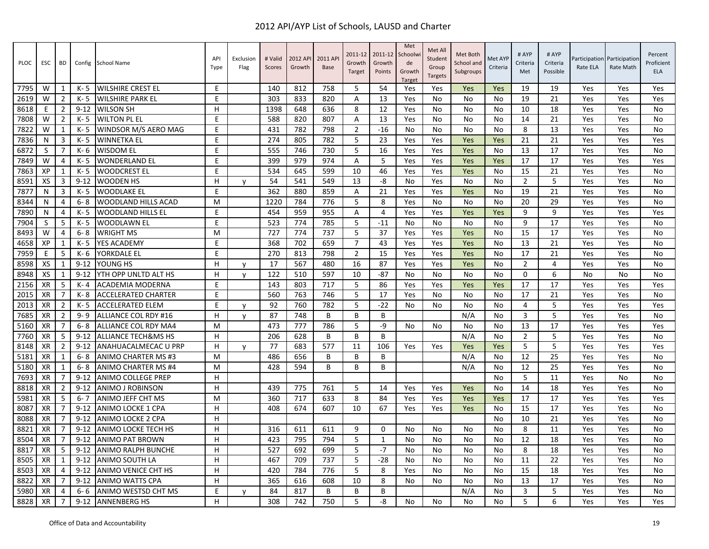| <b>PLOC</b> | <b>ESC</b> | <b>BD</b>      |          | Config School Name             | API<br>Type | Exclusion<br>Flag | # Valid<br>Scores | 2012 API<br>Growth | 2011 AP<br><b>Base</b> | 2011-12<br>Growth<br>Target | 2011-12<br>Growth<br>Points | Met<br>Schoolw<br>de<br>Growth<br>Target | Met All<br>Student<br>Group<br><b>Targets</b> | Met Both<br>School and<br>Subgroups | Met AYP<br>Criteria | # AYP<br>Criteria<br>Met | # AYP<br>Criteria<br>Possible | Participation<br>Rate ELA | Participation<br>Rate Math | Percent<br>Proficient<br><b>ELA</b> |
|-------------|------------|----------------|----------|--------------------------------|-------------|-------------------|-------------------|--------------------|------------------------|-----------------------------|-----------------------------|------------------------------------------|-----------------------------------------------|-------------------------------------|---------------------|--------------------------|-------------------------------|---------------------------|----------------------------|-------------------------------------|
| 7795        | W          | 1              | K-5      | <b>WILSHIRE CREST EL</b>       | E           |                   | 140               | 812                | 758                    | -5                          | 54                          | Yes                                      | Yes                                           | Yes                                 | Yes                 | 19                       | 19                            | Yes                       | Yes                        | Yes                                 |
| 2619        | W          | $\overline{2}$ | K-5      | <b>WILSHIRE PARK EL</b>        | E.          |                   | 303               | 833                | 820                    | Α                           | 13                          | Yes                                      | No                                            | No                                  | No.                 | 19                       | 21                            | Yes                       | Yes                        | Yes                                 |
| 8618        | E          | $\overline{2}$ | $9 - 12$ | <b>WILSON SH</b>               | H           |                   | 1398              | 648                | 636                    | 8                           | 12                          | Yes                                      | No                                            | No                                  | No                  | 10                       | 18                            | Yes                       | Yes                        | <b>No</b>                           |
| 7808        | W          | $\overline{2}$ | K- 5     | <b>WILTON PL EL</b>            | E           |                   | 588               | 820                | 807                    | Α                           | 13                          | Yes                                      | No                                            | No                                  | No                  | 14                       | 21                            | Yes                       | Yes                        | <b>No</b>                           |
| 7822        | W          | 1              | K-5      | WINDSOR M/S AERO MAG           | E           |                   | 431               | 782                | 798                    | $\overline{2}$              | $-16$                       | No                                       | No                                            | No                                  | No                  | 8                        | 13                            | Yes                       | Yes                        | <b>No</b>                           |
| 7836        | N          | 3              | K-5      | <b>WINNETKA EL</b>             | E           |                   | 274               | 805                | 782                    | 5                           | 23                          | Yes                                      | Yes                                           | Yes                                 | Yes                 | 21                       | 21                            | Yes                       | Yes                        | Yes                                 |
| 6872        | S          | 7              | $K - 6$  | <b>WISDOM EL</b>               | E           |                   | 555               | 746                | 730                    | 5                           | 16                          | Yes                                      | Yes                                           | Yes                                 | No                  | 13                       | 17                            | Yes                       | Yes                        | <b>No</b>                           |
| 7849        | W          | 4              | K-5      | <b>WONDERLAND EL</b>           | E.          |                   | 399               | 979                | 974                    | A                           | 5                           | Yes                                      | Yes                                           | Yes                                 | Yes                 | 17                       | 17                            | Yes                       | Yes                        | Yes                                 |
| 7863        | XP         | $\mathbf{1}$   | K-5      | <b>WOODCREST EL</b>            | E           |                   | 534               | 645                | 599                    | 10                          | 46                          | Yes                                      | Yes                                           | Yes                                 | No                  | 15                       | 21                            | Yes                       | Yes                        | <b>No</b>                           |
| 8591        | XS         | 3              | $9 - 12$ | <b>WOODEN HS</b>               | н           | y                 | 54                | 541                | 549                    | 13                          | -8                          | No                                       | Yes                                           | No                                  | No                  | $\overline{2}$           | 5                             | Yes                       | Yes                        | No                                  |
| 7877        | N          | 3              | K-5      | <b>WOODLAKE EL</b>             | E           |                   | 362               | 880                | 859                    | A                           | 21                          | Yes                                      | Yes                                           | Yes                                 | No                  | 19                       | 21                            | Yes                       | Yes                        | No                                  |
| 8344        | N          | 4              | 6-8      | WOODLAND HILLS ACAD            | M           |                   | 1220              | 784                | 776                    | 5                           | 8                           | Yes                                      | No                                            | No                                  | No                  | 20                       | 29                            | Yes                       | Yes                        | <b>No</b>                           |
| 7890        | N          | 4              | K-5      | <b>WOODLAND HILLS EL</b>       | E           |                   | 454               | 959                | 955                    | A                           | $\overline{4}$              | Yes                                      | Yes                                           | Yes                                 | Yes                 | 9                        | 9                             | Yes                       | Yes                        | Yes                                 |
| 7904        | S          | 5              | K-5      | WOODLAWN EL                    | E           |                   | 523               | 774                | 785                    | 5                           | $-11$                       | No                                       | No                                            | No                                  | No                  | 9                        | 17                            | Yes                       | Yes                        | No                                  |
| 8493        | W          | 4              | $6 - 8$  | <b>WRIGHT MS</b>               | M           |                   | 727               | 774                | 737                    | 5                           | 37                          | Yes                                      | Yes                                           | Yes                                 | No                  | 15                       | 17                            | Yes                       | Yes                        | No                                  |
| 4658        | XP         | $\mathbf{1}$   | $K - 5$  | YES ACADEMY                    | E           |                   | 368               | 702                | 659                    | $\overline{7}$              | 43                          | Yes                                      | Yes                                           | Yes                                 | No                  | 13                       | 21                            | Yes                       | Yes                        | <b>No</b>                           |
| 7959        | E          | 5              | $K - 6$  | YORKDALE EL                    | E           |                   | 270               | 813                | 798                    | $\overline{2}$              | 15                          | Yes                                      | Yes                                           | Yes                                 | No                  | 17                       | 21                            | Yes                       | Yes                        | <b>No</b>                           |
| 8598        | XS         | $\mathbf{1}$   | $9 - 12$ | YOUNG HS                       | H           | y                 | 17                | 567                | 480                    | 16                          | 87                          | Yes                                      | Yes                                           | Yes                                 | <b>No</b>           | $\overline{2}$           | 4                             | Yes                       | Yes                        | <b>No</b>                           |
| 8948        | XS         | 1              | $9 - 12$ | YTH OPP UNLTD ALT HS           | H           | v                 | 122               | 510                | 597                    | 10                          | -87                         | No                                       | No                                            | No                                  | No.                 | 0                        | 6                             | No                        | No                         | No                                  |
| 2156        | <b>XR</b>  | 5              | $K - 4$  | ACADEMIA MODERNA               | E           |                   | 143               | 803                | 717                    | 5                           | 86                          | Yes                                      | Yes                                           | Yes                                 | Yes                 | 17                       | 17                            | Yes                       | Yes                        | Yes                                 |
| 2015        | XR         | 7              | $K - 8$  | <b>ACCELERATED CHARTER</b>     | E           |                   | 560               | 763                | 746                    | 5                           | 17                          | Yes                                      | No                                            | No                                  | No                  | 17                       | 21                            | Yes                       | Yes                        | <b>No</b>                           |
| 2013        | <b>XR</b>  | $\overline{2}$ | K-5      | <b>ACCELERATED ELEM</b>        | E           | y                 | 92                | 760                | 782                    | 5                           | $-22$                       | No                                       | No                                            | No                                  | No                  | 4                        | 5                             | Yes                       | Yes                        | Yes                                 |
| 7685        | XR         | $\overline{2}$ | $9 - 9$  | <b>ALLIANCE COL RDY #16</b>    | H           | v                 | 87                | 748                | B                      | B                           | B                           |                                          |                                               | N/A                                 | No                  | 3                        | 5                             | Yes                       | Yes                        | <b>No</b>                           |
| 5160        | XR         | 7              | $6 - 8$  | <b>ALLIANCE COL RDY MA4</b>    | м           |                   | 473               | 777                | 786                    | 5                           | $-9$                        | No                                       | No.                                           | No                                  | No                  | 13                       | 17                            | Yes                       | Yes                        | Yes                                 |
| 7760        | XR         | 5              | $9 - 12$ | <b>ALLIANCE TECH&amp;MS HS</b> | H           |                   | 206               | 628                | B                      | B                           | B                           |                                          |                                               | N/A                                 | No                  | $\overline{2}$           | 5                             | Yes                       | Yes                        | <b>No</b>                           |
| 8148        | XR         | $\overline{2}$ | $9 - 12$ | ANAHUACALMECAC U PRP           | H           | v                 | 77                | 683                | 577                    | 11                          | 106                         | Yes                                      | Yes                                           | Yes                                 | Yes                 | 5                        | 5                             | Yes                       | Yes                        | Yes                                 |
| 5181        | <b>XR</b>  | 1              | $6 - 8$  | ANIMO CHARTER MS #3            | м           |                   | 486               | 656                | B                      | B                           | B                           |                                          |                                               | N/A                                 | No                  | 12                       | 25                            | Yes                       | Yes                        | <b>No</b>                           |
| 5180        | XR         | 1              | $6 - 8$  | ANIMO CHARTER MS #4            | M           |                   | 428               | 594                | B                      | B                           | B                           |                                          |                                               | N/A                                 | No                  | 12                       | 25                            | Yes                       | Yes                        | <b>No</b>                           |
| 7693        | XR         | 7              | $9 - 12$ | <b>ANIMO COLLEGE PREP</b>      | H           |                   |                   |                    |                        |                             |                             |                                          |                                               |                                     | <b>No</b>           | 5                        | 11                            | Yes                       | <b>No</b>                  | <b>No</b>                           |
| 8818        | <b>XR</b>  | $\overline{2}$ | $9 - 12$ | ANIMO J ROBINSON               | H           |                   | 439               | 775                | 761                    | 5                           | 14                          | Yes                                      | Yes                                           | Yes                                 | No.                 | 14                       | 18                            | Yes                       | Yes                        | No                                  |
| 5981        | XR         | 5              | $6 - 7$  | ANIMO JEFF CHT MS              | M           |                   | 360               | 717                | 633                    | 8                           | 84                          | Yes                                      | Yes                                           | Yes                                 | Yes                 | 17                       | 17                            | Yes                       | Yes                        | Yes                                 |
| 8087        | XR         | 7              | $9 - 12$ | ANIMO LOCKE 1 CPA              | H           |                   | 408               | 674                | 607                    | 10                          | 67                          | Yes                                      | Yes                                           | Yes                                 | No                  | 15                       | 17                            | Yes                       | Yes                        | <b>No</b>                           |
| 8088        | XR         |                | $9 - 12$ | ANIMO LOCKE 2 CPA              | H           |                   |                   |                    |                        |                             |                             |                                          |                                               |                                     | No                  | 10                       | 21                            | Yes                       | Yes                        | <b>No</b>                           |
| 8821        | <b>XR</b>  | $\overline{7}$ | $9 - 12$ | ANIMO LOCKE TECH HS            | H           |                   | 316               | 611                | 611                    | 9                           | $\mathbf 0$                 | No.                                      | No                                            | No                                  | No                  | 8                        | 11                            | Yes                       | Yes                        | No                                  |
| 8504        | XR         | 7              | $9 - 12$ | <b>ANIMO PAT BROWN</b>         | H           |                   | 423               | 795                | 794                    | 5                           | 1                           | No                                       | No                                            | No                                  | No                  | 12                       | 18                            | Yes                       | Yes                        | <b>No</b>                           |
| 8817        | XR         | 5              | $9 - 12$ | <b>ANIMO RALPH BUNCHE</b>      | H           |                   | 527               | 692                | 699                    | 5                           | $-7$                        | No                                       | No                                            | No                                  | No                  | 8                        | 18                            | Yes                       | Yes                        | No                                  |
| 8505        | <b>XR</b>  | 1              | $9 - 12$ | ANIMO SOUTH LA                 | H           |                   | 467               | 709                | 737                    | 5                           | $-28$                       | No                                       | No                                            | No                                  | No                  | 11                       | 22                            | Yes                       | Yes                        | No                                  |
| 8503        | XR         | 4              | $9 - 12$ | ANIMO VENICE CHT HS            | H           |                   | 420               | 784                | 776                    | 5                           | 8                           | Yes                                      | No                                            | No                                  | No                  | 15                       | 18                            | Yes                       | Yes                        | <b>No</b>                           |
| 8822        | <b>XR</b>  | 7              | $9 - 12$ | <b>ANIMO WATTS CPA</b>         | H           |                   | 365               | 616                | 608                    | 10                          | 8                           | No                                       | No                                            | No                                  | <b>No</b>           | 13                       | 17                            | Yes                       | Yes                        | <b>No</b>                           |
| 5980        | XR         | 4              | $6 - 6$  | ANIMO WESTSD CHT MS            | Ε           | $\mathsf{v}$      | 84                | 817                | B                      | B                           | B                           |                                          |                                               | N/A                                 | No                  | 3                        | 5                             | Yes                       | Yes                        | <b>No</b>                           |
| 8828        | <b>XR</b>  | 7              | $9 - 12$ | <b>ANNENBERG HS</b>            | H           |                   | 308               | 742                | 750                    | 5                           | -8                          | No                                       | No                                            | No                                  | No                  | 5                        | 6                             | Yes                       | Yes                        | Yes                                 |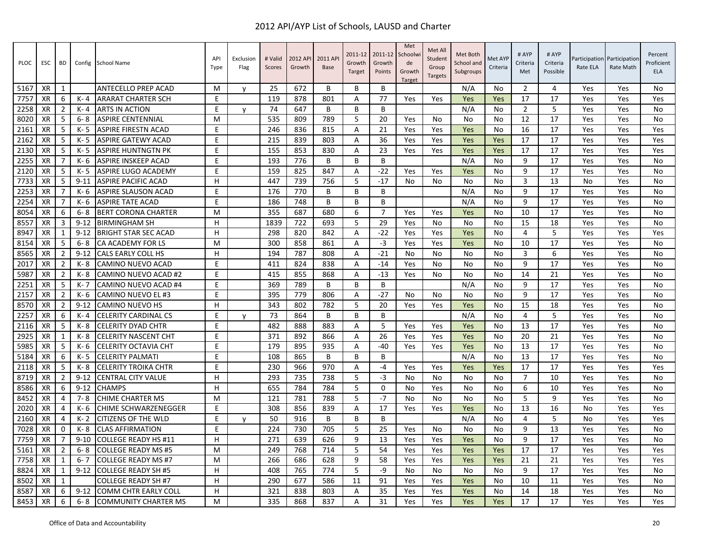| PLOC | ESC       | <b>BD</b>      | Config   | <b>School Name</b>          | API<br>Type | Exclusion<br>Flag | # Valid<br>Scores | 2012 API<br>Growth | 2011 AP<br><b>Base</b> | 2011-12<br>Growth<br>Target | 2011-12<br>Growth<br>Points | Met<br>Schoolwi<br>de<br>Growth<br><b>Target</b> | Met All<br>Student<br>Group<br><b>Targets</b> | Met Both<br>School and<br>Subgroups | Met AYP<br>Criteria | # AYP<br>Criteria<br>Met | # AYP<br>Criteria<br>Possible | Participation<br>Rate ELA | Participation<br>Rate Math | Percent<br>Proficient<br><b>ELA</b> |
|------|-----------|----------------|----------|-----------------------------|-------------|-------------------|-------------------|--------------------|------------------------|-----------------------------|-----------------------------|--------------------------------------------------|-----------------------------------------------|-------------------------------------|---------------------|--------------------------|-------------------------------|---------------------------|----------------------------|-------------------------------------|
| 5167 | XR        | 1              |          | ANTECELLO PREP ACAD         | м           | V                 | 25                | 672                | B                      | B                           | B                           |                                                  |                                               | N/A                                 | No                  | $\overline{2}$           | 4                             | Yes                       | Yes                        | No                                  |
| 7757 | XR        | 6              | K-4      | <b>ARARAT CHARTER SCH</b>   | E           |                   | 119               | 878                | 801                    | Α                           | 77                          | Yes                                              | Yes                                           | Yes                                 | Yes                 | 17                       | 17                            | Yes                       | Yes                        | Yes                                 |
| 2258 | XR        | $\overline{2}$ | K-4      | <b>ARTS IN ACTION</b>       | E           | $\mathsf{v}$      | 74                | 647                | B                      | B                           | B                           |                                                  |                                               | N/A                                 | No                  | $\overline{2}$           | 5                             | Yes                       | Yes                        | <b>No</b>                           |
| 8020 | XR        | 5              | 6-8      | <b>ASPIRE CENTENNIAL</b>    | M           |                   | 535               | 809                | 789                    | 5                           | 20                          | Yes                                              | No                                            | No                                  | No                  | 12                       | 17                            | Yes                       | Yes                        | No                                  |
| 2161 | XR        | -5             | $K - 5$  | ASPIRE FIRESTN ACAD         | E           |                   | 246               | 836                | 815                    | A                           | 21                          | Yes                                              | Yes                                           | Yes                                 | No                  | 16                       | 17                            | Yes                       | Yes                        | Yes                                 |
| 2162 | XR        | -5             | K- 5     | <b>ASPIRE GATEWY ACAD</b>   | E           |                   | 215               | 839                | 803                    | Α                           | 36                          | Yes                                              | Yes                                           | Yes                                 | Yes                 | 17                       | 17                            | Yes                       | Yes                        | Yes                                 |
| 2130 | <b>XR</b> | -5             | $K - 5$  | <b>ASPIRE HUNTNGTN PK</b>   | E           |                   | 155               | 853                | 830                    | A                           | 23                          | Yes                                              | Yes                                           | Yes                                 | Yes                 | 17                       | 17                            | Yes                       | Yes                        | Yes                                 |
| 2255 | XR        | 7              | K- 6     | ASPIRE INSKEEP ACAD         | E           |                   | 193               | 776                | B                      | B                           | B                           |                                                  |                                               | N/A                                 | No                  | 9                        | 17                            | Yes                       | Yes                        | <b>No</b>                           |
| 2120 | XR        | 5              | $K - 5$  | ASPIRE LUGO ACADEMY         | E           |                   | 159               | 825                | 847                    | A                           | $-22$                       | Yes                                              | Yes                                           | Yes                                 | No                  | 9                        | 17                            | Yes                       | Yes                        | No                                  |
| 7733 | <b>XR</b> | 5              | $9 - 11$ | <b>ASPIRE PACIFIC ACAD</b>  | H           |                   | 447               | 739                | 756                    | 5                           | $-17$                       | No                                               | No                                            | No                                  | No                  | 3                        | 13                            | No                        | Yes                        | <b>No</b>                           |
| 2253 | XR        | -7             | K- 6     | <b>ASPIRE SLAUSON ACAD</b>  | E           |                   | 176               | 770                | B                      | B                           | B                           |                                                  |                                               | N/A                                 | No                  | 9                        | 17                            | Yes                       | Yes                        | <b>No</b>                           |
| 2254 | <b>XR</b> | $\overline{7}$ | $K - 6$  | <b>ASPIRE TATE ACAD</b>     | E           |                   | 186               | 748                | B                      | B                           | B                           |                                                  |                                               | N/A                                 | No                  | 9                        | 17                            | Yes                       | Yes                        | No                                  |
| 8054 | <b>XR</b> | 6              | $6 - 8$  | <b>BERT CORONA CHARTER</b>  | M           |                   | 355               | 687                | 680                    | 6                           | 7                           | Yes                                              | Yes                                           | Yes                                 | No                  | 10                       | 17                            | Yes                       | Yes                        | No                                  |
| 8557 | <b>XR</b> | $\overline{3}$ | $9 - 12$ | <b>BIRMINGHAM SH</b>        | н           |                   | 1839              | 722                | 693                    | 5                           | 29                          | Yes                                              | No                                            | No                                  | No                  | 15                       | 18                            | Yes                       | Yes                        | <b>No</b>                           |
| 8947 | <b>XR</b> | $\mathbf{1}$   | $9 - 12$ | <b>BRIGHT STAR SEC ACAD</b> | H           |                   | 298               | 820                | 842                    | A                           | $-22$                       | Yes                                              | Yes                                           | Yes                                 | No                  | $\overline{4}$           | 5                             | Yes                       | Yes                        | Yes                                 |
| 8154 | XR        | -5             | $6 - 8$  | CA ACADEMY FOR LS           | M           |                   | 300               | 858                | 861                    | Α                           | -3                          | Yes                                              | Yes                                           | Yes                                 | No                  | 10                       | 17                            | Yes                       | Yes                        | No                                  |
| 8565 | XR        | $\overline{2}$ | $9 - 12$ | <b>CALS EARLY COLL HS</b>   | H           |                   | 194               | 787                | 808                    | A                           | $-21$                       | No                                               | <b>No</b>                                     | No                                  | No                  | $\overline{3}$           | 6                             | Yes                       | Yes                        | <b>No</b>                           |
| 2017 | <b>XR</b> | $\overline{2}$ | K-8      | CAMINO NUEVO ACAD           | E           |                   | 411               | 824                | 838                    | A                           | $-14$                       | Yes                                              | No                                            | No                                  | No                  | 9                        | 17                            | Yes                       | Yes                        | No                                  |
| 5987 | XR        | $\overline{2}$ | K-8      | CAMINO NUEVO ACAD #2        | E.          |                   | 415               | 855                | 868                    | Α                           | $-13$                       | Yes                                              | No                                            | No                                  | No                  | 14                       | 21                            | Yes                       | Yes                        | <b>No</b>                           |
| 2251 | XR        | -5             | $K - 7$  | CAMINO NUEVO ACAD #4        | E           |                   | 369               | 789                | B                      | B                           | B                           |                                                  |                                               | N/A                                 | No                  | 9                        | 17                            | Yes                       | Yes                        | <b>No</b>                           |
| 2157 | <b>XR</b> | $\overline{2}$ | K- 6     | <b>CAMINO NUEVO EL #3</b>   | F           |                   | 395               | 779                | 806                    | A                           | $-27$                       | No                                               | No                                            | No                                  | No                  | 9                        | 17                            | Yes                       | Yes                        | No                                  |
| 8570 | <b>XR</b> | $\overline{2}$ | $9 - 12$ | <b>CAMINO NUEVO HS</b>      | H           |                   | 343               | 802                | 782                    | 5                           | 20                          | Yes                                              | Yes                                           | Yes                                 | No                  | 15                       | 18                            | Yes                       | Yes                        | <b>No</b>                           |
| 2257 | XR        | 6              | K-4      | <b>CELERITY CARDINAL CS</b> | F           | v                 | 73                | 864                | B                      | B                           | B                           |                                                  |                                               | N/A                                 | No                  | 4                        | 5                             | Yes                       | Yes                        | <b>No</b>                           |
| 2116 | <b>XR</b> | 5              | K-8      | <b>CELERITY DYAD CHTR</b>   | F           |                   | 482               | 888                | 883                    | A                           | 5                           | Yes                                              | Yes                                           | Yes                                 | No                  | 13                       | 17                            | Yes                       | Yes                        | <b>No</b>                           |
| 2925 | XR        | 1              | K-8      | <b>CELERITY NASCENT CHT</b> | E           |                   | 371               | 892                | 866                    | Α                           | 26                          | Yes                                              | Yes                                           | Yes                                 | No                  | 20                       | 21                            | Yes                       | Yes                        | No                                  |
| 5985 | XR        | -5             | K- 6     | <b>CELERITY OCTAVIA CHT</b> | E           |                   | 179               | 895                | 935                    | Α                           | $-40$                       | Yes                                              | Yes                                           | Yes                                 | No                  | 13                       | 17                            | Yes                       | Yes                        | No                                  |
| 5184 | <b>XR</b> | 6              | $K - 5$  | <b>CELERITY PALMATI</b>     | E           |                   | 108               | 865                | B                      | B                           | B                           |                                                  |                                               | N/A                                 | No                  | 13                       | 17                            | Yes                       | Yes                        | <b>No</b>                           |
| 2118 | XR        | -5             | K-8      | <b>CELERITY TROIKA CHTR</b> | E           |                   | 230               | 966                | 970                    | Α                           | $-4$                        | Yes                                              | Yes                                           | Yes                                 | Yes                 | 17                       | 17                            | Yes                       | Yes                        | Yes                                 |
| 8719 | <b>XR</b> | $\overline{2}$ | $9 - 12$ | <b>CENTRAL CITY VALUE</b>   | H           |                   | 293               | 735                | 738                    | 5                           | $-3$                        | No                                               | No                                            | No                                  | <b>No</b>           | $\overline{7}$           | 10                            | Yes                       | Yes                        | <b>No</b>                           |
| 8586 | XR        | 6              | $9 - 12$ | <b>CHAMPS</b>               | H           |                   | 655               | 784                | 784                    | 5                           | 0                           | No                                               | Yes                                           | No                                  | No                  | 6                        | 10                            | Yes                       | Yes                        | No                                  |
| 8452 | <b>XR</b> | $\overline{4}$ | $7 - 8$  | <b>CHIME CHARTER MS</b>     | M           |                   | 121               | 781                | 788                    | 5                           | $-7$                        | No                                               | No                                            | No                                  | No                  | 5                        | 9                             | Yes                       | Yes                        | <b>No</b>                           |
| 2020 | XR        | $\overline{4}$ | K-6      | <b>CHIME SCHWARZENEGGER</b> | E           |                   | 308               | 856                | 839                    | A                           | 17                          | Yes                                              | Yes                                           | Yes                                 | No                  | 13                       | 16                            | No                        | Yes                        | Yes                                 |
| 2160 | <b>XR</b> | $\overline{4}$ | K- 2     | CITIZENS OF THE WLD         | E.          | v                 | 50                | 916                | B                      | B                           | B                           |                                                  |                                               | N/A                                 | No                  | 4                        | 5                             | No                        | Yes                        | Yes                                 |
| 7028 | <b>XR</b> | $\Omega$       | K-8      | <b>CLAS AFFIRMATION</b>     | E           |                   | 224               | 730                | 705                    | 5                           | 25                          | Yes                                              | No                                            | No                                  | <b>No</b>           | 9                        | 13                            | Yes                       | Yes                        | <b>No</b>                           |
| 7759 | <b>XR</b> | $\overline{7}$ | $9 - 10$ | <b>COLLEGE READY HS #11</b> | н           |                   | 271               | 639                | 626                    | 9                           | 13                          | Yes                                              | Yes                                           | Yes                                 | No                  | 9                        | 17                            | Yes                       | Yes                        | <b>No</b>                           |
| 5161 | <b>XR</b> | $\overline{2}$ | 6-8      | <b>COLLEGE READY MS #5</b>  | M           |                   | 249               | 768                | 714                    | 5                           | 54                          | Yes                                              | Yes                                           | Yes                                 | Yes                 | 17                       | 17                            | Yes                       | Yes                        | Yes                                 |
| 7758 | <b>XR</b> | $\mathbf{1}$   | $6 - 7$  | <b>COLLEGE READY MS #7</b>  | M           |                   | 266               | 686                | 628                    | 9                           | 58                          | Yes                                              | Yes                                           | Yes                                 | Yes                 | 21                       | 21                            | Yes                       | Yes                        | Yes                                 |
| 8824 | XR        | $\mathbf{1}$   | $9 - 12$ | <b>COLLEGE READY SH #5</b>  | н           |                   | 408               | 765                | 774                    | 5                           | -9                          | No                                               | No                                            | No                                  | No                  | 9                        | 17                            | Yes                       | Yes                        | No                                  |
| 8502 | <b>XR</b> | 1              |          | <b>COLLEGE READY SH #7</b>  | H           |                   | 290               | 677                | 586                    | 11                          | 91                          | Yes                                              | Yes                                           | Yes                                 | No                  | 10                       | 11                            | Yes                       | Yes                        | <b>No</b>                           |
| 8587 | <b>XR</b> | 6              | $9 - 12$ | <b>COMM CHTR EARLY COLL</b> | H           |                   | 321               | 838                | 803                    | A                           | 35                          | Yes                                              | Yes                                           | Yes                                 | No                  | 14                       | 18                            | Yes                       | Yes                        | <b>No</b>                           |
| 8453 | <b>XR</b> | 6              | $6 - 8$  | <b>COMMUNITY CHARTER MS</b> | м           |                   | 335               | 868                | 837                    | A                           | 31                          | Yes                                              | Yes                                           | Yes                                 | <b>Yes</b>          | 17                       | 17                            | Yes                       | Yes                        | Yes                                 |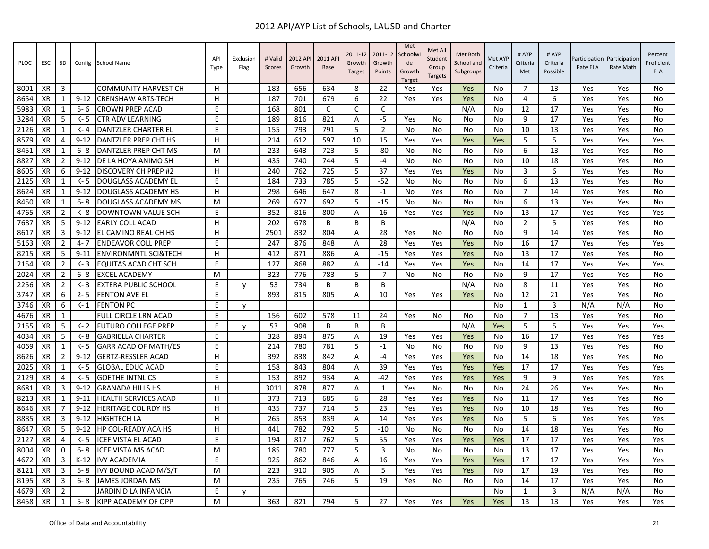| PLOC | ESC       | BD             | Config   | <b>School Name</b>              | API<br>Type | Exclusion<br>Flag | # Valid<br>Scores | 2012 API<br>Growth | 2011 AP<br><b>Base</b> | 2011-12<br>Growth<br>Target | 2011-12<br>Growth<br>Points | Met<br>Schoolwi<br>de<br>Growth<br><b>Target</b> | Met All<br>Student<br>Group<br><b>Targets</b> | Met Both<br>School and<br>Subgroups | Met AYP<br>Criteria | # AYP<br>Criteria<br>Met | # AYP<br>Criteria<br>Possible | Rate ELA | Participation Participation<br>Rate Math | Percent<br>Proficient<br><b>ELA</b> |
|------|-----------|----------------|----------|---------------------------------|-------------|-------------------|-------------------|--------------------|------------------------|-----------------------------|-----------------------------|--------------------------------------------------|-----------------------------------------------|-------------------------------------|---------------------|--------------------------|-------------------------------|----------|------------------------------------------|-------------------------------------|
| 8001 | XR        | 3              |          | <b>COMMUNITY HARVEST CH</b>     | н           |                   | 183               | 656                | 634                    | 8                           | 22                          | Yes                                              | Yes                                           | Yes                                 | No                  | 7                        | 13                            | Yes      | Yes                                      | No                                  |
| 8654 | <b>XR</b> | $\mathbf{1}$   | $9 - 12$ | <b>CRENSHAW ARTS-TECH</b>       | H           |                   | 187               | 701                | 679                    | 6                           | 22                          | Yes                                              | Yes                                           | Yes                                 | No                  | $\overline{4}$           | 6                             | Yes      | Yes                                      | No                                  |
| 5983 | XR        | 1              | $5 - 6$  | <b>CROWN PREP ACAD</b>          | E           |                   | 168               | 801                | C                      | C                           | C                           |                                                  |                                               | N/A                                 | No                  | 12                       | 17                            | Yes      | Yes                                      | No                                  |
| 3284 | <b>XR</b> | -5             | $K - 5$  | CTR ADV LEARNING                | E           |                   | 189               | 816                | 821                    | $\overline{A}$              | $-5$                        | Yes                                              | No                                            | No                                  | N <sub>0</sub>      | 9                        | 17                            | Yes      | Yes                                      | No                                  |
| 2126 | <b>XR</b> | 1              | $K - 4$  | DANTZLER CHARTER EL             | E           |                   | 155               | 793                | 791                    | 5                           | $\overline{2}$              | No                                               | No                                            | No                                  | No                  | 10                       | 13                            | Yes      | Yes                                      | No                                  |
| 8579 | XR        | $\overline{4}$ | $9 - 12$ | DANTZLER PREP CHT HS            | H           |                   | 214               | 612                | 597                    | 10                          | 15                          | Yes                                              | Yes                                           | Yes                                 | Yes                 | 5                        | 5                             | Yes      | Yes                                      | Yes                                 |
| 8451 | <b>XR</b> | $\mathbf{1}$   | $6 - 8$  | DANTZLER PREP CHT MS            | м           |                   | 233               | 643                | 723                    | 5                           | -80                         | No                                               | No                                            | No                                  | N <sub>0</sub>      | 6                        | 13                            | Yes      | Yes                                      | No                                  |
| 8827 | <b>XR</b> | 2              | $9 - 12$ | DE LA HOYA ANIMO SH             | H           |                   | 435               | 740                | 744                    | 5                           | $-4$                        | No                                               | No                                            | No                                  | No                  | 10                       | 18                            | Yes      | Yes                                      | No                                  |
| 8605 | XR        | 6              | $9 - 12$ | DISCOVERY CH PREP #2            | H           |                   | 240               | 762                | 725                    | 5                           | 37                          | Yes                                              | Yes                                           | Yes                                 | No                  | 3                        | 6                             | Yes      | Yes                                      | No                                  |
| 2125 | <b>XR</b> | 1              | $K - 5$  | DOUGLASS ACADEMY EL             | E           |                   | 184               | 733                | 785                    | 5                           | $-52$                       | No                                               | No                                            | No                                  | No                  | 6                        | 13                            | Yes      | Yes                                      | No                                  |
| 8624 | <b>XR</b> | $\mathbf{1}$   | $9 - 12$ | <b>DOUGLASS ACADEMY HS</b>      | H           |                   | 298               | 646                | 647                    | 8                           | $-1$                        | No                                               | Yes                                           | No                                  | No                  | $\overline{7}$           | 14                            | Yes      | Yes                                      | No                                  |
| 8450 | <b>XR</b> | $\mathbf{1}$   | $6 - 8$  | <b>DOUGLASS ACADEMY MS</b>      | м           |                   | 269               | 677                | 692                    | 5                           | $-15$                       | No                                               | No                                            | No                                  | No                  | 6                        | 13                            | Yes      | Yes                                      | No                                  |
| 4765 | XR        | $\overline{2}$ | K-8      | <b>DOWNTOWN VALUE SCH</b>       | E           |                   | 352               | 816                | 800                    | Α                           | 16                          | Yes                                              | Yes                                           | Yes                                 | No                  | 13                       | 17                            | Yes      | Yes                                      | Yes                                 |
| 7687 | <b>XR</b> | -5             | $9 - 12$ | <b>EARLY COLL ACAD</b>          | H           |                   | 202               | 678                | B                      | B                           | B                           |                                                  |                                               | N/A                                 | <b>No</b>           | $\overline{2}$           | 5                             | Yes      | Yes                                      | No                                  |
| 8617 | <b>XR</b> | 3              | $9 - 12$ | EL CAMINO REAL CH HS            | н           |                   | 2501              | 832                | 804                    | Α                           | 28                          | Yes                                              | No                                            | No                                  | No                  | 9                        | 14                            | Yes      | Yes                                      | No                                  |
| 5163 | XR        | $\overline{2}$ | $4 - 7$  | <b>ENDEAVOR COLL PREP</b>       | E           |                   | 247               | 876                | 848                    | Α                           | 28                          | Yes                                              | Yes                                           | Yes                                 | No                  | 16                       | 17                            | Yes      | Yes                                      | Yes                                 |
| 8215 | <b>XR</b> | -5             | $9 - 11$ | <b>ENVIRONMNTL SCI&amp;TECH</b> | H.          |                   | 412               | 871                | 886                    | $\overline{A}$              | $-15$                       | Yes                                              | Yes                                           | Yes                                 | <b>No</b>           | 13                       | 17                            | Yes      | Yes                                      | <b>No</b>                           |
| 2154 | XR        | $\overline{2}$ | $K - 3$  | EQUITAS ACAD CHT SCH            | E           |                   | 127               | 868                | 882                    | Α                           | $-14$                       | Yes                                              | Yes                                           | Yes                                 | No                  | 14                       | 17                            | Yes      | Yes                                      | Yes                                 |
| 2024 | <b>XR</b> | $\overline{2}$ | $6 - 8$  | <b>EXCEL ACADEMY</b>            | м           |                   | 323               | 776                | 783                    | 5                           | $-7$                        | No                                               | No                                            | No                                  | No                  | 9                        | 17                            | Yes      | Yes                                      | No                                  |
| 2256 | XR        | $\overline{2}$ | $K - 3$  | <b>EXTERA PUBLIC SCHOOL</b>     | E           | v                 | 53                | 734                | B                      | B                           | B                           |                                                  |                                               | N/A                                 | <b>No</b>           | 8                        | 11                            | Yes      | Yes                                      | No                                  |
| 3747 | XR        | 6              | $2 - 5$  | <b>FENTON AVE EL</b>            | E           |                   | 893               | 815                | 805                    | Α                           | 10                          | Yes                                              | Yes                                           | Yes                                 | No                  | 12                       | 21                            | Yes      | Yes                                      | No                                  |
| 3746 | XR        | 6              | $K-1$    | <b>FENTON PC</b>                | E           | $\mathsf{v}$      |                   |                    |                        |                             |                             |                                                  |                                               |                                     | <b>No</b>           | $\mathbf{1}$             | 3                             | N/A      | N/A                                      | No                                  |
| 4676 | XR        | $\mathbf{1}$   |          | FULL CIRCLE LRN ACAD            | E           |                   | 156               | 602                | 578                    | 11                          | 24                          | Yes                                              | No                                            | No                                  | No                  | $\overline{7}$           | 13                            | Yes      | Yes                                      | No                                  |
| 2155 | <b>XR</b> | -5             | $K - 2$  | <b>FUTURO COLLEGE PREP</b>      | E           | v                 | 53                | 908                | B                      | B                           | B                           |                                                  |                                               | N/A                                 | Yes                 | 5                        | 5                             | Yes      | Yes                                      | Yes                                 |
| 4034 | XR        | -5             | K-8      | <b>GABRIELLA CHARTER</b>        | E           |                   | 328               | 894                | 875                    | A                           | 19                          | Yes                                              | Yes                                           | Yes                                 | No                  | 16                       | 17                            | Yes      | Yes                                      | Yes                                 |
| 4069 | XR        | $\mathbf{1}$   | $K - 5$  | <b>GARR ACAD OF MATH/ES</b>     | E           |                   | 214               | 780                | 781                    | 5                           | $-1$                        | No                                               | No                                            | No                                  | <b>No</b>           | 9                        | 13                            | Yes      | Yes                                      | No                                  |
| 8626 | XR        | $\overline{2}$ | $9 - 12$ | <b>GERTZ-RESSLER ACAD</b>       | H.          |                   | 392               | 838                | 842                    | A                           | $-4$                        | Yes                                              | Yes                                           | Yes                                 | No                  | 14                       | 18                            | Yes      | Yes                                      | No                                  |
| 2025 | XR        | 1              | $K - 5$  | <b>GLOBAL EDUC ACAD</b>         | E           |                   | 158               | 843                | 804                    | Α                           | 39                          | Yes                                              | Yes                                           | Yes                                 | Yes                 | 17                       | 17                            | Yes      | Yes                                      | Yes                                 |
| 2129 | <b>XR</b> | 4              | $K - 5$  | <b>GOETHE INTNL CS</b>          | E           |                   | 153               | 892                | 934                    | $\overline{A}$              | $-42$                       | Yes                                              | Yes                                           | Yes                                 | Yes                 | 9                        | 9                             | Yes      | Yes                                      | Yes                                 |
| 8681 | XR        | $\overline{3}$ | $9 - 12$ | <b>GRANADA HILLS HS</b>         | H           |                   | 3011              | 878                | 877                    | Α                           | 1                           | Yes                                              | No                                            | No                                  | No                  | 24                       | 26                            | Yes      | Yes                                      | No                                  |
| 8213 | <b>XR</b> | 1              | $9 - 11$ | <b>HEALTH SERVICES ACAD</b>     | н           |                   | 373               | 713                | 685                    | 6                           | 28                          | Yes                                              | Yes                                           | Yes                                 | No                  | 11                       | 17                            | Yes      | Yes                                      | No                                  |
| 8646 | <b>XR</b> | $\overline{7}$ | $9 - 12$ | HERITAGE COL RDY HS             | H           |                   | 435               | 737                | 714                    | 5                           | 23                          | Yes                                              | Yes                                           | Yes                                 | <b>No</b>           | 10                       | 18                            | Yes      | Yes                                      | No                                  |
| 8885 | XR        | 3              | $9 - 12$ | <b>HIGHTECH LA</b>              | H           |                   | 265               | 853                | 839                    | Α                           | 14                          | Yes                                              | Yes                                           | Yes                                 | No                  | 5                        | 6                             | Yes      | Yes                                      | Yes                                 |
| 8647 | XR        | 5              | $9 - 12$ | HP COL-READY ACA HS             | н           |                   | 441               | 782                | 792                    | 5                           | $-10$                       | No                                               | N <sub>0</sub>                                | No                                  | <b>No</b>           | 14                       | 18                            | Yes      | Yes                                      | <b>No</b>                           |
| 2127 | <b>XR</b> | 4              | $K - 5$  | ICEF VISTA EL ACAD              | E           |                   | 194               | 817                | 762                    | 5                           | 55                          | Yes                                              | Yes                                           | Yes                                 | Yes                 | 17                       | 17                            | Yes      | Yes                                      | Yes                                 |
| 8004 | XR        | 0              | $6 - 8$  | <b>ICEF VISTA MS ACAD</b>       | M           |                   | 185               | 780                | 777                    | 5                           | 3                           | No                                               | No                                            | No                                  | No                  | 13                       | 17                            | Yes      | Yes                                      | No                                  |
| 4672 | <b>XR</b> | $\overline{3}$ | $K-12$   | <b>IVY ACADEMIA</b>             | E           |                   | 925               | 862                | 846                    | A                           | 16                          | Yes                                              | Yes                                           | Yes                                 | Yes                 | 17                       | 17                            | Yes      | Yes                                      | Yes                                 |
| 8121 | XR        | 3              | $5 - 8$  | IVY BOUND ACAD M/S/T            | м           |                   | 223               | 910                | 905                    | Α                           | 5                           | Yes                                              | Yes                                           | Yes                                 | No                  | 17                       | 19                            | Yes      | Yes                                      | No                                  |
| 8195 | <b>XR</b> | 3              | $6 - 8$  | JAMES JORDAN MS                 | м           |                   | 235               | 765                | 746                    | 5                           | 19                          | Yes                                              | No                                            | No                                  | No                  | 14                       | 17                            | Yes      | Yes                                      | No                                  |
| 4679 | <b>XR</b> | $\overline{2}$ |          | JARDIN D LA INFANCIA            | F           | $\mathsf{v}$      |                   |                    |                        |                             |                             |                                                  |                                               |                                     | N <sub>0</sub>      | $\mathbf{1}$             | 3                             | N/A      | N/A                                      | No                                  |
| 8458 | <b>XR</b> | $\mathbf{1}$   | $5 - 8$  | <b>KIPP ACADEMY OF OPP</b>      | м           |                   | 363               | 821                | 794                    | 5                           | 27                          | Yes                                              | Yes                                           | Yes                                 | Yes                 | 13                       | 13                            | Yes      | Yes                                      | Yes                                 |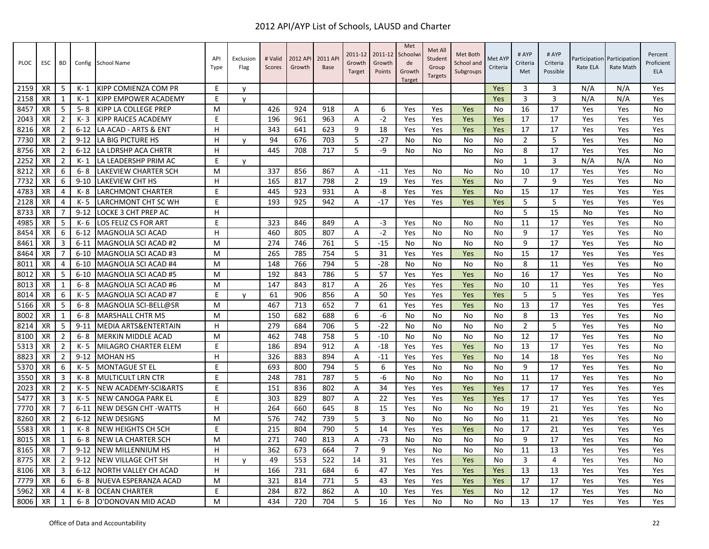| <b>PLOC</b> | <b>ESC</b> | BD             | Config   | <b>School Name</b>           | API<br>Type | Exclusion<br>Flag | # Valid<br>Scores | 2012 API<br>Growth | 2011 AP<br><b>Base</b> | 2011-12<br>Growth<br>Target | 2011-12<br>Growth<br>Points | Met<br>Schoolwi<br>de<br>Growth<br>Target | Met All<br>Student<br>Group<br><b>Targets</b> | Met Both<br>School and<br>Subgroups | Met AYP<br>Criteria | # AYP<br>Criteria<br>Met | # AYP<br>Criteria<br>Possible | Rate ELA | Participation Participation<br>Rate Math | Percent<br>Proficient<br><b>ELA</b> |
|-------------|------------|----------------|----------|------------------------------|-------------|-------------------|-------------------|--------------------|------------------------|-----------------------------|-----------------------------|-------------------------------------------|-----------------------------------------------|-------------------------------------|---------------------|--------------------------|-------------------------------|----------|------------------------------------------|-------------------------------------|
| 2159        | <b>XR</b>  | -5             | K- 1     | KIPP COMIENZA COM PR         | E           | y                 |                   |                    |                        |                             |                             |                                           |                                               |                                     | Yes                 | 3                        | 3                             | N/A      | N/A                                      | Yes                                 |
| 2158        | XR         | 1              | $K-1$    | KIPP EMPOWER ACADEMY         | E.          | $\mathsf{v}$      |                   |                    |                        |                             |                             |                                           |                                               |                                     | Yes                 | 3                        | 3                             | N/A      | N/A                                      | Yes                                 |
| 8457        | XR         | -5             | $5 - 8$  | KIPP LA COLLEGE PREP         | м           |                   | 426               | 924                | 918                    | A                           | 6                           | Yes                                       | Yes                                           | Yes                                 | No                  | 16                       | 17                            | Yes      | Yes                                      | No                                  |
| 2043        | <b>XR</b>  | $\overline{2}$ | $K - 3$  | <b>KIPP RAICES ACADEMY</b>   | E           |                   | 196               | 961                | 963                    | A                           | $-2$                        | Yes                                       | Yes                                           | Yes                                 | Yes                 | 17                       | 17                            | Yes      | Yes                                      | Yes                                 |
| 8216        | <b>XR</b>  | $\overline{2}$ | $6 - 12$ | LA ACAD - ARTS & ENT         | H.          |                   | 343               | 641                | 623                    | 9                           | 18                          | Yes                                       | Yes                                           | Yes                                 | Yes                 | 17                       | 17                            | Yes      | Yes                                      | Yes                                 |
| 7730        | <b>XR</b>  | 2              | $9 - 12$ | LA BIG PICTURE HS            | H           | y                 | 94                | 676                | 703                    | 5                           | $-27$                       | No                                        | No                                            | No                                  | No                  | $\overline{2}$           | 5                             | Yes      | Yes                                      | No                                  |
| 8756        | XR         | $\overline{2}$ | $6 - 12$ | LA LDRSHP ACA CHRTR          | H           |                   | 445               | 708                | 717                    | 5                           | -9                          | No                                        | No                                            | No                                  | No                  | 8                        | 17                            | Yes      | Yes                                      | No                                  |
| 2252        | XR         | $\overline{2}$ | $K-1$    | LA LEADERSHP PRIM AC         | E           | <b>V</b>          |                   |                    |                        |                             |                             |                                           |                                               |                                     | <b>No</b>           | 1                        | 3                             | N/A      | N/A                                      | No                                  |
| 8212        | <b>XR</b>  | 6              | $6 - 8$  | LAKEVIEW CHARTER SCH         | M           |                   | 337               | 856                | 867                    | A                           | $-11$                       | Yes                                       | No                                            | No                                  | No                  | 10                       | 17                            | Yes      | Yes                                      | No                                  |
| 7732        | XR         | 6              | $9 - 10$ | LAKEVIEW CHT HS              | H           |                   | 165               | 817                | 798                    | $\overline{2}$              | 19                          | Yes                                       | Yes                                           | Yes                                 | No                  | 7                        | 9                             | Yes      | Yes                                      | No                                  |
| 4783        | XR         | 4              | K-8      | <b>LARCHMONT CHARTER</b>     | F           |                   | 445               | 923                | 931                    | A                           | -8                          | Yes                                       | Yes                                           | Yes                                 | N <sub>0</sub>      | 15                       | 17                            | Yes      | Yes                                      | Yes                                 |
| 2128        | <b>XR</b>  | $\overline{4}$ | $K - 5$  | LARCHMONT CHT SC WH          | E           |                   | 193               | 925                | 942                    | Α                           | $-17$                       | Yes                                       | Yes                                           | Yes                                 | Yes                 | 5                        | 5                             | Yes      | Yes                                      | Yes                                 |
| 8733        | XR         | $\overline{7}$ | $9 - 12$ | LOCKE 3 CHT PREP AC          | H           |                   |                   |                    |                        |                             |                             |                                           |                                               |                                     | No                  | 5                        | 15                            | No       | Yes                                      | No                                  |
| 4985        | <b>XR</b>  | -5             | $K - 6$  | LOS FELIZ CS FOR ART         | E           |                   | 323               | 846                | 849                    | A                           | $-3$                        | Yes                                       | No                                            | No                                  | No                  | 11                       | 17                            | Yes      | Yes                                      | No                                  |
| 8454        | XR         | 6              | $6 - 12$ | MAGNOLIA SCI ACAD            | н           |                   | 460               | 805                | 807                    | Α                           | $-2$                        | Yes                                       | No                                            | No                                  | No                  | 9                        | 17                            | Yes      | Yes                                      | No                                  |
| 8461        | <b>XR</b>  | 3              | $6 - 11$ | MAGNOLIA SCI ACAD #2         | M           |                   | 274               | 746                | 761                    | 5                           | $-15$                       | No                                        | No                                            | No                                  | No                  | 9                        | 17                            | Yes      | Yes                                      | No                                  |
| 8464        | <b>XR</b>  | $\overline{7}$ | $6 - 10$ | MAGNOLIA SCI ACAD #3         | м           |                   | 265               | 785                | 754                    | 5                           | 31                          | Yes                                       | Yes                                           | Yes                                 | <b>No</b>           | 15                       | 17                            | Yes      | Yes                                      | Yes                                 |
| 8011        | XR         | 4              | $6 - 10$ | MAGNOLIA SCI ACAD #4         | M           |                   | 148               | 766                | 794                    | 5                           | $-28$                       | No                                        | No                                            | No                                  | No                  | 8                        | 11                            | Yes      | Yes                                      | No                                  |
| 8012        | <b>XR</b>  | -5             | $6 - 10$ | <b>MAGNOLIA SCI ACAD #5</b>  | M           |                   | 192               | 843                | 786                    | 5                           | 57                          | Yes                                       | Yes                                           | Yes                                 | No                  | 16                       | 17                            | Yes      | Yes                                      | No                                  |
| 8013        | XR         | 1              | $6 - 8$  | MAGNOLIA SCI ACAD #6         | M           |                   | 147               | 843                | 817                    | Α                           | 26                          | Yes                                       | Yes                                           | Yes                                 | No                  | 10                       | 11                            | Yes      | Yes                                      | Yes                                 |
| 8014        | XR         | 6              | K-5      | <b>MAGNOLIA SCI ACAD #7</b>  | E           | y                 | 61                | 906                | 856                    | A                           | 50                          | Yes                                       | Yes                                           | Yes                                 | Yes                 | 5                        | 5                             | Yes      | Yes                                      | Yes                                 |
| 5166        | <b>XR</b>  | -5             | $6 - 8$  | MAGNOLIA SCI-BELL@SR         | M           |                   | 467               | 713                | 652                    | $\overline{7}$              | 61                          | Yes                                       | Yes                                           | Yes                                 | No                  | 13                       | 17                            | Yes      | Yes                                      | Yes                                 |
| 8002        | XR         | 1              | $6 - 8$  | <b>MARSHALL CHTR MS</b>      | M           |                   | 150               | 682                | 688                    | 6                           | -6                          | No                                        | No                                            | No                                  | No                  | 8                        | 13                            | Yes      | Yes                                      | No                                  |
| 8214        | <b>XR</b>  | 5              | $9 - 11$ | MEDIA ARTS&ENTERTAIN         | н           |                   | 279               | 684                | 706                    | 5                           | $-22$                       | N <sub>0</sub>                            | No                                            | No                                  | N <sub>0</sub>      | $\overline{2}$           | 5                             | Yes      | Yes                                      | <b>No</b>                           |
| 8100        | <b>XR</b>  | 2              | $6 - 8$  | MERKIN MIDDLE ACAD           | м           |                   | 462               | 748                | 758                    | 5                           | $-10$                       | No                                        | No                                            | No                                  | No                  | 12                       | 17                            | Yes      | Yes                                      | No                                  |
| 5313        | <b>XR</b>  | $\overline{2}$ | $K - 5$  | <b>MILAGRO CHARTER ELEM</b>  | E           |                   | 186               | 894                | 912                    | A                           | $-18$                       | Yes                                       | Yes                                           | Yes                                 | No                  | 13                       | 17                            | Yes      | Yes                                      | No                                  |
| 8823        | <b>XR</b>  | $\overline{2}$ | $9 - 12$ | <b>MOHAN HS</b>              | H.          |                   | 326               | 883                | 894                    | $\overline{A}$              | $-11$                       | Yes                                       | Yes                                           | Yes                                 | No                  | 14                       | 18                            | Yes      | Yes                                      | No                                  |
| 5370        | <b>XR</b>  | 6              | $K - 5$  | <b>MONTAGUE ST EL</b>        | E           |                   | 693               | 800                | 794                    | 5                           | 6                           | Yes                                       | No                                            | No                                  | No                  | 9                        | 17                            | Yes      | Yes                                      | No                                  |
| 3550        | <b>XR</b>  | $\overline{3}$ | K-8      | <b>MULTICULT LRN CTR</b>     | E.          |                   | 248               | 781                | 787                    | 5                           | $-6$                        | No                                        | No                                            | No                                  | No                  | 11                       | 17                            | Yes      | Yes                                      | No                                  |
| 2023        | XR         | $\overline{2}$ | $K - 5$  | NEW ACADEMY-SCI&ARTS         | E           |                   | 151               | 836                | 802                    | A                           | 34                          | Yes                                       | Yes                                           | Yes                                 | Yes                 | 17                       | 17                            | Yes      | Yes                                      | Yes                                 |
| 5477        | <b>XR</b>  | 3              | $K - 5$  | NEW CANOGA PARK EL           | E           |                   | 303               | 829                | 807                    | Α                           | 22                          | Yes                                       | Yes                                           | Yes                                 | Yes                 | 17                       | 17                            | Yes      | Yes                                      | Yes                                 |
| 7770        | <b>XR</b>  | 7              | $6 - 11$ | <b>NEW DESGN CHT - WATTS</b> | н           |                   | 264               | 660                | 645                    | 8                           | 15                          | Yes                                       | No                                            | No                                  | No                  | 19                       | 21                            | Yes      | Yes                                      | No                                  |
| 8260        | XR         | $\overline{2}$ | $6 - 12$ | <b>NEW DESIGNS</b>           | M           |                   | 576               | 742                | 739                    | 5                           | 3                           | No                                        | No                                            | No                                  | No                  | 11                       | 21                            | Yes      | Yes                                      | No                                  |
| 5583        | <b>XR</b>  | 1              | K-8      | NEW HEIGHTS CH SCH           | F           |                   | 215               | 804                | 790                    | 5                           | 14                          | Yes                                       | Yes                                           | Yes                                 | <b>No</b>           | 17                       | 21                            | Yes      | Yes                                      | Yes                                 |
| 8015        | <b>XR</b>  | $\mathbf{1}$   | $6 - 8$  | NEW LA CHARTER SCH           | M           |                   | 271               | 740                | 813                    | Α                           | $-73$                       | No                                        | No                                            | No                                  | No                  | 9                        | 17                            | Yes      | Yes                                      | No                                  |
| 8165        | XR         | 7              | $9 - 12$ | NEW MILLENNIUM HS            | H           |                   | 362               | 673                | 664                    | $\overline{7}$              | 9                           | Yes                                       | No                                            | No                                  | No                  | 11                       | 13                            | Yes      | Yes                                      | Yes                                 |
| 8775        | <b>XR</b>  | $\overline{2}$ | $9 - 12$ | NEW VILLAGE CHT SH           | H           | $\mathsf{v}$      | 49                | 553                | 522                    | 14                          | 31                          | Yes                                       | Yes                                           | Yes                                 | <b>No</b>           | 3                        | 4                             | Yes      | Yes                                      | No                                  |
| 8106        | XR         | 3              | $6 - 12$ | NORTH VALLEY CH ACAD         | н           |                   | 166               | 731                | 684                    | 6                           | 47                          | Yes                                       | Yes                                           | Yes                                 | Yes                 | 13                       | 13                            | Yes      | Yes                                      | Yes                                 |
| 7779        | <b>XR</b>  | 6              | $6 - 8$  | NUEVA ESPERANZA ACAD         | м           |                   | 321               | 814                | 771                    | 5                           | 43                          | Yes                                       | Yes                                           | Yes                                 | Yes                 | 17                       | 17                            | Yes      | Yes                                      | Yes                                 |
| 5962        | <b>XR</b>  | 4              | K-8      | <b>OCEAN CHARTER</b>         | F           |                   | 284               | 872                | 862                    | A                           | 10                          | Yes                                       | Yes                                           | Yes                                 | No                  | 12                       | 17                            | Yes      | Yes                                      | No                                  |
| 8006        | <b>XR</b>  | $\mathbf{1}$   | $6 - 8$  | O'DONOVAN MID ACAD           | м           |                   | 434               | 720                | 704                    | 5                           | 16                          | Yes                                       | No                                            | No                                  | <b>No</b>           | 13                       | 17                            | Yes      | Yes                                      | Yes                                 |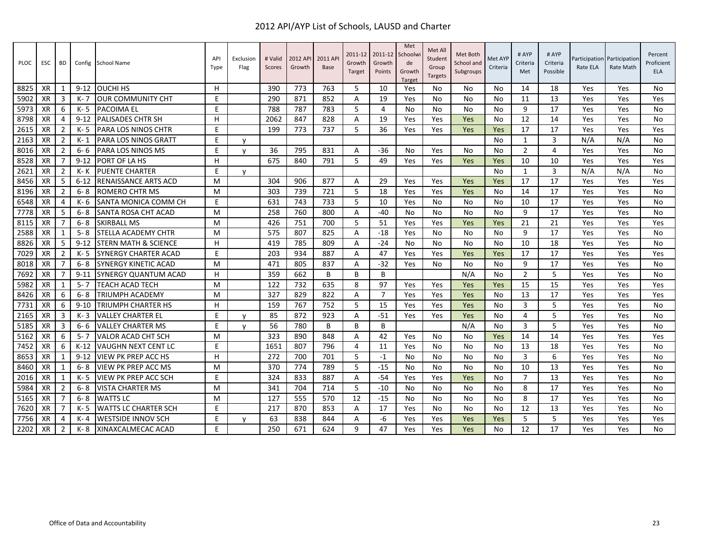| <b>PLOC</b> | ESC       | BD             |          | Config School Name              | API<br>Type | Exclusion<br>Flag | # Valid<br>Scores | 2012 API<br>Growth | 2011 AP<br><b>Base</b> | 2011-12<br>Growth<br>Target | 2011-12<br>Growth<br>Points | Met<br>Schoolwi<br>de<br>Growth<br><b>Target</b> | Met All<br>Student<br>Group<br><b>Targets</b> | Met Both<br>School and<br>Subgroups | Met AYP<br>Criteria | # AYP<br>Criteria<br>Met | # AYP<br>Criteria<br>Possible | Participation Participation<br>Rate ELA | Rate Math | Percent<br>Proficient<br><b>ELA</b> |
|-------------|-----------|----------------|----------|---------------------------------|-------------|-------------------|-------------------|--------------------|------------------------|-----------------------------|-----------------------------|--------------------------------------------------|-----------------------------------------------|-------------------------------------|---------------------|--------------------------|-------------------------------|-----------------------------------------|-----------|-------------------------------------|
| 8825        | XR        | 1              | $9 - 12$ | <b>OUCHI HS</b>                 | H           |                   | 390               | 773                | 763                    | 5                           | 10                          | Yes                                              | No                                            | No                                  | No.                 | 14                       | 18                            | Yes                                     | Yes       | No                                  |
| 5902        | XR        | 3              | K- 7     | <b>JOUR COMMUNITY CHT</b>       | E           |                   | 290               | 871                | 852                    | A                           | 19                          | Yes                                              | No                                            | No                                  | No                  | 11                       | 13                            | Yes                                     | Yes       | Yes                                 |
| 5973        | XR        | 6              | K- 5     | <b>PACOIMA EL</b>               | E           |                   | 788               | 787                | 783                    | 5                           | $\overline{4}$              | No.                                              | No                                            | No                                  | No.                 | 9                        | 17                            | Yes                                     | Yes       | No                                  |
| 8798        | XR        | 4              | $9 - 12$ | PALISADES CHTR SH               | H           |                   | 2062              | 847                | 828                    | Α                           | 19                          | Yes                                              | Yes                                           | Yes                                 | No                  | 12                       | 14                            | Yes                                     | Yes       | No                                  |
| 2615        | XR        | $\overline{2}$ | K-5      | <b>IPARA LOS NINOS CHTR</b>     | E           |                   | 199               | 773                | 737                    | 5                           | 36                          | Yes                                              | Yes                                           | Yes                                 | Yes                 | 17                       | 17                            | Yes                                     | Yes       | Yes                                 |
| 2163        | XR        | $\overline{2}$ | K- 1     | <b>PARA LOS NINOS GRATT</b>     | E           | v                 |                   |                    |                        |                             |                             |                                                  |                                               |                                     | No                  | 1                        | 3                             | N/A                                     | N/A       | No                                  |
| 8016        | XR        | $\overline{2}$ | $6 - 6$  | PARA LOS NINOS MS               | E           | $\mathsf{v}$      | 36                | 795                | 831                    | A                           | $-36$                       | No                                               | Yes                                           | No                                  | No                  | $\overline{2}$           | 4                             | Yes                                     | Yes       | No                                  |
| 8528        | XR        | 7              | $9 - 12$ | PORT OF LA HS                   | н           |                   | 675               | 840                | 791                    | 5                           | 49                          | Yes                                              | Yes                                           | Yes                                 | Yes                 | 10                       | 10                            | Yes                                     | Yes       | Yes                                 |
| 2621        | XR        | $\overline{2}$ | K- K     | <b>PUENTE CHARTER</b>           | E           | V                 |                   |                    |                        |                             |                             |                                                  |                                               |                                     | No                  | 1                        | 3                             | N/A                                     | N/A       | No                                  |
| 8456        | XR        | 5              | $6 - 12$ | <b>RENAISSANCE ARTS ACD</b>     | M           |                   | 304               | 906                | 877                    | A                           | 29                          | Yes                                              | Yes                                           | Yes                                 | Yes                 | 17                       | 17                            | Yes                                     | Yes       | Yes                                 |
| 8196        | XR        | $\overline{2}$ | $6 - 8$  | <b>ROMERO CHTR MS</b>           | M           |                   | 303               | 739                | 721                    | 5                           | 18                          | Yes                                              | Yes                                           | Yes                                 | No                  | 14                       | 17                            | Yes                                     | Yes       | No                                  |
| 6548        | XR        | $\overline{4}$ | K- 6     | SANTA MONICA COMM CH            | E           |                   | 631               | 743                | 733                    | 5                           | 10                          | Yes                                              | No                                            | No                                  | No                  | 10                       | 17                            | Yes                                     | Yes       | No                                  |
| 7778        | XR        | .5             | 6-8      | SANTA ROSA CHT ACAD             | M           |                   | 258               | 760                | 800                    | A                           | -40                         | No.                                              | No                                            | No                                  | No.                 | 9                        | 17                            | Yes                                     | Yes       | No.                                 |
| 8115        | XR        | 7              | $6 - 8$  | <b>SKIRBALL MS</b>              | M           |                   | 426               | 751                | 700                    | 5                           | 51                          | Yes                                              | Yes                                           | Yes                                 | Yes                 | 21                       | 21                            | Yes                                     | Yes       | Yes                                 |
| 2588        | XR        | 1              | $5 - 8$  | STELLA ACADEMY CHTR             | M           |                   | 575               | 807                | 825                    | $\overline{A}$              | $-18$                       | Yes                                              | No                                            | No                                  | No                  | 9                        | 17                            | Yes                                     | Yes       | No                                  |
| 8826        | XR        | 5              | $9 - 12$ | <b>STERN MATH &amp; SCIENCE</b> | H           |                   | 419               | 785                | 809                    | A                           | $-24$                       | No                                               | No                                            | No                                  | No                  | 10                       | 18                            | Yes                                     | Yes       | No                                  |
| 7029        | XR        | $\overline{2}$ | K-5      | <b>SYNERGY CHARTER ACAD</b>     | E           |                   | 203               | 934                | 887                    | A                           | 47                          | Yes                                              | Yes                                           | Yes                                 | Yes                 | 17                       | 17                            | Yes                                     | Yes       | Yes                                 |
| 8018        | XR        | 7              | 6-8      | <b>SYNERGY KINETIC ACAD</b>     | M           |                   | 471               | 805                | 837                    | A                           | $-32$                       | Yes                                              | No                                            | No                                  | No.                 | 9                        | 17                            | Yes                                     | Yes       | No                                  |
| 7692        | XR        | 7              | $9 - 11$ | SYNERGY QUANTUM ACAD            | н           |                   | 359               | 662                | B                      | B                           | B                           |                                                  |                                               | N/A                                 | No                  | $\overline{2}$           | 5                             | Yes                                     | Yes       | No                                  |
| 5982        | XR        | $\mathbf{1}$   | $5 - 7$  | TEACH ACAD TECH                 | M           |                   | 122               | 732                | 635                    | 8                           | 97                          | Yes                                              | Yes                                           | Yes                                 | Yes                 | 15                       | 15                            | Yes                                     | Yes       | Yes                                 |
| 8426        | XR        | 6              | $6 - 8$  | <b>TRIUMPH ACADEMY</b>          | M           |                   | 327               | 829                | 822                    | A                           | $\overline{7}$              | Yes                                              | Yes                                           | Yes                                 | No                  | 13                       | 17                            | Yes                                     | Yes       | Yes                                 |
| 7731        | XR        | 6              | $9 - 10$ | <b>TRIUMPH CHARTER HS</b>       | н           |                   | 159               | 767                | 752                    | 5                           | 15                          | Yes                                              | Yes                                           | Yes                                 | No                  | $\overline{3}$           | 5                             | Yes                                     | Yes       | No                                  |
| 2165        | XR        | 3              | K-3      | VALLEY CHARTER EL               | E.          | $\mathsf{v}$      | 85                | 872                | 923                    | A                           | $-51$                       | Yes                                              | Yes                                           | Yes                                 | No.                 | 4                        | 5                             | Yes                                     | Yes       | No                                  |
| 5185        | XR        | 3              | $6 - 6$  | VALLEY CHARTER MS               | E           | v                 | 56                | 780                | B                      | B                           | B                           |                                                  |                                               | N/A                                 | No                  | 3                        | 5                             | Yes                                     | Yes       | No                                  |
| 5162        | XR        | 6              | $5 - 7$  | <b>VALOR ACAD CHT SCH</b>       | M           |                   | 323               | 890                | 848                    | A                           | 42                          | Yes                                              | No                                            | No                                  | Yes                 | 14                       | 14                            | Yes                                     | Yes       | Yes                                 |
| 7452        | XR        | 6              | $K-12$   | <b>VAUGHN NEXT CENT LC</b>      | E           |                   | 1651              | 807                | 796                    | $\overline{4}$              | 11                          | Yes                                              | No                                            | No                                  | No.                 | 13                       | 18                            | Yes                                     | Yes       | No                                  |
| 8653        | XR        | -1             | $9 - 12$ | VIEW PK PREP ACC HS             | H           |                   | 272               | 700                | 701                    | 5                           | $-1$                        | No                                               | No                                            | No                                  | No                  | $\overline{3}$           | 6                             | Yes                                     | Yes       | No                                  |
| 8460        | XR        | -1             | $6 - 8$  | <b>VIEW PK PREP ACC MS</b>      | M           |                   | 370               | 774                | 789                    | 5                           | $-15$                       | No                                               | No                                            | No                                  | No.                 | 10                       | 13                            | Yes                                     | Yes       | No                                  |
| 2016        | <b>XR</b> | 1              | K- 5     | VIEW PK PREP ACC SCH            | E           |                   | 324               | 833                | 887                    | Α                           | $-54$                       | Yes                                              | Yes                                           | Yes                                 | <b>No</b>           | $\overline{7}$           | 13                            | Yes                                     | Yes       | No                                  |
| 5984        | XR        | $\overline{2}$ | $6 - 8$  | <b>VISTA CHARTER MS</b>         | M           |                   | 341               | 704                | 714                    | 5                           | $-10$                       | No                                               | No                                            | No                                  | No                  | 8                        | 17                            | Yes                                     | Yes       | No                                  |
| 5165        | XR        | 7              | $6 - 8$  | <b>WATTS LC</b>                 | M           |                   | 127               | 555                | 570                    | 12                          | $-15$                       | No                                               | No                                            | No                                  | No.                 | 8                        | 17                            | Yes                                     | Yes       | No                                  |
| 7620        | XR        | 7              | K-5      | <b>WATTS LC CHARTER SCH</b>     | E           |                   | 217               | 870                | 853                    | A                           | 17                          | Yes                                              | No                                            | No                                  | No                  | 12                       | 13                            | Yes                                     | Yes       | No                                  |
| 7756        | XR        | 4              | K- 4     | <b>WESTSIDE INNOV SCH</b>       | E.          | v                 | 63                | 838                | 844                    | A                           | -6                          | Yes                                              | Yes                                           | Yes                                 | Yes                 | .5                       | 5.                            | Yes                                     | Yes       | Yes                                 |
| 2202        | XR        | $\overline{2}$ | K-8      | XINAXCALMECAC ACAD              | F           |                   | 250               | 671                | 624                    | $\mathbf{q}$                | 47                          | Yes                                              | Yes                                           | Yes                                 | No.                 | 12                       | 17                            | Yes                                     | Yes       | No                                  |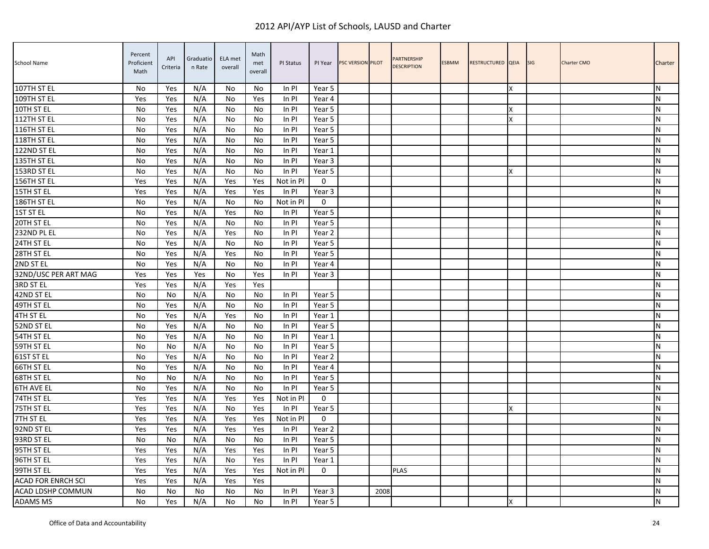| <b>School Name</b>        | Percent<br>Proficient<br>Math | API<br>Criteria | Graduatio<br>n Rate | ELA met<br>overall | Math<br>met<br>overall | PI Status | PI Year     | <b>PSC VERSION PILOT</b> |      | PARTNERSHIP<br><b>DESCRIPTION</b> | ESBMM | RESTRUCTURED QEIA |   | <b>SIG</b> | <b>Charter CMO</b> | Charter   |
|---------------------------|-------------------------------|-----------------|---------------------|--------------------|------------------------|-----------|-------------|--------------------------|------|-----------------------------------|-------|-------------------|---|------------|--------------------|-----------|
| 107TH ST EL               | No                            | Yes             | N/A                 | No                 | No                     | In PI     | Year 5      |                          |      |                                   |       |                   | x |            |                    | N         |
| 109TH ST EL               | Yes                           | Yes             | N/A                 | No                 | Yes                    | $In$ PI   | Year 4      |                          |      |                                   |       |                   |   |            |                    | N         |
| 10TH ST EL                | No                            | Yes             | N/A                 | No                 | No                     | In PI     | Year 5      |                          |      |                                   |       |                   | X |            |                    | N         |
| 112TH ST EL               | No                            | Yes             | N/A                 | No                 | No                     | In PI     | Year 5      |                          |      |                                   |       |                   |   |            |                    | N         |
| 116TH ST EL               | No                            | Yes             | N/A                 | No                 | No                     | In PI     | Year 5      |                          |      |                                   |       |                   |   |            |                    | N         |
| 118TH ST EL               | No                            | Yes             | N/A                 | No                 | No                     | In PI     | Year 5      |                          |      |                                   |       |                   |   |            |                    | N         |
| 122ND ST EL               | No                            | Yes             | N/A                 | No                 | No                     | In PI     | Year 1      |                          |      |                                   |       |                   |   |            |                    | N         |
| 135TH ST EL               | No                            | Yes             | N/A                 | No                 | No                     | ln Pl     | Year 3      |                          |      |                                   |       |                   |   |            |                    | N         |
| 153RD ST EL               | No                            | Yes             | N/A                 | No                 | No                     | In PI     | Year 5      |                          |      |                                   |       |                   | X |            |                    | N         |
| 156TH ST EL               | Yes                           | Yes             | N/A                 | Yes                | Yes                    | Not in PI | $\mathbf 0$ |                          |      |                                   |       |                   |   |            |                    | N         |
| 15TH ST EL                | Yes                           | Yes             | N/A                 | Yes                | Yes                    | In PI     | Year 3      |                          |      |                                   |       |                   |   |            |                    | ${\sf N}$ |
| 186TH ST EL               | No                            | Yes             | N/A                 | No                 | No                     | Not in PI | 0           |                          |      |                                   |       |                   |   |            |                    | N         |
| 1ST ST EL                 | No                            | Yes             | N/A                 | Yes                | No                     | In PI     | Year 5      |                          |      |                                   |       |                   |   |            |                    | N         |
| 20TH ST EL                | No                            | Yes             | N/A                 | No                 | No                     | In PI     | Year 5      |                          |      |                                   |       |                   |   |            |                    | N         |
| 232ND PL EL               | No                            | Yes             | N/A                 | Yes                | No                     | In PI     | Year 2      |                          |      |                                   |       |                   |   |            |                    | N         |
| 24TH ST EL                | No                            | Yes             | N/A                 | No                 | No                     | In PI     | Year 5      |                          |      |                                   |       |                   |   |            |                    | ${\sf N}$ |
| 28TH ST EL                | No                            | Yes             | N/A                 | Yes                | No                     | In PI     | Year 5      |                          |      |                                   |       |                   |   |            |                    | ${\sf N}$ |
| 2ND ST EL                 | No                            | Yes             | N/A                 | No                 | No                     | In PI     | Year 4      |                          |      |                                   |       |                   |   |            |                    | N         |
| 32ND/USC PER ART MAG      | Yes                           | Yes             | Yes                 | No                 | Yes                    | In PI     | Year 3      |                          |      |                                   |       |                   |   |            |                    | N         |
| 3RD ST EL                 | Yes                           | Yes             | N/A                 | Yes                | Yes                    |           |             |                          |      |                                   |       |                   |   |            |                    | N         |
| 42ND ST EL                | No                            | No              | N/A                 | No                 | No                     | ln Pl     | Year 5      |                          |      |                                   |       |                   |   |            |                    | N         |
| 49TH ST EL                | No                            | Yes             | N/A                 | No                 | No                     | In PI     | Year 5      |                          |      |                                   |       |                   |   |            |                    | N         |
| 4TH ST EL                 | No                            | Yes             | N/A                 | Yes                | No                     | In PI     | Year 1      |                          |      |                                   |       |                   |   |            |                    | ${\sf N}$ |
| 52ND ST EL                | No                            | Yes             | N/A                 | No                 | No                     | In PI     | Year 5      |                          |      |                                   |       |                   |   |            |                    | N         |
| 54TH ST EL                | No                            | Yes             | N/A                 | No                 | No                     | In PI     | Year 1      |                          |      |                                   |       |                   |   |            |                    | N         |
| 59TH ST EL                | <b>No</b>                     | No              | N/A                 | No                 | No                     | In PI     | Year 5      |                          |      |                                   |       |                   |   |            |                    | N         |
| 61ST ST EL                | No                            | Yes             | N/A                 | No                 | No                     | In PI     | Year 2      |                          |      |                                   |       |                   |   |            |                    | N         |
| 66TH ST EL                | No                            | Yes             | N/A                 | No                 | No                     | In PI     | Year 4      |                          |      |                                   |       |                   |   |            |                    | N         |
| 68TH ST EL                | No                            | No              | N/A                 | No                 | No                     | In PI     | Year 5      |                          |      |                                   |       |                   |   |            |                    | ${\sf N}$ |
| 6TH AVE EL                | No                            | Yes             | N/A                 | No                 | No                     | In PI     | Year 5      |                          |      |                                   |       |                   |   |            |                    | N         |
| 74TH ST EL                | Yes                           | Yes             | N/A                 | Yes                | Yes                    | Not in PI | 0           |                          |      |                                   |       |                   |   |            |                    | N         |
| 75TH ST EL                | Yes                           | Yes             | N/A                 | No                 | Yes                    | In PI     | Year 5      |                          |      |                                   |       |                   | x |            |                    | N         |
| 7TH ST EL                 | Yes                           | Yes             | N/A                 | Yes                | Yes                    | Not in PI | 0           |                          |      |                                   |       |                   |   |            |                    | ${\sf N}$ |
| 92ND ST EL                | Yes                           | Yes             | N/A                 | Yes                | Yes                    | In PI     | Year 2      |                          |      |                                   |       |                   |   |            |                    | N         |
| 93RD ST EL                | No                            | No              | N/A                 | No                 | No                     | In PI     | Year 5      |                          |      |                                   |       |                   |   |            |                    | N         |
| 95TH ST EL                | Yes                           | Yes             | N/A                 | Yes                | Yes                    | In PI     | Year 5      |                          |      |                                   |       |                   |   |            |                    | N         |
| 96TH ST EL                | Yes                           | Yes             | N/A                 | No                 | Yes                    | In PI     | Year 1      |                          |      |                                   |       |                   |   |            |                    | N         |
| 99TH ST EL                | Yes                           | Yes             | N/A                 | Yes                | Yes                    | Not in PI | 0           |                          |      | <b>PLAS</b>                       |       |                   |   |            |                    | N         |
| <b>ACAD FOR ENRCH SCI</b> | Yes                           | Yes             | N/A                 | Yes                | Yes                    |           |             |                          |      |                                   |       |                   |   |            |                    | N         |
| ACAD LDSHP COMMUN         | No                            | No              | No                  | No                 | No                     | In PI     | Year 3      |                          | 2008 |                                   |       |                   |   |            |                    | N         |
| <b>ADAMS MS</b>           | No                            | Yes             | N/A                 | No                 | No                     | $In$ PI   | Year 5      |                          |      |                                   |       |                   | Χ |            |                    | ${\sf N}$ |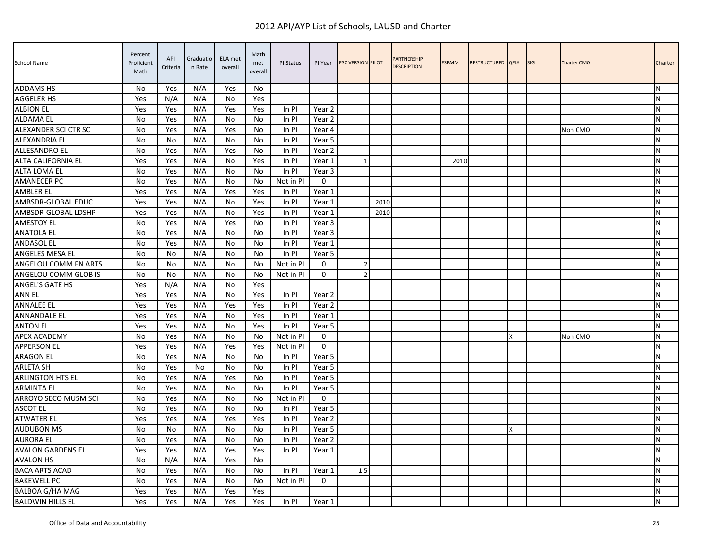| School Name              | Percent<br>Proficient<br>Math | API<br>Criteria | Graduatio<br>n Rate | ELA met<br>overall | Math<br>met<br>overall | PI Status | PI Year      | PSC VERSION PILOT |      | <b>PARTNERSHIP</b><br><b>DESCRIPTION</b> | <b>ESBMM</b> | RESTRUCTURED QEIA |   | <b>SIG</b> | <b>Charter CMO</b> | Charter   |
|--------------------------|-------------------------------|-----------------|---------------------|--------------------|------------------------|-----------|--------------|-------------------|------|------------------------------------------|--------------|-------------------|---|------------|--------------------|-----------|
| <b>ADDAMS HS</b>         | No                            | Yes             | N/A                 | Yes                | No.                    |           |              |                   |      |                                          |              |                   |   |            |                    | N         |
| <b>AGGELER HS</b>        | Yes                           | N/A             | N/A                 | No                 | Yes                    |           |              |                   |      |                                          |              |                   |   |            |                    | N         |
| <b>ALBION EL</b>         | Yes                           | Yes             | N/A                 | Yes                | Yes                    | In PI     | Year 2       |                   |      |                                          |              |                   |   |            |                    | N         |
| <b>ALDAMA EL</b>         | No                            | Yes             | N/A                 | No                 | No                     | In PI     | Year 2       |                   |      |                                          |              |                   |   |            |                    | N         |
| ALEXANDER SCI CTR SC     | No                            | Yes             | N/A                 | Yes                | No                     | In PI     | Year 4       |                   |      |                                          |              |                   |   |            | Non CMO            | N         |
| ALEXANDRIA EL            | No                            | No              | N/A                 | No                 | No                     | In PI     | Year 5       |                   |      |                                          |              |                   |   |            |                    | N         |
| <b>ALLESANDRO EL</b>     | No                            | Yes             | N/A                 | Yes                | No                     | In PI     | Year 2       |                   |      |                                          |              |                   |   |            |                    | N         |
| ALTA CALIFORNIA EL       | Yes                           | Yes             | N/A                 | No                 | Yes                    | In PI     | Year 1       |                   |      |                                          | 2010         |                   |   |            |                    | ${\sf N}$ |
| ALTA LOMA EL             | No                            | Yes             | N/A                 | No                 | No                     | In PI     | Year 3       |                   |      |                                          |              |                   |   |            |                    | N         |
| <b>AMANECER PC</b>       | No                            | Yes             | N/A                 | No                 | No                     | Not in PI | $\mathbf{0}$ |                   |      |                                          |              |                   |   |            |                    | ${\sf N}$ |
| AMBLER EL                | Yes                           | Yes             | N/A                 | Yes                | Yes                    | In PI     | Year 1       |                   |      |                                          |              |                   |   |            |                    | ${\sf N}$ |
| AMBSDR-GLOBAL EDUC       | Yes                           | Yes             | N/A                 | No                 | Yes                    | In PI     | Year 1       |                   | 2010 |                                          |              |                   |   |            |                    | N         |
| AMBSDR-GLOBAL LDSHP      | Yes                           | Yes             | N/A                 | No                 | Yes                    | In PI     | Year 1       |                   | 2010 |                                          |              |                   |   |            |                    | N         |
| <b>AMESTOY EL</b>        | No                            | Yes             | N/A                 | Yes                | No                     | In PI     | Year 3       |                   |      |                                          |              |                   |   |            |                    | N         |
| <b>ANATOLA EL</b>        | No                            | Yes             | N/A                 | No                 | No                     | In PI     | Year 3       |                   |      |                                          |              |                   |   |            |                    | N         |
| <b>ANDASOL EL</b>        | No                            | Yes             | N/A                 | No                 | No                     | In PI     | Year 1       |                   |      |                                          |              |                   |   |            |                    | ${\sf N}$ |
| ANGELES MESA EL          | No                            | No              | N/A                 | No                 | No                     | In PI     | Year 5       |                   |      |                                          |              |                   |   |            |                    | ${\sf N}$ |
| ANGELOU COMM FN ARTS     | No                            | No              | N/A                 | No                 | No                     | Not in PI | $\mathbf{0}$ | $\overline{2}$    |      |                                          |              |                   |   |            |                    | N         |
| ANGELOU COMM GLOB IS     | No                            | No              | N/A                 | No                 | No                     | Not in PI | $\Omega$     | $\overline{2}$    |      |                                          |              |                   |   |            |                    | N         |
| ANGEL'S GATE HS          | Yes                           | N/A             | N/A                 | No                 | Yes                    |           |              |                   |      |                                          |              |                   |   |            |                    | N         |
| <b>ANN EL</b>            | Yes                           | Yes             | N/A                 | No                 | Yes                    | In PI     | Year 2       |                   |      |                                          |              |                   |   |            |                    | N         |
| <b>ANNALEE EL</b>        | Yes                           | Yes             | N/A                 | Yes                | Yes                    | In PI     | Year 2       |                   |      |                                          |              |                   |   |            |                    | ${\sf N}$ |
| <b>ANNANDALE EL</b>      | Yes                           | Yes             | N/A                 | No                 | Yes                    | In PI     | Year 1       |                   |      |                                          |              |                   |   |            |                    | ${\sf N}$ |
| <b>ANTON EL</b>          | Yes                           | Yes             | N/A                 | No                 | Yes                    | In PI     | Year 5       |                   |      |                                          |              |                   |   |            |                    | N         |
| APEX ACADEMY             | No                            | Yes             | N/A                 | No                 | No                     | Not in PI | $\mathbf{0}$ |                   |      |                                          |              |                   | x |            | Non CMO            | N         |
| <b>APPERSON EL</b>       | Yes                           | Yes             | N/A                 | Yes                | Yes                    | Not in PI | $\Omega$     |                   |      |                                          |              |                   |   |            |                    | N         |
| <b>ARAGON EL</b>         | No                            | Yes             | N/A                 | No                 | No                     | In PI     | Year 5       |                   |      |                                          |              |                   |   |            |                    | N         |
| <b>ARLETA SH</b>         | No                            | Yes             | No                  | No                 | No                     | In PI     | Year 5       |                   |      |                                          |              |                   |   |            |                    | N         |
| <b>ARLINGTON HTS EL</b>  | No                            | Yes             | N/A                 | Yes                | No                     | In PI     | Year 5       |                   |      |                                          |              |                   |   |            |                    | ${\sf N}$ |
| <b>ARMINTA EL</b>        | No                            | Yes             | N/A                 | No                 | No                     | In PI     | Year 5       |                   |      |                                          |              |                   |   |            |                    | N         |
| ARROYO SECO MUSM SCI     | No                            | Yes             | N/A                 | No                 | No                     | Not in PI | $\Omega$     |                   |      |                                          |              |                   |   |            |                    | N         |
| <b>ASCOT EL</b>          | <b>No</b>                     | Yes             | N/A                 | No                 | No                     | In PI     | Year 5       |                   |      |                                          |              |                   |   |            |                    | ${\sf N}$ |
| <b>ATWATER EL</b>        | Yes                           | Yes             | N/A                 | Yes                | Yes                    | In PI     | Year 2       |                   |      |                                          |              |                   |   |            |                    | ${\sf N}$ |
| <b>AUDUBON MS</b>        | No                            | No              | N/A                 | No                 | No                     | In PI     | Year 5       |                   |      |                                          |              |                   | x |            |                    | N         |
| <b>AURORA EL</b>         | No                            | Yes             | N/A                 | No                 | No                     | In PI     | Year 2       |                   |      |                                          |              |                   |   |            |                    | ${\sf N}$ |
| <b>AVALON GARDENS EL</b> | Yes                           | Yes             | N/A                 | Yes                | Yes                    | In PI     | Year 1       |                   |      |                                          |              |                   |   |            |                    | N         |
| <b>AVALON HS</b>         | No                            | N/A             | N/A                 | Yes                | No                     |           |              |                   |      |                                          |              |                   |   |            |                    | N         |
| <b>BACA ARTS ACAD</b>    | <b>No</b>                     | Yes             | N/A                 | No                 | No                     | $In$ PI   | Year 1       | 1.5               |      |                                          |              |                   |   |            |                    | N         |
| <b>BAKEWELL PC</b>       | No                            | Yes             | N/A                 | No                 | No                     | Not in PI | $\Omega$     |                   |      |                                          |              |                   |   |            |                    | N         |
| <b>BALBOA G/HA MAG</b>   | Yes                           | Yes             | N/A                 | Yes                | Yes                    |           |              |                   |      |                                          |              |                   |   |            |                    | N         |
| <b>BALDWIN HILLS EL</b>  | Yes                           | Yes             | N/A                 | Yes                | Yes                    | In PI     | Year 1       |                   |      |                                          |              |                   |   |            |                    | ${\sf N}$ |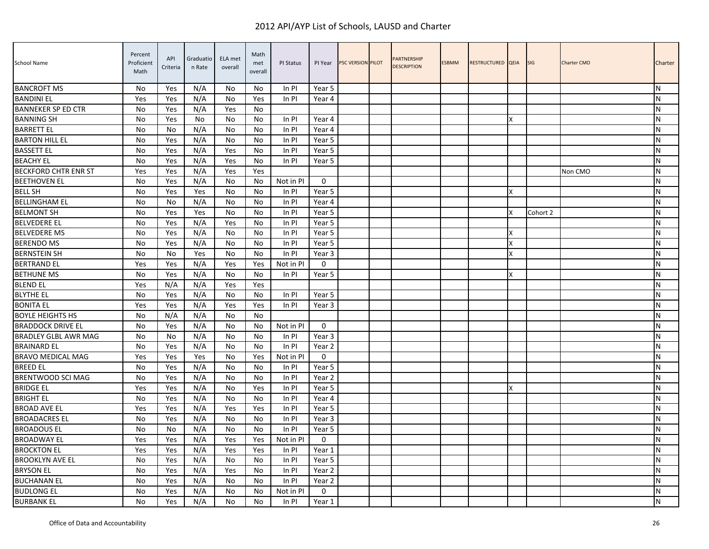| School Name                 | Percent<br>Proficient<br>Math | API<br>Criteria | Graduatio<br>n Rate | ELA met<br>overall | Math<br>met<br>overall | PI Status | PI Year           | <b>PSC VERSION PILOT</b> | <b>PARTNERSHIP</b><br><b>DESCRIPTION</b> | <b>ESBMM</b> | RESTRUCTURED QEIA |   | <b>SIG</b> | Charter CMO | Charter   |
|-----------------------------|-------------------------------|-----------------|---------------------|--------------------|------------------------|-----------|-------------------|--------------------------|------------------------------------------|--------------|-------------------|---|------------|-------------|-----------|
| <b>BANCROFT MS</b>          | No                            | Yes             | N/A                 | No                 | No.                    | In PI     | Year 5            |                          |                                          |              |                   |   |            |             | N         |
| <b>BANDINI EL</b>           | Yes                           | Yes             | N/A                 | No                 | Yes                    | $In$ PI   | Year 4            |                          |                                          |              |                   |   |            |             | N         |
| <b>BANNEKER SP ED CTR</b>   | No                            | Yes             | N/A                 | Yes                | No                     |           |                   |                          |                                          |              |                   |   |            |             | N         |
| <b>BANNING SH</b>           | No                            | Yes             | No                  | No                 | No                     | In PI     | Year 4            |                          |                                          |              |                   |   |            |             | ${\sf N}$ |
| <b>BARRETT EL</b>           | No                            | No              | N/A                 | No                 | No                     | In PI     | Year 4            |                          |                                          |              |                   |   |            |             | N         |
| <b>BARTON HILL EL</b>       | No                            | Yes             | N/A                 | No                 | No                     | In PI     | Year 5            |                          |                                          |              |                   |   |            |             | N         |
| <b>BASSETT EL</b>           | No                            | Yes             | N/A                 | Yes                | No                     | In PI     | Year 5            |                          |                                          |              |                   |   |            |             | N         |
| <b>BEACHY EL</b>            | No                            | Yes             | N/A                 | Yes                | No                     | In PI     | Year 5            |                          |                                          |              |                   |   |            |             | ${\sf N}$ |
| <b>BECKFORD CHTR ENR ST</b> | Yes                           | Yes             | N/A                 | Yes                | Yes                    |           |                   |                          |                                          |              |                   |   |            | Non CMO     | N         |
| <b>BEETHOVEN EL</b>         | No                            | Yes             | N/A                 | No                 | No                     | Not in PI | $\mathbf 0$       |                          |                                          |              |                   |   |            |             | ${\sf N}$ |
| <b>BELL SH</b>              | No                            | Yes             | Yes                 | No                 | No                     | In PI     | Year 5            |                          |                                          |              |                   |   |            |             | ${\sf N}$ |
| <b>BELLINGHAM EL</b>        | No                            | No              | N/A                 | No                 | No                     | In PI     | Year 4            |                          |                                          |              |                   |   |            |             | N         |
| <b>BELMONT SH</b>           | No                            | Yes             | Yes                 | No                 | No                     | In PI     | Year 5            |                          |                                          |              |                   | x | Cohort 2   |             | N         |
| <b>BELVEDERE EL</b>         | No                            | Yes             | N/A                 | Yes                | No                     | In PI     | Year 5            |                          |                                          |              |                   |   |            |             | N         |
| <b>BELVEDERE MS</b>         | No                            | Yes             | N/A                 | No                 | No                     | In PI     | Year 5            |                          |                                          |              |                   | X |            |             | N         |
| <b>BERENDO MS</b>           | No                            | Yes             | N/A                 | No                 | No                     | In PI     | Year 5            |                          |                                          |              |                   | X |            |             | ${\sf N}$ |
| <b>BERNSTEIN SH</b>         | No                            | No              | Yes                 | No                 | No                     | In PI     | Year 3            |                          |                                          |              |                   | X |            |             | ${\sf N}$ |
| <b>BERTRAND EL</b>          | Yes                           | Yes             | N/A                 | Yes                | Yes                    | Not in PI | $\mathbf{0}$      |                          |                                          |              |                   |   |            |             | N         |
| <b>BETHUNE MS</b>           | No                            | Yes             | N/A                 | No                 | No                     | In PI     | Year 5            |                          |                                          |              |                   | X |            |             | N         |
| <b>BLEND EL</b>             | Yes                           | N/A             | N/A                 | Yes                | Yes                    |           |                   |                          |                                          |              |                   |   |            |             | N         |
| <b>BLYTHE EL</b>            | No                            | Yes             | N/A                 | No                 | No                     | In PI     | Year 5            |                          |                                          |              |                   |   |            |             | N         |
| <b>BONITA EL</b>            | Yes                           | Yes             | N/A                 | Yes                | Yes                    | In PI     | Year 3            |                          |                                          |              |                   |   |            |             | ${\sf N}$ |
| <b>BOYLE HEIGHTS HS</b>     | <b>No</b>                     | N/A             | N/A                 | No                 | No                     |           |                   |                          |                                          |              |                   |   |            |             | ${\sf N}$ |
| <b>BRADDOCK DRIVE EL</b>    | No                            | Yes             | N/A                 | No                 | No                     | Not in PI | $\mathbf{0}$      |                          |                                          |              |                   |   |            |             | N         |
| <b>BRADLEY GLBL AWR MAG</b> | No                            | No              | N/A                 | No                 | No                     | In PI     | Year 3            |                          |                                          |              |                   |   |            |             | N         |
| <b>BRAINARD EL</b>          | <b>No</b>                     | Yes             | N/A                 | No                 | No                     | In PI     | Year <sub>2</sub> |                          |                                          |              |                   |   |            |             | N         |
| <b>BRAVO MEDICAL MAG</b>    | Yes                           | Yes             | Yes                 | No                 | Yes                    | Not in PI | $\Omega$          |                          |                                          |              |                   |   |            |             | N         |
| <b>BREED EL</b>             | No                            | Yes             | N/A                 | No                 | No                     | In PI     | Year 5            |                          |                                          |              |                   |   |            |             | N         |
| BRENTWOOD SCI MAG           | No                            | Yes             | N/A                 | No                 | No                     | In PI     | Year <sub>2</sub> |                          |                                          |              |                   |   |            |             | ${\sf N}$ |
| <b>BRIDGE EL</b>            | Yes                           | Yes             | N/A                 | No                 | Yes                    | In PI     | Year 5            |                          |                                          |              |                   | X |            |             | N         |
| <b>BRIGHT EL</b>            | No                            | Yes             | N/A                 | No                 | No                     | In PI     | Year 4            |                          |                                          |              |                   |   |            |             | N         |
| <b>BROAD AVE EL</b>         | Yes                           | Yes             | N/A                 | Yes                | Yes                    | In PI     | Year 5            |                          |                                          |              |                   |   |            |             | ${\sf N}$ |
| <b>BROADACRES EL</b>        | No                            | Yes             | N/A                 | No                 | No                     | In PI     | Year 3            |                          |                                          |              |                   |   |            |             | ${\sf N}$ |
| <b>BROADOUS EL</b>          | No                            | No              | N/A                 | No                 | No                     | In PI     | Year 5            |                          |                                          |              |                   |   |            |             | N         |
| <b>BROADWAY EL</b>          | Yes                           | Yes             | N/A                 | Yes                | Yes                    | Not in PI | $\mathbf{0}$      |                          |                                          |              |                   |   |            |             | ${\sf N}$ |
| <b>BROCKTON EL</b>          | Yes                           | Yes             | N/A                 | Yes                | Yes                    | In PI     | Year 1            |                          |                                          |              |                   |   |            |             | N         |
| <b>BROOKLYN AVE EL</b>      | No                            | Yes             | N/A                 | No                 | No                     | In PI     | Year 5            |                          |                                          |              |                   |   |            |             | N         |
| <b>BRYSON EL</b>            | No                            | Yes             | N/A                 | Yes                | No                     | In PI     | Year <sub>2</sub> |                          |                                          |              |                   |   |            |             | N         |
| <b>BUCHANAN EL</b>          | No                            | Yes             | N/A                 | No                 | No.                    | In PI     | Year <sub>2</sub> |                          |                                          |              |                   |   |            |             | N         |
| <b>BUDLONG EL</b>           | No                            | Yes             | N/A                 | No                 | No                     | Not in PI | $\mathbf 0$       |                          |                                          |              |                   |   |            |             | N         |
| <b>BURBANK EL</b>           | No                            | Yes             | N/A                 | No                 | No                     | In PI     | Year 1            |                          |                                          |              |                   |   |            |             | ${\sf N}$ |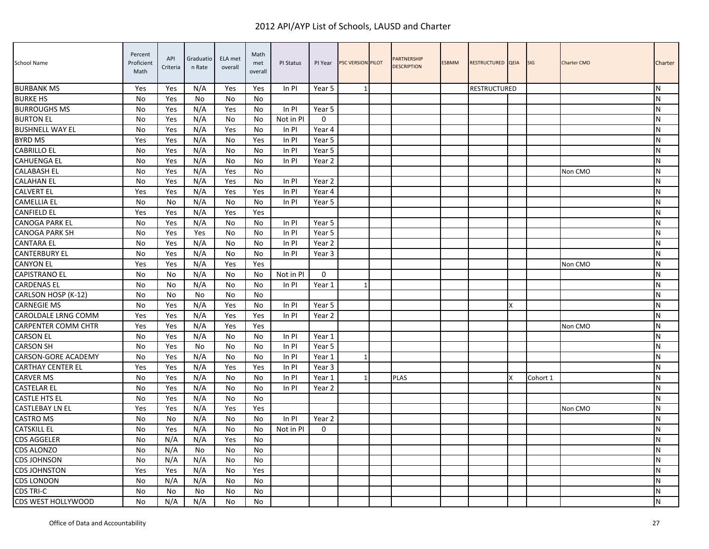| School Name                | Percent<br>Proficient<br>Math | API<br>Criteria | Graduatio<br>n Rate | ELA met<br>overall | Math<br>met<br>overall | PI Status | PI Year           | PSC VERSION PILOT | <b>PARTNERSHIP</b><br><b>DESCRIPTION</b> | <b>ESBMM</b> | RESTRUCTURED QEIA   |   | <b>SIG</b> | <b>Charter CMO</b> | Charter   |
|----------------------------|-------------------------------|-----------------|---------------------|--------------------|------------------------|-----------|-------------------|-------------------|------------------------------------------|--------------|---------------------|---|------------|--------------------|-----------|
| <b>BURBANK MS</b>          | Yes                           | Yes             | N/A                 | Yes                | Yes                    | In PI     | Year 5            | 1                 |                                          |              | <b>RESTRUCTURED</b> |   |            |                    | N         |
| <b>BURKE HS</b>            | No                            | Yes             | No                  | No                 | No                     |           |                   |                   |                                          |              |                     |   |            |                    | N         |
| <b>BURROUGHS MS</b>        | No                            | Yes             | N/A                 | Yes                | No                     | In PI     | Year 5            |                   |                                          |              |                     |   |            |                    | N         |
| <b>BURTON EL</b>           | No                            | Yes             | N/A                 | No                 | No                     | Not in PI | $\mathbf 0$       |                   |                                          |              |                     |   |            |                    | ${\sf N}$ |
| <b>BUSHNELL WAY EL</b>     | No                            | Yes             | N/A                 | Yes                | No                     | In PI     | Year 4            |                   |                                          |              |                     |   |            |                    | N         |
| <b>BYRD MS</b>             | Yes                           | Yes             | N/A                 | No                 | Yes                    | In PI     | Year 5            |                   |                                          |              |                     |   |            |                    | N         |
| <b>CABRILLO EL</b>         | No                            | Yes             | N/A                 | No                 | No                     | In PI     | Year 5            |                   |                                          |              |                     |   |            |                    | N         |
| <b>CAHUENGA EL</b>         | No                            | Yes             | N/A                 | No                 | No                     | In PI     | Year <sub>2</sub> |                   |                                          |              |                     |   |            |                    | N         |
| <b>CALABASH EL</b>         | No                            | Yes             | N/A                 | Yes                | No                     |           |                   |                   |                                          |              |                     |   |            | Non CMO            | N         |
| <b>CALAHAN EL</b>          | No                            | Yes             | N/A                 | Yes                | No                     | In PI     | Year 2            |                   |                                          |              |                     |   |            |                    | ${\sf N}$ |
| <b>CALVERT EL</b>          | Yes                           | Yes             | N/A                 | Yes                | Yes                    | In PI     | Year 4            |                   |                                          |              |                     |   |            |                    | N         |
| <b>CAMELLIA EL</b>         | No                            | No              | N/A                 | No                 | No                     | In PI     | Year 5            |                   |                                          |              |                     |   |            |                    | N         |
| <b>CANFIELD EL</b>         | Yes                           | Yes             | N/A                 | Yes                | Yes                    |           |                   |                   |                                          |              |                     |   |            |                    | N         |
| <b>CANOGA PARK EL</b>      | No                            | Yes             | N/A                 | No                 | No                     | In PI     | Year 5            |                   |                                          |              |                     |   |            |                    | N         |
| <b>CANOGA PARK SH</b>      | No                            | Yes             | Yes                 | No                 | No                     | In PI     | Year 5            |                   |                                          |              |                     |   |            |                    | N         |
| <b>CANTARA EL</b>          | No                            | Yes             | N/A                 | No                 | No                     | In PI     | Year 2            |                   |                                          |              |                     |   |            |                    | ${\sf N}$ |
| <b>CANTERBURY EL</b>       | No                            | Yes             | N/A                 | No                 | No                     | In PI     | Year 3            |                   |                                          |              |                     |   |            |                    | ${\sf N}$ |
| <b>CANYON EL</b>           | Yes                           | Yes             | N/A                 | Yes                | Yes                    |           |                   |                   |                                          |              |                     |   |            | Non CMO            | N         |
| <b>CAPISTRANO EL</b>       | No                            | No              | N/A                 | No                 | No                     | Not in PI | $\mathbf{0}$      |                   |                                          |              |                     |   |            |                    | N         |
| <b>CARDENAS EL</b>         | <b>No</b>                     | No              | N/A                 | No                 | No                     | In PI     | Year 1            |                   |                                          |              |                     |   |            |                    | N         |
| CARLSON HOSP (K-12)        | <b>No</b>                     | No              | <b>No</b>           | No                 | No                     |           |                   |                   |                                          |              |                     |   |            |                    | N         |
| <b>CARNEGIE MS</b>         | No                            | Yes             | N/A                 | Yes                | No                     | In PI     | Year 5            |                   |                                          |              |                     | x |            |                    | ${\sf N}$ |
| CAROLDALE LRNG COMM        | Yes                           | Yes             | N/A                 | Yes                | Yes                    | In PI     | Year 2            |                   |                                          |              |                     |   |            |                    | ${\sf N}$ |
| <b>CARPENTER COMM CHTR</b> | Yes                           | Yes             | N/A                 | Yes                | Yes                    |           |                   |                   |                                          |              |                     |   |            | Non CMO            | N         |
| <b>CARSON EL</b>           | No                            | Yes             | N/A                 | No                 | No                     | In PI     | Year 1            |                   |                                          |              |                     |   |            |                    | N         |
| <b>CARSON SH</b>           | <b>No</b>                     | Yes             | <b>No</b>           | No                 | No                     | In Pl     | Year 5            |                   |                                          |              |                     |   |            |                    | N         |
| CARSON-GORE ACADEMY        | <b>No</b>                     | Yes             | N/A                 | No                 | No                     | In PI     | Year 1            | -1                |                                          |              |                     |   |            |                    | N         |
| <b>CARTHAY CENTER EL</b>   | Yes                           | Yes             | N/A                 | Yes                | Yes                    | In PI     | Year 3            |                   |                                          |              |                     |   |            |                    | N         |
| <b>CARVER MS</b>           | No                            | Yes             | N/A                 | No                 | No                     | In PI     | Year 1            | $\mathbf{1}$      | <b>PLAS</b>                              |              |                     | x | Cohort 1   |                    | ${\sf N}$ |
| <b>CASTELAR EL</b>         | No                            | Yes             | N/A                 | No                 | No                     | In PI     | Year 2            |                   |                                          |              |                     |   |            |                    | N         |
| <b>CASTLE HTS EL</b>       | <b>No</b>                     | Yes             | N/A                 | No                 | No                     |           |                   |                   |                                          |              |                     |   |            |                    | N         |
| <b>CASTLEBAY LN EL</b>     | Yes                           | Yes             | N/A                 | Yes                | Yes                    |           |                   |                   |                                          |              |                     |   |            | Non CMO            | ${\sf N}$ |
| <b>CASTRO MS</b>           | No                            | No              | N/A                 | No                 | No                     | In PI     | Year 2            |                   |                                          |              |                     |   |            |                    | ${\sf N}$ |
| <b>CATSKILL EL</b>         | No                            | Yes             | N/A                 | No                 | No.                    | Not in PI | $\Omega$          |                   |                                          |              |                     |   |            |                    | N         |
| <b>CDS AGGELER</b>         | No                            | N/A             | N/A                 | Yes                | No                     |           |                   |                   |                                          |              |                     |   |            |                    | ${\sf N}$ |
| CDS ALONZO                 | No                            | N/A             | No                  | No                 | No                     |           |                   |                   |                                          |              |                     |   |            |                    | ${\sf N}$ |
| <b>CDS JOHNSON</b>         | No                            | N/A             | N/A                 | No                 | No                     |           |                   |                   |                                          |              |                     |   |            |                    | N         |
| <b>CDS JOHNSTON</b>        | Yes                           | Yes             | N/A                 | No                 | Yes                    |           |                   |                   |                                          |              |                     |   |            |                    | N         |
| <b>CDS LONDON</b>          | No                            | N/A             | N/A                 | No                 | No                     |           |                   |                   |                                          |              |                     |   |            |                    | N         |
| <b>CDS TRI-C</b>           | No                            | No              | No                  | No                 | No                     |           |                   |                   |                                          |              |                     |   |            |                    | N         |
| CDS WEST HOLLYWOOD         | No                            | N/A             | N/A                 | No                 | No                     |           |                   |                   |                                          |              |                     |   |            |                    | N         |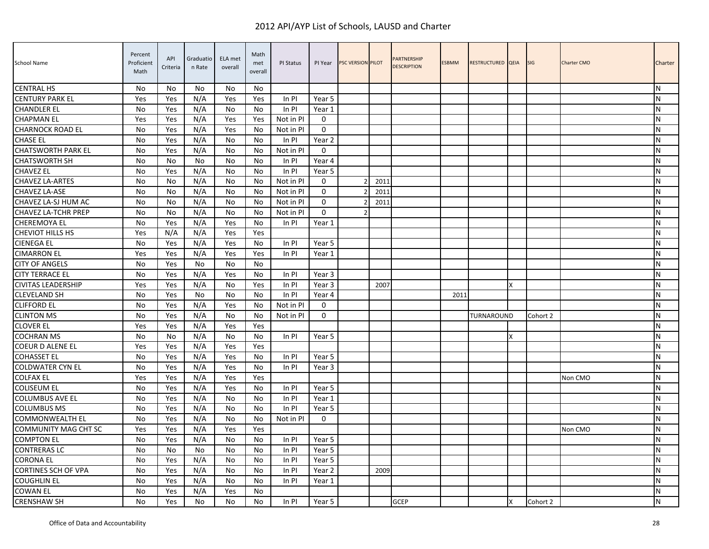| School Name                 | Percent<br>Proficient<br>Math | API<br>Criteria | Graduatio<br>n Rate | ELA met<br>overall | Math<br>met<br>overall | PI Status | PI Year     | PSC VERSION PILOT |      | <b>PARTNERSHIP</b><br><b>DESCRIPTION</b> | <b>ESBMM</b> | RESTRUCTURED QEIA |   | <b>SIG</b> | Charter CMO | Charter   |
|-----------------------------|-------------------------------|-----------------|---------------------|--------------------|------------------------|-----------|-------------|-------------------|------|------------------------------------------|--------------|-------------------|---|------------|-------------|-----------|
| <b>CENTRAL HS</b>           | No                            | No              | No                  | No                 | No.                    |           |             |                   |      |                                          |              |                   |   |            |             | N         |
| <b>CENTURY PARK EL</b>      | Yes                           | Yes             | N/A                 | Yes                | Yes                    | In PI     | Year 5      |                   |      |                                          |              |                   |   |            |             | N         |
| <b>CHANDLER EL</b>          | <b>No</b>                     | Yes             | N/A                 | No                 | No                     | In PI     | Year 1      |                   |      |                                          |              |                   |   |            |             | N         |
| <b>CHAPMAN EL</b>           | Yes                           | Yes             | N/A                 | Yes                | Yes                    | Not in PI | $\Omega$    |                   |      |                                          |              |                   |   |            |             | N         |
| <b>CHARNOCK ROAD EL</b>     | No                            | Yes             | N/A                 | Yes                | No                     | Not in PI | $\Omega$    |                   |      |                                          |              |                   |   |            |             | N         |
| <b>CHASE EL</b>             | No                            | Yes             | N/A                 | No                 | No                     | In PI     | Year 2      |                   |      |                                          |              |                   |   |            |             | N         |
| <b>CHATSWORTH PARK EL</b>   | No                            | Yes             | N/A                 | No                 | No                     | Not in PI | 0           |                   |      |                                          |              |                   |   |            |             | ${\sf N}$ |
| <b>CHATSWORTH SH</b>        | No                            | No              | No                  | No                 | No                     | In PI     | Year 4      |                   |      |                                          |              |                   |   |            |             | N         |
| <b>CHAVEZ EL</b>            | No                            | Yes             | N/A                 | No                 | No                     | In PI     | Year 5      |                   |      |                                          |              |                   |   |            |             | N         |
| <b>CHAVEZ LA-ARTES</b>      | <b>No</b>                     | No              | N/A                 | No                 | No                     | Not in PI | $\Omega$    | $\mathcal{P}$     | 2011 |                                          |              |                   |   |            |             | N         |
| CHAVEZ LA-ASE               | <b>No</b>                     | No              | N/A                 | No                 | No                     | Not in PI | $\mathbf 0$ |                   | 2011 |                                          |              |                   |   |            |             | N         |
| CHAVEZ LA-SJ HUM AC         | <b>No</b>                     | No              | N/A                 | No                 | No                     | Not in PI | $\Omega$    |                   | 2011 |                                          |              |                   |   |            |             | N         |
| <b>CHAVEZ LA-TCHR PREP</b>  | No                            | No              | N/A                 | No                 | No                     | Not in PI | $\Omega$    | $\mathfrak{p}$    |      |                                          |              |                   |   |            |             | N         |
| <b>CHEREMOYA EL</b>         | No                            | Yes             | N/A                 | Yes                | No                     | In PI     | Year 1      |                   |      |                                          |              |                   |   |            |             | ${\sf N}$ |
| <b>CHEVIOT HILLS HS</b>     | Yes                           | N/A             | N/A                 | Yes                | Yes                    |           |             |                   |      |                                          |              |                   |   |            |             | N         |
| <b>CIENEGA EL</b>           | No                            | Yes             | N/A                 | Yes                | No                     | In PI     | Year 5      |                   |      |                                          |              |                   |   |            |             | ${\sf N}$ |
| <b>CIMARRON EL</b>          | Yes                           | Yes             | N/A                 | Yes                | Yes                    | In PI     | Year 1      |                   |      |                                          |              |                   |   |            |             | N         |
| <b>CITY OF ANGELS</b>       | No                            | Yes             | No                  | No                 | No                     |           |             |                   |      |                                          |              |                   |   |            |             | N         |
| <b>CITY TERRACE EL</b>      | <b>No</b>                     | Yes             | N/A                 | Yes                | No                     | In PI     | Year 3      |                   |      |                                          |              |                   |   |            |             | N         |
| <b>CIVITAS LEADERSHIP</b>   | Yes                           | Yes             | N/A                 | No                 | Yes                    | In PI     | Year 3      |                   | 2007 |                                          |              |                   | X |            |             | ${\sf N}$ |
| <b>CLEVELAND SH</b>         | <b>No</b>                     | Yes             | <b>No</b>           | No                 | No                     | In Pl     | Year 4      |                   |      |                                          | 2011         |                   |   |            |             | N         |
| <b>CLIFFORD EL</b>          | No                            | Yes             | N/A                 | Yes                | No                     | Not in PI | 0           |                   |      |                                          |              |                   |   |            |             | ${\sf N}$ |
| <b>CLINTON MS</b>           | No                            | Yes             | N/A                 | No                 | No                     | Not in PI | $\mathbf 0$ |                   |      |                                          |              | TURNAROUND        |   | Cohort 2   |             | N         |
| <b>CLOVER EL</b>            | Yes                           | Yes             | N/A                 | Yes                | Yes                    |           |             |                   |      |                                          |              |                   |   |            |             | N         |
| <b>COCHRAN MS</b>           | No                            | No              | N/A                 | No                 | No                     | In PI     | Year 5      |                   |      |                                          |              |                   | X |            |             | N         |
| <b>COEUR D ALENE EL</b>     | Yes                           | Yes             | N/A                 | Yes                | Yes                    |           |             |                   |      |                                          |              |                   |   |            |             | N         |
| <b>COHASSET EL</b>          | <b>No</b>                     | Yes             | N/A                 | Yes                | No                     | In PI     | Year 5      |                   |      |                                          |              |                   |   |            |             | N         |
| <b>COLDWATER CYN EL</b>     | <b>No</b>                     | Yes             | N/A                 | Yes                | No                     | In PI     | Year 3      |                   |      |                                          |              |                   |   |            |             | N         |
| <b>COLFAX EL</b>            | Yes                           | Yes             | N/A                 | Yes                | Yes                    |           |             |                   |      |                                          |              |                   |   |            | Non CMO     | N         |
| <b>COLISEUM EL</b>          | No                            | Yes             | N/A                 | Yes                | No                     | In PI     | Year 5      |                   |      |                                          |              |                   |   |            |             | N         |
| <b>COLUMBUS AVE EL</b>      | No                            | Yes             | N/A                 | No                 | No                     | In PI     | Year 1      |                   |      |                                          |              |                   |   |            |             | ${\sf N}$ |
| <b>COLUMBUS MS</b>          | No                            | Yes             | N/A                 | No                 | No                     | In PI     | Year 5      |                   |      |                                          |              |                   |   |            |             | N         |
| <b>COMMONWEALTH EL</b>      | No                            | Yes             | N/A                 | No                 | No                     | Not in PI | $\mathbf 0$ |                   |      |                                          |              |                   |   |            |             | N         |
| <b>COMMUNITY MAG CHT SC</b> | Yes                           | Yes             | N/A                 | Yes                | Yes                    |           |             |                   |      |                                          |              |                   |   |            | Non CMO     | N         |
| <b>COMPTON EL</b>           | <b>No</b>                     | Yes             | N/A                 | No                 | No                     | In PI     | Year 5      |                   |      |                                          |              |                   |   |            |             | N         |
| <b>CONTRERAS LC</b>         | No                            | No              | No                  | No                 | No                     | In PI     | Year 5      |                   |      |                                          |              |                   |   |            |             | N         |
| <b>CORONA EL</b>            | No                            | Yes             | N/A                 | No                 | No                     | In PI     | Year 5      |                   |      |                                          |              |                   |   |            |             | N         |
| CORTINES SCH OF VPA         | <b>No</b>                     | Yes             | N/A                 | No                 | No                     | In PI     | Year 2      |                   | 2009 |                                          |              |                   |   |            |             | N         |
| <b>COUGHLIN EL</b>          | No                            | Yes             | N/A                 | No                 | No                     | In PI     | Year 1      |                   |      |                                          |              |                   |   |            |             | N         |
| <b>COWAN EL</b>             | No                            | Yes             | N/A                 | Yes                | No                     |           |             |                   |      |                                          |              |                   |   |            |             | N         |
| <b>CRENSHAW SH</b>          | No                            | Yes             | No                  | No                 | No                     | In PI     | Year 5      |                   |      | <b>GCEP</b>                              |              |                   | X | Cohort 2   |             | Σ         |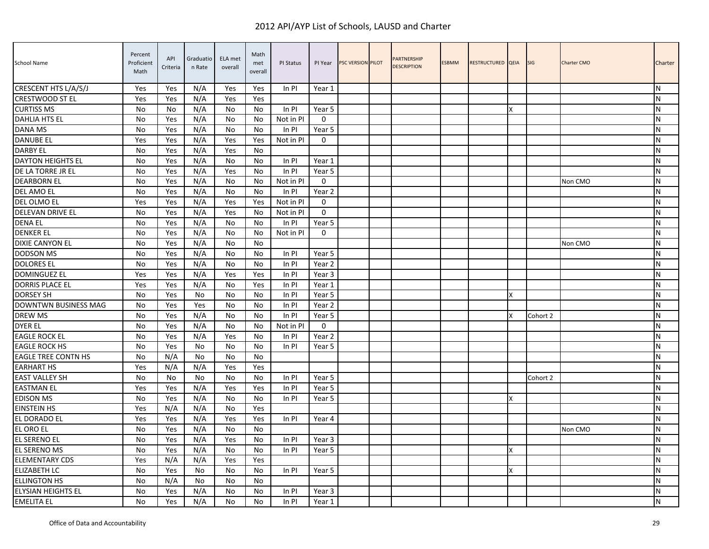| School Name                | Percent<br>Proficient<br>Math | API<br>Criteria | Graduatio<br>n Rate | ELA met<br>overall | Math<br>met<br>overall | PI Status | PI Year     | <b>PSC VERSION PILOT</b> | PARTNERSHIP<br><b>DESCRIPTION</b> | <b>ESBMM</b> | RESTRUCTURED QEIA |   | <b>SIG</b> | <b>Charter CMO</b> | Charter   |
|----------------------------|-------------------------------|-----------------|---------------------|--------------------|------------------------|-----------|-------------|--------------------------|-----------------------------------|--------------|-------------------|---|------------|--------------------|-----------|
| CRESCENT HTS L/A/S/J       | Yes                           | Yes             | N/A                 | Yes                | Yes                    | $In$ PI   | Year 1      |                          |                                   |              |                   |   |            |                    | N         |
| <b>CRESTWOOD ST EL</b>     | Yes                           | Yes             | N/A                 | Yes                | Yes                    |           |             |                          |                                   |              |                   |   |            |                    | N         |
| <b>CURTISS MS</b>          | No                            | No              | N/A                 | No                 | No                     | In PI     | Year 5      |                          |                                   |              |                   | x |            |                    | N         |
| <b>DAHLIA HTS EL</b>       | No                            | Yes             | N/A                 | No                 | No                     | Not in PI | $\mathbf 0$ |                          |                                   |              |                   |   |            |                    | ${\sf N}$ |
| DANA MS                    | No                            | Yes             | N/A                 | No                 | No                     | In PI     | Year 5      |                          |                                   |              |                   |   |            |                    | N         |
| <b>DANUBE EL</b>           | Yes                           | Yes             | N/A                 | Yes                | Yes                    | Not in PI | $\Omega$    |                          |                                   |              |                   |   |            |                    | N         |
| <b>DARBY EL</b>            | No                            | Yes             | N/A                 | Yes                | No                     |           |             |                          |                                   |              |                   |   |            |                    | N         |
| DAYTON HEIGHTS EL          | <b>No</b>                     | Yes             | N/A                 | No                 | No                     | In PI     | Year 1      |                          |                                   |              |                   |   |            |                    | N         |
| DE LA TORRE JR EL          | No                            | Yes             | N/A                 | Yes                | No                     | In PI     | Year 5      |                          |                                   |              |                   |   |            |                    | N         |
| <b>DEARBORN EL</b>         | No                            | Yes             | N/A                 | No                 | No.                    | Not in PI | $\mathbf 0$ |                          |                                   |              |                   |   |            | Non CMO            | N         |
| DEL AMO EL                 | No                            | Yes             | N/A                 | No                 | No.                    | In PI     | Year 2      |                          |                                   |              |                   |   |            |                    | ${\sf N}$ |
| DEL OLMO EL                | Yes                           | Yes             | N/A                 | Yes                | Yes                    | Not in PI | 0           |                          |                                   |              |                   |   |            |                    | N         |
| DELEVAN DRIVE EL           | <b>No</b>                     | Yes             | N/A                 | Yes                | No                     | Not in PI | $\mathbf 0$ |                          |                                   |              |                   |   |            |                    | N         |
| <b>DENA EL</b>             | <b>No</b>                     | Yes             | N/A                 | No                 | No                     | $In$ PI   | Year 5      |                          |                                   |              |                   |   |            |                    | N         |
| <b>DENKER EL</b>           | No                            | Yes             | N/A                 | No                 | No                     | Not in PI | $\mathbf 0$ |                          |                                   |              |                   |   |            |                    | N         |
| DIXIE CANYON EL            | No                            | Yes             | N/A                 | No                 | No                     |           |             |                          |                                   |              |                   |   |            | Non CMO            | ${\sf N}$ |
| <b>DODSON MS</b>           | <b>No</b>                     | Yes             | N/A                 | No                 | No.                    | In PI     | Year 5      |                          |                                   |              |                   |   |            |                    | N         |
| <b>DOLORES EL</b>          | No                            | Yes             | N/A                 | No                 | No                     | In PI     | Year 2      |                          |                                   |              |                   |   |            |                    | N         |
| <b>DOMINGUEZ EL</b>        | Yes                           | Yes             | N/A                 | Yes                | Yes                    | In PI     | Year 3      |                          |                                   |              |                   |   |            |                    | N         |
| <b>DORRIS PLACE EL</b>     | Yes                           | Yes             | N/A                 | No                 | Yes                    | In PI     | Year 1      |                          |                                   |              |                   |   |            |                    | N         |
| <b>DORSEY SH</b>           | <b>No</b>                     | Yes             | No                  | No                 | No                     | In PI     | Year 5      |                          |                                   |              |                   | x |            |                    | N         |
| DOWNTWN BUSINESS MAG       | No                            | Yes             | Yes                 | No                 | No                     | In PI     | Year 2      |                          |                                   |              |                   |   |            |                    | ${\sf N}$ |
| <b>DREW MS</b>             | <b>No</b>                     | Yes             | N/A                 | No                 | No                     | In PI     | Year 5      |                          |                                   |              |                   |   | Cohort 2   |                    | N         |
| <b>DYER EL</b>             | No                            | Yes             | N/A                 | No                 | No                     | Not in PI | $\mathbf 0$ |                          |                                   |              |                   |   |            |                    | N         |
| <b>EAGLE ROCK EL</b>       | No                            | Yes             | N/A                 | Yes                | No                     | In PI     | Year 2      |                          |                                   |              |                   |   |            |                    | N         |
| <b>EAGLE ROCK HS</b>       | <b>No</b>                     | Yes             | No                  | No                 | No                     | In PI     | Year 5      |                          |                                   |              |                   |   |            |                    | N         |
| <b>EAGLE TREE CONTN HS</b> | <b>No</b>                     | N/A             | No                  | No                 | No                     |           |             |                          |                                   |              |                   |   |            |                    | N         |
| <b>EARHART HS</b>          | Yes                           | N/A             | N/A                 | Yes                | Yes                    |           |             |                          |                                   |              |                   |   |            |                    | N         |
| <b>EAST VALLEY SH</b>      | No                            | No              | No                  | No                 | No                     | In PI     | Year 5      |                          |                                   |              |                   |   | Cohort 2   |                    | ${\sf N}$ |
| <b>EASTMAN EL</b>          | Yes                           | Yes             | N/A                 | Yes                | Yes                    | In PI     | Year 5      |                          |                                   |              |                   |   |            |                    | N         |
| <b>EDISON MS</b>           | <b>No</b>                     | Yes             | N/A                 | No                 | No                     | In PI     | Year 5      |                          |                                   |              |                   | x |            |                    | N         |
| <b>EINSTEIN HS</b>         | Yes                           | N/A             | N/A                 | No                 | Yes                    |           |             |                          |                                   |              |                   |   |            |                    | ${\sf N}$ |
| EL DORADO EL               | Yes                           | Yes             | N/A                 | Yes                | Yes                    | In PI     | Year 4      |                          |                                   |              |                   |   |            |                    | N         |
| EL ORO EL                  | <b>No</b>                     | Yes             | N/A                 | No                 | No.                    |           |             |                          |                                   |              |                   |   |            | Non CMO            | N         |
| EL SERENO EL               | No                            | Yes             | N/A                 | Yes                | No                     | In PI     | Year 3      |                          |                                   |              |                   |   |            |                    | ${\sf N}$ |
| EL SERENO MS               | No                            | Yes             | N/A                 | No                 | No.                    | In PI     | Year 5      |                          |                                   |              |                   |   |            |                    | ${\sf N}$ |
| <b>ELEMENTARY CDS</b>      | Yes                           | N/A             | N/A                 | Yes                | Yes                    |           |             |                          |                                   |              |                   |   |            |                    | N         |
| <b>ELIZABETH LC</b>        | No                            | Yes             | No                  | No                 | No                     | In PI     | Year 5      |                          |                                   |              |                   |   |            |                    | N         |
| <b>ELLINGTON HS</b>        | No                            | N/A             | No                  | No                 | No                     |           |             |                          |                                   |              |                   |   |            |                    | N         |
| ELYSIAN HEIGHTS EL         | No                            | Yes             | N/A                 | No                 | No                     | In PI     | Year 3      |                          |                                   |              |                   |   |            |                    | N         |
| <b>EMELITA EL</b>          | No                            | Yes             | N/A                 | No                 | No                     | In PI     | Year 1      |                          |                                   |              |                   |   |            |                    | ${\sf N}$ |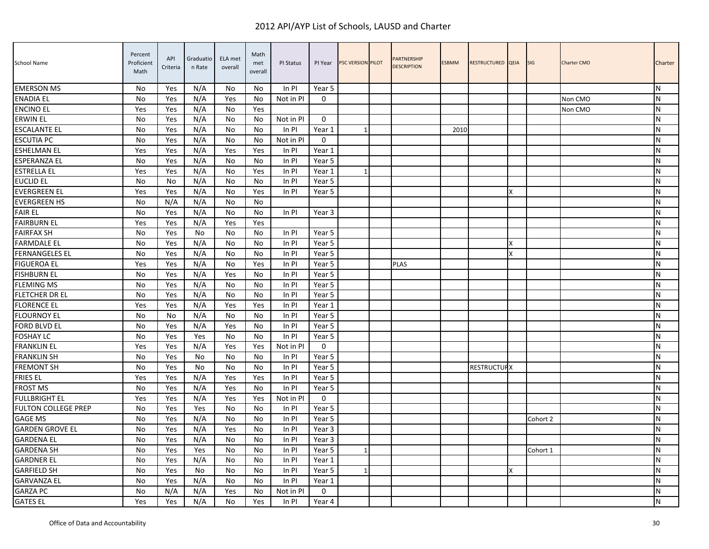| <b>School Name</b>         | Percent<br>Proficient<br>Math | API<br>Criteria | Graduatio<br>n Rate | ELA met<br>overall | Math<br>met<br>overall | PI Status | PI Year     | <b>PSC VERSION PILOT</b> | PARTNERSHIP<br><b>DESCRIPTION</b> | <b>ESBMM</b> | RESTRUCTURED QEIA  |   | <b>SIG</b> | <b>Charter CMO</b> | Charter        |
|----------------------------|-------------------------------|-----------------|---------------------|--------------------|------------------------|-----------|-------------|--------------------------|-----------------------------------|--------------|--------------------|---|------------|--------------------|----------------|
| <b>EMERSON MS</b>          | No                            | Yes             | N/A                 | No                 | No                     | $In$ PI   | Year 5      |                          |                                   |              |                    |   |            |                    | IN.            |
| <b>ENADIA EL</b>           | No                            | Yes             | N/A                 | Yes                | No                     | Not in Pl | $\Omega$    |                          |                                   |              |                    |   |            | Non CMO            | N              |
| <b>ENCINO EL</b>           | Yes                           | Yes             | N/A                 | No                 | Yes                    |           |             |                          |                                   |              |                    |   |            | Non CMO            | IN.            |
| <b>ERWIN EL</b>            | No                            | Yes             | N/A                 | No                 | No                     | Not in PI | $\mathbf 0$ |                          |                                   |              |                    |   |            |                    | ${\sf N}$      |
| <b>ESCALANTE EL</b>        | No                            | Yes             | N/A                 | No                 | No                     | In PI     | Year 1      |                          |                                   | 2010         |                    |   |            |                    | ${\sf N}$      |
| <b>ESCUTIA PC</b>          | No                            | Yes             | N/A                 | No                 | No                     | Not in PI | $\Omega$    |                          |                                   |              |                    |   |            |                    | IN.            |
| <b>ESHELMAN EL</b>         | Yes                           | Yes             | N/A                 | Yes                | Yes                    | In PI     | Year 1      |                          |                                   |              |                    |   |            |                    | N              |
| ESPERANZA EL               | No                            | Yes             | N/A                 | No                 | No                     | $In$ PI   | Year 5      |                          |                                   |              |                    |   |            |                    | ${\sf N}$      |
| <b>ESTRELLA EL</b>         | Yes                           | Yes             | N/A                 | No                 | Yes                    | In PI     | Year 1      |                          |                                   |              |                    |   |            |                    | <b>N</b>       |
| <b>EUCLID EL</b>           | No                            | No              | N/A                 | No                 | No                     | In PI     | Year 5      |                          |                                   |              |                    |   |            |                    | ${\sf N}$      |
| <b>EVERGREEN EL</b>        | Yes                           | Yes             | N/A                 | No                 | Yes                    | In PI     | Year 5      |                          |                                   |              |                    | Χ |            |                    | ${\sf N}$      |
| <b>EVERGREEN HS</b>        | No                            | N/A             | N/A                 | No                 | No                     |           |             |                          |                                   |              |                    |   |            |                    | N              |
| <b>FAIR EL</b>             | No                            | Yes             | N/A                 | No                 | No                     | In PI     | Year 3      |                          |                                   |              |                    |   |            |                    | IN.            |
| <b>FAIRBURN EL</b>         | Yes                           | Yes             | N/A                 | Yes                | Yes                    |           |             |                          |                                   |              |                    |   |            |                    | N              |
| <b>FAIRFAX SH</b>          | No                            | Yes             | No                  | No                 | No                     | In PI     | Year 5      |                          |                                   |              |                    |   |            |                    | <b>N</b>       |
| <b>FARMDALE EL</b>         | No                            | Yes             | N/A                 | No                 | No                     | In PI     | Year 5      |                          |                                   |              |                    | X |            |                    | N              |
| <b>FERNANGELES EL</b>      | No                            | Yes             | N/A                 | No                 | No                     | In PI     | Year 5      |                          |                                   |              |                    | X |            |                    | ${\sf N}$      |
| <b>FIGUEROA EL</b>         | Yes                           | Yes             | N/A                 | No                 | Yes                    | In PI     | Year 5      |                          | <b>PLAS</b>                       |              |                    |   |            |                    | N              |
| <b>FISHBURN EL</b>         | No                            | Yes             | N/A                 | Yes                | No                     | In PI     | Year 5      |                          |                                   |              |                    |   |            |                    | IN.            |
| <b>FLEMING MS</b>          | <b>No</b>                     | Yes             | N/A                 | No                 | N <sub>0</sub>         | In PI     | Year 5      |                          |                                   |              |                    |   |            |                    | <b>N</b>       |
| FLETCHER DR EL             | No                            | Yes             | N/A                 | No                 | No                     | $In$ PI   | Year 5      |                          |                                   |              |                    |   |            |                    | <b>N</b>       |
| <b>FLORENCE EL</b>         | Yes                           | Yes             | N/A                 | Yes                | Yes                    | In PI     | Year 1      |                          |                                   |              |                    |   |            |                    | lN.            |
| <b>FLOURNOY EL</b>         | No                            | No              | N/A                 | No                 | No                     | In PI     | Year 5      |                          |                                   |              |                    |   |            |                    | N              |
| <b>FORD BLVD EL</b>        | No                            | Yes             | N/A                 | Yes                | No                     | In PI     | Year 5      |                          |                                   |              |                    |   |            |                    | IN.            |
| <b>FOSHAY LC</b>           | No                            | Yes             | Yes                 | No                 | No                     | In PI     | Year 5      |                          |                                   |              |                    |   |            |                    | N              |
| <b>FRANKLIN EL</b>         | Yes                           | Yes             | N/A                 | Yes                | Yes                    | Not in PI | $\mathbf 0$ |                          |                                   |              |                    |   |            |                    | $\overline{N}$ |
| <b>FRANKLIN SH</b>         | No                            | Yes             | No                  | No                 | No                     | $In$ PI   | Year 5      |                          |                                   |              |                    |   |            |                    | <b>N</b>       |
| <b>FREMONT SH</b>          | No                            | Yes             | No                  | No                 | No                     | In PI     | Year 5      |                          |                                   |              | <b>RESTRUCTURX</b> |   |            |                    | <b>N</b>       |
| <b>FRIES EL</b>            | Yes                           | Yes             | N/A                 | Yes                | Yes                    | In PI     | Year 5      |                          |                                   |              |                    |   |            |                    | N              |
| <b>FROST MS</b>            | No                            | Yes             | N/A                 | Yes                | No                     | ln Pl     | Year 5      |                          |                                   |              |                    |   |            |                    | <b>N</b>       |
| <b>FULLBRIGHT EL</b>       | Yes                           | Yes             | N/A                 | Yes                | Yes                    | Not in PI | $\Omega$    |                          |                                   |              |                    |   |            |                    | N              |
| <b>FULTON COLLEGE PREP</b> | <b>No</b>                     | Yes             | Yes                 | No                 | No                     | In PI     | Year 5      |                          |                                   |              |                    |   |            |                    | <b>N</b>       |
| <b>GAGE MS</b>             | No                            | Yes             | N/A                 | No                 | No                     | ln Pl     | Year 5      |                          |                                   |              |                    |   | Cohort 2   |                    | N              |
| <b>GARDEN GROVE EL</b>     | N <sub>0</sub>                | Yes             | N/A                 | Yes                | No                     | In PI     | Year 3      |                          |                                   |              |                    |   |            |                    | <b>N</b>       |
| <b>GARDENA EL</b>          | No                            | Yes             | N/A                 | No                 | No                     | In PI     | Year 3      |                          |                                   |              |                    |   |            |                    | <b>N</b>       |
| <b>GARDENA SH</b>          | No                            | Yes             | Yes                 | No                 | No                     | In PI     | Year 5      |                          |                                   |              |                    |   | Cohort 1   |                    | ${\sf N}$      |
| <b>GARDNER EL</b>          | No                            | Yes             | N/A                 | No                 | No                     | In PI     | Year 1      |                          |                                   |              |                    |   |            |                    | N              |
| <b>GARFIELD SH</b>         | No                            | Yes             | No                  | No                 | No                     | In PI     | Year 5      |                          |                                   |              |                    | x |            |                    | <b>N</b>       |
| <b>GARVANZA EL</b>         | No                            | Yes             | N/A                 | No                 | No                     | $In$ PI   | Year 1      |                          |                                   |              |                    |   |            |                    | N              |
| <b>GARZA PC</b>            | No                            | N/A             | N/A                 | Yes                | No                     | Not in PI | $\mathbf 0$ |                          |                                   |              |                    |   |            |                    | N              |
| <b>GATES EL</b>            | Yes                           | Yes             | N/A                 | No                 | Yes                    | In PI     | Year 4      |                          |                                   |              |                    |   |            |                    | N              |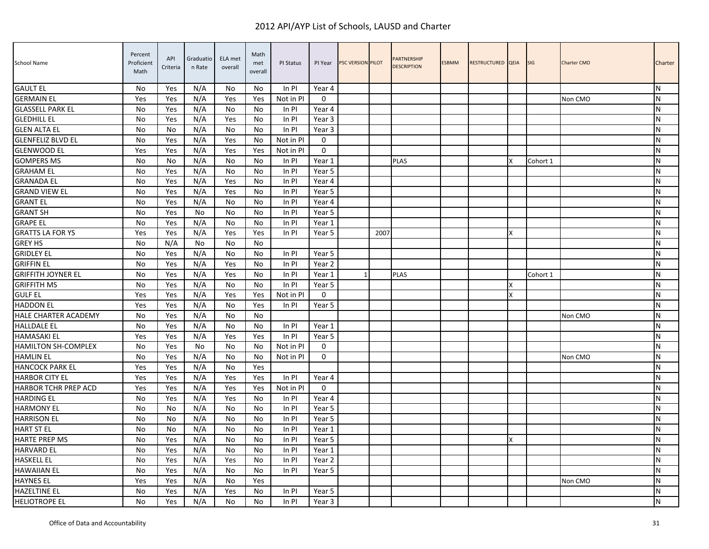| <b>School Name</b>          | Percent<br>Proficient<br>Math | API<br>Criteria | Graduatio<br>n Rate | ELA met<br>overall | Math<br>met<br>overall | PI Status | PI Year     | <b>PSC VERSION PILOT</b> |      | <b>PARTNERSHIP</b><br><b>DESCRIPTION</b> | <b>ESBMM</b> | RESTRUCTURED QEIA |    | <b>SIG</b> | <b>Charter CMO</b> | Charter   |
|-----------------------------|-------------------------------|-----------------|---------------------|--------------------|------------------------|-----------|-------------|--------------------------|------|------------------------------------------|--------------|-------------------|----|------------|--------------------|-----------|
| <b>GAULT EL</b>             | No                            | Yes             | N/A                 | No                 | No.                    | $In$ PI   | Year 4      |                          |      |                                          |              |                   |    |            |                    | N         |
| <b>GERMAIN EL</b>           | Yes                           | Yes             | N/A                 | Yes                | Yes                    | Not in PI | $\Omega$    |                          |      |                                          |              |                   |    |            | Non CMO            | IΝ        |
| <b>GLASSELL PARK EL</b>     | No                            | Yes             | N/A                 | No                 | No                     | In PI     | Year 4      |                          |      |                                          |              |                   |    |            |                    | ΙN        |
| <b>GLEDHILL EL</b>          | No                            | Yes             | N/A                 | Yes                | No                     | In PI     | Year 3      |                          |      |                                          |              |                   |    |            |                    | N         |
| <b>GLEN ALTA EL</b>         | No                            | No              | N/A                 | No                 | No                     | In PI     | Year 3      |                          |      |                                          |              |                   |    |            |                    | N         |
| <b>GLENFELIZ BLVD EL</b>    | No                            | Yes             | N/A                 | Yes                | No                     | Not in PI | $\Omega$    |                          |      |                                          |              |                   |    |            |                    | <b>N</b>  |
| <b>GLENWOOD EL</b>          | Yes                           | Yes             | N/A                 | Yes                | Yes                    | Not in PI | $\mathbf 0$ |                          |      |                                          |              |                   |    |            |                    | <b>N</b>  |
| <b>GOMPERS MS</b>           | No                            | No              | N/A                 | No                 | No                     | In PI     | Year 1      |                          |      | <b>PLAS</b>                              |              |                   | X. | Cohort 1   |                    | ${\sf N}$ |
| <b>GRAHAM EL</b>            | No                            | Yes             | N/A                 | No                 | N <sub>0</sub>         | In PI     | Year 5      |                          |      |                                          |              |                   |    |            |                    | N         |
| <b>GRANADA EL</b>           | No                            | Yes             | N/A                 | Yes                | No                     | In PI     | Year 4      |                          |      |                                          |              |                   |    |            |                    | N         |
| <b>GRAND VIEW EL</b>        | No                            | Yes             | N/A                 | Yes                | No                     | In PI     | Year 5      |                          |      |                                          |              |                   |    |            |                    | ${\sf N}$ |
| <b>GRANT EL</b>             | No                            | Yes             | N/A                 | No                 | No.                    | In PI     | Year 4      |                          |      |                                          |              |                   |    |            |                    | <b>N</b>  |
| <b>GRANT SH</b>             | No                            | Yes             | No                  | No                 | No.                    | In PI     | Year 5      |                          |      |                                          |              |                   |    |            |                    | ΙN        |
| <b>GRAPE EL</b>             | No                            | Yes             | N/A                 | No                 | No                     | In PI     | Year 1      |                          |      |                                          |              |                   |    |            |                    | N         |
| <b>GRATTS LA FOR YS</b>     | Yes                           | Yes             | N/A                 | Yes                | Yes                    | In PI     | Year 5      |                          | 2007 |                                          |              |                   | X  |            |                    | N         |
| <b>GREY HS</b>              | No                            | N/A             | No                  | No                 | No                     |           |             |                          |      |                                          |              |                   |    |            |                    | N         |
| <b>GRIDLEY EL</b>           | No                            | Yes             | N/A                 | No                 | No.                    | In PI     | Year 5      |                          |      |                                          |              |                   |    |            |                    | ${\sf N}$ |
| <b>GRIFFIN EL</b>           | No                            | Yes             | N/A                 | Yes                | No                     | In PI     | Year 2      |                          |      |                                          |              |                   |    |            |                    | ΙN        |
| <b>GRIFFITH JOYNER EL</b>   | No                            | Yes             | N/A                 | Yes                | No                     | In PI     | Year 1      | $\mathbf{1}$             |      | <b>PLAS</b>                              |              |                   |    | Cohort 1   |                    | <b>N</b>  |
| <b>GRIFFITH MS</b>          | <b>No</b>                     | Yes             | N/A                 | No                 | No.                    | In PI     | Year 5      |                          |      |                                          |              |                   | x  |            |                    | ${\sf N}$ |
| <b>GULF EL</b>              | Yes                           | Yes             | N/A                 | Yes                | Yes                    | Not in Pl | $\Omega$    |                          |      |                                          |              |                   | X  |            |                    | <b>N</b>  |
| <b>HADDON EL</b>            | Yes                           | Yes             | N/A                 | No                 | Yes                    | In PI     | Year 5      |                          |      |                                          |              |                   |    |            |                    | N         |
| <b>HALE CHARTER ACADEMY</b> | No                            | Yes             | N/A                 | No                 | No                     |           |             |                          |      |                                          |              |                   |    |            | Non CMO            | N         |
| <b>HALLDALE EL</b>          | No                            | Yes             | N/A                 | No                 | No.                    | In PI     | Year 1      |                          |      |                                          |              |                   |    |            |                    | ΙN        |
| <b>HAMASAKI EL</b>          | Yes                           | Yes             | N/A                 | Yes                | Yes                    | In PI     | Year 5      |                          |      |                                          |              |                   |    |            |                    | N         |
| <b>HAMILTON SH-COMPLEX</b>  | <b>No</b>                     | Yes             | No                  | No                 | No                     | Not in PI | $\mathbf 0$ |                          |      |                                          |              |                   |    |            |                    | ${\sf N}$ |
| <b>HAMLIN EL</b>            | No                            | Yes             | N/A                 | No                 | No                     | Not in Pl | $\mathbf 0$ |                          |      |                                          |              |                   |    |            | Non CMO            | ΙN        |
| <b>HANCOCK PARK EL</b>      | Yes                           | Yes             | N/A                 | No                 | Yes                    |           |             |                          |      |                                          |              |                   |    |            |                    | N         |
| <b>HARBOR CITY EL</b>       | Yes                           | Yes             | N/A                 | Yes                | Yes                    | In PI     | Year 4      |                          |      |                                          |              |                   |    |            |                    | ${\sf N}$ |
| <b>HARBOR TCHR PREP ACD</b> | Yes                           | Yes             | N/A                 | Yes                | Yes                    | Not in PI | $\Omega$    |                          |      |                                          |              |                   |    |            |                    | N         |
| <b>HARDING EL</b>           | No                            | Yes             | N/A                 | Yes                | No                     | In PI     | Year 4      |                          |      |                                          |              |                   |    |            |                    | N         |
| <b>HARMONY EL</b>           | <b>No</b>                     | No              | N/A                 | No                 | No                     | In PI     | Year 5      |                          |      |                                          |              |                   |    |            |                    | <b>N</b>  |
| <b>HARRISON EL</b>          | No                            | No              | N/A                 | No                 | No                     | In PI     | Year 5      |                          |      |                                          |              |                   |    |            |                    | ${\sf N}$ |
| <b>HART ST EL</b>           | N <sub>0</sub>                | No              | N/A                 | No                 | No                     | In PI     | Year 1      |                          |      |                                          |              |                   |    |            |                    | ΙN        |
| <b>HARTE PREP MS</b>        | No                            | Yes             | N/A                 | No                 | No                     | In PI     | Year 5      |                          |      |                                          |              |                   | x  |            |                    | N         |
| <b>HARVARD EL</b>           | No                            | Yes             | N/A                 | No                 | No.                    | In PI     | Year 1      |                          |      |                                          |              |                   |    |            |                    | N         |
| <b>HASKELL EL</b>           | No                            | Yes             | N/A                 | Yes                | No.                    | In PI     | Year 2      |                          |      |                                          |              |                   |    |            |                    | ΙN        |
| <b>HAWAIIAN EL</b>          | No                            | Yes             | N/A                 | No                 | No                     | In PI     | Year 5      |                          |      |                                          |              |                   |    |            |                    | <b>N</b>  |
| <b>HAYNES EL</b>            | Yes                           | Yes             | N/A                 | No                 | Yes                    |           |             |                          |      |                                          |              |                   |    |            | Non CMO            | N         |
| <b>HAZELTINE EL</b>         | No                            | Yes             | N/A                 | Yes                | No                     | In PI     | Year 5      |                          |      |                                          |              |                   |    |            |                    | N         |
| <b>HELIOTROPE EL</b>        | No                            | Yes             | N/A                 | No                 | No                     | ln Pl     | Year 3      |                          |      |                                          |              |                   |    |            |                    | ${\sf N}$ |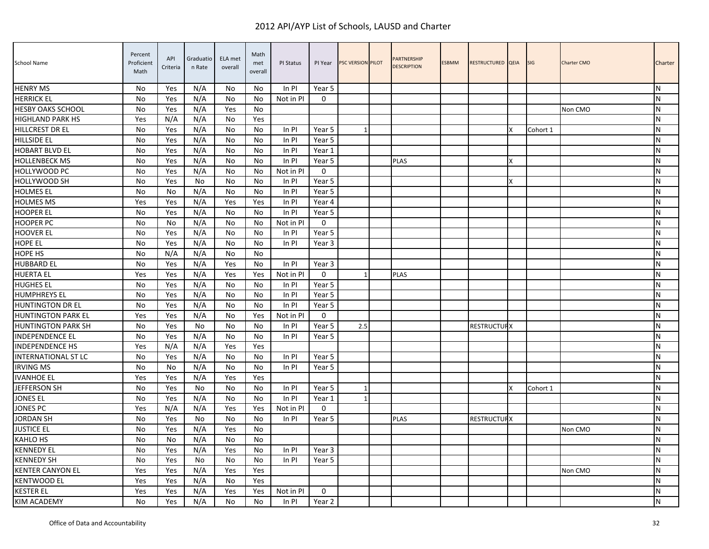| School Name                | Percent<br>Proficient<br>Math | API<br>Criteria | Graduatio<br>n Rate | ELA met<br>overall | Math<br>met<br>overall | PI Status | PI Year      | PSC VERSION PILOT | <b>PARTNERSHIP</b><br><b>DESCRIPTION</b> | <b>ESBMM</b> | RESTRUCTURED QEIA  |   | <b>SIG</b> | <b>Charter CMO</b> | Charter   |
|----------------------------|-------------------------------|-----------------|---------------------|--------------------|------------------------|-----------|--------------|-------------------|------------------------------------------|--------------|--------------------|---|------------|--------------------|-----------|
| <b>HENRY MS</b>            | No                            | Yes             | N/A                 | No                 | No.                    | In PI     | Year 5       |                   |                                          |              |                    |   |            |                    | N         |
| <b>HERRICK EL</b>          | <b>No</b>                     | Yes             | N/A                 | No                 | No                     | Not in Pl | $\Omega$     |                   |                                          |              |                    |   |            |                    | N         |
| <b>HESBY OAKS SCHOOL</b>   | No                            | Yes             | N/A                 | Yes                | No                     |           |              |                   |                                          |              |                    |   |            | Non CMO            | N         |
| <b>HIGHLAND PARK HS</b>    | Yes                           | N/A             | N/A                 | No                 | Yes                    |           |              |                   |                                          |              |                    |   |            |                    | ${\sf N}$ |
| HILLCREST DR EL            | No                            | Yes             | N/A                 | No                 | No                     | In PI     | Year 5       |                   |                                          |              |                    | x | Cohort 1   |                    | N         |
| <b>HILLSIDE EL</b>         | No                            | Yes             | N/A                 | No                 | No                     | In PI     | Year 5       |                   |                                          |              |                    |   |            |                    | N         |
| <b>HOBART BLVD EL</b>      | No                            | Yes             | N/A                 | No                 | No                     | In PI     | Year 1       |                   |                                          |              |                    |   |            |                    | N         |
| <b>HOLLENBECK MS</b>       | No                            | Yes             | N/A                 | No                 | No                     | In PI     | Year 5       |                   | <b>PLAS</b>                              |              |                    | Χ |            |                    | N         |
| HOLLYWOOD PC               | No                            | Yes             | N/A                 | No                 | No                     | Not in PI | $\Omega$     |                   |                                          |              |                    |   |            |                    | N         |
| HOLLYWOOD SH               | No                            | Yes             | No                  | No                 | No                     | In PI     | Year 5       |                   |                                          |              |                    | x |            |                    | ${\sf N}$ |
| <b>HOLMES EL</b>           | No                            | No              | N/A                 | No                 | No                     | In PI     | Year 5       |                   |                                          |              |                    |   |            |                    | N         |
| <b>HOLMES MS</b>           | Yes                           | Yes             | N/A                 | Yes                | Yes                    | In PI     | Year 4       |                   |                                          |              |                    |   |            |                    | N         |
| <b>HOOPER EL</b>           | No                            | Yes             | N/A                 | No                 | No                     | In PI     | Year 5       |                   |                                          |              |                    |   |            |                    | N         |
| <b>HOOPER PC</b>           | No                            | No              | N/A                 | No                 | No                     | Not in PI | $\Omega$     |                   |                                          |              |                    |   |            |                    | N         |
| <b>HOOVER EL</b>           | No                            | Yes             | N/A                 | No                 | No                     | In PI     | Year 5       |                   |                                          |              |                    |   |            |                    | ${\sf N}$ |
| <b>HOPE EL</b>             | No                            | Yes             | N/A                 | No                 | No                     | In PI     | Year 3       |                   |                                          |              |                    |   |            |                    | ${\sf N}$ |
| HOPE HS                    | No                            | N/A             | N/A                 | No                 | No                     |           |              |                   |                                          |              |                    |   |            |                    | ${\sf N}$ |
| <b>HUBBARD EL</b>          | No                            | Yes             | N/A                 | Yes                | No                     | In PI     | Year 3       |                   |                                          |              |                    |   |            |                    | N         |
| <b>HUERTA EL</b>           | Yes                           | Yes             | N/A                 | Yes                | Yes                    | Not in PI | $\mathbf{0}$ | $\mathbf{1}$      | <b>PLAS</b>                              |              |                    |   |            |                    | N         |
| <b>HUGHES EL</b>           | <b>No</b>                     | Yes             | N/A                 | No                 | No                     | In PI     | Year 5       |                   |                                          |              |                    |   |            |                    | N         |
| <b>HUMPHREYS EL</b>        | <b>No</b>                     | Yes             | N/A                 | No                 | No                     | In PI     | Year 5       |                   |                                          |              |                    |   |            |                    | N         |
| <b>HUNTINGTON DR EL</b>    | No                            | Yes             | N/A                 | No                 | No                     | In PI     | Year 5       |                   |                                          |              |                    |   |            |                    | ${\sf N}$ |
| <b>HUNTINGTON PARK EL</b>  | Yes                           | Yes             | N/A                 | No                 | Yes                    | Not in PI | $\mathbf{0}$ |                   |                                          |              |                    |   |            |                    | N         |
| <b>HUNTINGTON PARK SH</b>  | No                            | Yes             | No                  | No                 | No                     | In PI     | Year 5       | 2.5               |                                          |              | <b>RESTRUCTURX</b> |   |            |                    | N         |
| <b>INDEPENDENCE EL</b>     | No                            | Yes             | N/A                 | No                 | No                     | In PI     | Year 5       |                   |                                          |              |                    |   |            |                    | N         |
| <b>INDEPENDENCE HS</b>     | Yes                           | N/A             | N/A                 | Yes                | Yes                    |           |              |                   |                                          |              |                    |   |            |                    | N         |
| <b>INTERNATIONAL ST LC</b> | <b>No</b>                     | Yes             | N/A                 | No                 | No                     | In PI     | Year 5       |                   |                                          |              |                    |   |            |                    | N         |
| <b>IRVING MS</b>           | No                            | No              | N/A                 | No                 | No                     | In PI     | Year 5       |                   |                                          |              |                    |   |            |                    | N         |
| <b>IVANHOE EL</b>          | Yes                           | Yes             | N/A                 | Yes                | Yes                    |           |              |                   |                                          |              |                    |   |            |                    | ${\sf N}$ |
| <b>JEFFERSON SH</b>        | No                            | Yes             | No                  | No                 | No                     | In PI     | Year 5       | 1                 |                                          |              |                    | X | Cohort 1   |                    | ${\sf N}$ |
| <b>JONES EL</b>            | No                            | Yes             | N/A                 | No                 | No                     | In PI     | Year 1       | 1                 |                                          |              |                    |   |            |                    | N         |
| <b>JONES PC</b>            | Yes                           | N/A             | N/A                 | Yes                | Yes                    | Not in PI | 0            |                   |                                          |              |                    |   |            |                    | ${\sf N}$ |
| <b>JORDAN SH</b>           | No                            | Yes             | No                  | No                 | No                     | ln Pl     | Year 5       |                   | <b>PLAS</b>                              |              | <b>RESTRUCTUFX</b> |   |            |                    | ${\sf N}$ |
| <b>JUSTICE EL</b>          | No                            | Yes             | N/A                 | Yes                | No                     |           |              |                   |                                          |              |                    |   |            | Non CMO            | N         |
| KAHLO HS                   | No                            | No              | N/A                 | No                 | No                     |           |              |                   |                                          |              |                    |   |            |                    | ${\sf N}$ |
| <b>KENNEDY EL</b>          | No                            | Yes             | N/A                 | Yes                | No                     | In PI     | Year 3       |                   |                                          |              |                    |   |            |                    | ${\sf N}$ |
| <b>KENNEDY SH</b>          | No                            | Yes             | No.                 | No                 | No                     | In PI     | Year 5       |                   |                                          |              |                    |   |            |                    | N         |
| <b>KENTER CANYON EL</b>    | Yes                           | Yes             | N/A                 | Yes                | Yes                    |           |              |                   |                                          |              |                    |   |            | Non CMO            | N         |
| <b>KENTWOOD EL</b>         | Yes                           | Yes             | N/A                 | No                 | Yes                    |           |              |                   |                                          |              |                    |   |            |                    | N         |
| <b>KESTER EL</b>           | Yes                           | Yes             | N/A                 | Yes                | Yes                    | Not in PI | $\mathbf 0$  |                   |                                          |              |                    |   |            |                    | N         |
| <b>KIM ACADEMY</b>         | No                            | Yes             | N/A                 | No                 | No                     | $In$ PI   | Year 2       |                   |                                          |              |                    |   |            |                    | ${\sf N}$ |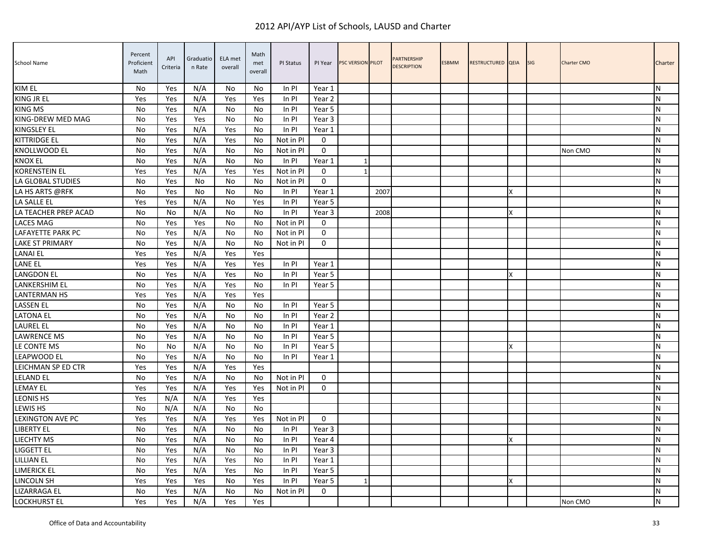| School Name             | Percent<br>Proficient<br>Math | API<br>Criteria | Graduatio<br>n Rate | ELA met<br>overall | Math<br>met<br>overall | PI Status | PI Year     | <b>PSC VERSION PILOT</b> |      | <b>PARTNERSHIP</b><br><b>DESCRIPTION</b> | <b>ESBMM</b> | RESTRUCTURED QEIA |   | <b>SIG</b> | <b>Charter CMO</b> | Charter   |
|-------------------------|-------------------------------|-----------------|---------------------|--------------------|------------------------|-----------|-------------|--------------------------|------|------------------------------------------|--------------|-------------------|---|------------|--------------------|-----------|
| KIM EL                  | <b>No</b>                     | Yes             | N/A                 | No                 | No.                    | In PI     | Year 1      |                          |      |                                          |              |                   |   |            |                    | N         |
| <b>KING JR EL</b>       | Yes                           | Yes             | N/A                 | Yes                | Yes                    | In PI     | Year 2      |                          |      |                                          |              |                   |   |            |                    | N         |
| <b>KING MS</b>          | No                            | Yes             | N/A                 | No                 | No                     | In PI     | Year 5      |                          |      |                                          |              |                   |   |            |                    | N         |
| KING-DREW MED MAG       | No                            | Yes             | Yes                 | No                 | No                     | In PI     | Year 3      |                          |      |                                          |              |                   |   |            |                    | N         |
| KINGSLEY EL             | No                            | Yes             | N/A                 | Yes                | No                     | In PI     | Year 1      |                          |      |                                          |              |                   |   |            |                    | ${\sf N}$ |
| <b>KITTRIDGE EL</b>     | <b>No</b>                     | Yes             | N/A                 | Yes                | No                     | Not in PI | $\Omega$    |                          |      |                                          |              |                   |   |            |                    | N         |
| KNOLLWOOD EL            | No                            | Yes             | N/A                 | No                 | No                     | Not in PI | $\mathbf 0$ |                          |      |                                          |              |                   |   |            | Non CMO            | N         |
| <b>KNOX EL</b>          | No                            | Yes             | N/A                 | No                 | No                     | $In$ PI   | Year 1      | 1                        |      |                                          |              |                   |   |            |                    | N         |
| <b>KORENSTEIN EL</b>    | Yes                           | Yes             | N/A                 | Yes                | Yes                    | Not in PI | $\Omega$    | $\mathbf{1}$             |      |                                          |              |                   |   |            |                    | N         |
| LA GLOBAL STUDIES       | No                            | Yes             | No                  | No                 | No.                    | Not in PI | $\mathbf 0$ |                          |      |                                          |              |                   |   |            |                    | N         |
| LA HS ARTS @RFK         | No                            | Yes             | No                  | No                 | No.                    | In PI     | Year 1      |                          | 2007 |                                          |              |                   |   |            |                    | ${\sf N}$ |
| LA SALLE EL             | Yes                           | Yes             | N/A                 | No                 | Yes                    | In PI     | Year 5      |                          |      |                                          |              |                   |   |            |                    | N         |
| LA TEACHER PREP ACAD    | <b>No</b>                     | No              | N/A                 | No                 | No.                    | In PI     | Year 3      |                          | 2008 |                                          |              |                   |   |            |                    | N         |
| <b>LACES MAG</b>        | <b>No</b>                     | Yes             | Yes                 | No                 | No                     | Not in PI | $\Omega$    |                          |      |                                          |              |                   |   |            |                    | N         |
| LAFAYETTE PARK PC       | No                            | Yes             | N/A                 | No                 | No                     | Not in PI | $\mathbf 0$ |                          |      |                                          |              |                   |   |            |                    | N         |
| <b>LAKE ST PRIMARY</b>  | No                            | Yes             | N/A                 | No                 | No                     | Not in PI | $\mathbf 0$ |                          |      |                                          |              |                   |   |            |                    | ${\sf N}$ |
| <b>LANAI EL</b>         | Yes                           | Yes             | N/A                 | Yes                | Yes                    |           |             |                          |      |                                          |              |                   |   |            |                    | ${\sf N}$ |
| <b>LANE EL</b>          | Yes                           | Yes             | N/A                 | Yes                | Yes                    | In PI     | Year 1      |                          |      |                                          |              |                   |   |            |                    | N         |
| LANGDON EL              | No                            | Yes             | N/A                 | Yes                | No.                    | In PI     | Year 5      |                          |      |                                          |              |                   | X |            |                    | N         |
| <b>LANKERSHIM EL</b>    | <b>No</b>                     | Yes             | N/A                 | Yes                | No.                    | In PI     | Year 5      |                          |      |                                          |              |                   |   |            |                    | N         |
| <b>LANTERMAN HS</b>     | Yes                           | Yes             | N/A                 | Yes                | Yes                    |           |             |                          |      |                                          |              |                   |   |            |                    | N         |
| <b>LASSEN EL</b>        | No                            | Yes             | N/A                 | No                 | No                     | In PI     | Year 5      |                          |      |                                          |              |                   |   |            |                    | ${\sf N}$ |
| <b>LATONA EL</b>        | <b>No</b>                     | Yes             | N/A                 | No                 | No                     | In PI     | Year 2      |                          |      |                                          |              |                   |   |            |                    | N         |
| <b>LAUREL EL</b>        | No                            | Yes             | N/A                 | No                 | No                     | In PI     | Year 1      |                          |      |                                          |              |                   |   |            |                    | N         |
| <b>LAWRENCE MS</b>      | No                            | Yes             | N/A                 | No                 | No                     | In PI     | Year 5      |                          |      |                                          |              |                   |   |            |                    | N         |
| LE CONTE MS             | <b>No</b>                     | No              | N/A                 | No                 | No                     | In PI     | Year 5      |                          |      |                                          |              |                   |   |            |                    | N         |
| <b>LEAPWOOD EL</b>      | <b>No</b>                     | Yes             | N/A                 | No                 | No                     | In PI     | Year 1      |                          |      |                                          |              |                   |   |            |                    | N         |
| LEICHMAN SP ED CTR      | Yes                           | Yes             | N/A                 | Yes                | Yes                    |           |             |                          |      |                                          |              |                   |   |            |                    | N         |
| <b>LELAND EL</b>        | No                            | Yes             | N/A                 | No                 | No                     | Not in PI | $\mathbf 0$ |                          |      |                                          |              |                   |   |            |                    | ${\sf N}$ |
| <b>LEMAY EL</b>         | Yes                           | Yes             | N/A                 | Yes                | Yes                    | Not in PI | 0           |                          |      |                                          |              |                   |   |            |                    | N         |
| <b>LEONIS HS</b>        | Yes                           | N/A             | N/A                 | Yes                | Yes                    |           |             |                          |      |                                          |              |                   |   |            |                    | N         |
| <b>LEWIS HS</b>         | <b>No</b>                     | N/A             | N/A                 | No                 | No                     |           |             |                          |      |                                          |              |                   |   |            |                    | N         |
| <b>LEXINGTON AVE PC</b> | Yes                           | Yes             | N/A                 | Yes                | Yes                    | Not in Pl | $\Omega$    |                          |      |                                          |              |                   |   |            |                    | ${\sf N}$ |
| <b>LIBERTY EL</b>       | <b>No</b>                     | Yes             | N/A                 | No                 | No                     | In PI     | Year 3      |                          |      |                                          |              |                   |   |            |                    | N         |
| LIECHTY MS              | No                            | Yes             | N/A                 | No                 | No                     | In PI     | Year 4      |                          |      |                                          |              |                   |   |            |                    | N         |
| <b>LIGGETT EL</b>       | No                            | Yes             | N/A                 | No                 | No                     | In PI     | Year 3      |                          |      |                                          |              |                   |   |            |                    | N         |
| LILLIAN EL              | No                            | Yes             | N/A                 | Yes                | No                     | In PI     | Year 1      |                          |      |                                          |              |                   |   |            |                    | N         |
| LIMERICK EL             | No                            | Yes             | N/A                 | Yes                | No.                    | In PI     | Year 5      |                          |      |                                          |              |                   |   |            |                    | N         |
| <b>LINCOLN SH</b>       | Yes                           | Yes             | Yes                 | No                 | Yes                    | In PI     | Year 5      | $\mathbf{1}$             |      |                                          |              |                   |   |            |                    | N         |
| LIZARRAGA EL            | No                            | Yes             | N/A                 | No                 | No                     | Not in PI | $\mathbf 0$ |                          |      |                                          |              |                   |   |            |                    | N         |
| <b>LOCKHURST EL</b>     | Yes                           | Yes             | N/A                 | Yes                | Yes                    |           |             |                          |      |                                          |              |                   |   |            | Non CMO            | ${\sf N}$ |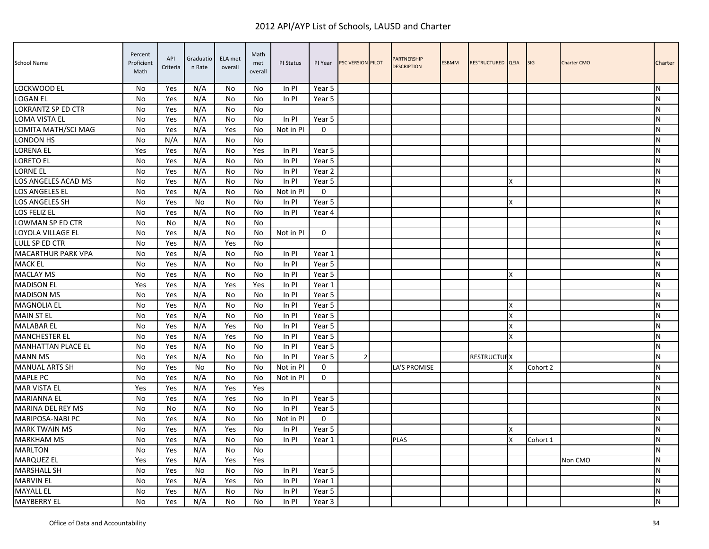| School Name               | Percent<br>Proficient<br>Math | API<br>Criteria | Graduatio<br>n Rate | ELA met<br>overall | Math<br>met<br>overall | PI Status | PI Year           | PSC VERSION PILOT | <b>PARTNERSHIP</b><br><b>DESCRIPTION</b> | <b>ESBMM</b> | RESTRUCTURED QEIA  |   | <b>SIG</b> | <b>Charter CMO</b> | Charter   |
|---------------------------|-------------------------------|-----------------|---------------------|--------------------|------------------------|-----------|-------------------|-------------------|------------------------------------------|--------------|--------------------|---|------------|--------------------|-----------|
| LOCKWOOD EL               | No                            | Yes             | N/A                 | No                 | No.                    | In PI     | Year 5            |                   |                                          |              |                    |   |            |                    | N         |
| <b>LOGAN EL</b>           | No                            | Yes             | N/A                 | No                 | No                     | In PI     | Year 5            |                   |                                          |              |                    |   |            |                    | N         |
| <b>LOKRANTZ SP ED CTR</b> | No                            | Yes             | N/A                 | No                 | No                     |           |                   |                   |                                          |              |                    |   |            |                    | N         |
| <b>LOMA VISTA EL</b>      | <b>No</b>                     | Yes             | N/A                 | No                 | No                     | In PI     | Year 5            |                   |                                          |              |                    |   |            |                    | N         |
| LOMITA MATH/SCI MAG       | No                            | Yes             | N/A                 | Yes                | No                     | Not in PI | $\Omega$          |                   |                                          |              |                    |   |            |                    | ${\sf N}$ |
| LONDON HS                 | <b>No</b>                     | N/A             | N/A                 | No                 | No                     |           |                   |                   |                                          |              |                    |   |            |                    | N         |
| LORENA EL                 | Yes                           | Yes             | N/A                 | No                 | Yes                    | In PI     | Year 5            |                   |                                          |              |                    |   |            |                    | N         |
| <b>LORETO EL</b>          | No                            | Yes             | N/A                 | No                 | No                     | In PI     | Year 5            |                   |                                          |              |                    |   |            |                    | ${\sf N}$ |
| <b>LORNE EL</b>           | No                            | Yes             | N/A                 | No                 | No                     | In PI     | Year <sub>2</sub> |                   |                                          |              |                    |   |            |                    | N         |
| LOS ANGELES ACAD MS       | No                            | Yes             | N/A                 | No                 | No                     | In PI     | Year 5            |                   |                                          |              |                    | X |            |                    | N         |
| <b>LOS ANGELES EL</b>     | <b>No</b>                     | Yes             | N/A                 | No                 | No.                    | Not in PI | $\Omega$          |                   |                                          |              |                    |   |            |                    | N         |
| LOS ANGELES SH            | No                            | Yes             | No                  | No                 | No                     | In PI     | Year 5            |                   |                                          |              |                    | X |            |                    | N         |
| LOS FELIZ EL              | No                            | Yes             | N/A                 | No                 | No                     | In PI     | Year 4            |                   |                                          |              |                    |   |            |                    | ${\sf N}$ |
| LOWMAN SP ED CTR          | No                            | No              | N/A                 | No                 | No                     |           |                   |                   |                                          |              |                    |   |            |                    | ${\sf N}$ |
| LOYOLA VILLAGE EL         | No                            | Yes             | N/A                 | No                 | No                     | Not in PI | $\mathbf{0}$      |                   |                                          |              |                    |   |            |                    | N         |
| LULL SP ED CTR            | No                            | Yes             | N/A                 | Yes                | No                     |           |                   |                   |                                          |              |                    |   |            |                    | N         |
| <b>MACARTHUR PARK VPA</b> | <b>No</b>                     | Yes             | N/A                 | No                 | No                     | In PI     | Year 1            |                   |                                          |              |                    |   |            |                    | N         |
| <b>MACK EL</b>            | No                            | Yes             | N/A                 | No                 | No                     | In PI     | Year 5            |                   |                                          |              |                    |   |            |                    | N         |
| <b>MACLAY MS</b>          | No                            | Yes             | N/A                 | No                 | No                     | In PI     | Year 5            |                   |                                          |              |                    | X |            |                    | N         |
| <b>MADISON EL</b>         | Yes                           | Yes             | N/A                 | Yes                | Yes                    | In Pl     | Year 1            |                   |                                          |              |                    |   |            |                    | N         |
| <b>MADISON MS</b>         | No                            | Yes             | N/A                 | No                 | No                     | In PI     | Year 5            |                   |                                          |              |                    |   |            |                    | N         |
| <b>MAGNOLIA EL</b>        | No                            | Yes             | N/A                 | No                 | No                     | In PI     | Year 5            |                   |                                          |              |                    | X |            |                    | N         |
| <b>MAIN ST EL</b>         | <b>No</b>                     | Yes             | N/A                 | No                 | No                     | In Pl     | Year 5            |                   |                                          |              |                    | X |            |                    | N         |
| <b>MALABAR EL</b>         | No                            | Yes             | N/A                 | Yes                | No                     | In PI     | Year 5            |                   |                                          |              |                    | X |            |                    | N         |
| <b>MANCHESTER EL</b>      | <b>No</b>                     | Yes             | N/A                 | Yes                | No                     | In PI     | Year 5            |                   |                                          |              |                    | X |            |                    | N         |
| <b>MANHATTAN PLACE EL</b> | No                            | Yes             | N/A                 | No                 | No                     | In PI     | Year 5            |                   |                                          |              |                    |   |            |                    | N         |
| <b>MANN MS</b>            | No                            | Yes             | N/A                 | No                 | No                     | In PI     | Year 5            | 2                 |                                          |              | <b>RESTRUCTURX</b> |   |            |                    | ${\sf N}$ |
| <b>MANUAL ARTS SH</b>     | No                            | Yes             | No                  | No                 | No                     | Not in PI | $\mathbf{0}$      |                   | LA'S PROMISE                             |              |                    | x | Cohort 2   |                    | N         |
| <b>MAPLE PC</b>           | No                            | Yes             | N/A                 | No                 | No                     | Not in PI | $\mathbf 0$       |                   |                                          |              |                    |   |            |                    | N         |
| <b>MAR VISTA EL</b>       | Yes                           | Yes             | N/A                 | Yes                | Yes                    |           |                   |                   |                                          |              |                    |   |            |                    | N         |
| <b>MARIANNA EL</b>        | <b>No</b>                     | Yes             | N/A                 | Yes                | No                     | In PI     | Year 5            |                   |                                          |              |                    |   |            |                    | N         |
| <b>MARINA DEL REY MS</b>  | <b>No</b>                     | No              | N/A                 | No                 | No                     | In PI     | Year 5            |                   |                                          |              |                    |   |            |                    | N         |
| MARIPOSA-NABI PC          | No                            | Yes             | N/A                 | No                 | No                     | Not in PI | $\Omega$          |                   |                                          |              |                    |   |            |                    | ${\sf N}$ |
| <b>MARK TWAIN MS</b>      | No                            | Yes             | N/A                 | Yes                | No                     | In PI     | Year 5            |                   |                                          |              |                    | X |            |                    | N         |
| <b>MARKHAM MS</b>         | No                            | Yes             | N/A                 | No                 | No                     | ln Pl     | Year 1            |                   | <b>PLAS</b>                              |              |                    | X | Cohort 1   |                    | ${\sf N}$ |
| <b>MARLTON</b>            | No                            | Yes             | N/A                 | No                 | No                     |           |                   |                   |                                          |              |                    |   |            |                    | ${\sf N}$ |
| <b>MARQUEZ EL</b>         | Yes                           | Yes             | N/A                 | Yes                | Yes                    |           |                   |                   |                                          |              |                    |   |            | Non CMO            | N         |
| <b>MARSHALL SH</b>        | <b>No</b>                     | Yes             | No                  | No                 | No                     | $In$ PI   | Year 5            |                   |                                          |              |                    |   |            |                    | N         |
| <b>MARVIN EL</b>          | No                            | Yes             | N/A                 | Yes                | No                     | In PI     | Year 1            |                   |                                          |              |                    |   |            |                    | N         |
| <b>MAYALL EL</b>          | No                            | Yes             | N/A                 | No                 | No                     | In PI     | Year 5            |                   |                                          |              |                    |   |            |                    | N         |
| <b>MAYBERRY EL</b>        | No                            | Yes             | N/A                 | No                 | No                     | In PI     | Year 3            |                   |                                          |              |                    |   |            |                    | N         |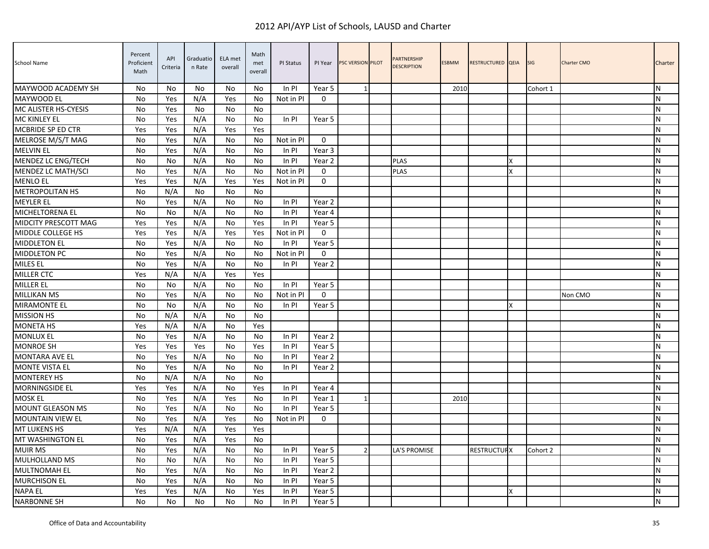| <b>School Name</b>          | Percent<br>Proficient<br>Math | API<br>Criteria | Graduatio<br>n Rate | ELA met<br>overall | Math<br>met<br>overall | PI Status | PI Year           | <b>PSC VERSION PILOT</b> | PARTNERSHIP<br><b>DESCRIPTION</b> | <b>ESBMM</b> | RESTRUCTURED QEIA  |   | <b>SIG</b> | <b>Charter CMO</b> | Charter        |
|-----------------------------|-------------------------------|-----------------|---------------------|--------------------|------------------------|-----------|-------------------|--------------------------|-----------------------------------|--------------|--------------------|---|------------|--------------------|----------------|
| MAYWOOD ACADEMY SH          | No                            | No              | No                  | No                 | No.                    | In PI     | Year 5            | 1                        |                                   | 2010         |                    |   | Cohort 1   |                    | IN.            |
| <b>MAYWOOD EL</b>           | No                            | Yes             | N/A                 | Yes                | No.                    | Not in PI | $\Omega$          |                          |                                   |              |                    |   |            |                    | N              |
| <b>MC ALISTER HS-CYESIS</b> | <b>No</b>                     | Yes             | <b>No</b>           | No                 | No                     |           |                   |                          |                                   |              |                    |   |            |                    | IN.            |
| <b>MC KINLEY EL</b>         | No                            | Yes             | N/A                 | No                 | No                     | In PI     | Year 5            |                          |                                   |              |                    |   |            |                    | <b>N</b>       |
| <b>MCBRIDE SP ED CTR</b>    | Yes                           | Yes             | N/A                 | Yes                | Yes                    |           |                   |                          |                                   |              |                    |   |            |                    | ${\sf N}$      |
| MELROSE M/S/T MAG           | No                            | Yes             | N/A                 | No                 | No                     | Not in PI | $\mathbf 0$       |                          |                                   |              |                    |   |            |                    | <b>N</b>       |
| <b>MELVIN EL</b>            | No                            | Yes             | N/A                 | No                 | No                     | In PI     | Year 3            |                          |                                   |              |                    |   |            |                    | ${\sf N}$      |
| MENDEZ LC ENG/TECH          | No                            | No              | N/A                 | No                 | No                     | In PI     | Year 2            |                          | PLAS                              |              |                    | X |            |                    | ${\sf N}$      |
| MENDEZ LC MATH/SCI          | No                            | Yes             | N/A                 | No                 | No                     | Not in PI | $\mathbf 0$       |                          | <b>PLAS</b>                       |              |                    | x |            |                    | N              |
| <b>MENLO EL</b>             | Yes                           | Yes             | N/A                 | Yes                | Yes                    | Not in PI | $\mathbf{0}$      |                          |                                   |              |                    |   |            |                    | $\overline{N}$ |
| <b>METROPOLITAN HS</b>      | No                            | N/A             | No                  | No                 | No                     |           |                   |                          |                                   |              |                    |   |            |                    | N              |
| <b>MEYLER EL</b>            | <b>No</b>                     | Yes             | N/A                 | No                 | No                     | In PI     | Year 2            |                          |                                   |              |                    |   |            |                    | <b>N</b>       |
| <b>MICHELTORENA EL</b>      | No                            | No              | N/A                 | No                 | No                     | In PI     | Year 4            |                          |                                   |              |                    |   |            |                    | ${\sf N}$      |
| MIDCITY PRESCOTT MAG        | Yes                           | Yes             | N/A                 | No                 | Yes                    | In PI     | Year 5            |                          |                                   |              |                    |   |            |                    | ${\sf N}$      |
| <b>MIDDLE COLLEGE HS</b>    | Yes                           | Yes             | N/A                 | Yes                | Yes                    | Not in PI | $\mathbf{0}$      |                          |                                   |              |                    |   |            |                    | <b>N</b>       |
| <b>MIDDLETON EL</b>         | No                            | Yes             | N/A                 | No                 | No                     | In PI     | Year 5            |                          |                                   |              |                    |   |            |                    | ${\sf N}$      |
| <b>MIDDLETON PC</b>         | No                            | Yes             | N/A                 | No                 | No                     | Not in PI | $\mathbf 0$       |                          |                                   |              |                    |   |            |                    | $\mathsf{N}$   |
| <b>MILES EL</b>             | No                            | Yes             | N/A                 | No                 | No                     | In PI     | Year 2            |                          |                                   |              |                    |   |            |                    | N              |
| <b>MILLER CTC</b>           | Yes                           | N/A             | N/A                 | Yes                | Yes                    |           |                   |                          |                                   |              |                    |   |            |                    | <b>N</b>       |
| <b>MILLER EL</b>            | No                            | No              | N/A                 | No                 | No                     | In PI     | Year 5            |                          |                                   |              |                    |   |            |                    | ${\sf N}$      |
| <b>MILLIKAN MS</b>          | No                            | Yes             | N/A                 | No                 | No                     | Not in PI | $\mathbf{0}$      |                          |                                   |              |                    |   |            | Non CMO            | <b>N</b>       |
| <b>MIRAMONTE EL</b>         | No                            | No              | N/A                 | No                 | No                     | In PI     | Year 5            |                          |                                   |              |                    | X |            |                    | ${\sf N}$      |
| <b>MISSION HS</b>           | No                            | N/A             | N/A                 | No                 | No                     |           |                   |                          |                                   |              |                    |   |            |                    | ${\sf N}$      |
| <b>MONETA HS</b>            | Yes                           | N/A             | N/A                 | No                 | Yes                    |           |                   |                          |                                   |              |                    |   |            |                    | N              |
| <b>MONLUX EL</b>            | No                            | Yes             | N/A                 | No                 | No                     | In PI     | Year 2            |                          |                                   |              |                    |   |            |                    | ${\sf N}$      |
| <b>MONROE SH</b>            | Yes                           | Yes             | Yes                 | No                 | Yes                    | In PI     | Year 5            |                          |                                   |              |                    |   |            |                    | N              |
| <b>MONTARA AVE EL</b>       | No                            | Yes             | N/A                 | No                 | No                     | In PI     | Year <sub>2</sub> |                          |                                   |              |                    |   |            |                    | N              |
| <b>MONTE VISTA EL</b>       | No                            | Yes             | N/A                 | No                 | No                     | In PI     | Year 2            |                          |                                   |              |                    |   |            |                    | <b>N</b>       |
| <b>MONTEREY HS</b>          | <b>No</b>                     | N/A             | N/A                 | <b>No</b>          | No.                    |           |                   |                          |                                   |              |                    |   |            |                    | ${\sf N}$      |
| <b>MORNINGSIDE EL</b>       | Yes                           | Yes             | N/A                 | No                 | Yes                    | In PI     | Year 4            |                          |                                   |              |                    |   |            |                    | <b>N</b>       |
| <b>MOSK EL</b>              | No                            | Yes             | N/A                 | Yes                | No                     | In PI     | Year 1            | $\mathbf{1}$             |                                   | 2010         |                    |   |            |                    | $\mathsf{N}$   |
| <b>MOUNT GLEASON MS</b>     | <b>No</b>                     | Yes             | N/A                 | No                 | No                     | In PI     | Year 5            |                          |                                   |              |                    |   |            |                    | ${\sf N}$      |
| <b>MOUNTAIN VIEW EL</b>     | No                            | Yes             | N/A                 | Yes                | No                     | Not in PI | $\mathbf 0$       |                          |                                   |              |                    |   |            |                    | N              |
| <b>MT LUKENS HS</b>         | Yes                           | N/A             | N/A                 | Yes                | Yes                    |           |                   |                          |                                   |              |                    |   |            |                    | N              |
| <b>MT WASHINGTON EL</b>     | <b>No</b>                     | Yes             | N/A                 | Yes                | <b>No</b>              |           |                   |                          |                                   |              |                    |   |            |                    | <b>N</b>       |
| <b>MUIR MS</b>              | No                            | Yes             | N/A                 | No                 | No                     | In PI     | Year 5            | $\overline{2}$           | LA'S PROMISE                      |              | <b>RESTRUCTURX</b> |   | Cohort 2   |                    | <b>N</b>       |
| <b>MULHOLLAND MS</b>        | No                            | No              | N/A                 | No                 | No                     | In PI     | Year 5            |                          |                                   |              |                    |   |            |                    | ${\sf N}$      |
| <b>MULTNOMAH EL</b>         | No                            | Yes             | N/A                 | <b>No</b>          | No.                    | In PI     | Year 2            |                          |                                   |              |                    |   |            |                    | N              |
| <b>MURCHISON EL</b>         | No                            | Yes             | N/A                 | No                 | No                     | In PI     | Year 5            |                          |                                   |              |                    |   |            |                    | N              |
| <b>NAPA EL</b>              | Yes                           | Yes             | N/A                 | No                 | Yes                    | In PI     | Year 5            |                          |                                   |              |                    | x |            |                    | <b>N</b>       |
| <b>NARBONNE SH</b>          | No                            | No              | <b>No</b>           | <b>No</b>          | No                     | In PI     | Year 5            |                          |                                   |              |                    |   |            |                    | $\overline{N}$ |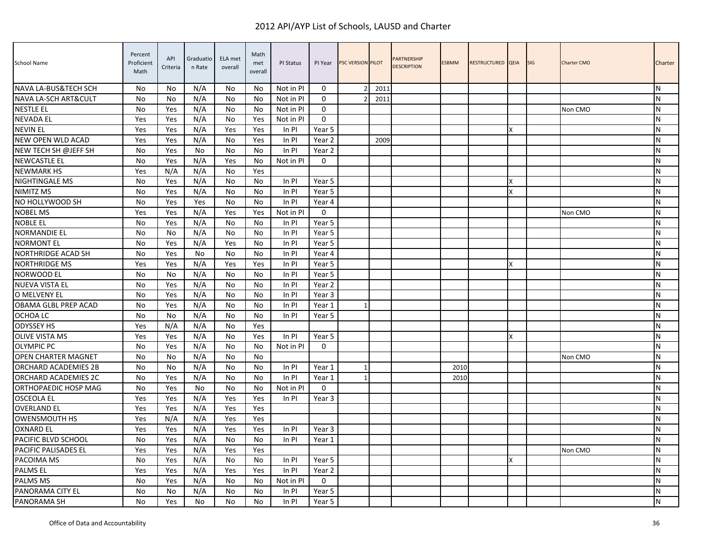| School Name                | Percent<br>Proficient<br>Math | API<br>Criteria | Graduatio<br>n Rate | ELA met<br>overall | Math<br>met<br>overall | PI Status | PI Year      | PSC VERSION PILOT |      | <b>PARTNERSHIP</b><br><b>DESCRIPTION</b> | <b>ESBMM</b> | RESTRUCTURED QEIA |   | <b>SIG</b> | Charter CMO | Charter   |
|----------------------------|-------------------------------|-----------------|---------------------|--------------------|------------------------|-----------|--------------|-------------------|------|------------------------------------------|--------------|-------------------|---|------------|-------------|-----------|
| NAVA LA-BUS&TECH SCH       | No                            | No              | N/A                 | No                 | No                     | Not in PI | $\Omega$     | $\mathfrak z$     | 2011 |                                          |              |                   |   |            |             | N         |
| NAVA LA-SCH ART&CULT       | No                            | No              | N/A                 | No                 | No                     | Not in PI | $\mathbf 0$  |                   | 2011 |                                          |              |                   |   |            |             | N         |
| <b>NESTLE EL</b>           | <b>No</b>                     | Yes             | N/A                 | No                 | No                     | Not in PI | $\Omega$     |                   |      |                                          |              |                   |   |            | Non CMO     | N         |
| <b>NEVADA EL</b>           | Yes                           | Yes             | N/A                 | No                 | Yes                    | Not in PI | $\Omega$     |                   |      |                                          |              |                   |   |            |             | N         |
| <b>NEVIN EL</b>            | Yes                           | Yes             | N/A                 | Yes                | Yes                    | In PI     | Year 5       |                   |      |                                          |              |                   | x |            |             | N         |
| NEW OPEN WLD ACAD          | Yes                           | Yes             | N/A                 | No                 | Yes                    | In PI     | Year 2       |                   | 2009 |                                          |              |                   |   |            |             | N         |
| NEW TECH SH @JEFF SH       | No                            | Yes             | No                  | No                 | No.                    | In PI     | Year 2       |                   |      |                                          |              |                   |   |            |             | ${\sf N}$ |
| <b>NEWCASTLE EL</b>        | No                            | Yes             | N/A                 | Yes                | No                     | Not in PI | $\mathbf{0}$ |                   |      |                                          |              |                   |   |            |             | N         |
| <b>NEWMARK HS</b>          | Yes                           | N/A             | N/A                 | No                 | Yes                    |           |              |                   |      |                                          |              |                   |   |            |             | N         |
| <b>NIGHTINGALE MS</b>      | No                            | Yes             | N/A                 | No                 | No                     | In Pl     | Year 5       |                   |      |                                          |              |                   | x |            |             | N         |
| NIMITZ MS                  | <b>No</b>                     | Yes             | N/A                 | No                 | No                     | In PI     | Year 5       |                   |      |                                          |              |                   | Χ |            |             | N         |
| NO HOLLYWOOD SH            | <b>No</b>                     | Yes             | Yes                 | No                 | No                     | In PI     | Year 4       |                   |      |                                          |              |                   |   |            |             | N         |
| <b>NOBEL MS</b>            | Yes                           | Yes             | N/A                 | Yes                | Yes                    | Not in PI | $\Omega$     |                   |      |                                          |              |                   |   |            | Non CMO     | N         |
| <b>NOBLE EL</b>            | No                            | Yes             | N/A                 | No                 | No                     | In PI     | Year 5       |                   |      |                                          |              |                   |   |            |             | ${\sf N}$ |
| <b>NORMANDIE EL</b>        | No                            | No              | N/A                 | No                 | No                     | In PI     | Year 5       |                   |      |                                          |              |                   |   |            |             | N         |
| <b>NORMONT EL</b>          | No                            | Yes             | N/A                 | Yes                | No                     | In PI     | Year 5       |                   |      |                                          |              |                   |   |            |             | ${\sf N}$ |
| NORTHRIDGE ACAD SH         | No                            | Yes             | No                  | No                 | No                     | In PI     | Year 4       |                   |      |                                          |              |                   |   |            |             | N         |
| <b>NORTHRIDGE MS</b>       | Yes                           | Yes             | N/A                 | Yes                | Yes                    | In PI     | Year 5       |                   |      |                                          |              |                   | X |            |             | N         |
| NORWOOD EL                 | <b>No</b>                     | No              | N/A                 | No                 | No                     | In PI     | Year 5       |                   |      |                                          |              |                   |   |            |             | N         |
| <b>NUEVA VISTA EL</b>      | <b>No</b>                     | Yes             | N/A                 | No                 | No                     | In PI     | Year 2       |                   |      |                                          |              |                   |   |            |             | ${\sf N}$ |
| O MELVENY EL               | No                            | Yes             | N/A                 | No                 | No                     | In Pl     | Year 3       |                   |      |                                          |              |                   |   |            |             | N         |
| OBAMA GLBL PREP ACAD       | No                            | Yes             | N/A                 | No                 | No                     | In PI     | Year 1       | 1                 |      |                                          |              |                   |   |            |             | ${\sf N}$ |
| OCHOA LC                   | No                            | No              | N/A                 | No                 | No                     | In PI     | Year 5       |                   |      |                                          |              |                   |   |            |             | N         |
| <b>ODYSSEY HS</b>          | Yes                           | N/A             | N/A                 | No                 | Yes                    |           |              |                   |      |                                          |              |                   |   |            |             | N         |
| <b>OLIVE VISTA MS</b>      | Yes                           | Yes             | N/A                 | No                 | Yes                    | In PI     | Year 5       |                   |      |                                          |              |                   | X |            |             | ${\sf N}$ |
| <b>OLYMPIC PC</b>          | <b>No</b>                     | Yes             | N/A                 | No                 | No                     | Not in PI | $\Omega$     |                   |      |                                          |              |                   |   |            |             | N         |
| <b>OPEN CHARTER MAGNET</b> | No                            | No              | N/A                 | No                 | No                     |           |              |                   |      |                                          |              |                   |   |            | Non CMO     | N         |
| ORCHARD ACADEMIES 2B       | <b>No</b>                     | No              | N/A                 | No                 | No                     | In PI     | Year 1       | 1                 |      |                                          | 2010         |                   |   |            |             | N         |
| ORCHARD ACADEMIES 2C       | <b>No</b>                     | Yes             | N/A                 | No                 | No                     | In PI     | Year 1       |                   |      |                                          | 2010         |                   |   |            |             | ${\sf N}$ |
| ORTHOPAEDIC HOSP MAG       | No                            | Yes             | No                  | No                 | No                     | Not in PI | $\mathbf 0$  |                   |      |                                          |              |                   |   |            |             | N         |
| <b>OSCEOLA EL</b>          | Yes                           | Yes             | N/A                 | Yes                | Yes                    | In PI     | Year 3       |                   |      |                                          |              |                   |   |            |             | ${\sf N}$ |
| <b>OVERLAND EL</b>         | Yes                           | Yes             | N/A                 | Yes                | Yes                    |           |              |                   |      |                                          |              |                   |   |            |             | N         |
| <b>OWENSMOUTH HS</b>       | Yes                           | N/A             | N/A                 | Yes                | Yes                    |           |              |                   |      |                                          |              |                   |   |            |             | N         |
| <b>OXNARD EL</b>           | Yes                           | Yes             | N/A                 | Yes                | Yes                    | In PI     | Year 3       |                   |      |                                          |              |                   |   |            |             | N         |
| PACIFIC BLVD SCHOOL        | <b>No</b>                     | Yes             | N/A                 | <b>No</b>          | No.                    | In PI     | Year 1       |                   |      |                                          |              |                   |   |            |             | N         |
| PACIFIC PALISADES EL       | Yes                           | Yes             | N/A                 | Yes                | Yes                    |           |              |                   |      |                                          |              |                   |   |            | Non CMO     | N         |
| PACOIMA MS                 | No                            | Yes             | N/A                 | No                 | No                     | In PI     | Year 5       |                   |      |                                          |              |                   | x |            |             | N         |
| <b>PALMSEL</b>             | Yes                           | Yes             | N/A                 | Yes                | Yes                    | In PI     | Year 2       |                   |      |                                          |              |                   |   |            |             | N         |
| <b>PALMS MS</b>            | No                            | Yes             | N/A                 | No                 | No                     | Not in PI | $\mathbf 0$  |                   |      |                                          |              |                   |   |            |             | N         |
| PANORAMA CITY EL           | No                            | No              | N/A                 | No                 | No                     | In PI     | Year 5       |                   |      |                                          |              |                   |   |            |             | N         |
| PANORAMA SH                | No                            | Yes             | <b>No</b>           | No                 | No                     | In PI     | Year 5       |                   |      |                                          |              |                   |   |            |             | Σ         |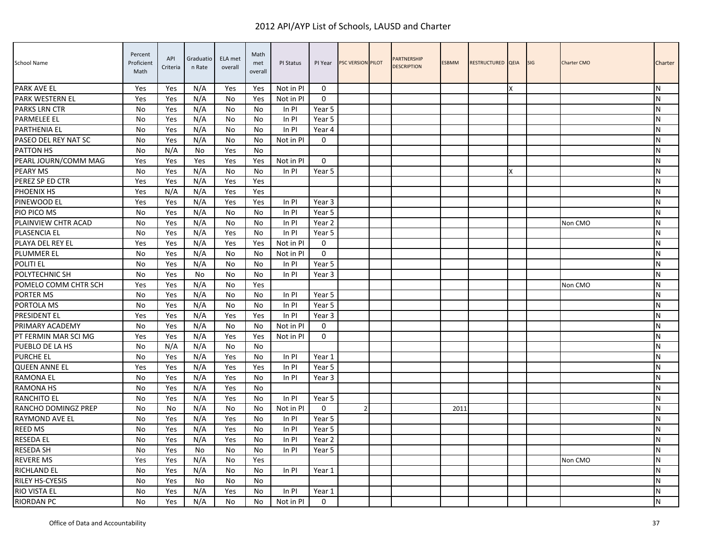| School Name            | Percent<br>Proficient<br>Math | API<br>Criteria | Graduatio<br>n Rate | ELA met<br>overall | Math<br>met<br>overall | PI Status | PI Year     | PSC VERSION PILOT | <b>PARTNERSHIP</b><br><b>DESCRIPTION</b> | <b>ESBMM</b> | RESTRUCTURED QEIA |   | <b>SIG</b> | <b>Charter CMO</b> | Charter   |
|------------------------|-------------------------------|-----------------|---------------------|--------------------|------------------------|-----------|-------------|-------------------|------------------------------------------|--------------|-------------------|---|------------|--------------------|-----------|
| <b>PARK AVE EL</b>     | Yes                           | Yes             | N/A                 | Yes                | Yes                    | Not in PI | $\Omega$    |                   |                                          |              |                   | X |            |                    | N         |
| PARK WESTERN EL        | Yes                           | Yes             | N/A                 | No                 | Yes                    | Not in PI | $\Omega$    |                   |                                          |              |                   |   |            |                    | N         |
| <b>PARKS LRN CTR</b>   | No                            | Yes             | N/A                 | No                 | No                     | In PI     | Year 5      |                   |                                          |              |                   |   |            |                    | N         |
| <b>PARMELEE EL</b>     | No                            | Yes             | N/A                 | No                 | No                     | In PI     | Year 5      |                   |                                          |              |                   |   |            |                    | ${\sf N}$ |
| <b>PARTHENIA EL</b>    | No                            | Yes             | N/A                 | No                 | No                     | In PI     | Year 4      |                   |                                          |              |                   |   |            |                    | N         |
| PASEO DEL REY NAT SC   | <b>No</b>                     | Yes             | N/A                 | No                 | No                     | Not in PI | $\Omega$    |                   |                                          |              |                   |   |            |                    | N         |
| PATTON HS              | No                            | N/A             | No                  | Yes                | No                     |           |             |                   |                                          |              |                   |   |            |                    | N         |
| PEARL JOURN/COMM MAG   | Yes                           | Yes             | Yes                 | Yes                | Yes                    | Not in PI | $\mathbf 0$ |                   |                                          |              |                   |   |            |                    | N         |
| PEARY MS               | No                            | Yes             | N/A                 | No                 | No                     | In PI     | Year 5      |                   |                                          |              |                   | X |            |                    | N         |
| PEREZ SP ED CTR        | Yes                           | Yes             | N/A                 | Yes                | Yes                    |           |             |                   |                                          |              |                   |   |            |                    | ${\sf N}$ |
| PHOENIX HS             | Yes                           | N/A             | N/A                 | Yes                | Yes                    |           |             |                   |                                          |              |                   |   |            |                    | ${\sf N}$ |
| PINEWOOD EL            | Yes                           | Yes             | N/A                 | Yes                | Yes                    | In PI     | Year 3      |                   |                                          |              |                   |   |            |                    | N         |
| PIO PICO MS            | No                            | Yes             | N/A                 | No                 | No                     | In PI     | Year 5      |                   |                                          |              |                   |   |            |                    | N         |
| PLAINVIEW CHTR ACAD    | <b>No</b>                     | Yes             | N/A                 | No                 | No                     | In PI     | Year 2      |                   |                                          |              |                   |   |            | Non CMO            | N         |
| PLASENCIA EL           | No                            | Yes             | N/A                 | Yes                | No                     | In PI     | Year 5      |                   |                                          |              |                   |   |            |                    | N         |
| PLAYA DEL REY EL       | Yes                           | Yes             | N/A                 | Yes                | Yes                    | Not in PI | $\mathbf 0$ |                   |                                          |              |                   |   |            |                    | ${\sf N}$ |
| <b>PLUMMER EL</b>      | No                            | Yes             | N/A                 | No                 | No                     | Not in PI | $\mathbf 0$ |                   |                                          |              |                   |   |            |                    | ${\sf N}$ |
| POLITI EL              | No                            | Yes             | N/A                 | No                 | No                     | In PI     | Year 5      |                   |                                          |              |                   |   |            |                    | N         |
| POLYTECHNIC SH         | No                            | Yes             | No                  | No                 | No                     | In PI     | Year 3      |                   |                                          |              |                   |   |            |                    | N         |
| POMELO COMM CHTR SCH   | Yes                           | Yes             | N/A                 | No                 | Yes                    |           |             |                   |                                          |              |                   |   |            | Non CMO            | N         |
| <b>PORTER MS</b>       | No                            | Yes             | N/A                 | No                 | No                     | In PI     | Year 5      |                   |                                          |              |                   |   |            |                    | N         |
| PORTOLA MS             | No                            | Yes             | N/A                 | No                 | No                     | In PI     | Year 5      |                   |                                          |              |                   |   |            |                    | ${\sf N}$ |
| PRESIDENT EL           | Yes                           | Yes             | N/A                 | Yes                | Yes                    | In PI     | Year 3      |                   |                                          |              |                   |   |            |                    | N         |
| PRIMARY ACADEMY        | No                            | Yes             | N/A                 | No                 | No                     | Not in PI | $\mathbf 0$ |                   |                                          |              |                   |   |            |                    | N         |
| PT FERMIN MAR SCI MG   | Yes                           | Yes             | N/A                 | Yes                | Yes                    | Not in PI | $\Omega$    |                   |                                          |              |                   |   |            |                    | N         |
| PUEBLO DE LA HS        | <b>No</b>                     | N/A             | N/A                 | No                 | No                     |           |             |                   |                                          |              |                   |   |            |                    | N         |
| <b>PURCHE EL</b>       | No                            | Yes             | N/A                 | Yes                | No                     | In PI     | Year 1      |                   |                                          |              |                   |   |            |                    | N         |
| <b>QUEEN ANNE EL</b>   | Yes                           | Yes             | N/A                 | Yes                | Yes                    | In PI     | Year 5      |                   |                                          |              |                   |   |            |                    | N         |
| <b>RAMONA EL</b>       | No                            | Yes             | N/A                 | Yes                | No                     | In PI     | Year 3      |                   |                                          |              |                   |   |            |                    | ${\sf N}$ |
| <b>RAMONA HS</b>       | No                            | Yes             | N/A                 | Yes                | No                     |           |             |                   |                                          |              |                   |   |            |                    | ${\sf N}$ |
| <b>RANCHITO EL</b>     | No                            | Yes             | N/A                 | Yes                | No.                    | In PI     | Year 5      |                   |                                          |              |                   |   |            |                    | N         |
| RANCHO DOMINGZ PREP    | <b>No</b>                     | No              | N/A                 | No                 | No                     | Not in PI | $\Omega$    | $\mathfrak{p}$    |                                          | 2011         |                   |   |            |                    | ${\sf N}$ |
| RAYMOND AVE EL         | No                            | Yes             | N/A                 | Yes                | No                     | In PI     | Year 5      |                   |                                          |              |                   |   |            |                    | ${\sf N}$ |
| <b>REED MS</b>         | No                            | Yes             | N/A                 | Yes                | No                     | In PI     | Year 5      |                   |                                          |              |                   |   |            |                    | N         |
| <b>RESEDA EL</b>       | No                            | Yes             | N/A                 | Yes                | No                     | In PI     | Year 2      |                   |                                          |              |                   |   |            |                    | ${\sf N}$ |
| <b>RESEDA SH</b>       | No                            | Yes             | No                  | No                 | No                     | In PI     | Year 5      |                   |                                          |              |                   |   |            |                    | N         |
| <b>REVERE MS</b>       | Yes                           | Yes             | N/A                 | No                 | Yes                    |           |             |                   |                                          |              |                   |   |            | Non CMO            | N         |
| <b>RICHLAND EL</b>     | No                            | Yes             | N/A                 | No                 | No                     | In PI     | Year 1      |                   |                                          |              |                   |   |            |                    | N         |
| <b>RILEY HS-CYESIS</b> | No                            | Yes             | No                  | No                 | No                     |           |             |                   |                                          |              |                   |   |            |                    | N         |
| RIO VISTA EL           | No                            | Yes             | N/A                 | Yes                | No                     | In PI     | Year 1      |                   |                                          |              |                   |   |            |                    | N         |
| <b>RIORDAN PC</b>      | No                            | Yes             | N/A                 | No                 | No                     | Not in PI | $\mathbf 0$ |                   |                                          |              |                   |   |            |                    | ${\sf N}$ |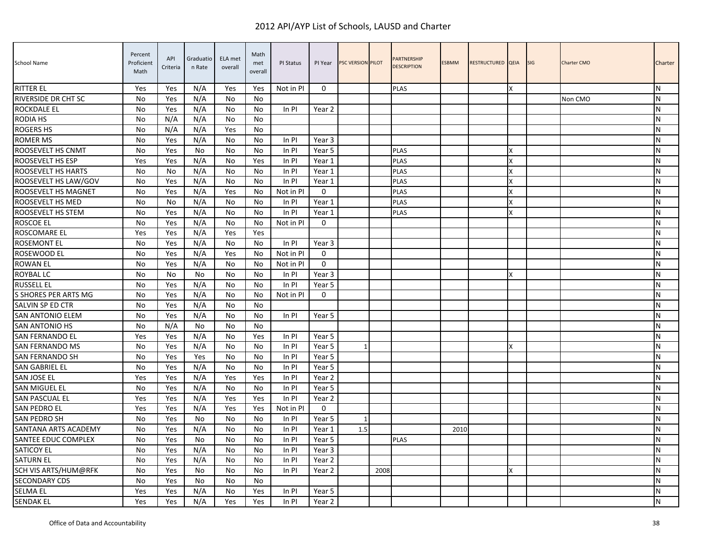| School Name                | Percent<br>Proficient<br>Math | API<br>Criteria | Graduatio<br>n Rate | ELA met<br>overall | Math<br>met<br>overall | PI Status | PI Year      | <b>PSC VERSION PILOT</b> |      | <b>PARTNERSHIP</b><br><b>DESCRIPTION</b> | <b>ESBMM</b> | RESTRUCTURED QEIA |   | <b>SIG</b> | <b>Charter CMO</b> | Charter        |
|----------------------------|-------------------------------|-----------------|---------------------|--------------------|------------------------|-----------|--------------|--------------------------|------|------------------------------------------|--------------|-------------------|---|------------|--------------------|----------------|
| <b>RITTER EL</b>           | Yes                           | Yes             | N/A                 | Yes                | Yes                    | Not in PI | $\Omega$     |                          |      | <b>PLAS</b>                              |              |                   | x |            |                    | IN.            |
| <b>RIVERSIDE DR CHT SC</b> | No                            | Yes             | N/A                 | No                 | No                     |           |              |                          |      |                                          |              |                   |   |            | Non CMO            | N              |
| <b>ROCKDALE EL</b>         | No                            | Yes             | N/A                 | No                 | No                     | In PI     | Year 2       |                          |      |                                          |              |                   |   |            |                    | IN.            |
| <b>RODIA HS</b>            | No                            | N/A             | N/A                 | No                 | No                     |           |              |                          |      |                                          |              |                   |   |            |                    | ${\sf N}$      |
| <b>ROGERS HS</b>           | No                            | N/A             | N/A                 | Yes                | No                     |           |              |                          |      |                                          |              |                   |   |            |                    | ${\sf N}$      |
| <b>ROMER MS</b>            | No                            | Yes             | N/A                 | No                 | No                     | In PI     | Year 3       |                          |      |                                          |              |                   |   |            |                    | IN.            |
| ROOSEVELT HS CNMT          | No                            | Yes             | No                  | No                 | No                     | $In$ PI   | Year 5       |                          |      | <b>PLAS</b>                              |              |                   | x |            |                    | N              |
| ROOSEVELT HS ESP           | Yes                           | Yes             | N/A                 | No                 | Yes                    | In PI     | Year 1       |                          |      | PLAS                                     |              |                   | X |            |                    | ${\sf N}$      |
| ROOSEVELT HS HARTS         | N <sub>0</sub>                | N <sub>0</sub>  | N/A                 | No                 | No                     | In PI     | Year 1       |                          |      | <b>PLAS</b>                              |              |                   | X |            |                    | <b>N</b>       |
| ROOSEVELT HS LAW/GOV       | No                            | Yes             | N/A                 | No                 | No                     | In PI     | Year 1       |                          |      | <b>PLAS</b>                              |              |                   | X |            |                    | ${\sf N}$      |
| ROOSEVELT HS MAGNET        | No                            | Yes             | N/A                 | Yes                | No                     | Not in PI | $\mathbf 0$  |                          |      | PLAS                                     |              |                   | X |            |                    | ${\sf N}$      |
| ROOSEVELT HS MED           | No                            | No              | N/A                 | No                 | No                     | In PI     | Year 1       |                          |      | <b>PLAS</b>                              |              |                   | X |            |                    | N              |
| ROOSEVELT HS STEM          | No                            | Yes             | N/A                 | No                 | No                     | $In$ PI   | Year 1       |                          |      | <b>PLAS</b>                              |              |                   | x |            |                    | IN.            |
| <b>ROSCOE EL</b>           | No                            | Yes             | N/A                 | No                 | No                     | Not in PI | $\Omega$     |                          |      |                                          |              |                   |   |            |                    | N              |
| ROSCOMARE EL               | Yes                           | Yes             | N/A                 | Yes                | Yes                    |           |              |                          |      |                                          |              |                   |   |            |                    | <b>N</b>       |
| <b>ROSEMONT EL</b>         | No                            | Yes             | N/A                 | No                 | No                     | In PI     | Year 3       |                          |      |                                          |              |                   |   |            |                    | ${\sf N}$      |
| ROSEWOOD EL                | No                            | Yes             | N/A                 | Yes                | No                     | Not in PI | $\Omega$     |                          |      |                                          |              |                   |   |            |                    | ${\sf N}$      |
| <b>ROWAN EL</b>            | No                            | Yes             | N/A                 | No                 | No                     | Not in PI | $\mathbf{0}$ |                          |      |                                          |              |                   |   |            |                    | <b>N</b>       |
| ROYBAL LC                  | No                            | No              | No                  | No                 | No                     | In PI     | Year 3       |                          |      |                                          |              |                   | X |            |                    | IN.            |
| <b>RUSSELL EL</b>          | No                            | Yes             | N/A                 | No                 | No.                    | In PI     | Year 5       |                          |      |                                          |              |                   |   |            |                    | <b>N</b>       |
| S SHORES PER ARTS MG       | No                            | Yes             | N/A                 | No                 | No                     | Not in Pl | $\mathbf{0}$ |                          |      |                                          |              |                   |   |            |                    | N              |
| SALVIN SP ED CTR           | No                            | Yes             | N/A                 | No                 | No                     |           |              |                          |      |                                          |              |                   |   |            |                    | ${\sf N}$      |
| <b>SAN ANTONIO ELEM</b>    | <b>No</b>                     | Yes             | N/A                 | No                 | No                     | $In$ PI   | Year 5       |                          |      |                                          |              |                   |   |            |                    | N              |
| SAN ANTONIO HS             | No                            | N/A             | No                  | No                 | No                     |           |              |                          |      |                                          |              |                   |   |            |                    | <b>N</b>       |
| SAN FERNANDO EL            | Yes                           | Yes             | N/A                 | No                 | Yes                    | In PI     | Year 5       |                          |      |                                          |              |                   |   |            |                    | IN.            |
| <b>SAN FERNANDO MS</b>     | <b>No</b>                     | Yes             | N/A                 | No                 | No                     | $In$ PI   | Year 5       | $\mathbf{1}$             |      |                                          |              |                   | x |            |                    | $\overline{N}$ |
| <b>SAN FERNANDO SH</b>     | No                            | Yes             | Yes                 | No                 | No                     | $In$ PI   | Year 5       |                          |      |                                          |              |                   |   |            |                    | N              |
| <b>SAN GABRIEL EL</b>      | No                            | Yes             | N/A                 | No                 | No.                    | In PI     | Year 5       |                          |      |                                          |              |                   |   |            |                    | IN.            |
| SAN JOSE EL                | Yes                           | Yes             | N/A                 | Yes                | Yes                    | In PI     | Year 2       |                          |      |                                          |              |                   |   |            |                    | N              |
| SAN MIGUEL EL              | No                            | Yes             | N/A                 | No                 | No                     | In PI     | Year 5       |                          |      |                                          |              |                   |   |            |                    | ${\sf N}$      |
| SAN PASCUAL EL             | Yes                           | Yes             | N/A                 | Yes                | Yes                    | In PI     | Year 2       |                          |      |                                          |              |                   |   |            |                    | <b>N</b>       |
| <b>SAN PEDRO EL</b>        | Yes                           | Yes             | N/A                 | Yes                | Yes                    | Not in PI | $\mathbf 0$  |                          |      |                                          |              |                   |   |            |                    | N              |
| SAN PEDRO SH               | No                            | Yes             | No                  | No                 | No                     | $In$ PI   | Year 5       | -1                       |      |                                          |              |                   |   |            |                    | N              |
| SANTANA ARTS ACADEMY       | N <sub>0</sub>                | Yes             | N/A                 | No                 | No.                    | In PI     | Year 1       | 1.5                      |      |                                          | 2010         |                   |   |            |                    | <b>N</b>       |
| SANTEE EDUC COMPLEX        | No                            | Yes             | No                  | No                 | No                     | In PI     | Year 5       |                          |      | <b>PLAS</b>                              |              |                   |   |            |                    | N              |
| SATICOY EL                 | No                            | Yes             | N/A                 | No                 | No                     | In PI     | Year 3       |                          |      |                                          |              |                   |   |            |                    | ${\sf N}$      |
| <b>SATURN EL</b>           | No                            | Yes             | N/A                 | No                 | No                     | In PI     | Year 2       |                          |      |                                          |              |                   |   |            |                    | N              |
| SCH VIS ARTS/HUM@RFK       | No                            | Yes             | No                  | No                 | No                     | $In$ PI   | Year 2       |                          | 2008 |                                          |              |                   | X |            |                    | <b>N</b>       |
| <b>SECONDARY CDS</b>       | No                            | Yes             | No                  | No                 | No                     |           |              |                          |      |                                          |              |                   |   |            |                    | N              |
| <b>SELMA EL</b>            | Yes                           | Yes             | N/A                 | No                 | Yes                    | In PI     | Year 5       |                          |      |                                          |              |                   |   |            |                    | N              |
| <b>SENDAK EL</b>           | Yes                           | Yes             | N/A                 | Yes                | Yes                    | In PI     | Year 2       |                          |      |                                          |              |                   |   |            |                    | N              |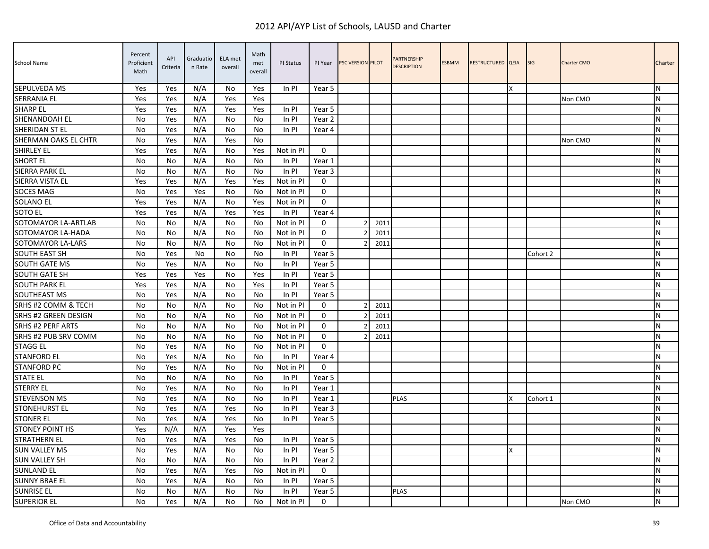| School Name            | Percent<br>Proficient<br>Math | API<br>Criteria | Graduatio<br>n Rate | ELA met<br>overall | Math<br>met<br>overall | PI Status | PI Year      | <b>PSC VERSION PILOT</b> |      | <b>PARTNERSHIP</b><br><b>DESCRIPTION</b> | <b>ESBMM</b> | RESTRUCTURED QEIA |   | <b>SIG</b> | <b>Charter CMO</b> | Charter        |
|------------------------|-------------------------------|-----------------|---------------------|--------------------|------------------------|-----------|--------------|--------------------------|------|------------------------------------------|--------------|-------------------|---|------------|--------------------|----------------|
| SEPULVEDA MS           | Yes                           | Yes             | N/A                 | No                 | Yes                    | $In$ PI   | Year 5       |                          |      |                                          |              |                   | x |            |                    | IN.            |
| <b>SERRANIA EL</b>     | Yes                           | Yes             | N/A                 | Yes                | Yes                    |           |              |                          |      |                                          |              |                   |   |            | Non CMO            | N              |
| <b>SHARP EL</b>        | Yes                           | Yes             | N/A                 | Yes                | Yes                    | In PI     | Year 5       |                          |      |                                          |              |                   |   |            |                    | IN.            |
| SHENANDOAH EL          | No                            | Yes             | N/A                 | No                 | No                     | In PI     | Year 2       |                          |      |                                          |              |                   |   |            |                    | <b>N</b>       |
| SHERIDAN ST EL         | No                            | Yes             | N/A                 | No                 | No                     | In PI     | Year 4       |                          |      |                                          |              |                   |   |            |                    | ${\sf N}$      |
| SHERMAN OAKS EL CHTR   | No                            | Yes             | N/A                 | Yes                | No                     |           |              |                          |      |                                          |              |                   |   |            | Non CMO            | IN.            |
| <b>SHIRLEY EL</b>      | Yes                           | Yes             | N/A                 | No                 | Yes                    | Not in PI | $\mathbf{0}$ |                          |      |                                          |              |                   |   |            |                    | N              |
| <b>SHORT EL</b>        | <b>No</b>                     | No              | N/A                 | No                 | No                     | In PI     | Year 1       |                          |      |                                          |              |                   |   |            |                    | ${\sf N}$      |
| SIERRA PARK EL         | No                            | N <sub>0</sub>  | N/A                 | No                 | N <sub>0</sub>         | In PI     | Year 3       |                          |      |                                          |              |                   |   |            |                    | <b>N</b>       |
| SIERRA VISTA EL        | Yes                           | Yes             | N/A                 | Yes                | Yes                    | Not in PI | $\mathbf 0$  |                          |      |                                          |              |                   |   |            |                    | ${\sf N}$      |
| <b>SOCES MAG</b>       | No                            | Yes             | Yes                 | No                 | No                     | Not in PI | $\mathbf 0$  |                          |      |                                          |              |                   |   |            |                    | ${\sf N}$      |
| <b>SOLANO EL</b>       | Yes                           | Yes             | N/A                 | No                 | Yes                    | Not in PI | $\mathbf{0}$ |                          |      |                                          |              |                   |   |            |                    | N              |
| <b>SOTO EL</b>         | Yes                           | Yes             | N/A                 | Yes                | Yes                    | In PI     | Year 4       |                          |      |                                          |              |                   |   |            |                    | IN.            |
| SOTOMAYOR LA-ARTLAB    | No                            | No              | N/A                 | No                 | No                     | Not in PI | $\Omega$     | 2                        | 201. |                                          |              |                   |   |            |                    | N              |
| SOTOMAYOR LA-HADA      | No                            | No              | N/A                 | No                 | No                     | Not in PI | $\Omega$     | $\overline{2}$           | 2011 |                                          |              |                   |   |            |                    | <b>N</b>       |
| SOTOMAYOR LA-LARS      | No                            | No              | N/A                 | No                 | No                     | Not in PI | $\mathbf 0$  | 2                        | 2011 |                                          |              |                   |   |            |                    | ${\sf N}$      |
| SOUTH EAST SH          | No                            | Yes             | No                  | No                 | No                     | In PI     | Year 5       |                          |      |                                          |              |                   |   | Cohort 2   |                    | ${\sf N}$      |
| <b>SOUTH GATE MS</b>   | No                            | Yes             | N/A                 | No                 | No                     | In PI     | Year 5       |                          |      |                                          |              |                   |   |            |                    | <b>N</b>       |
| <b>SOUTH GATE SH</b>   | Yes                           | Yes             | Yes                 | No                 | Yes                    | In PI     | Year 5       |                          |      |                                          |              |                   |   |            |                    | IN.            |
| <b>SOUTH PARK EL</b>   | Yes                           | Yes             | N/A                 | No                 | Yes                    | In PI     | Year 5       |                          |      |                                          |              |                   |   |            |                    | <b>N</b>       |
| SOUTHEAST MS           | No                            | Yes             | N/A                 | No                 | No                     | In PI     | Year 5       |                          |      |                                          |              |                   |   |            |                    | <b>N</b>       |
| SRHS #2 COMM & TECH    | No                            | No              | N/A                 | No                 | No.                    | Not in Pl | $\mathbf{0}$ | 2                        | 2011 |                                          |              |                   |   |            |                    | N              |
| SRHS #2 GREEN DESIGN   | <b>No</b>                     | No              | N/A                 | No                 | No                     | Not in PI | $\mathbf 0$  |                          | 2011 |                                          |              |                   |   |            |                    | N              |
| SRHS #2 PERF ARTS      | No                            | No              | N/A                 | No                 | No                     | Not in PI | 0            | $\overline{2}$           | 2011 |                                          |              |                   |   |            |                    | <b>N</b>       |
| SRHS #2 PUB SRV COMM   | No                            | No              | N/A                 | No                 | No                     | Not in PI | $\mathbf{0}$ |                          | 2011 |                                          |              |                   |   |            |                    | IN.            |
| <b>STAGG EL</b>        | <b>No</b>                     | Yes             | N/A                 | No                 | No                     | Not in PI | $\Omega$     |                          |      |                                          |              |                   |   |            |                    | $\overline{N}$ |
| <b>STANFORD EL</b>     | No                            | Yes             | N/A                 | No                 | No                     | In PI     | Year 4       |                          |      |                                          |              |                   |   |            |                    | N              |
| <b>STANFORD PC</b>     | No                            | Yes             | N/A                 | No                 | No                     | Not in PI | $\Omega$     |                          |      |                                          |              |                   |   |            |                    | <b>N</b>       |
| <b>STATE EL</b>        | No                            | No              | N/A                 | No                 | No                     | In PI     | Year 5       |                          |      |                                          |              |                   |   |            |                    | N              |
| <b>STERRY EL</b>       | No                            | Yes             | N/A                 | No                 | No                     | In PI     | Year 1       |                          |      |                                          |              |                   |   |            |                    | ${\sf N}$      |
| <b>STEVENSON MS</b>    | No                            | Yes             | N/A                 | No                 | No                     | In PI     | Year 1       |                          |      | <b>PLAS</b>                              |              |                   | x | Cohort 1   |                    | <b>N</b>       |
| <b>STONEHURST EL</b>   | <b>No</b>                     | Yes             | N/A                 | Yes                | No                     | $In$ PI   | Year 3       |                          |      |                                          |              |                   |   |            |                    | <b>N</b>       |
| <b>STONER EL</b>       | No                            | Yes             | N/A                 | Yes                | No                     | In PI     | Year 5       |                          |      |                                          |              |                   |   |            |                    | N              |
| <b>STONEY POINT HS</b> | Yes                           | N/A             | N/A                 | Yes                | Yes                    |           |              |                          |      |                                          |              |                   |   |            |                    | <b>N</b>       |
| <b>STRATHERN EL</b>    | No                            | Yes             | N/A                 | Yes                | No                     | In PI     | Year 5       |                          |      |                                          |              |                   |   |            |                    | N              |
| <b>SUN VALLEY MS</b>   | No                            | Yes             | N/A                 | No                 | No                     | In PI     | Year 5       |                          |      |                                          |              |                   | X |            |                    | ${\sf N}$      |
| <b>SUN VALLEY SH</b>   | No                            | No              | N/A                 | No                 | No                     | In PI     | Year 2       |                          |      |                                          |              |                   |   |            |                    | N              |
| <b>SUNLAND EL</b>      | No                            | Yes             | N/A                 | Yes                | No                     | Not in Pl | $\mathbf 0$  |                          |      |                                          |              |                   |   |            |                    | <b>N</b>       |
| <b>SUNNY BRAE EL</b>   | No                            | Yes             | N/A                 | No                 | No                     | In PI     | Year 5       |                          |      |                                          |              |                   |   |            |                    | N              |
| <b>SUNRISE EL</b>      | No                            | No              | N/A                 | No                 | No.                    | In PI     | Year 5       |                          |      | PLAS                                     |              |                   |   |            |                    | N              |
| <b>SUPERIOR EL</b>     | No                            | Yes             | N/A                 | No                 | No                     | Not in PI | $\mathbf 0$  |                          |      |                                          |              |                   |   |            | Non CMO            | N              |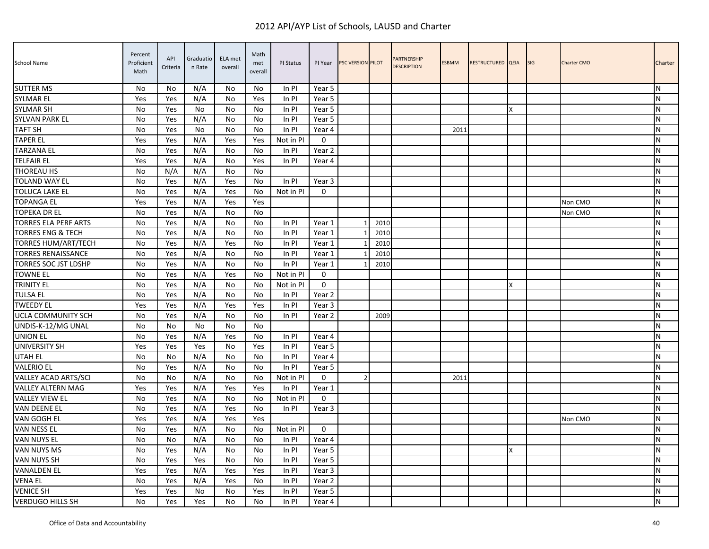| School Name                  | Percent<br>Proficient<br>Math | API<br>Criteria | Graduatio<br>n Rate | ELA met<br>overall | Math<br>met<br>overall | PI Status | PI Year     | <b>PSC VERSION PILOT</b> |      | <b>PARTNERSHIP</b><br><b>DESCRIPTION</b> | <b>ESBMM</b> | RESTRUCTURED QEIA |   | <b>SIG</b> | <b>Charter CMO</b> | Charter   |
|------------------------------|-------------------------------|-----------------|---------------------|--------------------|------------------------|-----------|-------------|--------------------------|------|------------------------------------------|--------------|-------------------|---|------------|--------------------|-----------|
| <b>SUTTER MS</b>             | <b>No</b>                     | No              | N/A                 | No                 | No.                    | In PI     | Year 5      |                          |      |                                          |              |                   |   |            |                    | N         |
| <b>SYLMAR EL</b>             | Yes                           | Yes             | N/A                 | No                 | Yes                    | In PI     | Year 5      |                          |      |                                          |              |                   |   |            |                    | N         |
| <b>SYLMAR SH</b>             | <b>No</b>                     | Yes             | No                  | No                 | No                     | In PI     | Year 5      |                          |      |                                          |              |                   | x |            |                    | N         |
| SYLVAN PARK EL               | <b>No</b>                     | Yes             | N/A                 | No                 | No                     | In PI     | Year 5      |                          |      |                                          |              |                   |   |            |                    | N         |
| <b>TAFT SH</b>               | No                            | Yes             | No                  | No                 | No                     | In PI     | Year 4      |                          |      |                                          | 2011         |                   |   |            |                    | N         |
| <b>TAPER EL</b>              | Yes                           | Yes             | N/A                 | Yes                | Yes                    | Not in PI | $\mathbf 0$ |                          |      |                                          |              |                   |   |            |                    | N         |
| <b>TARZANA EL</b>            | No                            | Yes             | N/A                 | No                 | No.                    | In PI     | Year 2      |                          |      |                                          |              |                   |   |            |                    | ${\sf N}$ |
| <b>TELFAIR EL</b>            | Yes                           | Yes             | N/A                 | No                 | Yes                    | In PI     | Year 4      |                          |      |                                          |              |                   |   |            |                    | N         |
| THOREAU HS                   | No                            | N/A             | N/A                 | No                 | No                     |           |             |                          |      |                                          |              |                   |   |            |                    | N         |
| <b>TOLAND WAY EL</b>         | <b>No</b>                     | Yes             | N/A                 | Yes                | No                     | In PI     | Year 3      |                          |      |                                          |              |                   |   |            |                    | N         |
| TOLUCA LAKE EL               | No                            | Yes             | N/A                 | Yes                | No                     | Not in PI | $\Omega$    |                          |      |                                          |              |                   |   |            |                    | N         |
| <b>TOPANGA EL</b>            | Yes                           | Yes             | N/A                 | Yes                | Yes                    |           |             |                          |      |                                          |              |                   |   |            | Non CMO            | N         |
| <b>TOPEKA DR EL</b>          | No                            | Yes             | N/A                 | No                 | No                     |           |             |                          |      |                                          |              |                   |   |            | Non CMO            | N         |
| <b>TORRES ELA PERF ARTS</b>  | No                            | Yes             | N/A                 | No                 | No                     | In PI     | Year 1      |                          | 2010 |                                          |              |                   |   |            |                    | N         |
| <b>TORRES ENG &amp; TECH</b> | No                            | Yes             | N/A                 | No                 | No                     | In PI     | Year 1      |                          | 2010 |                                          |              |                   |   |            |                    | N         |
| TORRES HUM/ART/TECH          | No                            | Yes             | N/A                 | Yes                | No                     | In PI     | Year 1      |                          | 2010 |                                          |              |                   |   |            |                    | ${\sf N}$ |
| <b>TORRES RENAISSANCE</b>    | No                            | Yes             | N/A                 | No                 | No                     | In PI     | Year 1      |                          | 2010 |                                          |              |                   |   |            |                    | N         |
| <b>TORRES SOC JST LDSHP</b>  | <b>No</b>                     | Yes             | N/A                 | No                 | No                     | In PI     | Year 1      |                          | 2010 |                                          |              |                   |   |            |                    | N         |
| <b>TOWNE EL</b>              | <b>No</b>                     | Yes             | N/A                 | Yes                | No                     | Not in PI | $\mathbf 0$ |                          |      |                                          |              |                   |   |            |                    | N         |
| TRINITY EL                   | No                            | Yes             | N/A                 | No                 | No                     | Not in Pl | $\Omega$    |                          |      |                                          |              |                   | X |            |                    | ${\sf N}$ |
| <b>TULSA EL</b>              | <b>No</b>                     | Yes             | N/A                 | No                 | No                     | In PI     | Year 2      |                          |      |                                          |              |                   |   |            |                    | N         |
| <b>TWEEDY EL</b>             | Yes                           | Yes             | N/A                 | Yes                | Yes                    | In PI     | Year 3      |                          |      |                                          |              |                   |   |            |                    | ${\sf N}$ |
| UCLA COMMUNITY SCH           | No                            | Yes             | N/A                 | No                 | No                     | In PI     | Year 2      |                          | 2009 |                                          |              |                   |   |            |                    | N         |
| UNDIS-K-12/MG UNAL           | <b>No</b>                     | No              | No                  | No                 | No                     |           |             |                          |      |                                          |              |                   |   |            |                    | N         |
| <b>UNION EL</b>              | No                            | Yes             | N/A                 | Yes                | No                     | In PI     | Year 4      |                          |      |                                          |              |                   |   |            |                    | ${\sf N}$ |
| <b>UNIVERSITY SH</b>         | Yes                           | Yes             | Yes                 | No                 | Yes                    | In PI     | Year 5      |                          |      |                                          |              |                   |   |            |                    | N         |
| <b>UTAH EL</b>               | <b>No</b>                     | No              | N/A                 | No                 | No                     | In PI     | Year 4      |                          |      |                                          |              |                   |   |            |                    | N         |
| <b>VALERIO EL</b>            | <b>No</b>                     | Yes             | N/A                 | No                 | No.                    | In PI     | Year 5      |                          |      |                                          |              |                   |   |            |                    | N         |
| VALLEY ACAD ARTS/SCI         | <b>No</b>                     | No              | N/A                 | No                 | No.                    | Not in PI | $\Omega$    | $\mathcal{P}$            |      |                                          | 2011         |                   |   |            |                    | N         |
| <b>VALLEY ALTERN MAG</b>     | Yes                           | Yes             | N/A                 | Yes                | Yes                    | In PI     | Year 1      |                          |      |                                          |              |                   |   |            |                    | N         |
| <b>VALLEY VIEW EL</b>        | No                            | Yes             | N/A                 | No                 | No                     | Not in PI | 0           |                          |      |                                          |              |                   |   |            |                    | ${\sf N}$ |
| VAN DEENE EL                 | <b>No</b>                     | Yes             | N/A                 | Yes                | No                     | In PI     | Year 3      |                          |      |                                          |              |                   |   |            |                    | N         |
| VAN GOGH EL                  | Yes                           | Yes             | N/A                 | Yes                | Yes                    |           |             |                          |      |                                          |              |                   |   |            | Non CMO            | N         |
| VAN NESS EL                  | No                            | Yes             | N/A                 | No                 | No                     | Not in PI | $\mathbf 0$ |                          |      |                                          |              |                   |   |            |                    | N         |
| <b>VAN NUYS EL</b>           | <b>No</b>                     | No              | N/A                 | No                 | No.                    | In PI     | Year 4      |                          |      |                                          |              |                   |   |            |                    | N         |
| VAN NUYS MS                  | No                            | Yes             | N/A                 | No                 | No                     | In PI     | Year 5      |                          |      |                                          |              |                   | X |            |                    | N         |
| VAN NUYS SH                  | No                            | Yes             | Yes                 | No                 | No                     | In PI     | Year 5      |                          |      |                                          |              |                   |   |            |                    | N         |
| <b>VANALDEN EL</b>           | Yes                           | Yes             | N/A                 | Yes                | Yes                    | In PI     | Year 3      |                          |      |                                          |              |                   |   |            |                    | N         |
| <b>VENA EL</b>               | No                            | Yes             | N/A                 | Yes                | No                     | In PI     | Year 2      |                          |      |                                          |              |                   |   |            |                    | N         |
| <b>VENICE SH</b>             | Yes                           | Yes             | No                  | No                 | Yes                    | In PI     | Year 5      |                          |      |                                          |              |                   |   |            |                    | N         |
| <b>VERDUGO HILLS SH</b>      | <b>No</b>                     | Yes             | Yes                 | No                 | No                     | In PI     | Year 4      |                          |      |                                          |              |                   |   |            |                    | Σ         |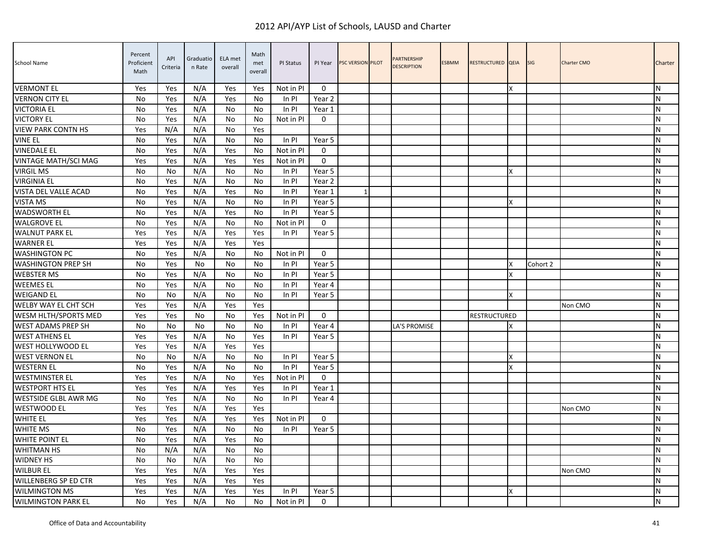| School Name                 | Percent<br>Proficient<br>Math | API<br>Criteria | Graduatio<br>n Rate | ELA met<br>overall | Math<br>met<br>overall | PI Status | PI Year     | PSC VERSION PILOT | <b>PARTNERSHIP</b><br><b>DESCRIPTION</b> | <b>ESBMM</b> | RESTRUCTURED QEIA   |   | <b>SIG</b> | <b>Charter CMO</b> | Charter   |
|-----------------------------|-------------------------------|-----------------|---------------------|--------------------|------------------------|-----------|-------------|-------------------|------------------------------------------|--------------|---------------------|---|------------|--------------------|-----------|
| <b>VERMONT EL</b>           | Yes                           | Yes             | N/A                 | Yes                | Yes                    | Not in PI | $\Omega$    |                   |                                          |              |                     | X |            |                    | N         |
| <b>VERNON CITY EL</b>       | <b>No</b>                     | Yes             | N/A                 | Yes                | No                     | In PI     | Year 2      |                   |                                          |              |                     |   |            |                    | N         |
| <b>VICTORIA EL</b>          | No                            | Yes             | N/A                 | No                 | No                     | In PI     | Year 1      |                   |                                          |              |                     |   |            |                    | N         |
| <b>VICTORY EL</b>           | No                            | Yes             | N/A                 | No                 | No                     | Not in PI | $\mathbf 0$ |                   |                                          |              |                     |   |            |                    | ${\sf N}$ |
| <b>VIEW PARK CONTN HS</b>   | Yes                           | N/A             | N/A                 | No                 | Yes                    |           |             |                   |                                          |              |                     |   |            |                    | N         |
| <b>VINE EL</b>              | <b>No</b>                     | Yes             | N/A                 | No                 | No                     | In PI     | Year 5      |                   |                                          |              |                     |   |            |                    | N         |
| <b>VINEDALE EL</b>          | No                            | Yes             | N/A                 | Yes                | No                     | Not in PI | 0           |                   |                                          |              |                     |   |            |                    | N         |
| VINTAGE MATH/SCI MAG        | Yes                           | Yes             | N/A                 | Yes                | Yes                    | Not in PI | $\Omega$    |                   |                                          |              |                     |   |            |                    | N         |
| <b>VIRGIL MS</b>            | No                            | No              | N/A                 | No                 | No                     | In PI     | Year 5      |                   |                                          |              |                     | X |            |                    | N         |
| <b>VIRGINIA EL</b>          | No                            | Yes             | N/A                 | No                 | No                     | In PI     | Year 2      |                   |                                          |              |                     |   |            |                    | ${\sf N}$ |
| VISTA DEL VALLE ACAD        | No                            | Yes             | N/A                 | Yes                | No                     | In PI     | Year 1      |                   |                                          |              |                     |   |            |                    | N         |
| <b>VISTA MS</b>             | <b>No</b>                     | Yes             | N/A                 | No                 | No                     | In PI     | Year 5      |                   |                                          |              |                     | X |            |                    | N         |
| <b>WADSWORTH EL</b>         | No                            | Yes             | N/A                 | Yes                | No                     | In PI     | Year 5      |                   |                                          |              |                     |   |            |                    | N         |
| <b>WALGROVE EL</b>          | <b>No</b>                     | Yes             | N/A                 | No                 | No                     | Not in PI | $\Omega$    |                   |                                          |              |                     |   |            |                    | N         |
| <b>WALNUT PARK EL</b>       | Yes                           | Yes             | N/A                 | Yes                | Yes                    | In PI     | Year 5      |                   |                                          |              |                     |   |            |                    | ${\sf N}$ |
| <b>WARNER EL</b>            | Yes                           | Yes             | N/A                 | Yes                | Yes                    |           |             |                   |                                          |              |                     |   |            |                    | ${\sf N}$ |
| <b>WASHINGTON PC</b>        | No                            | Yes             | N/A                 | No                 | No                     | Not in PI | $\mathbf 0$ |                   |                                          |              |                     |   |            |                    | ${\sf N}$ |
| <b>WASHINGTON PREP SH</b>   | No                            | Yes             | No                  | No                 | No                     | In PI     | Year 5      |                   |                                          |              |                     | x | Cohort 2   |                    | N         |
| <b>WEBSTER MS</b>           | No                            | Yes             | N/A                 | No                 | No                     | In PI     | Year 5      |                   |                                          |              |                     | X |            |                    | N         |
| <b>WEEMES EL</b>            | <b>No</b>                     | Yes             | N/A                 | No                 | No                     | In PI     | Year 4      |                   |                                          |              |                     |   |            |                    | N         |
| <b>WEIGAND EL</b>           | <b>No</b>                     | No              | N/A                 | No                 | No                     | In PI     | Year 5      |                   |                                          |              |                     | X |            |                    | N         |
| WELBY WAY EL CHT SCH        | Yes                           | Yes             | N/A                 | Yes                | Yes                    |           |             |                   |                                          |              |                     |   |            | Non CMO            | ${\sf N}$ |
| WESM HLTH/SPORTS MED        | Yes                           | Yes             | <b>No</b>           | No                 | Yes                    | Not in PI | $\mathbf 0$ |                   |                                          |              | <b>RESTRUCTURED</b> |   |            |                    | N         |
| WEST ADAMS PREP SH          | No                            | No              | No                  | No                 | No                     | In PI     | Year 4      |                   | LA'S PROMISE                             |              |                     | x |            |                    | N         |
| <b>WEST ATHENS EL</b>       | Yes                           | Yes             | N/A                 | No                 | Yes                    | In PI     | Year 5      |                   |                                          |              |                     |   |            |                    | N         |
| <b>WEST HOLLYWOOD EL</b>    | Yes                           | Yes             | N/A                 | Yes                | Yes                    |           |             |                   |                                          |              |                     |   |            |                    | N         |
| <b>WEST VERNON EL</b>       | <b>No</b>                     | No              | N/A                 | No                 | No                     | In PI     | Year 5      |                   |                                          |              |                     | X |            |                    | N         |
| <b>WESTERN EL</b>           | No                            | Yes             | N/A                 | No                 | No                     | In PI     | Year 5      |                   |                                          |              |                     | X |            |                    | N         |
| <b>WESTMINSTER EL</b>       | Yes                           | Yes             | N/A                 | No                 | Yes                    | Not in PI | $\mathbf 0$ |                   |                                          |              |                     |   |            |                    | ${\sf N}$ |
| <b>WESTPORT HTS EL</b>      | Yes                           | Yes             | N/A                 | Yes                | Yes                    | In PI     | Year 1      |                   |                                          |              |                     |   |            |                    | ${\sf N}$ |
| WESTSIDE GLBL AWR MG        | No                            | Yes             | N/A                 | No                 | No                     | In PI     | Year 4      |                   |                                          |              |                     |   |            |                    | N         |
| <b>WESTWOOD EL</b>          | Yes                           | Yes             | N/A                 | Yes                | Yes                    |           |             |                   |                                          |              |                     |   |            | Non CMO            | ${\sf N}$ |
| WHITE EL                    | Yes                           | Yes             | N/A                 | Yes                | Yes                    | Not in PI | $\Omega$    |                   |                                          |              |                     |   |            |                    | ${\sf N}$ |
| <b>WHITE MS</b>             | <b>No</b>                     | Yes             | N/A                 | No                 | No.                    | In PI     | Year 5      |                   |                                          |              |                     |   |            |                    | N         |
| <b>WHITE POINT EL</b>       | No                            | Yes             | N/A                 | Yes                | No                     |           |             |                   |                                          |              |                     |   |            |                    | ${\sf N}$ |
| <b>WHITMAN HS</b>           | No                            | N/A             | N/A                 | No                 | No                     |           |             |                   |                                          |              |                     |   |            |                    | ${\sf N}$ |
| <b>WIDNEY HS</b>            | No                            | No              | N/A                 | No                 | No                     |           |             |                   |                                          |              |                     |   |            |                    | N         |
| <b>WILBUR EL</b>            | Yes                           | Yes             | N/A                 | Yes                | Yes                    |           |             |                   |                                          |              |                     |   |            | Non CMO            | N         |
| <b>WILLENBERG SP ED CTR</b> | Yes                           | Yes             | N/A                 | Yes                | Yes                    |           |             |                   |                                          |              |                     |   |            |                    | N         |
| <b>WILMINGTON MS</b>        | Yes                           | Yes             | N/A                 | Yes                | Yes                    | In PI     | Year 5      |                   |                                          |              |                     | x |            |                    | N         |
| <b>WILMINGTON PARK EL</b>   | No                            | Yes             | N/A                 | No                 | No                     | Not in PI | $\mathbf 0$ |                   |                                          |              |                     |   |            |                    | ${\sf N}$ |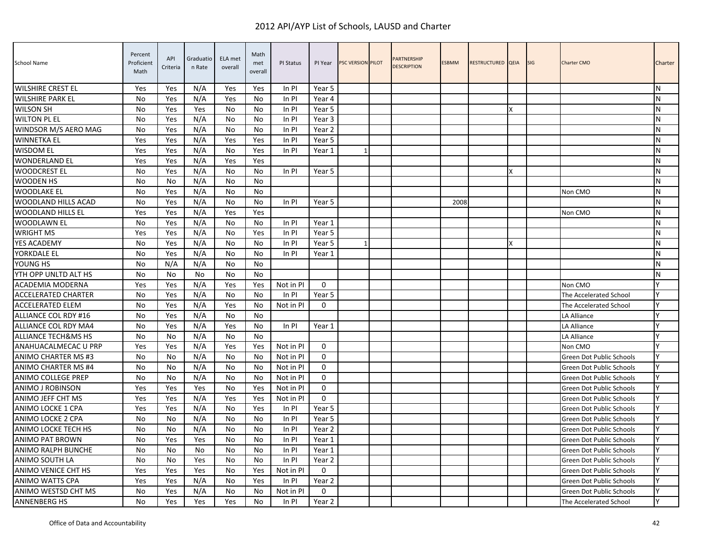| <b>School Name</b>             | Percent<br>Proficient<br>Math | API<br>Criteria | Graduatio<br>n Rate | ELA met<br>overall | Math<br>met<br>overall | PI Status | PI Year     | <b>PSC VERSION PILOT</b> | <b>PARTNERSHIP</b><br><b>DESCRIPTION</b> | <b>ESBMM</b> | RESTRUCTURED QEIA |   | <b>SIG</b> | <b>Charter CMO</b>              | Charter   |
|--------------------------------|-------------------------------|-----------------|---------------------|--------------------|------------------------|-----------|-------------|--------------------------|------------------------------------------|--------------|-------------------|---|------------|---------------------------------|-----------|
| <b>WILSHIRE CREST EL</b>       | Yes                           | Yes             | N/A                 | Yes                | Yes                    | In PI     | Year 5      |                          |                                          |              |                   |   |            |                                 | N         |
| <b>WILSHIRE PARK EL</b>        | No                            | Yes             | N/A                 | Yes                | No                     | In PI     | Year 4      |                          |                                          |              |                   |   |            |                                 | N         |
| <b>WILSON SH</b>               | <b>No</b>                     | Yes             | Yes                 | No                 | No                     | In PI     | Year 5      |                          |                                          |              |                   | x |            |                                 | N         |
| <b>WILTON PL EL</b>            | No                            | Yes             | N/A                 | No                 | No                     | In PI     | Year 3      |                          |                                          |              |                   |   |            |                                 | N         |
| WINDSOR M/S AERO MAG           | No                            | Yes             | N/A                 | No                 | No                     | In PI     | Year 2      |                          |                                          |              |                   |   |            |                                 | N         |
| <b>WINNETKA EL</b>             | Yes                           | Yes             | N/A                 | Yes                | Yes                    | In PI     | Year 5      |                          |                                          |              |                   |   |            |                                 | N         |
| <b>WISDOM EL</b>               | Yes                           | Yes             | N/A                 | No                 | Yes                    | In PI     | Year 1      | 1                        |                                          |              |                   |   |            |                                 | N         |
| <b>WONDERLAND EL</b>           | Yes                           | Yes             | N/A                 | Yes                | Yes                    |           |             |                          |                                          |              |                   |   |            |                                 | N         |
| <b>WOODCREST EL</b>            | No                            | Yes             | N/A                 | No                 | No                     | In PI     | Year 5      |                          |                                          |              |                   | x |            |                                 | N         |
| <b>WOODEN HS</b>               | No                            | No              | N/A                 | No                 | No                     |           |             |                          |                                          |              |                   |   |            |                                 | N         |
| <b>WOODLAKE EL</b>             | No                            | Yes             | N/A                 | No                 | No                     |           |             |                          |                                          |              |                   |   |            | Non CMO                         | N         |
| <b>WOODLAND HILLS ACAD</b>     | <b>No</b>                     | Yes             | N/A                 | No                 | No                     | In PI     | Year 5      |                          |                                          | 2008         |                   |   |            |                                 | N         |
| <b>WOODLAND HILLS EL</b>       | Yes                           | Yes             | N/A                 | Yes                | Yes                    |           |             |                          |                                          |              |                   |   |            | Non CMO                         | ${\sf N}$ |
| <b>WOODLAWN EL</b>             | No                            | Yes             | N/A                 | No                 | No                     | In PI     | Year 1      |                          |                                          |              |                   |   |            |                                 | ${\sf N}$ |
| <b>WRIGHT MS</b>               | Yes                           | Yes             | N/A                 | No                 | Yes                    | In PI     | Year 5      |                          |                                          |              |                   |   |            |                                 | N         |
| YES ACADEMY                    | No                            | Yes             | N/A                 | No                 | No                     | In PI     | Year 5      | 1                        |                                          |              |                   | x |            |                                 | ${\sf N}$ |
| YORKDALE EL                    | No                            | Yes             | N/A                 | No                 | No                     | In PI     | Year 1      |                          |                                          |              |                   |   |            |                                 | N         |
| YOUNG HS                       | No                            | N/A             | N/A                 | No                 | No                     |           |             |                          |                                          |              |                   |   |            |                                 | N         |
| YTH OPP UNLTD ALT HS           | No                            | No              | No                  | No                 | No                     |           |             |                          |                                          |              |                   |   |            |                                 | N         |
| <b>ACADEMIA MODERNA</b>        | Yes                           | Yes             | N/A                 | Yes                | Yes                    | Not in PI | $\Omega$    |                          |                                          |              |                   |   |            | Non CMO                         | Υ         |
| <b>ACCELERATED CHARTER</b>     | No                            | Yes             | N/A                 | <b>No</b>          | No                     | In PI     | Year 5      |                          |                                          |              |                   |   |            | The Accelerated School          | Y         |
| <b>ACCELERATED ELEM</b>        | No                            | Yes             | N/A                 | Yes                | No.                    | Not in PI | $\mathbf 0$ |                          |                                          |              |                   |   |            | The Accelerated School          | Υ         |
| ALLIANCE COL RDY #16           | No                            | Yes             | N/A                 | No                 | No                     |           |             |                          |                                          |              |                   |   |            | LA Alliance                     | V         |
| ALLIANCE COL RDY MA4           | No                            | Yes             | N/A                 | Yes                | No                     | In PI     | Year 1      |                          |                                          |              |                   |   |            | LA Alliance                     |           |
| <b>ALLIANCE TECH&amp;MS HS</b> | No                            | No              | N/A                 | No                 | No                     |           |             |                          |                                          |              |                   |   |            | LA Alliance                     | ۷         |
| ANAHUACALMECAC U PRP           | Yes                           | Yes             | N/A                 | Yes                | Yes                    | Not in PI | $\Omega$    |                          |                                          |              |                   |   |            | Non CMO                         |           |
| ANIMO CHARTER MS #3            | No                            | No              | N/A                 | No                 | No                     | Not in PI | $\mathbf 0$ |                          |                                          |              |                   |   |            | Green Dot Public Schools        |           |
| ANIMO CHARTER MS #4            | No                            | No              | N/A                 | No                 | No                     | Not in PI | $\Omega$    |                          |                                          |              |                   |   |            | Green Dot Public Schools        | Y         |
| <b>ANIMO COLLEGE PREP</b>      | <b>No</b>                     | No              | N/A                 | N <sub>0</sub>     | N <sub>0</sub>         | Not in PI | $\Omega$    |                          |                                          |              |                   |   |            | <b>Green Dot Public Schools</b> |           |
| <b>ANIMO J ROBINSON</b>        | Yes                           | Yes             | Yes                 | No                 | Yes                    | Not in PI | $\mathbf 0$ |                          |                                          |              |                   |   |            | Green Dot Public Schools        | γ         |
| ANIMO JEFF CHT MS              | Yes                           | Yes             | N/A                 | Yes                | Yes                    | Not in PI | $\mathbf 0$ |                          |                                          |              |                   |   |            | Green Dot Public Schools        | Υ         |
| ANIMO LOCKE 1 CPA              | Yes                           | Yes             | N/A                 | No                 | Yes                    | In PI     | Year 5      |                          |                                          |              |                   |   |            | Green Dot Public Schools        | V         |
| ANIMO LOCKE 2 CPA              | No                            | No              | N/A                 | No                 | No                     | In PI     | Year 5      |                          |                                          |              |                   |   |            | Green Dot Public Schools        | Υ         |
| ANIMO LOCKE TECH HS            | No                            | No              | N/A                 | No                 | No                     | In PI     | Year 2      |                          |                                          |              |                   |   |            | Green Dot Public Schools        | Υ         |
| <b>ANIMO PAT BROWN</b>         | <b>No</b>                     | Yes             | Yes                 | N <sub>0</sub>     | No                     | In PI     | Year 1      |                          |                                          |              |                   |   |            | <b>Green Dot Public Schools</b> |           |
| <b>ANIMO RALPH BUNCHE</b>      | No                            | No              | No                  | No                 | No                     | In PI     | Year 1      |                          |                                          |              |                   |   |            | Green Dot Public Schools        |           |
| <b>ANIMO SOUTH LA</b>          | No                            | No              | Yes                 | No                 | No                     | In PI     | Year 2      |                          |                                          |              |                   |   |            | Green Dot Public Schools        | Υ         |
| <b>ANIMO VENICE CHT HS</b>     | Yes                           | Yes             | Yes                 | No                 | Yes                    | Not in PI | $\mathbf 0$ |                          |                                          |              |                   |   |            | Green Dot Public Schools        |           |
| ANIMO WATTS CPA                | Yes                           | Yes             | N/A                 | No                 | Yes                    | In PI     | Year 2      |                          |                                          |              |                   |   |            | Green Dot Public Schools        | γ         |
| ANIMO WESTSD CHT MS            | No                            | Yes             | N/A                 | No                 | No                     | Not in PI | $\mathbf 0$ |                          |                                          |              |                   |   |            | Green Dot Public Schools        | Y         |
| <b>ANNENBERG HS</b>            | No                            | Yes             | Yes                 | Yes                | No                     | $In$ PI   | Year 2      |                          |                                          |              |                   |   |            | The Accelerated School          | Ÿ         |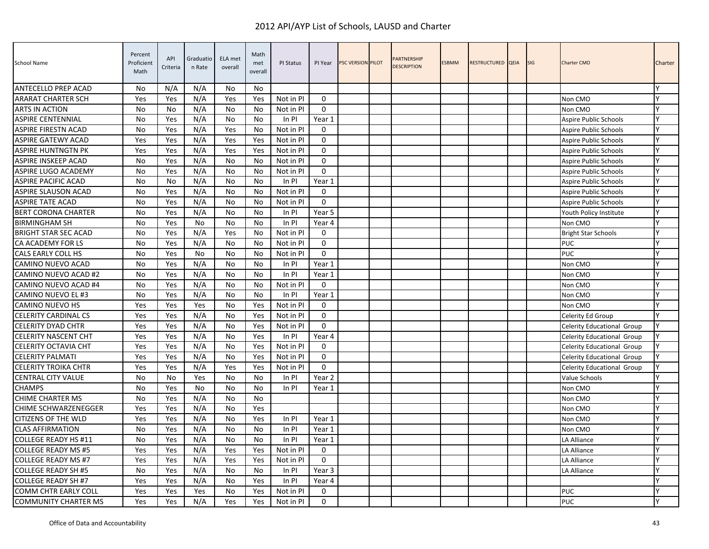| School Name                 | Percent<br>Proficient<br>Math | API<br>Criteria | Graduatio<br>n Rate | ELA met<br>overall | Math<br>met<br>overall | PI Status | PI Year      | <b>PSC VERSION PILOT</b> | PARTNERSHIP<br><b>DESCRIPTION</b> | <b>ESBMM</b> | RESTRUCTURED QEIA | <b>SIG</b> | <b>Charter CMO</b>         | Charter |
|-----------------------------|-------------------------------|-----------------|---------------------|--------------------|------------------------|-----------|--------------|--------------------------|-----------------------------------|--------------|-------------------|------------|----------------------------|---------|
| ANTECELLO PREP ACAD         | No                            | N/A             | N/A                 | No                 | No                     |           |              |                          |                                   |              |                   |            |                            |         |
| ARARAT CHARTER SCH          | Yes                           | Yes             | N/A                 | Yes                | Yes                    | Not in PI | $\mathbf 0$  |                          |                                   |              |                   |            | Non CMO                    | Y       |
| <b>ARTS IN ACTION</b>       | No                            | No              | N/A                 | No                 | No                     | Not in PI | $\Omega$     |                          |                                   |              |                   |            | Non CMO                    | Y       |
| <b>ASPIRE CENTENNIAL</b>    | No                            | Yes             | N/A                 | No                 | No                     | In PI     | Year 1       |                          |                                   |              |                   |            | Aspire Public Schools      | Y       |
| <b>ASPIRE FIRESTN ACAD</b>  | No                            | Yes             | N/A                 | Yes                | No                     | Not in PI | $\mathbf 0$  |                          |                                   |              |                   |            | Aspire Public Schools      | Y       |
| <b>ASPIRE GATEWY ACAD</b>   | Yes                           | Yes             | N/A                 | Yes                | Yes                    | Not in PI | $\mathbf 0$  |                          |                                   |              |                   |            | Aspire Public Schools      | Y       |
| ASPIRE HUNTNGTN PK          | Yes                           | Yes             | N/A                 | Yes                | Yes                    | Not in PI | 0            |                          |                                   |              |                   |            | Aspire Public Schools      | Y       |
| ASPIRE INSKEEP ACAD         | No                            | Yes             | N/A                 | No                 | No                     | Not in PI | $\mathbf{0}$ |                          |                                   |              |                   |            | Aspire Public Schools      | Υ       |
| <b>ASPIRE LUGO ACADEMY</b>  | No                            | Yes             | N/A                 | No                 | No                     | Not in PI | $\mathbf 0$  |                          |                                   |              |                   |            | Aspire Public Schools      | Y       |
| <b>ASPIRE PACIFIC ACAD</b>  | No                            | No              | N/A                 | No                 | No                     | In PI     | Year 1       |                          |                                   |              |                   |            | Aspire Public Schools      | Y       |
| <b>ASPIRE SLAUSON ACAD</b>  | <b>No</b>                     | Yes             | N/A                 | No                 | N <sub>0</sub>         | Not in PI | $\Omega$     |                          |                                   |              |                   |            | Aspire Public Schools      | Υ       |
| <b>ASPIRE TATE ACAD</b>     | No                            | Yes             | N/A                 | No                 | No                     | Not in PI | $\mathbf 0$  |                          |                                   |              |                   |            | Aspire Public Schools      | Y       |
| <b>BERT CORONA CHARTER</b>  | No                            | Yes             | N/A                 | No                 | No                     | In PI     | Year 5       |                          |                                   |              |                   |            | Youth Policy Institute     | Y       |
| <b>BIRMINGHAM SH</b>        | No                            | Yes             | <b>No</b>           | No                 | No                     | In PI     | Year 4       |                          |                                   |              |                   |            | Non CMO                    | Y       |
| <b>BRIGHT STAR SEC ACAD</b> | No                            | Yes             | N/A                 | Yes                | No                     | Not in PI | $\mathbf 0$  |                          |                                   |              |                   |            | <b>Bright Star Schools</b> | Y       |
| CA ACADEMY FOR LS           | No                            | Yes             | N/A                 | No                 | No                     | Not in PI | $\mathbf 0$  |                          |                                   |              |                   |            | PUC                        | Y       |
| <b>CALS EARLY COLL HS</b>   | <b>No</b>                     | Yes             | <b>No</b>           | No                 | N <sub>0</sub>         | Not in PI | $\Omega$     |                          |                                   |              |                   |            | <b>PUC</b>                 |         |
| CAMINO NUEVO ACAD           | No                            | Yes             | N/A                 | No                 | No                     | In PI     | Year 1       |                          |                                   |              |                   |            | Non CMO                    |         |
| CAMINO NUEVO ACAD #2        | No                            | Yes             | N/A                 | No                 | No                     | In PI     | Year 1       |                          |                                   |              |                   |            | Non CMO                    | Y       |
| CAMINO NUEVO ACAD #4        | <b>No</b>                     | Yes             | N/A                 | <b>No</b>          | No                     | Not in PI | $\mathbf 0$  |                          |                                   |              |                   |            | Non CMO                    | Ý       |
| CAMINO NUEVO EL #3          | No                            | Yes             | N/A                 | No                 | No                     | In PI     | Year 1       |                          |                                   |              |                   |            | Non CMO                    |         |
| <b>CAMINO NUEVO HS</b>      | Yes                           | Yes             | Yes                 | No                 | Yes                    | Not in PI | $\mathbf{0}$ |                          |                                   |              |                   |            | Non CMO                    | Y       |
| <b>CELERITY CARDINAL CS</b> | Yes                           | Yes             | N/A                 | No                 | Yes                    | Not in PI | $\mathbf 0$  |                          |                                   |              |                   |            | Celerity Ed Group          | Y       |
| <b>CELERITY DYAD CHTR</b>   | Yes                           | Yes             | N/A                 | No                 | Yes                    | Not in PI | $\Omega$     |                          |                                   |              |                   |            | Celerity Educational Group | Y       |
| <b>CELERITY NASCENT CHT</b> | Yes                           | Yes             | N/A                 | No                 | Yes                    | In PI     | Year 4       |                          |                                   |              |                   |            | Celerity Educational Group | Y       |
| CELERITY OCTAVIA CHT        | Yes                           | Yes             | N/A                 | No                 | Yes                    | Not in PI | 0            |                          |                                   |              |                   |            | Celerity Educational Group | Y       |
| <b>CELERITY PALMATI</b>     | Yes                           | Yes             | N/A                 | No                 | Yes                    | Not in PI | $\mathbf{0}$ |                          |                                   |              |                   |            | Celerity Educational Group | Y       |
| <b>CELERITY TROIKA CHTR</b> | Yes                           | Yes             | N/A                 | Yes                | Yes                    | Not in PI | $\mathbf 0$  |                          |                                   |              |                   |            | Celerity Educational Group | lΥ      |
| <b>CENTRAL CITY VALUE</b>   | No                            | No              | Yes                 | No                 | No                     | In PI     | Year 2       |                          |                                   |              |                   |            | Value Schools              | Y       |
| <b>CHAMPS</b>               | No                            | Yes             | No                  | No                 | No                     | ln Pl     | Year 1       |                          |                                   |              |                   |            | Non CMO                    | Y       |
| <b>CHIME CHARTER MS</b>     | No                            | Yes             | N/A                 | No                 | No                     |           |              |                          |                                   |              |                   |            | Non CMO                    | Y       |
| <b>CHIME SCHWARZENEGGER</b> | Yes                           | Yes             | N/A                 | No                 | Yes                    |           |              |                          |                                   |              |                   |            | Non CMO                    | γ       |
| <b>CITIZENS OF THE WLD</b>  | Yes                           | Yes             | N/A                 | No                 | Yes                    | In PI     | Year 1       |                          |                                   |              |                   |            | Non CMO                    |         |
| <b>CLAS AFFIRMATION</b>     | No                            | Yes             | N/A                 | No                 | No                     | In PI     | Year 1       |                          |                                   |              |                   |            | Non CMO                    | Y       |
| <b>COLLEGE READY HS #11</b> | No                            | Yes             | N/A                 | No                 | No                     | In PI     | Year 1       |                          |                                   |              |                   |            | LA Alliance                |         |
| <b>COLLEGE READY MS #5</b>  | Yes                           | Yes             | N/A                 | Yes                | Yes                    | Not in PI | $\mathbf 0$  |                          |                                   |              |                   |            | LA Alliance                |         |
| <b>COLLEGE READY MS #7</b>  | Yes                           | Yes             | N/A                 | Yes                | Yes                    | Not in PI | $\mathbf{0}$ |                          |                                   |              |                   |            | LA Alliance                | Y       |
| <b>COLLEGE READY SH #5</b>  | No                            | Yes             | N/A                 | No                 | No                     | In PI     | Year 3       |                          |                                   |              |                   |            | LA Alliance                |         |
| <b>COLLEGE READY SH #7</b>  | Yes                           | Yes             | N/A                 | No                 | Yes                    | In PI     | Year 4       |                          |                                   |              |                   |            |                            | Y       |
| COMM CHTR EARLY COLL        | Yes                           | Yes             | Yes                 | No                 | Yes                    | Not in PI | 0            |                          |                                   |              |                   |            | PUC                        | Y       |
| <b>COMMUNITY CHARTER MS</b> | Yes                           | Yes             | N/A                 | Yes                | Yes                    | Not in PI | $\mathbf{0}$ |                          |                                   |              |                   |            | PUC                        |         |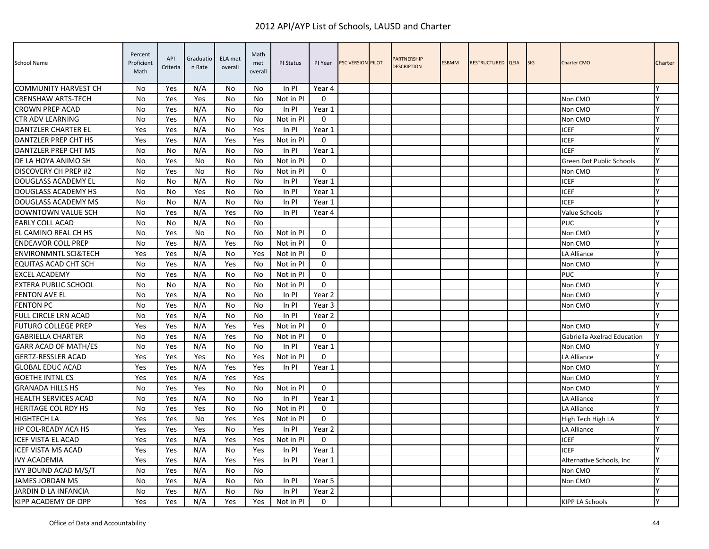| School Name                     | Percent<br>Proficient<br>Math | API<br>Criteria | Graduatio<br>n Rate | ELA met<br>overall | Math<br>met<br>overall | PI Status | PI Year           | <b>PSC VERSION PILOT</b> | <b>PARTNERSHIP</b><br><b>DESCRIPTION</b> | <b>ESBMM</b> | RESTRUCTURED QEIA | <b>SIG</b> | <b>Charter CMO</b>          | Charter |
|---------------------------------|-------------------------------|-----------------|---------------------|--------------------|------------------------|-----------|-------------------|--------------------------|------------------------------------------|--------------|-------------------|------------|-----------------------------|---------|
| <b>COMMUNITY HARVEST CH</b>     | No.                           | Yes             | N/A                 | No                 | No.                    | In PI     | Year 4            |                          |                                          |              |                   |            |                             |         |
| <b>CRENSHAW ARTS-TECH</b>       | No                            | Yes             | Yes                 | No                 | No                     | Not in PI | $\mathbf{0}$      |                          |                                          |              |                   |            | Non CMO                     | Y       |
| <b>CROWN PREP ACAD</b>          | No                            | Yes             | N/A                 | No                 | No                     | In PI     | Year 1            |                          |                                          |              |                   |            | Non CMO                     | Y       |
| <b>CTR ADV LEARNING</b>         | No                            | Yes             | N/A                 | No                 | No                     | Not in PI | $\mathbf{0}$      |                          |                                          |              |                   |            | Non CMO                     | Y       |
| DANTZLER CHARTER EL             | Yes                           | Yes             | N/A                 | No                 | Yes                    | In PI     | Year 1            |                          |                                          |              |                   |            | ICEF                        | Y       |
| DANTZLER PREP CHT HS            | Yes                           | Yes             | N/A                 | Yes                | Yes                    | Not in Pl | 0                 |                          |                                          |              |                   |            | ICEF                        | Y       |
| DANTZLER PREP CHT MS            | No                            | No              | N/A                 | No                 | No                     | In PI     | Year 1            |                          |                                          |              |                   |            | ICEF                        |         |
| DE LA HOYA ANIMO SH             | No                            | Yes             | No                  | No                 | No                     | Not in PI | $\mathbf 0$       |                          |                                          |              |                   |            | Green Dot Public Schools    | Y       |
| DISCOVERY CH PREP #2            | No                            | Yes             | No                  | No                 | No                     | Not in PI | $\mathbf 0$       |                          |                                          |              |                   |            | Non CMO                     | Y       |
| DOUGLASS ACADEMY EL             | No                            | No              | N/A                 | No                 | No                     | In PI     | Year 1            |                          |                                          |              |                   |            | ICEF                        | Y       |
| <b>DOUGLASS ACADEMY HS</b>      | <b>No</b>                     | No              | Yes                 | No                 | No                     | In PI     | Year 1            |                          |                                          |              |                   |            | ICEF                        | Y       |
| DOUGLASS ACADEMY MS             | No                            | No              | N/A                 | No                 | No                     | In PI     | Year 1            |                          |                                          |              |                   |            | ICEF                        | Y       |
| DOWNTOWN VALUE SCH              | No                            | Yes             | N/A                 | Yes                | No                     | In PI     | Year 4            |                          |                                          |              |                   |            | Value Schools               | Y       |
| <b>EARLY COLL ACAD</b>          | No                            | No              | N/A                 | No                 | No                     |           |                   |                          |                                          |              |                   |            | PUC                         | Y       |
| EL CAMINO REAL CH HS            | No                            | Yes             | No                  | No                 | No                     | Not in PI | $\mathbf 0$       |                          |                                          |              |                   |            | Non CMO                     | Y       |
| <b>ENDEAVOR COLL PREP</b>       | No                            | Yes             | N/A                 | Yes                | No                     | Not in Pl | $\mathbf 0$       |                          |                                          |              |                   |            | Non CMO                     | Y       |
| <b>ENVIRONMNTL SCI&amp;TECH</b> | Yes                           | Yes             | N/A                 | No                 | Yes                    | Not in PI | $\Omega$          |                          |                                          |              |                   |            | LA Alliance                 | Y       |
| <b>EQUITAS ACAD CHT SCH</b>     | No                            | Yes             | N/A                 | Yes                | No                     | Not in Pl | $\mathbf 0$       |                          |                                          |              |                   |            | Non CMO                     |         |
| <b>EXCEL ACADEMY</b>            | No                            | Yes             | N/A                 | No                 | No                     | Not in Pl | $\mathbf 0$       |                          |                                          |              |                   |            | PUC                         | Y       |
| <b>EXTERA PUBLIC SCHOOL</b>     | <b>No</b>                     | No              | N/A                 | No                 | No                     | Not in PI | $\mathbf{0}$      |                          |                                          |              |                   |            | Non CMO                     | Y       |
| <b>FENTON AVE EL</b>            | No                            | Yes             | N/A                 | No                 | No                     | In PI     | Year 2            |                          |                                          |              |                   |            | Non CMO                     | Y       |
| <b>FENTON PC</b>                | No                            | Yes             | N/A                 | No                 | No                     | In PI     | Year 3            |                          |                                          |              |                   |            | Non CMO                     | Y       |
| <b>FULL CIRCLE LRN ACAD</b>     | No                            | Yes             | N/A                 | No                 | No                     | In PI     | Year <sub>2</sub> |                          |                                          |              |                   |            |                             | γ       |
| <b>FUTURO COLLEGE PREP</b>      | Yes                           | Yes             | N/A                 | Yes                | Yes                    | Not in PI | 0                 |                          |                                          |              |                   |            | Non CMO                     |         |
| <b>GABRIELLA CHARTER</b>        | No                            | Yes             | N/A                 | Yes                | No                     | Not in Pl | $\Omega$          |                          |                                          |              |                   |            | Gabriella Axelrad Education | Y       |
| <b>GARR ACAD OF MATH/ES</b>     | No                            | Yes             | N/A                 | No                 | No                     | In PI     | Year 1            |                          |                                          |              |                   |            | Non CMO                     | γ       |
| <b>GERTZ-RESSLER ACAD</b>       | Yes                           | Yes             | Yes                 | No                 | Yes                    | Not in PI | $\mathbf 0$       |                          |                                          |              |                   |            | LA Alliance                 | Y       |
| <b>GLOBAL EDUC ACAD</b>         | Yes                           | Yes             | N/A                 | Yes                | Yes                    | In PI     | Year 1            |                          |                                          |              |                   |            | Non CMO                     | Y       |
| <b>GOETHE INTNL CS</b>          | Yes                           | Yes             | N/A                 | Yes                | Yes                    |           |                   |                          |                                          |              |                   |            | Non CMO                     | Y       |
| <b>GRANADA HILLS HS</b>         | No                            | Yes             | Yes                 | No                 | No                     | Not in PI | $\mathbf 0$       |                          |                                          |              |                   |            | Non CMO                     | Y       |
| <b>HEALTH SERVICES ACAD</b>     | No                            | Yes             | N/A                 | No                 | No                     | In PI     | Year 1            |                          |                                          |              |                   |            | LA Alliance                 | Y       |
| <b>HERITAGE COL RDY HS</b>      | No                            | Yes             | Yes                 | No                 | No                     | Not in Pl | $\mathbf 0$       |                          |                                          |              |                   |            | LA Alliance                 | γ       |
| <b>HIGHTECH LA</b>              | Yes                           | Yes             | No                  | Yes                | Yes                    | Not in Pl | 0                 |                          |                                          |              |                   |            | High Tech High LA           | Y       |
| HP COL-READY ACA HS             | Yes                           | Yes             | Yes                 | No                 | Yes                    | In PI     | Year 2            |                          |                                          |              |                   |            | LA Alliance                 | Y       |
| <b>ICEF VISTA EL ACAD</b>       | Yes                           | Yes             | N/A                 | Yes                | Yes                    | Not in Pl | 0                 |                          |                                          |              |                   |            | ICEF                        | Y       |
| <b>ICEF VISTA MS ACAD</b>       | Yes                           | Yes             | N/A                 | No                 | Yes                    | In PI     | Year 1            |                          |                                          |              |                   |            | ICEF                        |         |
| <b>IVY ACADEMIA</b>             | Yes                           | Yes             | N/A                 | Yes                | Yes                    | $In$ PI   | Year 1            |                          |                                          |              |                   |            | Alternative Schools, Inc.   | lΥ      |
| <b>IVY BOUND ACAD M/S/T</b>     | No                            | Yes             | N/A                 | No                 | No                     |           |                   |                          |                                          |              |                   |            | Non CMO                     | Y       |
| <b>JAMES JORDAN MS</b>          | No                            | Yes             | N/A                 | No                 | No                     | $In$ PI   | Year 5            |                          |                                          |              |                   |            | Non CMO                     | Y       |
| JARDIN D LA INFANCIA            | No                            | Yes             | N/A                 | No                 | No                     | In PI     | Year 2            |                          |                                          |              |                   |            |                             | Y       |
| KIPP ACADEMY OF OPP             | Yes                           | Yes             | N/A                 | Yes                | Yes                    | Not in PI | $\mathbf 0$       |                          |                                          |              |                   |            | <b>KIPP LA Schools</b>      |         |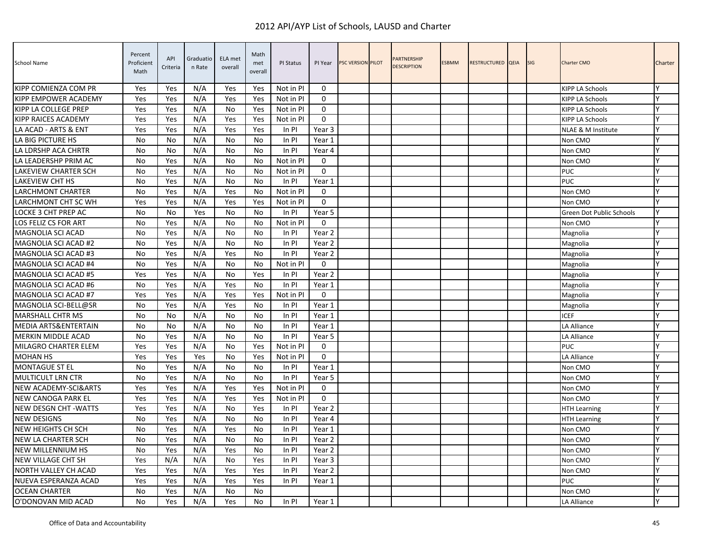| School Name                 | Percent<br>Proficient<br>Math | API<br>Criteria | Graduatio<br>n Rate | ELA met<br>overall | Math<br>met<br>overall | PI Status | PI Year     | <b>PSC VERSION PILOT</b> | <b>PARTNERSHIP</b><br><b>DESCRIPTION</b> | <b>ESBMM</b> | RESTRUCTURED QEIA | SIG | <b>Charter CMO</b>              | Charter |
|-----------------------------|-------------------------------|-----------------|---------------------|--------------------|------------------------|-----------|-------------|--------------------------|------------------------------------------|--------------|-------------------|-----|---------------------------------|---------|
| KIPP COMIENZA COM PR        | Yes                           | Yes             | N/A                 | Yes                | Yes                    | Not in PI | $\Omega$    |                          |                                          |              |                   |     | <b>KIPP LA Schools</b>          |         |
| KIPP EMPOWER ACADEMY        | Yes                           | Yes             | N/A                 | Yes                | Yes                    | Not in PI | $\mathbf 0$ |                          |                                          |              |                   |     | KIPP LA Schools                 |         |
| KIPP LA COLLEGE PREP        | Yes                           | Yes             | N/A                 | No                 | Yes                    | Not in PI | $\Omega$    |                          |                                          |              |                   |     | <b>KIPP LA Schools</b>          | ٧       |
| KIPP RAICES ACADEMY         | Yes                           | Yes             | N/A                 | Yes                | Yes                    | Not in PI | $\mathbf 0$ |                          |                                          |              |                   |     | <b>KIPP LA Schools</b>          | v       |
| LA ACAD - ARTS & ENT        | Yes                           | Yes             | N/A                 | Yes                | Yes                    | In PI     | Year 3      |                          |                                          |              |                   |     | NLAE & M Institute              | Y       |
| LA BIG PICTURE HS           | No                            | No              | N/A                 | <b>No</b>          | No                     | In PI     | Year 1      |                          |                                          |              |                   |     | Non CMO                         | v       |
| LA LDRSHP ACA CHRTR         | No                            | No              | N/A                 | No                 | No                     | In PI     | Year 4      |                          |                                          |              |                   |     | Non CMO                         | v       |
| LA LEADERSHP PRIM AC        | No                            | Yes             | N/A                 | No                 | No                     | Not in PI | $\mathbf 0$ |                          |                                          |              |                   |     | Non CMO                         | γ       |
| LAKEVIEW CHARTER SCH        | No                            | Yes             | N/A                 | No                 | No                     | Not in PI | $\Omega$    |                          |                                          |              |                   |     | <b>PUC</b>                      |         |
| LAKEVIEW CHT HS             | No                            | Yes             | N/A                 | No                 | No                     | In PI     | Year 1      |                          |                                          |              |                   |     | <b>PUC</b>                      |         |
| LARCHMONT CHARTER           | No                            | Yes             | N/A                 | Yes                | No                     | Not in PI | $\mathbf 0$ |                          |                                          |              |                   |     | Non CMO                         | v       |
| LARCHMONT CHT SC WH         | Yes                           | Yes             | N/A                 | Yes                | Yes                    | Not in PI | $\mathbf 0$ |                          |                                          |              |                   |     | Non CMO                         |         |
| LOCKE 3 CHT PREP AC         | No                            | No              | Yes                 | No                 | No                     | In PI     | Year 5      |                          |                                          |              |                   |     | <b>Green Dot Public Schools</b> | Υ       |
| LOS FELIZ CS FOR ART        | No                            | Yes             | N/A                 | No                 | No                     | Not in PI | $\Omega$    |                          |                                          |              |                   |     | Non CMO                         | Υ       |
| MAGNOLIA SCI ACAD           | No                            | Yes             | N/A                 | No                 | No                     | In PI     | Year 2      |                          |                                          |              |                   |     | Magnolia                        | ٧       |
| MAGNOLIA SCI ACAD #2        | No                            | Yes             | N/A                 | No                 | No                     | In PI     | Year 2      |                          |                                          |              |                   |     | Magnolia                        | ٧       |
| MAGNOLIA SCI ACAD #3        | No                            | Yes             | N/A                 | Yes                | No                     | In PI     | Year 2      |                          |                                          |              |                   |     | Magnolia                        | v       |
| MAGNOLIA SCI ACAD #4        | No                            | Yes             | N/A                 | No                 | No                     | Not in PI | $\mathbf 0$ |                          |                                          |              |                   |     | Magnolia                        |         |
| MAGNOLIA SCI ACAD #5        | Yes                           | Yes             | N/A                 | No                 | Yes                    | In PI     | Year 2      |                          |                                          |              |                   |     | Magnolia                        | Υ       |
| MAGNOLIA SCI ACAD #6        | <b>No</b>                     | Yes             | N/A                 | Yes                | N <sub>0</sub>         | In PI     | Year 1      |                          |                                          |              |                   |     | Magnolia                        | γ       |
| <b>MAGNOLIA SCI ACAD #7</b> | Yes                           | Yes             | N/A                 | Yes                | Yes                    | Not in PI | $\Omega$    |                          |                                          |              |                   |     | Magnolia                        | ٧       |
| MAGNOLIA SCI-BELL@SR        | No                            | Yes             | N/A                 | Yes                | No                     | In PI     | Year 1      |                          |                                          |              |                   |     | Magnolia                        | Y       |
| <b>MARSHALL CHTR MS</b>     | <b>No</b>                     | No              | N/A                 | <b>No</b>          | No                     | In PI     | Year 1      |                          |                                          |              |                   |     | <b>ICEF</b>                     | v       |
| MEDIA ARTS&ENTERTAIN        | No                            | No              | N/A                 | No                 | No                     | In PI     | Year 1      |                          |                                          |              |                   |     | LA Alliance                     |         |
| <b>MERKIN MIDDLE ACAD</b>   | No                            | Yes             | N/A                 | No                 | No                     | $In$ PI   | Year 5      |                          |                                          |              |                   |     | LA Alliance                     | Υ       |
| <b>MILAGRO CHARTER ELEM</b> | Yes                           | Yes             | N/A                 | <b>No</b>          | Yes                    | Not in PI | $\Omega$    |                          |                                          |              |                   |     | <b>PUC</b>                      |         |
| <b>MOHAN HS</b>             | Yes                           | Yes             | Yes                 | <b>No</b>          | Yes                    | Not in PI | $\Omega$    |                          |                                          |              |                   |     | LA Alliance                     |         |
| <b>MONTAGUE ST EL</b>       | No                            | Yes             | N/A                 | No                 | No                     | In PI     | Year 1      |                          |                                          |              |                   |     | Non CMO                         | Υ       |
| <b>MULTICULT LRN CTR</b>    | No                            | Yes             | N/A                 | No                 | No                     | In PI     | Year 5      |                          |                                          |              |                   |     | Non CMO                         | v       |
| NEW ACADEMY-SCI&ARTS        | Yes                           | Yes             | N/A                 | Yes                | Yes                    | Not in PI | $\Omega$    |                          |                                          |              |                   |     | Non CMO                         | v       |
| NEW CANOGA PARK EL          | Yes                           | Yes             | N/A                 | Yes                | Yes                    | Not in PI | $\Omega$    |                          |                                          |              |                   |     | Non CMO                         | Υ       |
| <b>NEW DESGN CHT-WATTS</b>  | Yes                           | Yes             | N/A                 | <b>No</b>          | Yes                    | In PI     | Year 2      |                          |                                          |              |                   |     | <b>HTH Learning</b>             | v       |
| <b>NEW DESIGNS</b>          | No                            | Yes             | N/A                 | No                 | No                     | In PI     | Year 4      |                          |                                          |              |                   |     | <b>HTH Learning</b>             |         |
| NEW HEIGHTS CH SCH          | <b>No</b>                     | Yes             | N/A                 | Yes                | No                     | In PI     | Year 1      |                          |                                          |              |                   |     | Non CMO                         | ٧       |
| NEW LA CHARTER SCH          | No                            | Yes             | N/A                 | No                 | No                     | In PI     | Year 2      |                          |                                          |              |                   |     | Non CMO                         | v       |
| NEW MILLENNIUM HS           | No                            | Yes             | N/A                 | Yes                | No                     | In PI     | Year 2      |                          |                                          |              |                   |     | Non CMO                         | v       |
| NEW VILLAGE CHT SH          | Yes                           | N/A             | N/A                 | No                 | Yes                    | $In$ PI   | Year 3      |                          |                                          |              |                   |     | Non CMO                         | Y       |
| NORTH VALLEY CH ACAD        | Yes                           | Yes             | N/A                 | Yes                | Yes                    | $In$ PI   | Year 2      |                          |                                          |              |                   |     | Non CMO                         | ٧       |
| NUEVA ESPERANZA ACAD        | Yes                           | Yes             | N/A                 | Yes                | Yes                    | $In$ PI   | Year 1      |                          |                                          |              |                   |     | PUC                             | v       |
| <b>OCEAN CHARTER</b>        | No                            | Yes             | N/A                 | No                 | No                     |           |             |                          |                                          |              |                   |     | Non CMO                         | γ       |
| O'DONOVAN MID ACAD          | No                            | Yes             | N/A                 | Yes                | No                     | In PI     | Year 1      |                          |                                          |              |                   |     | LA Alliance                     |         |